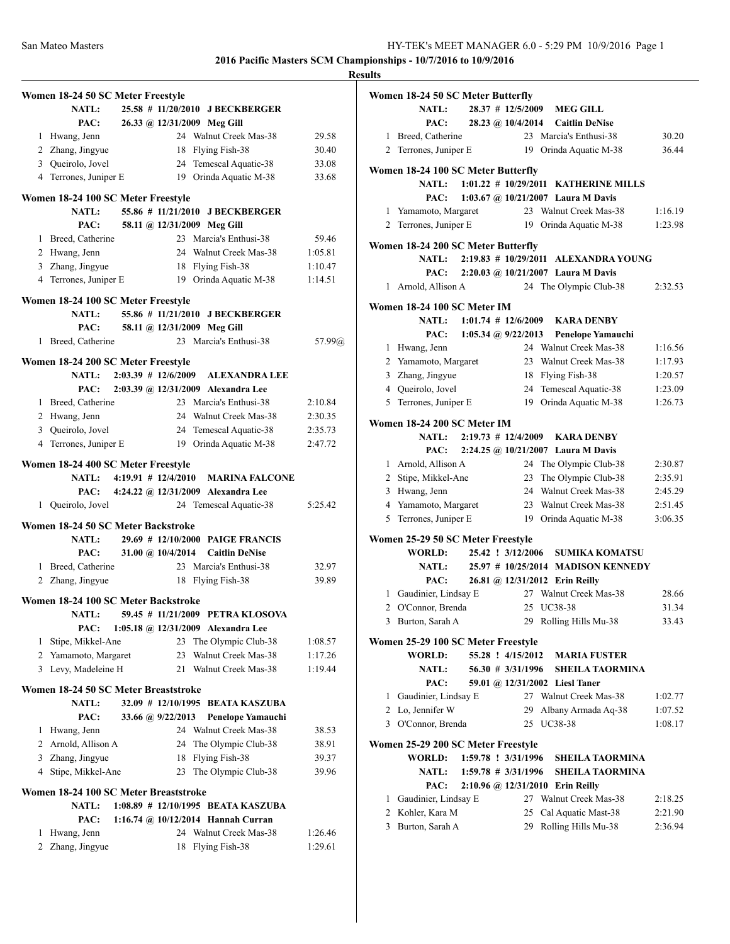|                       | Women 18-24 50 SC Meter Freestyle     |                     |                                          |         |
|-----------------------|---------------------------------------|---------------------|------------------------------------------|---------|
|                       | <b>NATL:</b>                          |                     | 25.58 # 11/20/2010 JBECKBERGER           |         |
|                       | PAC:                                  |                     | 26.33 @ 12/31/2009 Meg Gill              |         |
|                       | 1 Hwang, Jenn                         |                     | 24 Walnut Creek Mas-38                   | 29.58   |
|                       | 2 Zhang, Jingyue                      |                     | 18 Flying Fish-38                        | 30.40   |
|                       | 3 Queirolo, Jovel                     |                     | 24 Temescal Aquatic-38                   | 33.08   |
|                       | 4 Terrones, Juniper E                 |                     | 19 Orinda Aquatic M-38                   | 33.68   |
|                       | Women 18-24 100 SC Meter Freestyle    |                     |                                          |         |
|                       | <b>NATL:</b>                          |                     | 55.86 # 11/21/2010 J BECKBERGER          |         |
|                       | PAC:                                  |                     | 58.11 @ 12/31/2009 Meg Gill              |         |
|                       | 1 Breed, Catherine                    |                     | 23 Marcia's Enthusi-38                   | 59.46   |
|                       | 2 Hwang, Jenn                         |                     | 24 Walnut Creek Mas-38                   | 1:05.81 |
|                       | 3 Zhang, Jingyue                      |                     | 18 Flying Fish-38                        | 1:10.47 |
|                       | 4 Terrones, Juniper E                 |                     | 19 Orinda Aquatic M-38                   | 1:14.51 |
|                       | Women 18-24 100 SC Meter Freestyle    |                     |                                          |         |
|                       | <b>NATL:</b>                          |                     | 55.86 # 11/21/2010 J BECKBERGER          |         |
|                       | PAC:                                  |                     | 58.11 @ 12/31/2009 Meg Gill              |         |
|                       | 1 Breed, Catherine                    |                     | 23 Marcia's Enthusi-38                   | 57.99@  |
|                       |                                       |                     |                                          |         |
|                       | Women 18-24 200 SC Meter Freestyle    |                     |                                          |         |
|                       |                                       |                     | NATL: 2:03.39 # 12/6/2009 ALEXANDRA LEE  |         |
|                       | PAC:                                  |                     | 2:03.39 @ 12/31/2009 Alexandra Lee       |         |
|                       | 1 Breed, Catherine                    |                     | 23 Marcia's Enthusi-38                   | 2:10.84 |
|                       | 2 Hwang, Jenn                         |                     | 24 Walnut Creek Mas-38                   | 2:30.35 |
|                       | 3 Queirolo, Jovel                     |                     | 24 Temescal Aquatic-38                   | 2:35.73 |
|                       | 4 Terrones, Juniper E                 |                     | 19 Orinda Aquatic M-38                   | 2:47.72 |
|                       | Women 18-24 400 SC Meter Freestyle    |                     |                                          |         |
|                       |                                       |                     | NATL: 4:19.91 # 12/4/2010 MARINA FALCONE |         |
|                       |                                       |                     | PAC: 4:24.22 @ 12/31/2009 Alexandra Lee  |         |
|                       | 1 Queirolo, Jovel                     |                     | 24 Temescal Aquatic-38                   | 5:25.42 |
|                       |                                       |                     |                                          |         |
|                       | Women 18-24 50 SC Meter Backstroke    |                     |                                          |         |
|                       | <b>NATL:</b>                          |                     | 29.69 # 12/10/2000 PAIGE FRANCIS         |         |
|                       | PAC:                                  | 31.00 @ $10/4/2014$ | <b>Caitlin DeNise</b>                    |         |
|                       | 1 Breed, Catherine                    |                     | 23 Marcia's Enthusi-38                   | 32.97   |
|                       | 2 Zhang, Jingyue                      | 18                  | Flying Fish-38                           | 39.89   |
|                       | Women 18-24 100 SC Meter Backstroke   |                     |                                          |         |
|                       | <b>NATL:</b>                          |                     | 59.45 # 11/21/2009 PETRA KLOSOVA         |         |
|                       | PAC:                                  |                     | 1:05.18 @ 12/31/2009 Alexandra Lee       |         |
| 1                     | Stipe, Mikkel-Ane                     | 23                  | The Olympic Club-38                      | 1:08.57 |
|                       | 2 Yamamoto, Margaret                  | 23                  | Walnut Creek Mas-38                      | 1:17.26 |
|                       | 3 Levy, Madeleine H                   | 21                  | Walnut Creek Mas-38                      | 1:19.44 |
|                       | Women 18-24 50 SC Meter Breaststroke  |                     |                                          |         |
|                       | <b>NATL:</b>                          |                     | 32.09 # 12/10/1995 BEATA KASZUBA         |         |
|                       | PAC:                                  | 33.66 @ 9/22/2013   | <b>Penelope Yamauchi</b>                 |         |
| 1                     | Hwang, Jenn                           |                     | 24 Walnut Creek Mas-38                   | 38.53   |
|                       | 2 Arnold, Allison A                   | 24                  | The Olympic Club-38                      | 38.91   |
|                       | 3 Zhang, Jingyue                      | 18                  | Flying Fish-38                           | 39.37   |
| 4                     | Stipe, Mikkel-Ane                     | 23                  | The Olympic Club-38                      | 39.96   |
|                       |                                       |                     |                                          |         |
|                       | Women 18-24 100 SC Meter Breaststroke |                     |                                          |         |
|                       | <b>NATL:</b>                          |                     | 1:08.89 # 12/10/1995 BEATA KASZUBA       |         |
|                       | PAC:                                  |                     | 1:16.74 @ $10/12/2014$ Hannah Curran     |         |
| 1                     | Hwang, Jenn                           |                     | 24 Walnut Creek Mas-38                   | 1:26.46 |
| $\mathbf{2}^{\prime}$ | Zhang, Jingyue                        | 18                  | Flying Fish-38                           | 1:29.61 |

| <b>Results</b> |                                              |                       |                                                            |         |
|----------------|----------------------------------------------|-----------------------|------------------------------------------------------------|---------|
|                | Women 18-24 50 SC Meter Butterfly            |                       |                                                            |         |
|                | NATL:                                        |                       | 28.37 # 12/5/2009 MEG GILL                                 |         |
|                | PAC:                                         | 28.23 @ 10/4/2014     | <b>Caitlin DeNise</b>                                      |         |
|                | 1 Breed, Catherine                           |                       | 23 Marcia's Enthusi-38                                     | 30.20   |
|                |                                              |                       | 2 Terrones, Juniper E 19 Orinda Aguatic M-38               | 36.44   |
|                | Women 18-24 100 SC Meter Butterfly           |                       |                                                            |         |
|                | <b>NATL:</b>                                 |                       | 1:01.22 # 10/29/2011 KATHERINE MILLS                       |         |
|                | PAC:                                         |                       | 1:03.67 @ 10/21/2007 Laura M Davis                         |         |
|                | 1 Yamamoto, Margaret                         |                       | 23 Walnut Creek Mas-38                                     | 1:16.19 |
|                | 2 Terrones, Juniper E                        |                       | 19 Orinda Aquatic M-38                                     | 1:23.98 |
|                | Women 18-24 200 SC Meter Butterfly           |                       |                                                            |         |
|                | <b>NATL:</b>                                 |                       | 2:19.83 # 10/29/2011 ALEXANDRA YOUNG                       |         |
|                |                                              |                       | PAC: 2:20.03 @ 10/21/2007 Laura M Davis                    |         |
|                | 1 Arnold, Allison A                          |                       | 24 The Olympic Club-38                                     | 2:32.53 |
|                | Women 18-24 100 SC Meter IM                  |                       |                                                            |         |
|                | <b>NATL:</b>                                 |                       | $1:01.74$ # 12/6/2009 KARA DENBY                           |         |
|                | PAC:                                         | 1:05.34 @ $9/22/2013$ | <b>Penelope Yamauchi</b>                                   |         |
|                | 1 Hwang, Jenn                                |                       | 24 Walnut Creek Mas-38                                     | 1:16.56 |
|                | 2 Yamamoto, Margaret                         |                       | 23 Walnut Creek Mas-38                                     | 1:17.93 |
|                | 3 Zhang, Jingyue                             |                       | 18 Flying Fish-38                                          | 1:20.57 |
|                | 4 Queirolo, Jovel                            |                       | 24 Temescal Aquatic-38                                     | 1:23.09 |
|                | 5 Terrones, Juniper E                        |                       | 19 Orinda Aquatic M-38                                     | 1:26.73 |
|                | Women 18-24 200 SC Meter IM                  |                       |                                                            |         |
|                | <b>NATL:</b>                                 |                       | $2:19.73$ # 12/4/2009 KARA DENBY                           |         |
|                | PAC:                                         |                       | 2:24.25 @ 10/21/2007 Laura M Davis                         |         |
|                | 1 Arnold, Allison A                          |                       | 24 The Olympic Club-38                                     | 2:30.87 |
|                | 2 Stipe, Mikkel-Ane                          |                       | 23 The Olympic Club-38                                     | 2:35.91 |
|                | 3 Hwang, Jenn                                |                       | 24 Walnut Creek Mas-38                                     | 2:45.29 |
|                | 4 Yamamoto, Margaret                         |                       | 23 Walnut Creek Mas-38                                     | 2:51.45 |
|                | 5 Terrones, Juniper E                        |                       | 19 Orinda Aquatic M-38                                     | 3:06.35 |
|                | Women 25-29 50 SC Meter Freestyle            |                       |                                                            |         |
|                | WORLD:                                       | 25.42 ! 3/12/2006     | <b>SUMIKA KOMATSU</b>                                      |         |
|                | <b>NATL:</b>                                 |                       | 25.97 # 10/25/2014 MADISON KENNEDY                         |         |
|                | PAC:                                         |                       | 26.81 @ 12/31/2012 Erin Reilly                             |         |
|                | 1 Gaudinier, Lindsay E                       |                       | 27 Walnut Creek Mas-38                                     | 28.66   |
|                | 2 O'Connor, Brenda                           |                       | 25 UC38-38                                                 | 31.34   |
| 3              | Burton, Sarah A                              |                       | 29 Rolling Hills Mu-38                                     | 33.43   |
|                | Women 25-29 100 SC Meter Freestyle           |                       |                                                            |         |
|                | <b>WORLD:</b>                                | 55.28 ! 4/15/2012     | <b>MARIA FUSTER</b>                                        |         |
|                | NATL:                                        | 56.30 # 3/31/1996     | <b>SHEILA TAORMINA</b>                                     |         |
|                | PAC:                                         |                       | 59.01 @ 12/31/2002 Liesl Taner                             |         |
| $\mathbf{1}$   | Gaudinier, Lindsay E                         |                       | 27 Walnut Creek Mas-38                                     | 1:02.77 |
|                | 2 Lo, Jennifer W                             | 29                    | Albany Armada Aq-38                                        | 1:07.52 |
|                | 3 O'Connor, Brenda                           |                       | 25 UC38-38                                                 | 1:08.17 |
|                |                                              |                       |                                                            |         |
|                | Women 25-29 200 SC Meter Freestyle<br>WORLD: | 1:59.78 ! 3/31/1996   | <b>SHEILA TAORMINA</b>                                     |         |
|                |                                              | $1:59.78$ # 3/31/1996 |                                                            |         |
|                | <b>NATL:</b><br>PAC:                         |                       | <b>SHEILA TAORMINA</b><br>2:10.96 @ 12/31/2010 Erin Reilly |         |
|                |                                              |                       | 27 Walnut Creek Mas-38                                     | 2:18.25 |
|                | 1 Gaudinier, Lindsay E<br>2 Kohler, Kara M   |                       | 25 Cal Aquatic Mast-38                                     |         |
|                |                                              |                       |                                                            | 2:21.90 |
|                | 3 Burton, Sarah A                            |                       | 29 Rolling Hills Mu-38                                     | 2:36.94 |
|                |                                              |                       |                                                            |         |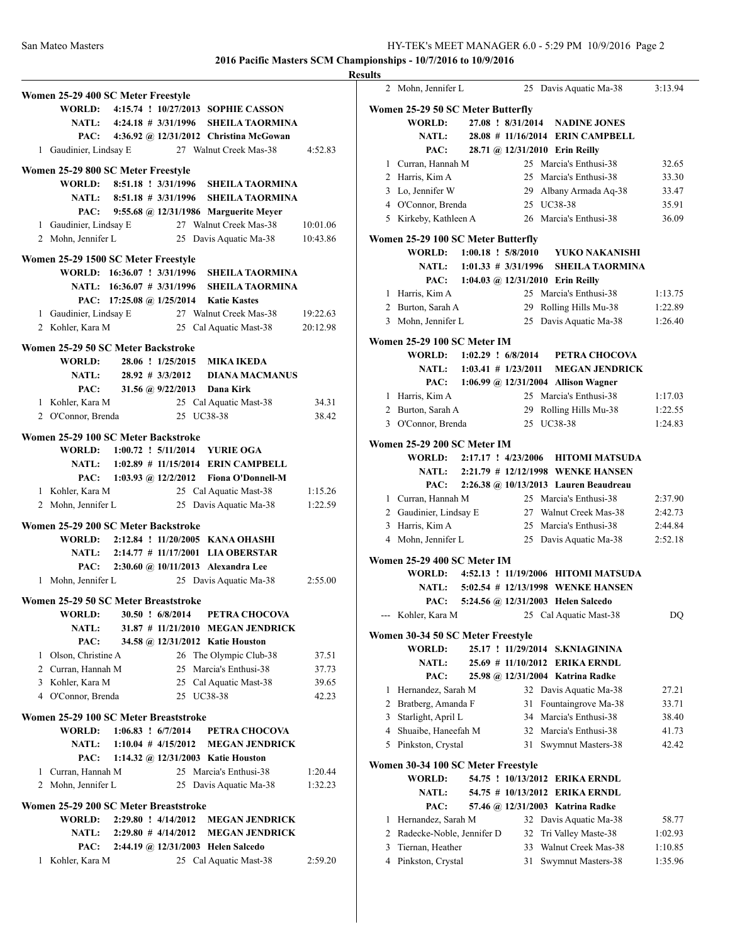|                                       |                            |                         |                                                                                     | Ņ        |
|---------------------------------------|----------------------------|-------------------------|-------------------------------------------------------------------------------------|----------|
| Women 25-29 400 SC Meter Freestyle    |                            |                         |                                                                                     |          |
|                                       |                            |                         | WORLD: 4:15.74 ! 10/27/2013 SOPHIE CASSON                                           |          |
|                                       |                            |                         | NATL: 4:24.18 # 3/31/1996 SHEILA TAORMINA                                           |          |
|                                       |                            |                         | PAC: 4:36.92 @ 12/31/2012 Christina McGowan                                         |          |
| 1 Gaudinier, Lindsay E                |                            |                         | 27 Walnut Creek Mas-38                                                              | 4:52.83  |
| Women 25-29 800 SC Meter Freestyle    |                            |                         |                                                                                     |          |
|                                       | WORLD: 8:51.18 ! 3/31/1996 |                         | <b>SHEILA TAORMINA</b>                                                              |          |
|                                       | NATL: 8:51.18 # 3/31/1996  |                         | <b>SHEILA TAORMINA</b>                                                              |          |
|                                       |                            |                         | PAC: 9:55.68 @ 12/31/1986 Marguerite Meyer                                          |          |
| 1 Gaudinier, Lindsay E                |                            |                         |                                                                                     | 10:01.06 |
| 2 Mohn, Jennifer L                    |                            |                         | San guerite Meyer<br>27 Walnut Creek Mas-38<br>25 Davie A<br>25 Davis Aquatic Ma-38 | 10:43.86 |
| Women 25-29 1500 SC Meter Freestyle   |                            |                         |                                                                                     |          |
|                                       |                            |                         | WORLD: 16:36.07 ! 3/31/1996 SHEILA TAORMINA                                         |          |
|                                       |                            |                         | NATL: 16:36.07 # 3/31/1996 SHEILA TAORMINA                                          |          |
|                                       |                            |                         | PAC: 17:25.08 @ 1/25/2014 Katie Kastes                                              |          |
|                                       |                            |                         | 1 Gaudinier, Lindsay E 27 Walnut Creek Mas-38                                       | 19:22.63 |
| 2 Kohler, Kara M                      |                            |                         | 25 Cal Aquatic Mast-38                                                              | 20:12.98 |
|                                       |                            |                         |                                                                                     |          |
| Women 25-29 50 SC Meter Backstroke    |                            |                         |                                                                                     |          |
| WORLD:                                |                            |                         | 28.06 ! 1/25/2015 MIKA IKEDA                                                        |          |
| <b>NATL:</b>                          |                            | 28.92 # 3/3/2012        | <b>DIANA MACMANUS</b>                                                               |          |
| PAC:                                  |                            |                         | 31.56 @ 9/22/2013 Dana Kirk                                                         |          |
| 1 Kohler, Kara M                      |                            |                         | 25 Cal Aquatic Mast-38                                                              | 34.31    |
| 2 O'Connor, Brenda                    |                            |                         | 25 UC38-38                                                                          | 38.42    |
| Women 25-29 100 SC Meter Backstroke   |                            |                         |                                                                                     |          |
|                                       |                            |                         | WORLD: 1:00.72 ! 5/11/2014 YURIE OGA                                                |          |
|                                       |                            |                         | NATL: 1:02.89 # 11/15/2014 ERIN CAMPBELL                                            |          |
|                                       |                            |                         | PAC: 1:03.93 @ 12/2/2012 Fiona O'Donnell-M                                          |          |
| 1 Kohler, Kara M                      |                            |                         | 25 Cal Aquatic Mast-38                                                              | 1:15.26  |
| 2 Mohn, Jennifer L                    |                            |                         | 25 Davis Aquatic Ma-38                                                              | 1:22.59  |
|                                       |                            |                         |                                                                                     |          |
| Women 25-29 200 SC Meter Backstroke   |                            |                         | WORLD: 2:12.84 ! 11/20/2005 KANA OHASHI                                             |          |
|                                       |                            |                         | NATL: 2:14.77 # 11/17/2001 LIA OBERSTAR                                             |          |
|                                       |                            |                         | PAC: 2:30.60 @ 10/11/2013 Alexandra Lee                                             |          |
| 1 Mohn, Jennifer L                    |                            |                         | 25 Davis Aquatic Ma-38                                                              | 2:55.00  |
|                                       |                            |                         |                                                                                     |          |
| Women 25-29 50 SC Meter Breaststroke  |                            |                         |                                                                                     |          |
| <b>WORLD:</b>                         |                            | 30.50 ! 6/8/2014        | PETRA CHOCOVA                                                                       |          |
| <b>NATL:</b>                          |                            |                         | 31.87 # 11/21/2010 MEGAN JENDRICK                                                   |          |
| PAC:                                  |                            |                         | 34.58 @ 12/31/2012 Katie Houston                                                    |          |
| 1 Olson, Christine A                  |                            |                         | 26 The Olympic Club-38                                                              | 37.51    |
| 2 Curran, Hannah M                    |                            |                         | 25 Marcia's Enthusi-38                                                              | 37.73    |
| 3 Kohler, Kara M                      |                            |                         | 25 Cal Aquatic Mast-38                                                              | 39.65    |
| 4 O'Connor, Brenda                    |                            |                         | 25 UC38-38                                                                          | 42.23    |
| Women 25-29 100 SC Meter Breaststroke |                            |                         |                                                                                     |          |
| WORLD:                                | $1:06.83$ : $6/7/2014$     |                         | PETRA CHOCOVA                                                                       |          |
| <b>NATL:</b>                          |                            | $1:10.04$ # $4/15/2012$ | <b>MEGAN JENDRICK</b>                                                               |          |
| PAC:                                  |                            |                         | 1:14.32 @ 12/31/2003 Katie Houston                                                  |          |
| 1 Curran, Hannah M                    |                            |                         | 25 Marcia's Enthusi-38                                                              | 1:20.44  |
| 2 Mohn, Jennifer L                    |                            | 25                      | Davis Aquatic Ma-38                                                                 | 1:32.23  |
| Women 25-29 200 SC Meter Breaststroke |                            |                         |                                                                                     |          |
| <b>WORLD:</b>                         | $2:29.80$ ! $4/14/2012$    |                         | <b>MEGAN JENDRICK</b>                                                               |          |
| <b>NATL:</b>                          |                            | $2:29.80 \# 4/14/2012$  | <b>MEGAN JENDRICK</b>                                                               |          |
| PAC:                                  |                            |                         | 2:44.19 @ 12/31/2003 Helen Salcedo                                                  |          |
| 1 Kohler, Kara M                      |                            |                         | 25 Cal Aquatic Mast-38                                                              | 2:59.20  |
|                                       |                            |                         |                                                                                     |          |

| <b>Results</b> |                                                     |  |    |                                                                  |                    |
|----------------|-----------------------------------------------------|--|----|------------------------------------------------------------------|--------------------|
|                | 2 Mohn, Jennifer L                                  |  |    | 25 Davis Aquatic Ma-38                                           | 3:13.94            |
|                | Women 25-29 50 SC Meter Butterfly                   |  |    |                                                                  |                    |
|                | <b>WORLD:</b>                                       |  |    | 27.08 ! 8/31/2014 NADINE JONES                                   |                    |
|                | <b>NATL:</b>                                        |  |    | 28.08 # 11/16/2014 ERIN CAMPBELL                                 |                    |
|                |                                                     |  |    | PAC: 28.71 @ 12/31/2010 Erin Reilly                              |                    |
|                | 1 Curran, Hannah M                                  |  |    | 25 Marcia's Enthusi-38                                           | 32.65              |
|                | 2 Harris, Kim A                                     |  |    | 25 Marcia's Enthusi-38                                           | 33.30              |
|                | 3 Lo, Jennifer W                                    |  |    | 29 Albany Armada Aq-38                                           | 33.47              |
|                | 4 O'Connor, Brenda                                  |  |    | 25 UC38-38                                                       | 35.91              |
|                | 5 Kirkeby, Kathleen A                               |  |    | 26 Marcia's Enthusi-38                                           | 36.09              |
|                | Women 25-29 100 SC Meter Butterfly                  |  |    |                                                                  |                    |
|                |                                                     |  |    | WORLD: 1:00.18 ! 5/8/2010 YUKO NAKANISHI                         |                    |
|                | NATL: $1:01.33 \# 3/31/1996$                        |  |    | <b>SHEILA TAORMINA</b>                                           |                    |
|                |                                                     |  |    | PAC: 1:04.03 @ 12/31/2010 Erin Reilly                            |                    |
|                | 1 Harris, Kim A                                     |  |    | 25 Marcia's Enthusi-38                                           | 1:13.75            |
|                | 2 Burton, Sarah A                                   |  |    | 29 Rolling Hills Mu-38                                           | 1:22.89            |
|                | 3 Mohn, Jennifer L                                  |  |    | 25 Davis Aquatic Ma-38                                           | 1:26.40            |
|                | Women 25-29 100 SC Meter IM                         |  |    |                                                                  |                    |
|                | WORLD: 1:02.29 ! 6/8/2014                           |  |    | PETRA CHOCOVA                                                    |                    |
|                |                                                     |  |    | NATL: 1:03.41 # 1/23/2011 MEGAN JENDRICK                         |                    |
|                |                                                     |  |    | PAC: 1:06.99 @ 12/31/2004 Allison Wagner                         |                    |
|                | 1 Harris, Kim A                                     |  |    | 25 Marcia's Enthusi-38                                           | 1:17.03            |
|                | 2 Burton, Sarah A                                   |  |    | 29 Rolling Hills Mu-38                                           | 1:22.55            |
|                | 3 O'Connor, Brenda                                  |  |    | 25 UC38-38                                                       | 1:24.83            |
|                |                                                     |  |    |                                                                  |                    |
|                | Women 25-29 200 SC Meter IM                         |  |    |                                                                  |                    |
|                | WORLD: 2:17.17 ! 4/23/2006                          |  |    | <b>HITOMI MATSUDA</b>                                            |                    |
|                |                                                     |  |    | NATL: 2:21.79 # 12/12/1998 WENKE HANSEN                          |                    |
|                | PAC:                                                |  |    | 2:26.38 @ 10/13/2013 Lauren Beaudreau                            |                    |
|                | 1 Curran, Hannah M                                  |  |    | 25 Marcia's Enthusi-38                                           | 2:37.90            |
|                |                                                     |  |    | 2 Gaudinier, Lindsay E 27 Walnut Creek Mas-38                    | 2:42.73            |
|                | 3 Harris, Kim A                                     |  |    | 25 Marcia's Enthusi-38                                           | 2:44.84            |
|                | 4 Mohn, Jennifer L                                  |  |    | 25 Davis Aquatic Ma-38                                           | 2:52.18            |
|                | Women 25-29 400 SC Meter IM                         |  |    |                                                                  |                    |
|                |                                                     |  |    | WORLD: 4:52.13 ! 11/19/2006 HITOMI MATSUDA                       |                    |
|                |                                                     |  |    | NATL: 5:02.54 # 12/13/1998 WENKE HANSEN                          |                    |
|                |                                                     |  |    | PAC: 5:24.56 @ 12/31/2003 Helen Salcedo                          |                    |
|                | --- Kohler, Kara M                                  |  |    | 25 Cal Aquatic Mast-38                                           | DQ                 |
|                | Women 30-34 50 SC Meter Freestyle                   |  |    |                                                                  |                    |
|                | WORLD:                                              |  |    | 25.17 ! 11/29/2014 S.KNIAGININA                                  |                    |
|                | <b>NATL:</b>                                        |  |    | 25.69 # 11/10/2012 ERIKA ERNDL                                   |                    |
|                | PAC:                                                |  |    | 25.98 @ 12/31/2004 Katrina Radke                                 |                    |
|                | 1 Hernandez, Sarah M                                |  |    | 32 Davis Aquatic Ma-38                                           | 27.21              |
|                | 2 Bratberg, Amanda F                                |  | 31 | Fountaingrove Ma-38                                              | 33.71              |
|                | 3 Starlight, April L                                |  |    | 34 Marcia's Enthusi-38                                           | 38.40              |
|                | 4 Shuaibe, Haneefah M                               |  |    | 32 Marcia's Enthusi-38                                           | 41.73              |
|                | 5 Pinkston, Crystal                                 |  |    | 31 Swymnut Masters-38                                            | 42.42              |
|                |                                                     |  |    |                                                                  |                    |
|                | Women 30-34 100 SC Meter Freestyle                  |  |    |                                                                  |                    |
|                | WORLD:<br><b>NATL:</b>                              |  |    | 54.75 ! 10/13/2012 ERIKA ERNDL<br>54.75 # 10/13/2012 ERIKA ERNDL |                    |
|                | PAC:                                                |  |    | 57.46 @ 12/31/2003 Katrina Radke                                 |                    |
|                |                                                     |  |    |                                                                  | 58.77              |
|                | 1 Hernandez, Sarah M<br>2 Radecke-Noble, Jennifer D |  |    | 32 Davis Aquatic Ma-38                                           |                    |
|                | 3 Tiernan, Heather                                  |  |    | 32 Tri Valley Maste-38<br>33 Walnut Creek Mas-38                 | 1:02.93<br>1:10.85 |
|                | 4 Pinkston, Crystal                                 |  | 31 |                                                                  | 1:35.96            |
|                |                                                     |  |    | Swymnut Masters-38                                               |                    |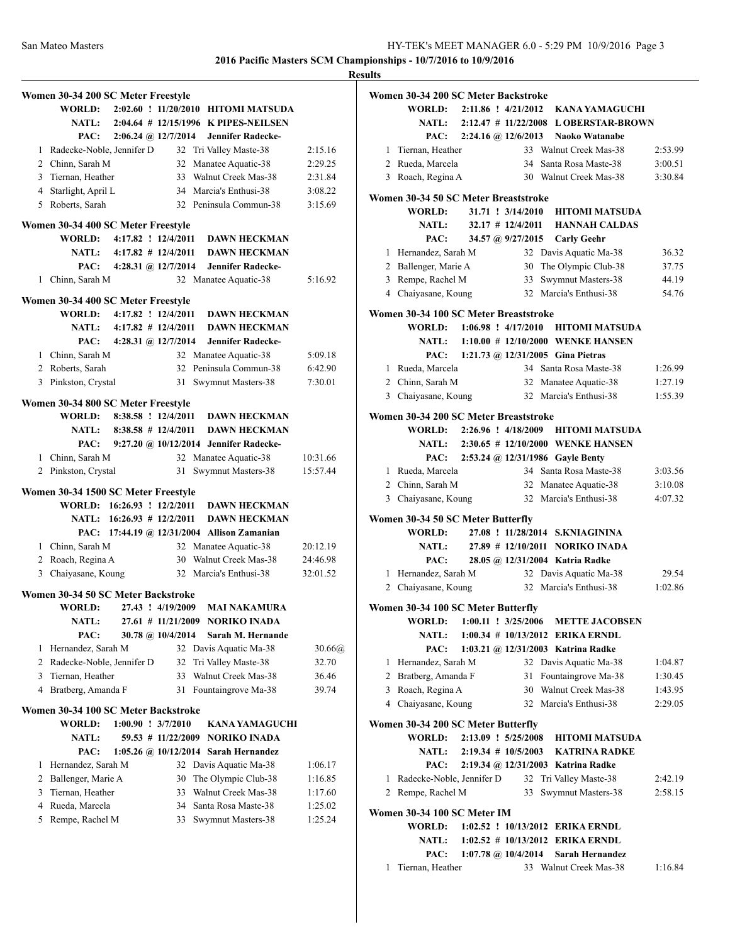|   |                                          |                                                        | <b>Results</b>    |
|---|------------------------------------------|--------------------------------------------------------|-------------------|
|   | Women 30-34 200 SC Meter Freestyle       |                                                        | Wс                |
|   |                                          | WORLD: 2:02.60 ! 11/20/2010 HITOMI MATSUDA             |                   |
|   |                                          | NATL: 2:04.64 # 12/15/1996 K PIPES-NEILSEN             |                   |
|   | PAC:                                     | 2:06.24 @ 12/7/2014 Jennifer Radecke-                  |                   |
|   | 1 Radecke-Noble, Jennifer D              | 32 Tri Valley Maste-38                                 | 2:15.16           |
|   | 2 Chinn, Sarah M                         | 32 Manatee Aquatic-38                                  | 2:29.25           |
|   | 3 Tiernan, Heather                       | 33 Walnut Creek Mas-38                                 | 2:31.84           |
|   | 4 Starlight, April L                     | 34 Marcia's Enthusi-38                                 | 3:08.22<br>Wα     |
|   | 5 Roberts, Sarah                         | 32 Peninsula Commun-38                                 | 3:15.69           |
|   | Women 30-34 400 SC Meter Freestyle       |                                                        |                   |
|   |                                          | WORLD: 4:17.82 ! 12/4/2011 DAWN HECKMAN                |                   |
|   |                                          | NATL: 4:17.82 # 12/4/2011 DAWN HECKMAN                 |                   |
|   |                                          | PAC: 4:28.31 @ 12/7/2014 Jennifer Radecke-             |                   |
|   | 1 Chinn, Sarah M                         | 32 Manatee Aquatic-38                                  | 5:16.92           |
|   |                                          |                                                        |                   |
|   | Women 30-34 400 SC Meter Freestyle       |                                                        |                   |
|   |                                          | WORLD: 4:17.82 ! 12/4/2011 DAWN HECKMAN                | Wα                |
|   |                                          | NATL: 4:17.82 # 12/4/2011 DAWN HECKMAN                 |                   |
|   |                                          | PAC: 4:28.31 @ 12/7/2014 Jennifer Radecke-             |                   |
|   | 1 Chinn, Sarah M                         | 32 Manatee Aquatic-38<br>32 Peninsula Commun-38        | 5:09.18           |
|   | 2 Roberts, Sarah                         |                                                        | 6:42.90           |
|   | 3 Pinkston, Crystal                      | 31 Swymnut Masters-38                                  | 7:30.01           |
|   | Women 30-34 800 SC Meter Freestyle       |                                                        |                   |
|   |                                          | WORLD: 8:38.58 ! 12/4/2011 DAWN HECKMAN                | W <sub>0</sub>    |
|   | NATL: $8:38.58 \# 12/4/2011$             | <b>DAWN HECKMAN</b>                                    |                   |
|   |                                          | PAC: 9:27.20 @ 10/12/2014 Jennifer Radecke-            |                   |
|   | 1 Chinn, Sarah M                         | 32 Manatee Aquatic-38                                  | 10:31.66          |
|   | 2 Pinkston, Crystal                      | Swymnut Masters-38<br>31                               | 15:57.44          |
|   | Women 30-34 1500 SC Meter Freestyle      |                                                        |                   |
|   | WORLD: 16:26.93 ! 12/2/2011              | <b>DAWN HECKMAN</b>                                    |                   |
|   | NATL: 16:26.93 # 12/2/2011               | <b>DAWN HECKMAN</b>                                    | Wс                |
|   |                                          | PAC: 17:44.19 @ 12/31/2004 Allison Zamanian            |                   |
|   | 1 Chinn, Sarah M                         | 32 Manatee Aquatic-38                                  | 20:12.19          |
|   | 2 Roach, Regina A                        | 30 Walnut Creek Mas-38                                 | 24:46.98          |
|   | 3 Chaiyasane, Koung                      | 32 Marcia's Enthusi-38                                 | 32:01.52          |
|   |                                          |                                                        |                   |
|   | Women 30-34 50 SC Meter Backstroke       |                                                        |                   |
|   | <b>WORLD:</b>                            | 27.43 ! 4/19/2009<br>MAI NAKAMURA                      | Wα                |
|   | <b>NATL:</b>                             | 27.61 # 11/21/2009<br><b>NORIKO INADA</b>              |                   |
|   | PAC:                                     | 30.78 @ 10/4/2014<br>Sarah M. Hernande                 |                   |
| 1 | Hernandez, Sarah M                       | 32 Davis Aquatic Ma-38                                 | 30.66(a)<br>32.70 |
| 3 | 2 Radecke-Noble, Jennifer D              | Tri Valley Maste-38<br>32<br>Walnut Creek Mas-38<br>33 |                   |
|   | Tiernan, Heather<br>4 Bratberg, Amanda F |                                                        | 36.46             |
|   |                                          | 31 Fountaingrove Ma-38                                 | 39.74             |
|   | Women 30-34 100 SC Meter Backstroke      |                                                        |                   |
|   | <b>WORLD:</b><br>$1:00.90$ ! $3/7/2010$  | <b>KANA YAMAGUCHI</b>                                  | W <sub>0</sub>    |
|   | NATL:                                    | 59.53 # 11/22/2009 NORIKO INADA                        |                   |
|   | PAC:                                     | 1:05.26 @ 10/12/2014 Sarah Hernandez                   |                   |
| 1 | Hernandez, Sarah M                       | 32 Davis Aquatic Ma-38                                 | 1:06.17           |
|   | 2 Ballenger, Marie A                     | The Olympic Club-38<br>30                              | 1:16.85           |
| 3 | Tiernan, Heather                         | Walnut Creek Mas-38<br>33                              | 1:17.60           |
|   | 4 Rueda, Marcela                         | Santa Rosa Maste-38<br>34                              | 1:25.02<br>Wα     |
| 5 | Rempe, Rachel M                          | 33<br>Swymnut Masters-38                               | 1:25.24           |
|   |                                          |                                                        |                   |
|   |                                          |                                                        |                   |

|                | Women 30-34 200 SC Meter Backstroke             |  |                                          |                                         |         |
|----------------|-------------------------------------------------|--|------------------------------------------|-----------------------------------------|---------|
|                | WORLD:                                          |  | 2:11.86 ! 4/21/2012                      | <b>KANA YAMAGUCHI</b>                   |         |
|                | <b>NATL:</b>                                    |  | $2:12.47$ # $11/22/2008$                 | <b>L OBERSTAR-BROWN</b>                 |         |
|                | PAC:                                            |  | $2:24.16 \; \textcircled{a}$ , 12/6/2013 | <b>Naoko Watanabe</b>                   |         |
| 1              | Tiernan, Heather                                |  |                                          | 33 Walnut Creek Mas-38                  | 2:53.99 |
|                | 2 Rueda, Marcela                                |  | 34                                       | Santa Rosa Maste-38                     | 3:00.51 |
|                | 3 Roach, Regina A                               |  |                                          | 30 Walnut Creek Mas-38                  | 3:30.84 |
|                |                                                 |  |                                          |                                         |         |
|                | Women 30-34 50 SC Meter Breaststroke            |  |                                          |                                         |         |
|                | WORLD:                                          |  | 31.71 : 3/14/2010                        | <b>HITOMI MATSUDA</b>                   |         |
|                | <b>NATL:</b>                                    |  | 32.17 # 12/4/2011                        | <b>HANNAH CALDAS</b>                    |         |
|                | PAC:                                            |  | 34.57 @ 9/27/2015                        | <b>Carly Geehr</b>                      |         |
| $\mathbf{1}$   | Hernandez, Sarah M                              |  |                                          | 32 Davis Aquatic Ma-38                  | 36.32   |
|                | 2 Ballenger, Marie A                            |  | 30                                       | The Olympic Club-38                     | 37.75   |
|                | 3 Rempe, Rachel M                               |  | 33                                       | Swymnut Masters-38                      | 44.19   |
|                | 4 Chaiyasane, Koung                             |  |                                          | 32 Marcia's Enthusi-38                  | 54.76   |
|                | Women 30-34 100 SC Meter Breaststroke           |  |                                          |                                         |         |
|                | WORLD:                                          |  |                                          | 1:06.98 ! 4/17/2010 HITOMI MATSUDA      |         |
|                | <b>NATL:</b>                                    |  |                                          | 1:10.00 # 12/10/2000 WENKE HANSEN       |         |
|                | PAC:                                            |  |                                          | 1:21.73 @ 12/31/2005 Gina Pietras       |         |
|                | 1 Rueda, Marcela                                |  |                                          | 34 Santa Rosa Maste-38                  | 1:26.99 |
|                | 2 Chinn, Sarah M                                |  |                                          | 32 Manatee Aquatic-38                   | 1:27.19 |
|                | 3 Chaiyasane, Koung                             |  |                                          | 32 Marcia's Enthusi-38                  | 1:55.39 |
|                |                                                 |  |                                          |                                         |         |
|                | Women 30-34 200 SC Meter Breaststroke<br>WORLD: |  |                                          | 2:26.96 ! 4/18/2009 HITOMI MATSUDA      |         |
|                |                                                 |  |                                          |                                         |         |
|                |                                                 |  |                                          | NATL: 2:30.65 # 12/10/2000 WENKE HANSEN |         |
|                | PAC:                                            |  |                                          | 2:53.24 @ 12/31/1986 Gayle Benty        |         |
|                | 1 Rueda, Marcela                                |  |                                          | 34 Santa Rosa Maste-38                  | 3:03.56 |
|                | 2 Chinn, Sarah M                                |  |                                          | 32 Manatee Aquatic-38                   | 3:10.08 |
| 3              | Chaiyasane, Koung                               |  |                                          | 32 Marcia's Enthusi-38                  | 4:07.32 |
|                | Women 30-34 50 SC Meter Butterfly               |  |                                          |                                         |         |
|                | <b>WORLD:</b>                                   |  |                                          | 27.08 ! 11/28/2014 S.KNIAGININA         |         |
|                | <b>NATL:</b>                                    |  |                                          | 27.89 # 12/10/2011 NORIKO INADA         |         |
|                | PAC:                                            |  |                                          | 28.05 @ 12/31/2004 Katria Radke         |         |
| 1              | Hernandez, Sarah M                              |  |                                          | 32 Davis Aquatic Ma-38                  | 29.54   |
| 2              | Chaiyasane, Koung                               |  |                                          | 32 Marcia's Enthusi-38                  | 1:02.86 |
|                | Women 30-34 100 SC Meter Butterfly              |  |                                          |                                         |         |
|                | WORLD:                                          |  |                                          | 1:00.11 ! 3/25/2006 METTE JACOBSEN      |         |
|                | <b>NATL:</b>                                    |  |                                          | 1:00.34 # 10/13/2012 ERIKA ERNDL        |         |
|                | PAC:                                            |  |                                          | 1:03.21 @ 12/31/2003 Katrina Radke      |         |
|                | 1 Hernandez, Sarah M                            |  |                                          | 32 Davis Aquatic Ma-38                  | 1:04.87 |
|                | 2 Bratberg, Amanda F                            |  | 31                                       | Fountaingrove Ma-38                     | 1:30.45 |
|                | 3 Roach, Regina A                               |  |                                          | 30 Walnut Creek Mas-38                  | 1:43.95 |
|                | 4 Chaiyasane, Koung                             |  |                                          | 32 Marcia's Enthusi-38                  | 2:29.05 |
|                |                                                 |  |                                          |                                         |         |
|                | Women 30-34 200 SC Meter Butterfly              |  |                                          |                                         |         |
|                | WORLD:                                          |  | $2:13.09$ : $5/25/2008$                  | <b>HITOMI MATSUDA</b>                   |         |
|                | NATL: 2:19.34 # 10/5/2003                       |  |                                          | <b>KATRINA RADKE</b>                    |         |
|                | PAC:                                            |  |                                          | 2:19.34 @ 12/31/2003 Katrina Radke      |         |
| 1              | Radecke-Noble, Jennifer D                       |  | 32                                       | Tri Valley Maste-38                     | 2:42.19 |
| $\overline{2}$ | Rempe, Rachel M                                 |  | 33                                       | Swymnut Masters-38                      | 2:58.15 |
|                | Women 30-34 100 SC Meter IM                     |  |                                          |                                         |         |
|                | <b>WORLD:</b>                                   |  |                                          | 1:02.52 ! 10/13/2012 ERIKA ERNDL        |         |
|                |                                                 |  |                                          | NATL: 1:02.52 # 10/13/2012 ERIKA ERNDL  |         |
|                | PAC:                                            |  | 1:07.78 @ $10/4/2014$                    | <b>Sarah Hernandez</b>                  |         |
| 1              | Tiernan, Heather                                |  |                                          | 33 Walnut Creek Mas-38                  | 1:16.84 |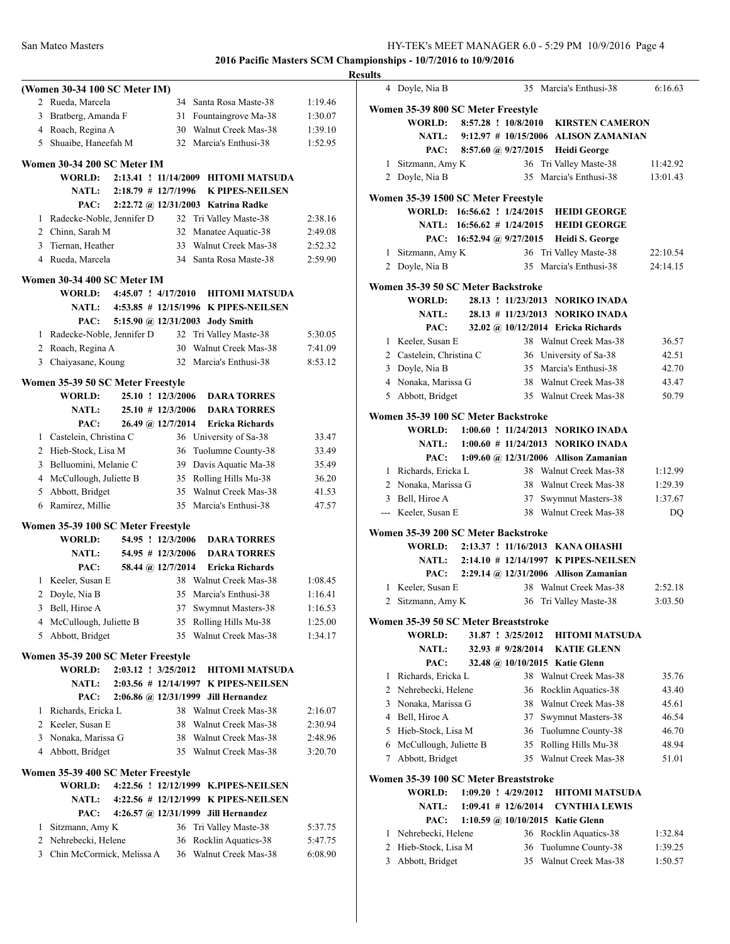|              | (Women 30-34 100 SC Meter IM)      |                         |                       |                                            |         |
|--------------|------------------------------------|-------------------------|-----------------------|--------------------------------------------|---------|
|              | 2 Rueda, Marcela                   |                         |                       | 34 Santa Rosa Maste-38                     | 1:19.46 |
|              | 3 Bratberg, Amanda F               |                         | 31                    | Fountaingrove Ma-38                        | 1:30.07 |
|              | 4 Roach, Regina A                  |                         |                       | 30 Walnut Creek Mas-38                     | 1:39.10 |
| 5            | Shuaibe, Haneefah M                |                         |                       | 32 Marcia's Enthusi-38                     | 1:52.95 |
|              |                                    |                         |                       |                                            |         |
|              | Women 30-34 200 SC Meter IM        |                         |                       |                                            |         |
|              | WORLD:                             |                         |                       | 2:13.41 ! 11/14/2009 HITOMI MATSUDA        |         |
|              | NATL:                              |                         | $2:18.79$ # 12/7/1996 | <b>K PIPES-NEILSEN</b>                     |         |
|              | PAC:                               |                         |                       | 2:22.72 @ 12/31/2003 Katrina Radke         |         |
|              | 1 Radecke-Noble, Jennifer D        |                         |                       | 32 Tri Valley Maste-38                     | 2:38.16 |
|              | 2 Chinn, Sarah M                   |                         |                       | 32 Manatee Aquatic-38                      | 2:49.08 |
|              | 3 Tiernan, Heather                 |                         |                       | 33 Walnut Creek Mas-38                     | 2:52.32 |
|              | 4 Rueda, Marcela                   |                         |                       | 34 Santa Rosa Maste-38                     | 2:59.90 |
|              | Women 30-34 400 SC Meter IM        |                         |                       |                                            |         |
|              | <b>WORLD:</b>                      | $4:45.07$ ! $4/17/2010$ |                       | <b>HITOMI MATSUDA</b>                      |         |
|              |                                    |                         |                       | NATL: 4:53.85 # 12/15/1996 K PIPES-NEILSEN |         |
|              | PAC:                               |                         |                       | 5:15.90 @ 12/31/2003 Jody Smith            |         |
|              |                                    |                         |                       |                                            |         |
|              | 1 Radecke-Noble, Jennifer D        |                         | 32                    | Tri Valley Maste-38                        | 5:30.05 |
|              | 2 Roach, Regina A                  |                         | 30                    | Walnut Creek Mas-38                        | 7:41.09 |
| 3            | Chaiyasane, Koung                  |                         |                       | 32 Marcia's Enthusi-38                     | 8:53.12 |
|              | Women 35-39 50 SC Meter Freestyle  |                         |                       |                                            |         |
|              | <b>WORLD:</b>                      |                         | 25.10 ! 12/3/2006     | <b>DARA TORRES</b>                         |         |
|              | <b>NATL:</b>                       |                         | $25.10 \# 12/3/2006$  | <b>DARA TORRES</b>                         |         |
|              | PAC:                               |                         | 26.49 @ 12/7/2014     | <b>Ericka Richards</b>                     |         |
| 1            | Castelein, Christina C             |                         |                       | 36 University of Sa-38                     | 33.47   |
|              | 2 Hieb-Stock, Lisa M               |                         | 36                    | Tuolumne County-38                         | 33.49   |
|              | 3 Belluomini, Melanie C            |                         |                       | 39 Davis Aquatic Ma-38                     | 35.49   |
|              | 4 McCullough, Juliette B           |                         |                       | 35 Rolling Hills Mu-38                     | 36.20   |
|              | 5 Abbott, Bridget                  |                         | 35                    | Walnut Creek Mas-38                        | 41.53   |
|              | 6 Ramirez, Millie                  |                         |                       | 35 Marcia's Enthusi-38                     | 47.57   |
|              | Women 35-39 100 SC Meter Freestyle |                         |                       |                                            |         |
|              | <b>WORLD:</b>                      |                         | 54.95 ! 12/3/2006     | <b>DARA TORRES</b>                         |         |
|              | <b>NATL:</b>                       |                         | 54.95 # 12/3/2006     | <b>DARA TORRES</b>                         |         |
|              | PAC:                               |                         | 58.44 @ 12/7/2014     | Ericka Richards                            |         |
| $\mathbf{1}$ | Keeler, Susan E                    |                         |                       | 38 Walnut Creek Mas-38                     | 1:08.45 |
| 2            | Doyle, Nia B                       |                         | 35                    | Marcia's Enthusi-38                        | 1:16.41 |
| 3            | Bell, Hiroe A                      |                         | 37                    | Swymnut Masters-38                         | 1:16.53 |
| 4            | McCullough, Juliette B             |                         | 35                    | Rolling Hills Mu-38                        | 1:25.00 |
| 5            | Abbott, Bridget                    |                         | 35                    | Walnut Creek Mas-38                        | 1:34.17 |
|              |                                    |                         |                       |                                            |         |
|              | Women 35-39 200 SC Meter Freestyle |                         |                       |                                            |         |
|              | <b>WORLD:</b>                      |                         | 2:03.12 ! 3/25/2012   | <b>HITOMI MATSUDA</b>                      |         |
|              | <b>NATL:</b>                       |                         |                       | 2:03.56 # 12/14/1997 K PIPES-NEILSEN       |         |
|              | PAC:                               |                         |                       | 2:06.86 @ 12/31/1999 Jill Hernandez        |         |
| $\mathbf{1}$ | Richards, Ericka L                 |                         |                       | 38 Walnut Creek Mas-38                     | 2:16.07 |
|              | 2 Keeler, Susan E                  |                         |                       | 38 Walnut Creek Mas-38                     | 2:30.94 |
|              | 3 Nonaka, Marissa G                |                         |                       | 38 Walnut Creek Mas-38                     | 2:48.96 |
|              | 4 Abbott, Bridget                  |                         |                       | 35 Walnut Creek Mas-38                     | 3:20.70 |
|              | Women 35-39 400 SC Meter Freestyle |                         |                       |                                            |         |
|              | <b>WORLD:</b>                      |                         |                       | 4:22.56 ! 12/12/1999 K.PIPES-NEILSEN       |         |
|              | <b>NATL:</b>                       |                         |                       | 4:22.56 # 12/12/1999 K PIPES-NEILSEN       |         |
|              | PAC:                               |                         |                       | 4:26.57 @ 12/31/1999 Jill Hernandez        |         |
| 1            | Sitzmann, Amy K                    |                         |                       | 36 Tri Valley Maste-38                     | 5:37.75 |
|              | 2 Nehrebecki, Helene               |                         | 36                    | Rocklin Aquatics-38                        | 5:47.75 |
|              | 3 Chin McCormick, Melissa A        |                         |                       | 36 Walnut Creek Mas-38                     | 6:08.90 |
|              |                                    |                         |                       |                                            |         |
|              |                                    |                         |                       |                                            |         |

| <b>Results</b> |                                              |                         |                       |                                                |                    |
|----------------|----------------------------------------------|-------------------------|-----------------------|------------------------------------------------|--------------------|
|                | 4 Doyle, Nia B                               |                         |                       | 35 Marcia's Enthusi-38                         | 6:16.63            |
|                | Women 35-39 800 SC Meter Freestyle           |                         |                       |                                                |                    |
|                |                                              |                         |                       | WORLD: 8:57.28 ! 10/8/2010 KIRSTEN CAMERON     |                    |
|                | <b>NATL:</b>                                 |                         |                       | 9:12.97 # 10/15/2006 ALISON ZAMANIAN           |                    |
|                | PAC:                                         | 8:57.60 @ $9/27/2015$   |                       | <b>Heidi George</b>                            |                    |
|                | 1 Sitzmann, Amy K                            |                         |                       | 36 Tri Valley Maste-38                         | 11:42.92           |
|                | 2 Doyle, Nia B                               |                         |                       | 35 Marcia's Enthusi-38                         | 13:01.43           |
|                | Women 35-39 1500 SC Meter Freestyle          |                         |                       |                                                |                    |
|                |                                              |                         |                       | WORLD: 16:56.62 ! 1/24/2015 HEIDI GEORGE       |                    |
|                |                                              |                         |                       | NATL: 16:56.62 # 1/24/2015 HEIDI GEORGE        |                    |
|                |                                              |                         |                       | PAC: 16:52.94 @ 9/27/2015 Heidi S. George      |                    |
|                | 1 Sitzmann, Amy K                            |                         |                       | 36 Tri Valley Maste-38                         | 22:10.54           |
|                | 2 Doyle, Nia B                               |                         |                       | 35 Marcia's Enthusi-38                         | 24:14.15           |
|                | Women 35-39 50 SC Meter Backstroke           |                         |                       |                                                |                    |
|                | <b>WORLD:</b>                                |                         |                       | 28.13 ! 11/23/2013 NORIKO INADA                |                    |
|                | <b>NATL:</b>                                 |                         |                       | 28.13 # 11/23/2013 NORIKO INADA                |                    |
|                | PAC:                                         |                         |                       | 32.02 @ 10/12/2014 Ericka Richards             |                    |
|                | 1 Keeler, Susan E                            |                         |                       | 38 Walnut Creek Mas-38                         | 36.57              |
|                | 2 Castelein, Christina C                     |                         |                       | 36 University of Sa-38                         | 42.51              |
|                | 3 Doyle, Nia B                               |                         |                       | 35 Marcia's Enthusi-38                         | 42.70              |
|                | 4 Nonaka, Marissa G                          |                         |                       | 38 Walnut Creek Mas-38                         | 43.47              |
|                | 5 Abbott, Bridget                            |                         |                       | 35 Walnut Creek Mas-38                         | 50.79              |
|                | Women 35-39 100 SC Meter Backstroke          |                         |                       |                                                |                    |
|                |                                              |                         |                       | WORLD: 1:00.60 ! 11/24/2013 NORIKO INADA       |                    |
|                | <b>NATL:</b>                                 |                         |                       | $1:00.60$ # 11/24/2013 NORIKO INADA            |                    |
|                | PAC:                                         |                         |                       | 1:09.60 @ 12/31/2006 Allison Zamanian          |                    |
|                | 1 Richards, Ericka L                         |                         |                       | 38 Walnut Creek Mas-38                         | 1:12.99            |
|                | 2 Nonaka, Marissa G                          |                         |                       | 38 Walnut Creek Mas-38                         | 1:29.39            |
|                | 3 Bell, Hiroe A                              |                         |                       | 37 Swymnut Masters-38                          | 1:37.67            |
|                | --- Keeler, Susan E                          |                         |                       | 38 Walnut Creek Mas-38                         | <b>DQ</b>          |
|                | Women 35-39 200 SC Meter Backstroke          |                         |                       |                                                |                    |
|                |                                              |                         |                       | WORLD: 2:13.37 ! 11/16/2013 KANA OHASHI        |                    |
|                | <b>NATL:</b>                                 |                         |                       | 2:14.10 # 12/14/1997 K PIPES-NEILSEN           |                    |
|                | PAC:                                         |                         |                       | 2:29.14 @ 12/31/2006 Allison Zamanian          |                    |
|                | 1 Keeler, Susan E                            |                         |                       | 38 Walnut Creek Mas-38                         | 2:52.18            |
|                | 2 Sitzmann, Amy K                            |                         |                       | 36 Tri Valley Maste-38                         | 3:03.50            |
|                | Women 35-39 50 SC Meter Breaststroke         |                         |                       |                                                |                    |
|                | <b>WORLD:</b>                                |                         | 31.87 ! 3/25/2012     | <b>HITOMI MATSUDA</b>                          |                    |
|                | <b>NATL:</b>                                 |                         | $32.93$ # $9/28/2014$ | <b>KATIE GLENN</b>                             |                    |
|                | PAC:                                         |                         |                       | 32.48 @ 10/10/2015 Katie Glenn                 |                    |
|                | 1 Richards, Ericka L                         |                         |                       | 38 Walnut Creek Mas-38                         | 35.76              |
|                | 2 Nehrebecki, Helene<br>3 Nonaka, Marissa G  |                         |                       | 36 Rocklin Aquatics-38                         | 43.40              |
|                | 4 Bell, Hiroe A                              |                         |                       | 38 Walnut Creek Mas-38                         | 45.61<br>46.54     |
|                | 5 Hieb-Stock, Lisa M                         |                         |                       | 37 Swymnut Masters-38<br>36 Tuolumne County-38 | 46.70              |
|                | 6 McCullough, Juliette B                     |                         |                       | 35 Rolling Hills Mu-38                         | 48.94              |
| 7              | Abbott, Bridget                              |                         |                       | 35 Walnut Creek Mas-38                         | 51.01              |
|                |                                              |                         |                       |                                                |                    |
|                | Women 35-39 100 SC Meter Breaststroke        |                         |                       |                                                |                    |
|                | WORLD:                                       | $1:09.20$ ! $4/29/2012$ |                       | <b>HITOMI MATSUDA</b>                          |                    |
|                | <b>NATL:</b>                                 | $1:09.41$ # 12/6/2014   |                       | <b>CYNTHIA LEWIS</b>                           |                    |
|                | PAC:                                         |                         |                       | 1:10.59 @ 10/10/2015 Katie Glenn               |                    |
|                | 1 Nehrebecki, Helene<br>2 Hieb-Stock, Lisa M |                         | 36                    | 36 Rocklin Aquatics-38                         | 1:32.84            |
| 3              | Abbott, Bridget                              |                         |                       | Tuolumne County-38<br>35 Walnut Creek Mas-38   | 1:39.25<br>1:50.57 |
|                |                                              |                         |                       |                                                |                    |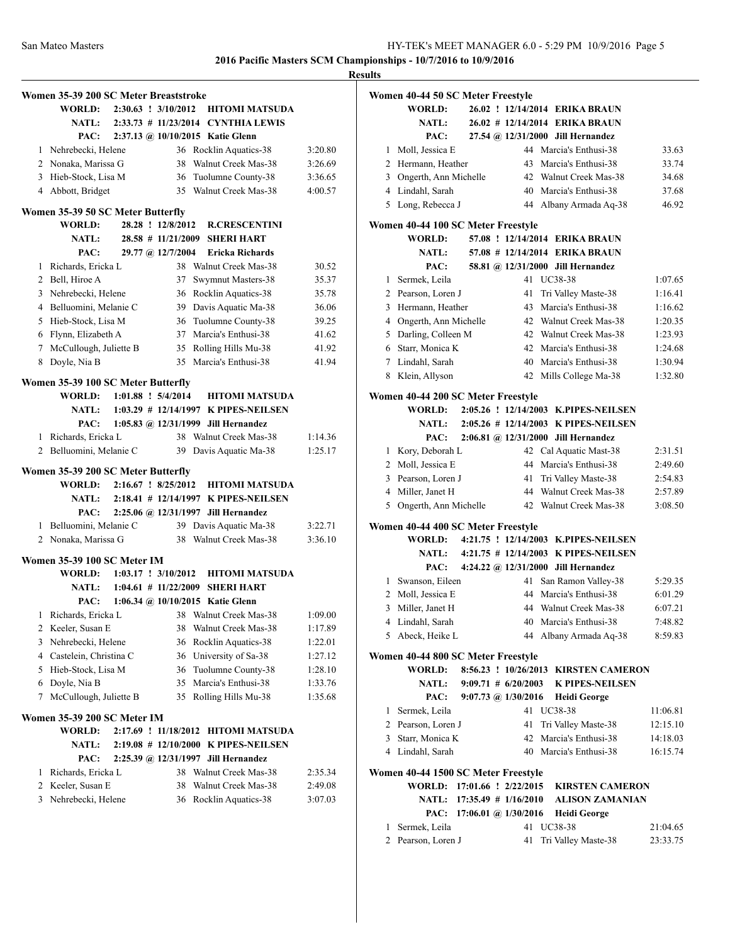|              | Women 35-39 200 SC Meter Breaststroke |  |                         |                                          |         |
|--------------|---------------------------------------|--|-------------------------|------------------------------------------|---------|
|              | <b>WORLD:</b>                         |  | $2:30.63$ : $3/10/2012$ | <b>HITOMI MATSUDA</b>                    |         |
|              |                                       |  |                         | NATL: 2:33.73 # 11/23/2014 CYNTHIA LEWIS |         |
|              | PAC:                                  |  |                         | 2:37.13 @ 10/10/2015 Katie Glenn         |         |
|              | 1 Nehrebecki, Helene                  |  |                         | 36 Rocklin Aquatics-38                   | 3:20.80 |
|              | 2 Nonaka, Marissa G                   |  |                         | 38 Walnut Creek Mas-38                   | 3:26.69 |
|              | 3 Hieb-Stock, Lisa M                  |  |                         | 36 Tuolumne County-38                    | 3:36.65 |
|              | 4 Abbott, Bridget                     |  |                         | 35 Walnut Creek Mas-38                   | 4:00.57 |
|              |                                       |  |                         |                                          |         |
|              | Women 35-39 50 SC Meter Butterfly     |  |                         |                                          |         |
|              | <b>WORLD:</b>                         |  | 28.28 ! 12/8/2012       | <b>R.CRESCENTINI</b>                     |         |
|              | <b>NATL:</b>                          |  | $28.58$ # 11/21/2009    | <b>SHERI HART</b>                        |         |
|              | PAC:                                  |  | 29.77 @ 12/7/2004       | <b>Ericka Richards</b>                   |         |
| $\mathbf{1}$ | Richards, Ericka L                    |  | 38                      | Walnut Creek Mas-38                      | 30.52   |
|              | 2 Bell, Hiroe A                       |  | 37                      | Swymnut Masters-38                       | 35.37   |
|              | 3 Nehrebecki, Helene                  |  |                         | 36 Rocklin Aquatics-38                   | 35.78   |
|              | 4 Belluomini, Melanie C               |  |                         | 39 Davis Aquatic Ma-38                   | 36.06   |
|              | 5 Hieb-Stock, Lisa M                  |  |                         | 36 Tuolumne County-38                    | 39.25   |
|              | 6 Flynn, Elizabeth A                  |  |                         | 37 Marcia's Enthusi-38                   | 41.62   |
|              | 7 McCullough, Juliette B              |  | 35                      | Rolling Hills Mu-38                      | 41.92   |
|              | 8 Doyle, Nia B                        |  |                         | 35 Marcia's Enthusi-38                   | 41.94   |
|              | Women 35-39 100 SC Meter Butterfly    |  |                         |                                          |         |
|              | <b>WORLD:</b>                         |  | $1:01.88$ : $5/4/2014$  | <b>HITOMI MATSUDA</b>                    |         |
|              | NATL:                                 |  |                         | 1:03.29 # 12/14/1997 K PIPES-NEILSEN     |         |
|              | PAC:                                  |  |                         | 1:05.83 @ 12/31/1999 Jill Hernandez      |         |
|              | 1 Richards, Ericka L                  |  |                         | 38 Walnut Creek Mas-38                   | 1:14.36 |
|              | 2 Belluomini, Melanie C               |  | 39                      | Davis Aquatic Ma-38                      | 1:25.17 |
|              |                                       |  |                         |                                          |         |
|              | Women 35-39 200 SC Meter Butterfly    |  |                         |                                          |         |
|              | <b>WORLD:</b>                         |  | 2:16.67 ! 8/25/2012     | <b>HITOMI MATSUDA</b>                    |         |
|              | <b>NATL:</b>                          |  |                         | 2:18.41 # 12/14/1997 K PIPES-NEILSEN     |         |
|              | PAC:                                  |  |                         | 2:25.06 @ 12/31/1997 Jill Hernandez      |         |
|              | 1 Belluomini, Melanie C               |  |                         | 39 Davis Aquatic Ma-38                   | 3:22.71 |
|              | 2 Nonaka, Marissa G                   |  |                         | 38 Walnut Creek Mas-38                   | 3:36.10 |
|              | <b>Women 35-39 100 SC Meter IM</b>    |  |                         |                                          |         |
|              | WORLD:                                |  | $1:03.17$ ! $3/10/2012$ | <b>HITOMI MATSUDA</b>                    |         |
|              | <b>NATL:</b>                          |  | $1:04.61 \# 11/22/2009$ | <b>SHERI HART</b>                        |         |
|              | PAC:                                  |  |                         | 1:06.34 @ 10/10/2015 Katie Glenn         |         |
| 1            | Richards, Ericka L                    |  | 38                      | Walnut Creek Mas-38                      | 1:09.00 |
|              | 2 Keeler, Susan E                     |  | 38                      | <b>Walnut Creek Mas-38</b>               | 1:17.89 |
|              | 3 Nehrebecki, Helene                  |  |                         | 36 Rocklin Aquatics-38                   | 1:22.01 |
|              | 4 Castelein, Christina C              |  |                         | 36 University of Sa-38                   | 1:27.12 |
|              | 5 Hieb-Stock, Lisa M                  |  |                         | 36 Tuolumne County-38                    | 1:28.10 |
|              | 6 Doyle, Nia B                        |  | 35                      | Marcia's Enthusi-38                      | 1:33.76 |
| 7            | McCullough, Juliette B                |  | 35                      | Rolling Hills Mu-38                      | 1:35.68 |
|              |                                       |  |                         |                                          |         |
|              | Women 35-39 200 SC Meter IM           |  |                         |                                          |         |
|              | WORLD:                                |  | 2:17.69 ! 11/18/2012    | <b>HITOMI MATSUDA</b>                    |         |
|              | NATL:                                 |  | $2:19.08$ # 12/10/2000  | <b>K PIPES-NEILSEN</b>                   |         |
|              | PAC:                                  |  | 2:25.39 @ 12/31/1997    | <b>Jill Hernandez</b>                    |         |
| 1            | Richards, Ericka L                    |  |                         | 38 Walnut Creek Mas-38                   | 2:35.34 |
|              | 2 Keeler, Susan E                     |  | 38                      | Walnut Creek Mas-38                      | 2:49.08 |
|              | 3 Nehrebecki, Helene                  |  | 36                      | Rocklin Aquatics-38                      | 3:07.03 |
|              |                                       |  |                         |                                          |         |
|              |                                       |  |                         |                                          |         |

| Women 40-44 50 SC Meter Freestyle<br>WORLD: |    | 26.02 ! 12/14/2014 ERIKA BRAUN          |                                                                                                     |
|---------------------------------------------|----|-----------------------------------------|-----------------------------------------------------------------------------------------------------|
| <b>NATL:</b>                                |    | 26.02 # 12/14/2014 ERIKA BRAUN          |                                                                                                     |
| PAC:                                        |    | 27.54 @ 12/31/2000 Jill Hernandez       |                                                                                                     |
| 1 Moll, Jessica E                           |    | 44 Marcia's Enthusi-38                  | 33.63                                                                                               |
| 2 Hermann, Heather                          |    | 43 Marcia's Enthusi-38                  | 33.74                                                                                               |
| 3 Ongerth, Ann Michelle                     |    | 42 Walnut Creek Mas-38                  | 34.68                                                                                               |
| 4 Lindahl, Sarah                            |    | 40 Marcia's Enthusi-38                  | 37.68                                                                                               |
| 5 Long, Rebecca J                           |    | 44 Albany Armada Aq-38                  | 46.92                                                                                               |
| Women 40-44 100 SC Meter Freestyle          |    |                                         |                                                                                                     |
| WORLD:                                      |    | 57.08 ! 12/14/2014 ERIKA BRAUN          |                                                                                                     |
| NATL:                                       |    | 57.08 # 12/14/2014 ERIKA BRAUN          |                                                                                                     |
| PAC:                                        |    | 58.81 @ 12/31/2000 Jill Hernandez       |                                                                                                     |
| 1 Sermek, Leila                             |    | 41 UC38-38                              | 1:07.65                                                                                             |
| 2 Pearson, Loren J                          | 41 | Tri Valley Maste-38                     | 1:16.41                                                                                             |
| 3 Hermann, Heather                          |    | 43 Marcia's Enthusi-38                  | 1:16.62                                                                                             |
| 4 Ongerth, Ann Michelle                     |    | 42 Walnut Creek Mas-38                  | 1:20.35                                                                                             |
| 5 Darling, Colleen M                        |    | 42 Walnut Creek Mas-38                  | 1:23.93                                                                                             |
| 6 Starr, Monica K                           |    | 42 Marcia's Enthusi-38                  | 1:24.68                                                                                             |
| 7 Lindahl, Sarah                            |    | 40 Marcia's Enthusi-38                  | 1:30.94                                                                                             |
| 8 Klein, Allyson                            |    | 42 Mills College Ma-38                  | 1:32.80                                                                                             |
| Women 40-44 200 SC Meter Freestyle          |    |                                         |                                                                                                     |
| <b>WORLD:</b>                               |    | 2:05.26 ! 12/14/2003 K.PIPES-NEILSEN    |                                                                                                     |
| NATL:                                       |    | $2:05.26 \# 12/14/2003$ K PIPES-NEILSEN |                                                                                                     |
| PAC:                                        |    | 2:06.81 @ 12/31/2000 Jill Hernandez     |                                                                                                     |
| 1 Kory, Deborah L                           |    | 42 Cal Aquatic Mast-38                  | 2:31.51                                                                                             |
| 2 Moll, Jessica E                           |    | 44 Marcia's Enthusi-38                  | 2:49.60                                                                                             |
| 3 Pearson, Loren J                          | 41 | Tri Valley Maste-38                     | 2:54.83                                                                                             |
| 4 Miller, Janet H                           |    | 44 Walnut Creek Mas-38                  | 2:57.89                                                                                             |
| 5 Ongerth, Ann Michelle                     |    | 42 Walnut Creek Mas-38                  | 3:08.50                                                                                             |
| Women 40-44 400 SC Meter Freestyle          |    |                                         |                                                                                                     |
| <b>WORLD:</b>                               |    | 4:21.75 ! 12/14/2003 K.PIPES-NEILSEN    |                                                                                                     |
| <b>NATL:</b>                                |    | 4:21.75 # 12/14/2003 K PIPES-NEILSEN    |                                                                                                     |
| PAC:                                        |    | 4:24.22 @ 12/31/2000 Jill Hernandez     |                                                                                                     |
|                                             |    |                                         |                                                                                                     |
| 1 Swanson, Eileen                           | 41 | San Ramon Valley-38                     |                                                                                                     |
| 2 Moll, Jessica E                           |    | 44 Marcia's Enthusi-38                  |                                                                                                     |
| 3 Miller, Janet H                           |    | 44 Walnut Creek Mas-38                  |                                                                                                     |
| 4 Lindahl, Sarah                            |    | 40 Marcia's Enthusi-38                  |                                                                                                     |
| 5 Abeck, Heike L                            |    | 44 Albany Armada Aq-38                  |                                                                                                     |
| Women 40-44 800 SC Meter Freestyle          |    |                                         |                                                                                                     |
| WORLD:                                      |    | 8:56.23 ! 10/26/2013 KIRSTEN CAMERON    |                                                                                                     |
| <b>NATL:</b>                                |    | 9:09.71 # 6/20/2003 K PIPES-NEILSEN     |                                                                                                     |
|                                             |    | PAC: 9:07.73 @ 1/30/2016 Heidi George   |                                                                                                     |
| 1 Sermek, Leila                             |    | 41 UC38-38                              |                                                                                                     |
| 2 Pearson, Loren J                          |    | 41 Tri Valley Maste-38                  |                                                                                                     |
| 3 Starr, Monica K                           |    | 42 Marcia's Enthusi-38                  |                                                                                                     |
| 4 Lindahl, Sarah                            |    | 40 Marcia's Enthusi-38                  |                                                                                                     |
| Women 40-44 1500 SC Meter Freestyle         |    |                                         |                                                                                                     |
| WORLD: 17:01.66 ! 2/22/2015                 |    | <b>KIRSTEN CAMERON</b>                  | 5:29.35<br>6:01.29<br>6:07.21<br>7:48.82<br>8:59.83<br>11:06.81<br>12:15.10<br>14:18.03<br>16:15.74 |

| 1 Sermek, Leila    | 41 UC38-38             | 21:04.65 |
|--------------------|------------------------|----------|
| 2 Pearson, Loren J | 41 Tri Valley Maste-38 | 23:33.75 |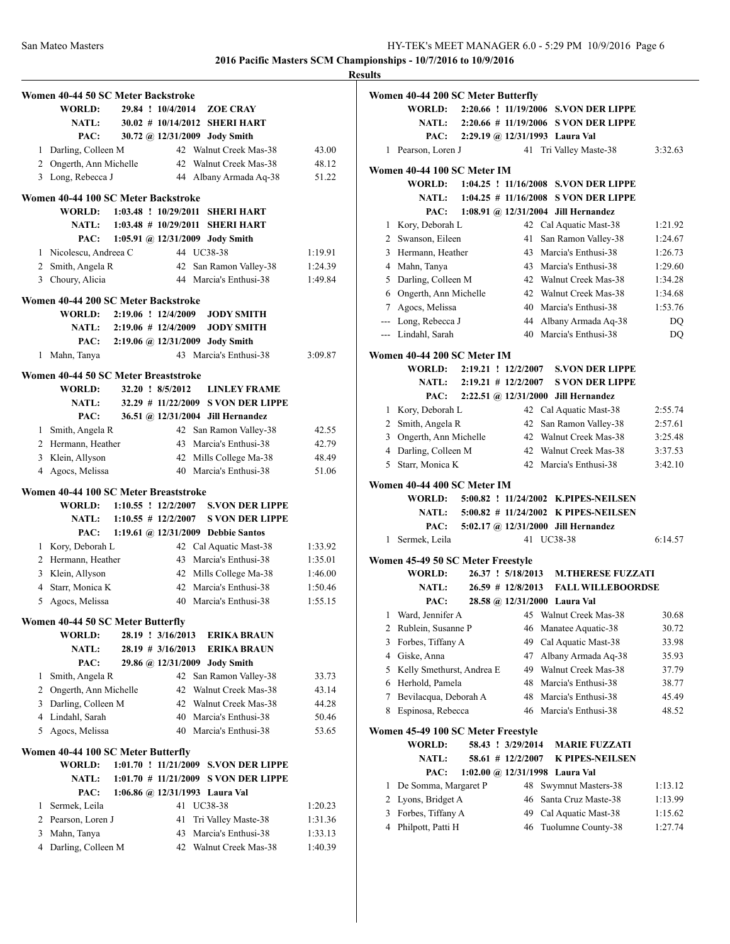# **Women 40-44 50 SC Meter Backstroke WORLD: 29.84 ! 10/4/2014 ZOE CRAY NATL: 30.02 # 10/14/2012 SHERI HART PAC: 30.72 @ 12/31/2009 Jody Smith** 1 Darling, Colleen M 42 Walnut Creek Mas-38 43.00 2 Ongerth, Ann Michelle 42 Walnut Creek Mas-38 48.12 3 Long, Rebecca J 44 Albany Armada Aq-38 51.22 **Women 40-44 100 SC Meter Backstroke WORLD: 1:03.48 ! 10/29/2011 SHERI HART NATL: 1:03.48 # 10/29/2011 SHERI HART PAC: 1:05.91 @ 12/31/2009 Jody Smith** 1 Nicolescu, Andreea C 44 UC38-38 1:19.91 2 Smith, Angela R 42 San Ramon Valley-38 1:24.39 3 Choury, Alicia 44 Marcia's Enthusi-38 1:49.84 **Women 40-44 200 SC Meter Backstroke WORLD: 2:19.06 ! 12/4/2009 JODY SMITH NATL: 2:19.06 # 12/4/2009 JODY SMITH PAC: 2:19.06 @ 12/31/2009 Jody Smith** 1 Mahn, Tanya 43 Marcia's Enthusi-38 3:09.87 **Women 40-44 50 SC Meter Breaststroke WORLD: 32.20 ! 8/5/2012 LINLEY FRAME NATL: 32.29 # 11/22/2009 S VON DER LIPPE PAC: 36.51 @ 12/31/2004 Jill Hernandez** 1 Smith, Angela R 42 San Ramon Valley-38 42.55 2 Hermann, Heather 43 Marcia's Enthusi-38 42.79 3 Klein, Allyson 42 Mills College Ma-38 48.49 4 Agocs, Melissa 40 Marcia's Enthusi-38 51.06 **Women 40-44 100 SC Meter Breaststroke WORLD: 1:10.55 ! 12/2/2007 S.VON DER LIPPE NATL: 1:10.55 # 12/2/2007 S VON DER LIPPE PAC: 1:19.61 @ 12/31/2009 Debbie Santos** 1 Kory, Deborah L 42 Cal Aquatic Mast-38 1:33.92 2 Hermann, Heather 43 Marcia's Enthusi-38 1:35.01 3 Klein, Allyson 42 Mills College Ma-38 1:46.00 4 Starr, Monica K 42 Marcia's Enthusi-38 1:50.46 5 Agocs, Melissa 40 Marcia's Enthusi-38 1:55.15 **Women 40-44 50 SC Meter Butterfly WORLD: 28.19 ! 3/16/2013 ERIKA BRAUN NATL: 28.19 # 3/16/2013 ERIKA BRAUN PAC: 29.86 @ 12/31/2009 Jody Smith** 1 Smith, Angela R 42 San Ramon Valley-38 33.73 2 Ongerth, Ann Michelle 42 Walnut Creek Mas-38 43.14 3 Darling, Colleen M 42 Walnut Creek Mas-38 44.28 4 Lindahl, Sarah 40 Marcia's Enthusi-38 50.46 5 Agocs, Melissa 40 Marcia's Enthusi-38 53.65 **Women 40-44 100 SC Meter Butterfly WORLD: 1:01.70 ! 11/21/2009 S.VON DER LIPPE NATL: 1:01.70 # 11/21/2009 S VON DER LIPPE PAC: 1:06.86 @ 12/31/1993 Laura Val** 1 Sermek, Leila 41 UC38-38 1:20.23 2 Pearson, Loren J 41 Tri Valley Maste-38 1:31.36 3 Mahn, Tanya 43 Marcia's Enthusi-38 1:33.13 4 Darling, Colleen M 42 Walnut Creek Mas-38 1:40.39

|                | Women 40-44 200 SC Meter Butterfly           |  |                      |                                             |         |
|----------------|----------------------------------------------|--|----------------------|---------------------------------------------|---------|
|                | WORLD:                                       |  |                      | 2:20.66 ! 11/19/2006 S.VON DER LIPPE        |         |
|                | <b>NATL:</b>                                 |  |                      | 2:20.66 # 11/19/2006 S VON DER LIPPE        |         |
|                | PAC:                                         |  |                      | 2:29.19 @ 12/31/1993 Laura Val              |         |
|                | 1 Pearson, Loren J                           |  | 41                   | Tri Valley Maste-38                         | 3:32.63 |
|                | Women 40-44 100 SC Meter IM                  |  |                      |                                             |         |
|                | WORLD:                                       |  |                      | 1:04.25 ! 11/16/2008 S.VON DER LIPPE        |         |
|                | <b>NATL:</b>                                 |  |                      | $1:04.25 \# 11/16/2008$ S VON DER LIPPE     |         |
|                |                                              |  |                      | PAC: 1:08.91 @ 12/31/2004 Jill Hernandez    |         |
|                | 1 Kory, Deborah L                            |  |                      | 42 Cal Aquatic Mast-38                      | 1:21.92 |
|                | 2 Swanson, Eileen                            |  | 41                   | San Ramon Valley-38                         | 1:24.67 |
|                | 3 Hermann, Heather                           |  |                      | 43 Marcia's Enthusi-38                      | 1:26.73 |
|                | 4 Mahn, Tanya                                |  |                      | 43 Marcia's Enthusi-38                      | 1:29.60 |
|                | 5 Darling, Colleen M                         |  |                      | 42 Walnut Creek Mas-38                      | 1:34.28 |
|                | 6 Ongerth, Ann Michelle                      |  |                      | 42 Walnut Creek Mas-38                      | 1:34.68 |
|                | 7 Agocs, Melissa                             |  |                      | 40 Marcia's Enthusi-38                      | 1:53.76 |
|                | --- Long, Rebecca J                          |  |                      | 44 Albany Armada Aq-38                      | DQ      |
|                | --- Lindahl, Sarah                           |  |                      | 40 Marcia's Enthusi-38                      | DQ      |
|                |                                              |  |                      |                                             |         |
|                | Women 40-44 200 SC Meter IM                  |  |                      |                                             |         |
|                | WORLD: 2:19.21 ! 12/2/2007                   |  |                      | <b>S.VON DER LIPPE</b>                      |         |
|                | NATL: 2:19.21 # 12/2/2007                    |  |                      | <b>S VON DER LIPPE</b>                      |         |
|                |                                              |  |                      | PAC: 2:22.51 @ 12/31/2000 Jill Hernandez    |         |
|                | 1 Kory, Deborah L                            |  |                      | 42 Cal Aquatic Mast-38                      | 2:55.74 |
|                | 2 Smith, Angela R                            |  |                      | 42 San Ramon Valley-38                      | 2:57.61 |
|                | 3 Ongerth, Ann Michelle                      |  |                      | 42 Walnut Creek Mas-38                      | 3:25.48 |
|                | 4 Darling, Colleen M                         |  |                      | 42 Walnut Creek Mas-38                      | 3:37.53 |
|                | 5 Starr, Monica K                            |  |                      | 42 Marcia's Enthusi-38                      | 3:42.10 |
|                | Women 40-44 400 SC Meter IM                  |  |                      |                                             |         |
|                |                                              |  |                      | WORLD: 5:00.82 ! 11/24/2002 K.PIPES-NEILSEN |         |
|                | <b>NATL:</b>                                 |  |                      | 5:00.82 # 11/24/2002 K PIPES-NEILSEN        |         |
|                | PAC:                                         |  |                      | 5:02.17 @ 12/31/2000 Jill Hernandez         |         |
|                | 1 Sermek, Leila                              |  | 41                   | UC38-38                                     | 6:14.57 |
|                |                                              |  |                      |                                             |         |
|                | Women 45-49 50 SC Meter Freestyle            |  |                      |                                             |         |
|                | <b>WORLD:</b>                                |  | 26.37 ! 5/18/2013    | <b>M.THERESE FUZZATI</b>                    |         |
|                | <b>NATL:</b>                                 |  | $26.59$ # 12/8/2013  | <b>FALL WILLEBOORDSE</b>                    |         |
|                | PAC:                                         |  |                      | 28.58 @ 12/31/2000 Laura Val                |         |
| 1              | Ward, Jennifer A                             |  |                      | 45 Walnut Creek Mas-38                      | 30.68   |
| 2              | Rublein, Susanne P                           |  | 46                   | Manatee Aquatic-38                          | 30.72   |
| 3              | Forbes, Tiffany A                            |  | 49                   | Cal Aquatic Mast-38                         | 33.98   |
| $\overline{4}$ | Giske, Anna                                  |  | 47                   | Albany Armada Aq-38                         | 35.93   |
| 5              | Kelly Smethurst, Andrea E                    |  | 49                   | Walnut Creek Mas-38                         | 37.79   |
| 6              | Herhold, Pamela                              |  | 48                   | Marcia's Enthusi-38                         | 38.77   |
| 7              | Bevilacqua, Deborah A                        |  | 48                   | Marcia's Enthusi-38                         | 45.49   |
| 8              | Espinosa, Rebecca                            |  | 46                   | Marcia's Enthusi-38                         | 48.52   |
|                |                                              |  |                      |                                             |         |
|                | Women 45-49 100 SC Meter Freestyle<br>WORLD: |  | 58.43 ! 3/29/2014    | <b>MARIE FUZZATI</b>                        |         |
|                |                                              |  |                      |                                             |         |
|                | <b>NATL:</b>                                 |  | 58.61 # 12/2/2007    | <b>K PIPES-NEILSEN</b>                      |         |
|                | PAC:                                         |  | 1:02.00 @ 12/31/1998 | Laura Val                                   |         |
| 1              | De Somma, Margaret P                         |  | 48                   | Swymnut Masters-38                          | 1:13.12 |
| 2              | Lyons, Bridget A                             |  | 46                   | Santa Cruz Maste-38                         | 1:13.99 |
| 3              | Forbes, Tiffany A                            |  | 49                   | Cal Aquatic Mast-38                         | 1:15.62 |
| 4              | Philpott, Patti H                            |  | 46                   | Tuolumne County-38                          | 1:27.74 |
|                |                                              |  |                      |                                             |         |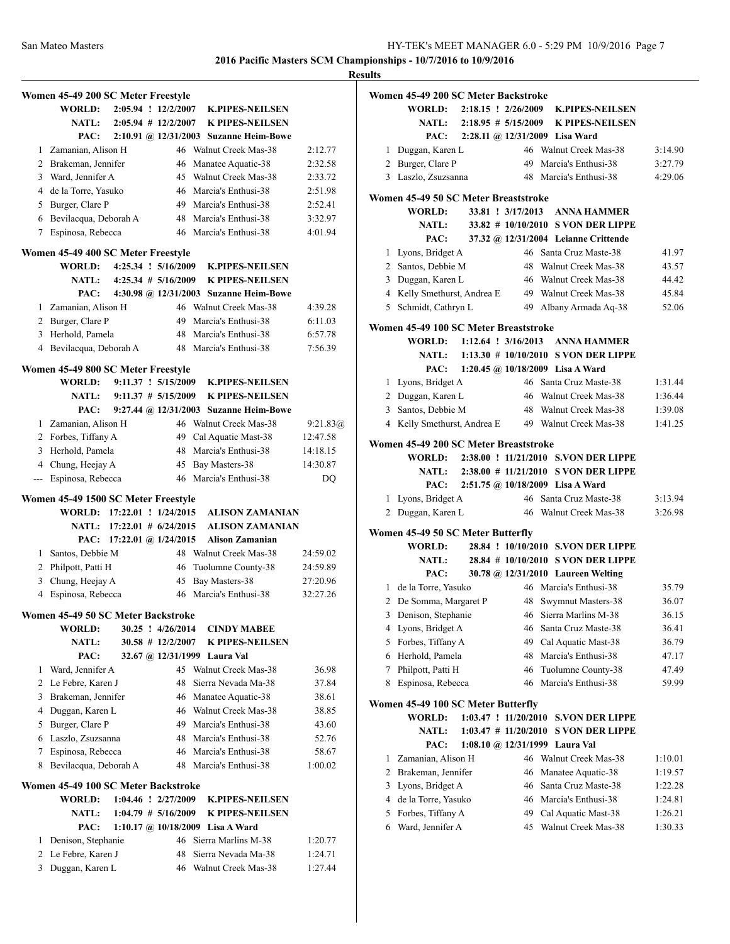**Results**

|                | Women 45-49 200 SC Meter Freestyle  |                            |                          |                                        |          |
|----------------|-------------------------------------|----------------------------|--------------------------|----------------------------------------|----------|
|                | WORLD:                              |                            | 2:05.94 ! 12/2/2007      | <b>K.PIPES-NEILSEN</b>                 |          |
|                | <b>NATL:</b>                        |                            | $2:05.94$ # 12/2/2007    | <b>K PIPES-NEILSEN</b>                 |          |
|                | PAC:                                |                            |                          | 2:10.91 @ 12/31/2003 Suzanne Heim-Bowe |          |
|                | 1 Zamanian, Alison H                |                            |                          | 46 Walnut Creek Mas-38                 | 2:12.77  |
|                | 2 Brakeman, Jennifer                |                            | 46                       | Manatee Aquatic-38                     | 2:32.58  |
|                | 3 Ward, Jennifer A                  |                            |                          | 45 Walnut Creek Mas-38                 | 2:33.72  |
|                | 4 de la Torre, Yasuko               |                            |                          | 46 Marcia's Enthusi-38                 | 2:51.98  |
|                | 5 Burger, Clare P                   |                            |                          | 49 Marcia's Enthusi-38                 | 2:52.41  |
|                | 6 Bevilacqua, Deborah A             |                            | 48                       | Marcia's Enthusi-38                    | 3:32.97  |
| 7              | Espinosa, Rebecca                   |                            |                          | 46 Marcia's Enthusi-38                 | 4:01.94  |
|                | Women 45-49 400 SC Meter Freestyle  |                            |                          |                                        |          |
|                | <b>WORLD:</b>                       |                            | 4:25.34 ! 5/16/2009      | <b>K.PIPES-NEILSEN</b>                 |          |
|                | <b>NATL:</b>                        |                            | $4:25.34$ # $5/16/2009$  | <b>K PIPES-NEILSEN</b>                 |          |
|                | PAC:                                |                            |                          | 4:30.98 @ 12/31/2003 Suzanne Heim-Bowe |          |
|                | 1 Zamanian, Alison H                |                            |                          | 46 Walnut Creek Mas-38                 | 4:39.28  |
|                | 2 Burger, Clare P                   |                            |                          | 49 Marcia's Enthusi-38                 | 6:11.03  |
|                | 3 Herhold, Pamela                   |                            |                          | 48 Marcia's Enthusi-38                 | 6:57.78  |
|                | 4 Bevilacqua, Deborah A             |                            |                          | 48 Marcia's Enthusi-38                 | 7:56.39  |
|                | Women 45-49 800 SC Meter Freestyle  |                            |                          |                                        |          |
|                | WORLD:                              |                            | $9:11.37 \div 5/15/2009$ | <b>K.PIPES-NEILSEN</b>                 |          |
|                | <b>NATL:</b>                        |                            | $9:11.37 \# 5/15/2009$   | <b>K PIPES-NEILSEN</b>                 |          |
|                | PAC:                                |                            |                          | 9:27.44 @ 12/31/2003 Suzanne Heim-Bowe |          |
|                | 1 Zamanian, Alison H                |                            |                          | 46 Walnut Creek Mas-38                 | 9:21.83@ |
|                | 2 Forbes, Tiffany A                 |                            |                          | 49 Cal Aquatic Mast-38                 | 12:47.58 |
|                | 3 Herhold, Pamela                   |                            | 48                       | Marcia's Enthusi-38                    | 14:18.15 |
|                | 4 Chung, Heejay A                   |                            | 45                       | Bay Masters-38                         | 14:30.87 |
| ---            | Espinosa, Rebecca                   |                            |                          | 46 Marcia's Enthusi-38                 | DO       |
|                |                                     |                            |                          |                                        |          |
|                | Women 45-49 1500 SC Meter Freestyle |                            |                          |                                        |          |
|                | WORLD: 17:22.01 ! 1/24/2015         |                            |                          | <b>ALISON ZAMANIAN</b>                 |          |
|                |                                     | NATL: 17:22.01 # 6/24/2015 |                          | <b>ALISON ZAMANIAN</b>                 |          |
|                | PAC:                                | 17:22.01 @ 1/24/2015       |                          | <b>Alison Zamanian</b>                 |          |
|                | 1 Santos, Debbie M                  |                            |                          | 48 Walnut Creek Mas-38                 | 24:59.02 |
|                | 2 Philpott, Patti H                 |                            | 46                       | Tuolumne County-38                     | 24:59.89 |
| 3              | Chung, Heejay A                     |                            | 45                       | Bay Masters-38                         | 27:20.96 |
|                | 4 Espinosa, Rebecca                 |                            |                          | 46 Marcia's Enthusi-38                 | 32:27.26 |
|                | Women 45-49 50 SC Meter Backstroke  |                            |                          |                                        |          |
|                | <b>WORLD:</b>                       |                            | 30.25 ! 4/26/2014        | <b>CINDY MABEE</b>                     |          |
|                | <b>NATL:</b>                        |                            | $30.58$ # 12/2/2007      | <b>K PIPES-NEILSEN</b>                 |          |
|                | PAC:                                |                            |                          | 32.67 @ 12/31/1999 Laura Val           |          |
| 1              | Ward, Jennifer A                    |                            |                          | 45 Walnut Creek Mas-38                 | 36.98    |
|                | 2 Le Febre, Karen J                 |                            | 48                       | Sierra Nevada Ma-38                    | 37.84    |
|                | 3 Brakeman, Jennifer                |                            | 46                       | Manatee Aquatic-38                     | 38.61    |
|                | 4 Duggan, Karen L                   |                            | 46                       | Walnut Creek Mas-38                    | 38.85    |
| 5              | Burger, Clare P                     |                            | 49                       | Marcia's Enthusi-38                    | 43.60    |
|                | 6 Laszlo, Zsuzsanna                 |                            | 48                       | Marcia's Enthusi-38                    | 52.76    |
| 7              | Espinosa, Rebecca                   |                            |                          | 46 Marcia's Enthusi-38                 | 58.67    |
| 8              | Bevilacqua, Deborah A               |                            |                          | 48 Marcia's Enthusi-38                 | 1:00.02  |
|                |                                     |                            |                          |                                        |          |
|                | Women 45-49 100 SC Meter Backstroke |                            |                          |                                        |          |
|                | <b>WORLD:</b>                       |                            | 1:04.46 ! 2/27/2009      | <b>K.PIPES-NEILSEN</b>                 |          |
|                | <b>NATL:</b>                        |                            | $1:04.79$ # $5/16/2009$  | K PIPES-NEILSEN                        |          |
|                | PAC:                                |                            |                          | 1:10.17 @ 10/18/2009 Lisa A Ward       |          |
| 1              | Denison, Stephanie                  |                            | 46                       | Sierra Marlins M-38                    | 1:20.77  |
| $\overline{2}$ | Le Febre, Karen J                   |                            | 48                       | Sierra Nevada Ma-38                    | 1:24.71  |
| 3              | Duggan, Karen L                     |                            | 46                       | Walnut Creek Mas-38                    | 1:27.44  |

|   | Women 45-49 200 SC Meter Backstroke   |  |                                             |                                             |         |
|---|---------------------------------------|--|---------------------------------------------|---------------------------------------------|---------|
|   | WORLD:                                |  | $2:18.15$ ! $2/26/2009$                     | <b>K.PIPES-NEILSEN</b>                      |         |
|   | <b>NATL:</b>                          |  | $2:18.95 \# 5/15/2009$                      | <b>K PIPES-NEILSEN</b>                      |         |
|   |                                       |  |                                             | PAC: 2:28.11 @ 12/31/2009 Lisa Ward         |         |
| 1 | Duggan, Karen L                       |  |                                             | 46 Walnut Creek Mas-38                      | 3:14.90 |
|   | 2 Burger, Clare P                     |  |                                             | 49 Marcia's Enthusi-38                      | 3:27.79 |
|   | 3 Laszlo, Zsuzsanna                   |  |                                             | 48 Marcia's Enthusi-38                      | 4:29.06 |
|   | Women 45-49 50 SC Meter Breaststroke  |  |                                             |                                             |         |
|   | WORLD:                                |  | 33.81 ! 3/17/2013                           | <b>ANNA HAMMER</b>                          |         |
|   | <b>NATL:</b>                          |  |                                             | 33.82 # 10/10/2010 S VON DER LIPPE          |         |
|   | PAC:                                  |  |                                             | 37.32 @ 12/31/2004 Leianne Crittende        |         |
|   | 1 Lyons, Bridget A                    |  |                                             | 46 Santa Cruz Maste-38                      | 41.97   |
|   | 2 Santos, Debbie M                    |  |                                             | 48 Walnut Creek Mas-38                      | 43.57   |
|   | 3 Duggan, Karen L                     |  |                                             | 46 Walnut Creek Mas-38                      | 44.42   |
|   | 4 Kelly Smethurst, Andrea E           |  |                                             | 49 Walnut Creek Mas-38                      | 45.84   |
|   | 5 Schmidt, Cathryn L                  |  |                                             | 49 Albany Armada Aq-38                      | 52.06   |
|   | Women 45-49 100 SC Meter Breaststroke |  |                                             |                                             |         |
|   |                                       |  |                                             | WORLD: 1:12.64 ! 3/16/2013 ANNA HAMMER      |         |
|   |                                       |  |                                             | NATL: 1:13.30 # 10/10/2010 S VON DER LIPPE  |         |
|   |                                       |  |                                             | PAC: 1:20.45 @ 10/18/2009 Lisa A Ward       |         |
|   | 1 Lyons, Bridget A                    |  |                                             | 46 Santa Cruz Maste-38                      | 1:31.44 |
|   | 2 Duggan, Karen L                     |  |                                             | 46 Walnut Creek Mas-38                      | 1:36.44 |
|   | 3 Santos, Debbie M                    |  |                                             | 48 Walnut Creek Mas-38                      | 1:39.08 |
|   | 4 Kelly Smethurst, Andrea E           |  |                                             | 49 Walnut Creek Mas-38                      | 1:41.25 |
|   | Women 45-49 200 SC Meter Breaststroke |  |                                             |                                             |         |
|   |                                       |  |                                             | WORLD: 2:38.00 ! 11/21/2010 S.VON DER LIPPE |         |
|   | <b>NATL:</b>                          |  |                                             | 2:38.00 # 11/21/2010 S VON DER LIPPE        |         |
|   | PAC:                                  |  |                                             | 2:51.75 @ 10/18/2009 Lisa A Ward            |         |
|   | 1 Lyons, Bridget A                    |  |                                             | 46 Santa Cruz Maste-38                      | 3:13.94 |
|   | 2 Duggan, Karen L                     |  |                                             | 46 Walnut Creek Mas-38                      | 3:26.98 |
|   | Women 45-49 50 SC Meter Butterfly     |  |                                             |                                             |         |
|   | WORLD:                                |  |                                             | 28.84 ! 10/10/2010 S.VON DER LIPPE          |         |
|   | NATL:                                 |  |                                             | 28.84 # 10/10/2010 S VON DER LIPPE          |         |
|   | PAC:                                  |  |                                             | 30.78 @ 12/31/2010 Laureen Welting          |         |
|   | 1 de la Torre, Yasuko                 |  |                                             | 46 Marcia's Enthusi-38                      | 35.79   |
|   | 2 De Somma, Margaret P                |  |                                             | 48 Swymnut Masters-38                       | 36.07   |
| 3 | Denison, Stephanie                    |  |                                             | 46 Sierra Marlins M-38                      | 36.15   |
| 4 | Lyons, Bridget A                      |  | 46                                          | Santa Cruz Maste-38                         | 36.41   |
| 5 | Forbes, Tiffany A                     |  | 49                                          | Cal Aquatic Mast-38                         | 36.79   |
| 6 | Herhold, Pamela                       |  |                                             | 48 Marcia's Enthusi-38                      | 47.17   |
| 7 | Philpott, Patti H                     |  | 46                                          | Tuolumne County-38                          | 47.49   |
| 8 | Espinosa, Rebecca                     |  | 46                                          | Marcia's Enthusi-38                         | 59.99   |
|   | Women 45-49 100 SC Meter Butterfly    |  |                                             |                                             |         |
|   | <b>WORLD:</b>                         |  | $1:03.47$ ! $11/20/2010$                    | <b>S.VON DER LIPPE</b>                      |         |
|   | <b>NATL:</b>                          |  | $1:03.47 \# 11/20/2010$                     | <b>S VON DER LIPPE</b>                      |         |
|   | PAC:                                  |  | $1:08.10 \; \textcircled{a}$ , $12/31/1999$ | Laura Val                                   |         |
| 1 | Zamanian, Alison H                    |  | 46                                          | Walnut Creek Mas-38                         | 1:10.01 |
| 2 | Brakeman, Jennifer                    |  | 46                                          | Manatee Aquatic-38                          | 1:19.57 |
| 3 | Lyons, Bridget A                      |  |                                             | 46 Santa Cruz Maste-38                      | 1:22.28 |
| 4 | de la Torre, Yasuko                   |  |                                             | 46 Marcia's Enthusi-38                      | 1:24.81 |
| 5 | Forbes, Tiffany A                     |  |                                             | 49 Cal Aquatic Mast-38                      | 1:26.21 |
| 6 | Ward, Jennifer A                      |  | 45                                          | Walnut Creek Mas-38                         | 1:30.33 |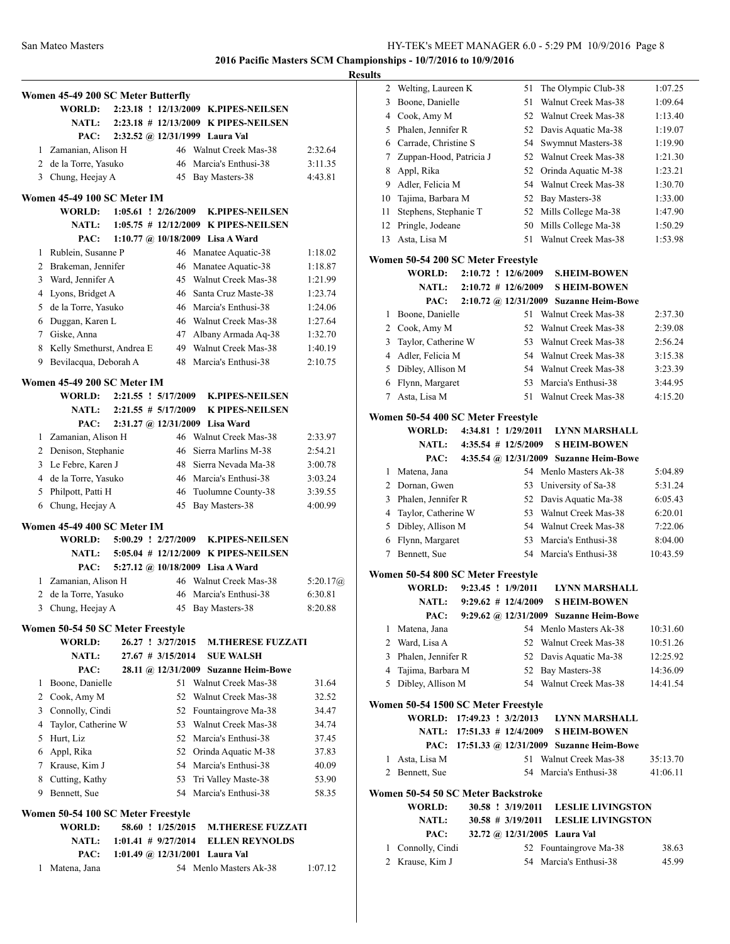|                |                                    |                              |                     |                                            |            | <b>Results</b> |
|----------------|------------------------------------|------------------------------|---------------------|--------------------------------------------|------------|----------------|
|                | Women 45-49 200 SC Meter Butterfly |                              |                     |                                            |            |                |
|                | <b>WORLD:</b>                      |                              |                     | 2:23.18 ! 12/13/2009 K.PIPES-NEILSEN       |            |                |
|                | <b>NATL:</b>                       |                              |                     | 2:23.18 # 12/13/2009 K PIPES-NEILSEN       |            |                |
|                | PAC:                               |                              |                     | 2:32.52 @ 12/31/1999 Laura Val             |            |                |
|                | 1 Zamanian, Alison H               |                              |                     | 46 Walnut Creek Mas-38                     | 2:32.64    |                |
|                | 2 de la Torre, Yasuko              |                              |                     | 46 Marcia's Enthusi-38                     | 3:11.35    |                |
|                | 3 Chung, Heejay A                  |                              |                     | 45 Bay Masters-38                          | 4:43.81    |                |
|                |                                    |                              |                     |                                            |            |                |
|                | Women 45-49 100 SC Meter IM        |                              |                     |                                            |            |                |
|                |                                    |                              |                     | WORLD: 1:05.61 ! 2/26/2009 K.PIPES-NEILSEN |            |                |
|                |                                    |                              |                     | NATL: 1:05.75 # 12/12/2009 K PIPES-NEILSEN |            |                |
|                | PAC:                               |                              |                     | 1:10.77 @ 10/18/2009 Lisa A Ward           |            |                |
|                | 1 Rublein, Susanne P               |                              |                     | 46 Manatee Aquatic-38                      | 1:18.02    | <b>Wo</b>      |
|                | 2 Brakeman, Jennifer               |                              | 46                  | Manatee Aquatic-38                         | 1:18.87    |                |
|                | 3 Ward, Jennifer A                 |                              |                     | 45 Walnut Creek Mas-38                     | 1:21.99    |                |
|                | 4 Lyons, Bridget A                 |                              |                     | 46 Santa Cruz Maste-38                     | 1:23.74    |                |
|                | 5 de la Torre, Yasuko              |                              |                     | 46 Marcia's Enthusi-38                     | 1:24.06    |                |
|                | 6 Duggan, Karen L                  |                              |                     | 46 Walnut Creek Mas-38                     | 1:27.64    |                |
|                | 7 Giske, Anna                      |                              |                     | 47 Albany Armada Aq-38                     | 1:32.70    |                |
|                | 8 Kelly Smethurst, Andrea E        |                              |                     | 49 Walnut Creek Mas-38                     | 1:40.19    |                |
|                | 9 Bevilacqua, Deborah A            |                              |                     | 48 Marcia's Enthusi-38                     | 2:10.75    |                |
|                | Women 45-49 200 SC Meter IM        |                              |                     |                                            |            |                |
|                |                                    |                              |                     | WORLD: 2:21.55 ! 5/17/2009 K.PIPES-NEILSEN |            |                |
|                |                                    | NATL: $2:21.55 \# 5/17/2009$ |                     | <b>K PIPES-NEILSEN</b>                     |            |                |
|                | PAC:                               |                              |                     | 2:31.27 @ 12/31/2009 Lisa Ward             |            | Wo             |
|                | 1 Zamanian, Alison H               |                              |                     | 46 Walnut Creek Mas-38                     | 2:33.97    |                |
|                | 2 Denison, Stephanie               |                              | 46                  | Sierra Marlins M-38                        | 2:54.21    |                |
|                | 3 Le Febre, Karen J                |                              |                     | 48 Sierra Nevada Ma-38                     | 3:00.78    |                |
|                | 4 de la Torre, Yasuko              |                              |                     | 46 Marcia's Enthusi-38                     | 3:03.24    |                |
|                | 5 Philpott, Patti H                |                              |                     | 46 Tuolumne County-38                      | 3:39.55    |                |
|                | 6 Chung, Heejay A                  |                              |                     | 45 Bay Masters-38                          | 4:00.99    |                |
|                |                                    |                              |                     |                                            |            |                |
|                | Women 45-49 400 SC Meter IM        |                              |                     |                                            |            |                |
|                |                                    | WORLD: 5:00.29 ! 2/27/2009   |                     | <b>K.PIPES-NEILSEN</b>                     |            |                |
|                |                                    |                              |                     | NATL: 5:05.04 # 12/12/2009 K PIPES-NEILSEN |            |                |
|                | PAC:                               |                              |                     | 5:27.12 @ 10/18/2009 Lisa A Ward           |            | W <sub>0</sub> |
|                | 1 Zamanian, Alison H               |                              |                     | 46 Walnut Creek Mas-38                     | 5:20.17(a) |                |
|                | 2 de la Torre, Yasuko              |                              |                     | 46 Marcia's Enthusi-38                     | 6:30.81    |                |
| 3              | Chung, Heejay A                    |                              |                     | 45 Bay Masters-38                          | 8:20.88    |                |
|                | Women 50-54 50 SC Meter Freestyle  |                              |                     |                                            |            |                |
|                | <b>WORLD:</b>                      |                              | 26.27 ! 3/27/2015   | <b>M.THERESE FUZZATI</b>                   |            |                |
|                | <b>NATL:</b>                       |                              | $27.67$ # 3/15/2014 | <b>SUE WALSH</b>                           |            |                |
|                | PAC:                               |                              |                     | 28.11 @ 12/31/2009 Suzanne Heim-Bowe       |            |                |
|                | 1 Boone, Danielle                  |                              |                     | 51 Walnut Creek Mas-38                     | 31.64      |                |
|                | 2 Cook, Amy M                      |                              |                     | 52 Walnut Creek Mas-38                     | 32.52      |                |
|                | 3 Connolly, Cindi                  |                              |                     | 52 Fountaingrove Ma-38                     | 34.47      | W <sub>0</sub> |
| $\overline{4}$ | Taylor, Catherine W                |                              |                     | 53 Walnut Creek Mas-38                     | 34.74      |                |
|                | 5 Hurt, Liz                        |                              |                     | 52 Marcia's Enthusi-38                     | 37.45      |                |
|                | 6 Appl, Rika                       |                              |                     | 52 Orinda Aquatic M-38                     | 37.83      |                |
|                | 7 Krause, Kim J                    |                              |                     | 54 Marcia's Enthusi-38                     | 40.09      |                |
|                | 8 Cutting, Kathy                   |                              |                     | 53 Tri Valley Maste-38                     | 53.90      |                |
| 9              | Bennett, Sue                       |                              |                     | 54 Marcia's Enthusi-38                     | 58.35      | Wo             |
|                |                                    |                              |                     |                                            |            |                |
|                | Women 50-54 100 SC Meter Freestyle |                              |                     |                                            |            |                |
|                | <b>WORLD:</b>                      |                              | 58.60 ! 1/25/2015   | <b>M.THERESE FUZZATI</b>                   |            |                |
|                | <b>NATL:</b>                       |                              |                     | 1:01.41 # 9/27/2014 ELLEN REYNOLDS         |            |                |
|                | PAC:                               |                              |                     | 1:01.49 @ $12/31/2001$ Laura Val           |            |                |
| 1              | Matena, Jana                       |                              |                     | 54 Menlo Masters Ak-38                     | 1:07.12    |                |
|                |                                    |                              |                     |                                            |            |                |

| 2      | Welting, Laureen K                                  |  | 51                     | The Olympic Club-38                           | 1:07.25  |
|--------|-----------------------------------------------------|--|------------------------|-----------------------------------------------|----------|
| 3      | Boone, Danielle                                     |  | 51                     | Walnut Creek Mas-38                           | 1:09.64  |
|        | 4 Cook, Amy M                                       |  | 52                     | Walnut Creek Mas-38                           | 1:13.40  |
| 5      | Phalen, Jennifer R                                  |  | 52                     | Davis Aquatic Ma-38                           | 1:19.07  |
|        | 6 Carrade, Christine S                              |  | 54                     | Swymnut Masters-38                            | 1:19.90  |
| 7      | Zuppan-Hood, Patricia J                             |  | 52                     | Walnut Creek Mas-38                           | 1:21.30  |
| 8      | Appl, Rika                                          |  | 52                     | Orinda Aquatic M-38                           | 1:23.21  |
| 9      | Adler, Felicia M                                    |  | 54                     | Walnut Creek Mas-38                           | 1:30.70  |
| 10     | Tajima, Barbara M                                   |  | 52                     | Bay Masters-38                                | 1:33.00  |
| 11     | Stephens, Stephanie T                               |  | 52                     | Mills College Ma-38                           | 1:47.90  |
| 12     | Pringle, Jodeane                                    |  | 50                     | Mills College Ma-38                           | 1:50.29  |
| 13     | Asta, Lisa M                                        |  | 51                     | Walnut Creek Mas-38                           | 1:53.98  |
|        |                                                     |  |                        |                                               |          |
|        | Women 50-54 200 SC Meter Freestyle<br><b>WORLD:</b> |  | 2:10.72 ! 12/6/2009    | <b>S.HEIM-BOWEN</b>                           |          |
|        | <b>NATL:</b>                                        |  | $2:10.72 \# 12/6/2009$ | <b>S HEIM-BOWEN</b>                           |          |
|        | PAC:                                                |  |                        | 2:10.72 @ 12/31/2009 Suzanne Heim-Bowe        |          |
| 1      | Boone, Danielle                                     |  | 51                     | Walnut Creek Mas-38                           | 2:37.30  |
| 2      | Cook, Amy M                                         |  | 52                     | Walnut Creek Mas-38                           | 2:39.08  |
| 3      | Taylor, Catherine W                                 |  | 53                     | Walnut Creek Mas-38                           | 2:56.24  |
| 4      | Adler, Felicia M                                    |  | 54                     | Walnut Creek Mas-38                           | 3:15.38  |
| 5      | Dibley, Allison M                                   |  | 54                     | Walnut Creek Mas-38                           | 3:23.39  |
| 6      | Flynn, Margaret                                     |  | 53                     | Marcia's Enthusi-38                           | 3:44.95  |
| 7      | Asta, Lisa M                                        |  | 51                     | Walnut Creek Mas-38                           | 4:15.20  |
|        |                                                     |  |                        |                                               |          |
|        | Women 50-54 400 SC Meter Freestyle                  |  |                        |                                               |          |
|        | WORLD:                                              |  | 4:34.81 ! 1/29/2011    | <b>LYNN MARSHALL</b>                          |          |
|        | <b>NATL:</b>                                        |  | $4:35.54$ # 12/5/2009  | <b>S HEIM-BOWEN</b>                           |          |
|        | PAC:                                                |  |                        | 4:35.54 @ 12/31/2009 Suzanne Heim-Bowe        |          |
| 1      | Matena, Jana                                        |  |                        | 54 Menlo Masters Ak-38                        | 5:04.89  |
| 2      | Dornan, Gwen                                        |  | 53                     | University of Sa-38                           | 5:31.24  |
| 3      | Phalen, Jennifer R                                  |  | 52                     | Davis Aquatic Ma-38                           | 6:05.43  |
| 4      | Taylor, Catherine W                                 |  | 53                     | Walnut Creek Mas-38                           | 6:20.01  |
| 5      | Dibley, Allison M                                   |  |                        | 54 Walnut Creek Mas-38                        | 7:22.06  |
| 6<br>7 | Flynn, Margaret<br>Bennett, Sue                     |  | 53                     | Marcia's Enthusi-38<br>54 Marcia's Enthusi-38 | 8:04.00  |
|        |                                                     |  |                        |                                               | 10:43.59 |
|        | Women 50-54 800 SC Meter Freestyle                  |  |                        |                                               |          |
|        | WORLD:                                              |  | $9:23.45$ ! $1/9/2011$ | <b>LYNN MARSHALL</b>                          |          |
|        | <b>NATL:</b>                                        |  | $9:29.62 \# 12/4/2009$ | <b>S HEIM-BOWEN</b>                           |          |
|        |                                                     |  |                        | PAC: 9:29.62 @ 12/31/2009 Suzanne Heim-Bowe   |          |
| 1      | Matena, Jana                                        |  |                        | 54 Menlo Masters Ak-38                        | 10:31.60 |
|        | 2 Ward, Lisa A                                      |  |                        | 52 Walnut Creek Mas-38                        | 10:51.26 |
|        | 3 Phalen, Jennifer R                                |  |                        | 52 Davis Aquatic Ma-38                        | 12:25.92 |
| 4      | Tajima, Barbara M                                   |  | 52                     | Bay Masters-38                                | 14:36.09 |
|        | 5 Dibley, Allison M                                 |  |                        | 54 Walnut Creek Mas-38                        | 14:41.54 |
|        | Women 50-54 1500 SC Meter Freestyle                 |  |                        |                                               |          |
|        |                                                     |  |                        | WORLD: 17:49.23 ! 3/2/2013 LYNN MARSHALL      |          |
|        |                                                     |  |                        | NATL: 17:51.33 # 12/4/2009 SHEIM-BOWEN        |          |
|        |                                                     |  |                        | PAC: 17:51.33 @ 12/31/2009 Suzanne Heim-Bowe  |          |
| 1      | Asta, Lisa M                                        |  |                        | 51 Walnut Creek Mas-38                        | 35:13.70 |
|        | 2 Bennett, Sue                                      |  |                        | 54 Marcia's Enthusi-38                        | 41:06.11 |
|        | Women 50-54 50 SC Meter Backstroke                  |  |                        |                                               |          |
|        | <b>WORLD:</b>                                       |  | 30.58 ! 3/19/2011      | <b>LESLIE LIVINGSTON</b>                      |          |
|        | <b>NATL:</b>                                        |  | $30.58 \# 3/19/2011$   |                                               |          |
|        |                                                     |  |                        | <b>LESLIE LIVINGSTON</b>                      |          |
|        | PAC:                                                |  |                        | 32.72 @ 12/31/2005 Laura Val                  |          |
| 1      | Connolly, Cindi                                     |  |                        | 52 Fountaingrove Ma-38                        | 38.63    |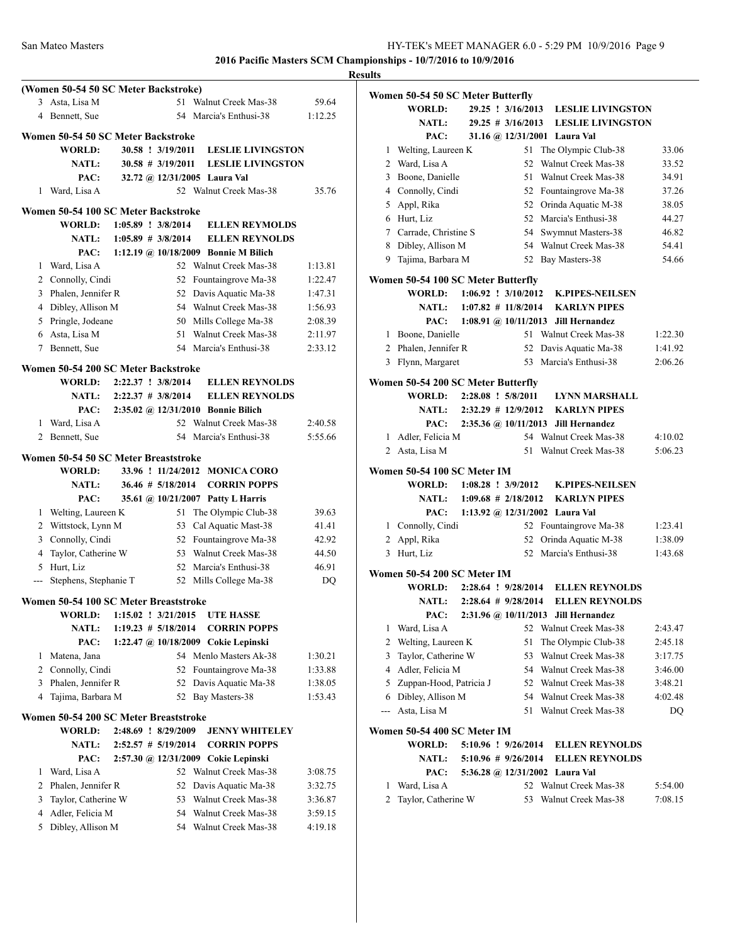|                |                                          |                             |                      |                                                             |         | <b>Results</b> |
|----------------|------------------------------------------|-----------------------------|----------------------|-------------------------------------------------------------|---------|----------------|
|                | (Women 50-54 50 SC Meter Backstroke)     |                             |                      |                                                             |         | Wo             |
|                | 3 Asta, Lisa M                           |                             |                      | 51 Walnut Creek Mas-38                                      | 59.64   |                |
| 4              | Bennett, Sue                             |                             |                      | 54 Marcia's Enthusi-38                                      | 1:12.25 |                |
|                | Women 50-54 50 SC Meter Backstroke       |                             |                      |                                                             |         |                |
|                | <b>WORLD:</b>                            |                             | 30.58 ! 3/19/2011    | <b>LESLIE LIVINGSTON</b>                                    |         |                |
|                | <b>NATL:</b>                             |                             | $30.58 \# 3/19/2011$ | <b>LESLIE LIVINGSTON</b>                                    |         |                |
|                | PAC:                                     |                             |                      | 32.72 @ 12/31/2005 Laura Val                                |         |                |
|                | 1 Ward, Lisa A                           |                             |                      | 52 Walnut Creek Mas-38                                      | 35.76   |                |
|                |                                          |                             |                      |                                                             |         |                |
|                | Women 50-54 100 SC Meter Backstroke      |                             |                      |                                                             |         |                |
|                | <b>WORLD:</b>                            | $1:05.89$ : $3/8/2014$      |                      | <b>ELLEN REYMOLDS</b>                                       |         |                |
|                | <b>NATL:</b>                             | $1:05.89$ # 3/8/2014        |                      | <b>ELLEN REYNOLDS</b>                                       |         |                |
|                | PAC:                                     |                             |                      | 1:12.19 @ 10/18/2009 Bonnie M Bilich                        |         |                |
|                | 1 Ward, Lisa A                           |                             |                      | 52 Walnut Creek Mas-38                                      | 1:13.81 |                |
|                | 2 Connolly, Cindi                        |                             |                      | 52 Fountaingrove Ma-38                                      | 1:22.47 | W <sub>0</sub> |
|                | 3 Phalen, Jennifer R                     |                             |                      | 52 Davis Aquatic Ma-38                                      | 1:47.31 |                |
|                | 4 Dibley, Allison M                      |                             |                      | 54 Walnut Creek Mas-38                                      | 1:56.93 |                |
|                | 5 Pringle, Jodeane                       |                             |                      | 50 Mills College Ma-38                                      | 2:08.39 |                |
|                | 6 Asta, Lisa M                           |                             |                      | 51 Walnut Creek Mas-38                                      | 2:11.97 |                |
|                | 7 Bennett, Sue                           |                             |                      | 54 Marcia's Enthusi-38                                      | 2:33.12 |                |
|                | Women 50-54 200 SC Meter Backstroke      |                             |                      |                                                             |         |                |
|                |                                          | WORLD: 2:22.37 ! 3/8/2014   |                      | <b>ELLEN REYNOLDS</b>                                       |         | Wo             |
|                |                                          | NATL: $2:22.37 \# 3/8/2014$ |                      | <b>ELLEN REYNOLDS</b>                                       |         |                |
|                | PAC:                                     |                             |                      | 2:35.02 @ 12/31/2010 Bonnie Bilich                          |         |                |
|                | 1 Ward, Lisa A                           |                             |                      | 52 Walnut Creek Mas-38                                      | 2:40.58 |                |
|                | 2 Bennett, Sue                           |                             |                      | 54 Marcia's Enthusi-38                                      | 5:55.66 |                |
|                |                                          |                             |                      |                                                             |         |                |
|                | Women 50-54 50 SC Meter Breaststroke     |                             |                      |                                                             |         | W <sub>0</sub> |
|                | <b>WORLD:</b>                            |                             |                      | 33.96 ! 11/24/2012 MONICA CORO                              |         |                |
|                | <b>NATL:</b>                             |                             | $36.46 \# 5/18/2014$ | <b>CORRIN POPPS</b>                                         |         |                |
|                | PAC:<br>1 Welting, Laureen K             |                             |                      | 35.61 @ 10/21/2007 Patty L Harris<br>51 The Olympic Club-38 | 39.63   |                |
|                |                                          |                             |                      |                                                             | 41.41   |                |
|                | 2 Wittstock, Lynn M<br>3 Connolly, Cindi |                             |                      | 53 Cal Aquatic Mast-38<br>52 Fountaingrove Ma-38            | 42.92   |                |
| $\overline{4}$ | Taylor, Catherine W                      |                             |                      | 53 Walnut Creek Mas-38                                      | 44.50   |                |
|                | 5 Hurt, Liz                              |                             |                      | 52 Marcia's Enthusi-38                                      | 46.91   |                |
|                | --- Stephens, Stephanie T                |                             |                      | 52 Mills College Ma-38                                      | DQ      | Wo             |
|                |                                          |                             |                      |                                                             |         |                |
|                | Women 50-54 100 SC Meter Breaststroke    |                             |                      |                                                             |         |                |
|                | WORLD:                                   | $1:15.02$ : $3/21/2015$     |                      | UTE HASSE                                                   |         |                |
|                | <b>NATL:</b>                             | $1:19.23 \# 5/18/2014$      |                      | <b>CORRIN POPPS</b>                                         |         |                |
|                | PAC:                                     |                             |                      | 1:22.47 @ 10/18/2009 Cokie Lepinski                         |         |                |
| 1              | Matena, Jana                             |                             |                      | 54 Menlo Masters Ak-38                                      | 1:30.21 |                |
| 2              | Connolly, Cindi                          |                             |                      | 52 Fountaingrove Ma-38                                      | 1:33.88 |                |
| 3              | Phalen, Jennifer R                       |                             | 52                   | Davis Aquatic Ma-38                                         | 1:38.05 |                |
| 4              | Tajima, Barbara M                        |                             |                      | 52 Bay Masters-38                                           | 1:53.43 |                |
|                | Women 50-54 200 SC Meter Breaststroke    |                             |                      |                                                             |         |                |
|                | WORLD:                                   | 2:48.69 ! 8/29/2009         |                      | <b>JENNY WHITELEY</b>                                       |         | Wo             |
|                | <b>NATL:</b>                             | $2:52.57$ # $5/19/2014$     |                      | <b>CORRIN POPPS</b>                                         |         |                |
|                | PAC:                                     | 2:57.30 @ 12/31/2009        |                      | Cokie Lepinski                                              |         |                |
| 1              | Ward, Lisa A                             |                             |                      | 52 Walnut Creek Mas-38                                      | 3:08.75 |                |
| 2              | Phalen, Jennifer R                       |                             | 52                   | Davis Aquatic Ma-38                                         | 3:32.75 |                |
| 3              | Taylor, Catherine W                      |                             | 53                   | Walnut Creek Mas-38                                         | 3:36.87 |                |
| 4              | Adler, Felicia M                         |                             | 54                   | Walnut Creek Mas-38                                         | 3:59.15 |                |
| 5              | Dibley, Allison M                        |                             | 54                   | Walnut Creek Mas-38                                         | 4:19.18 |                |
|                |                                          |                             |                      |                                                             |         |                |

|                | Women 50-54 50 SC Meter Butterfly            |  |                        |                                           |         |
|----------------|----------------------------------------------|--|------------------------|-------------------------------------------|---------|
|                | WORLD:                                       |  |                        | 29.25 ! 3/16/2013 LESLIE LIVINGSTON       |         |
|                | <b>NATL:</b>                                 |  |                        | 29.25 # 3/16/2013 LESLIE LIVINGSTON       |         |
|                | PAC:                                         |  |                        | 31.16 @ 12/31/2001 Laura Val              |         |
|                | 1 Welting, Laureen K                         |  | 51                     | The Olympic Club-38                       | 33.06   |
| 2              | Ward, Lisa A                                 |  |                        | 52 Walnut Creek Mas-38                    | 33.52   |
|                | 3 Boone, Danielle                            |  |                        | 51 Walnut Creek Mas-38                    | 34.91   |
|                | 4 Connolly, Cindi                            |  |                        | 52 Fountaingrove Ma-38                    | 37.26   |
|                | 5 Appl, Rika                                 |  |                        | 52 Orinda Aquatic M-38                    | 38.05   |
|                | 6 Hurt, Liz                                  |  |                        | 52 Marcia's Enthusi-38                    | 44.27   |
|                | 7 Carrade, Christine S                       |  |                        | 54 Swymnut Masters-38                     | 46.82   |
|                | 8 Dibley, Allison M                          |  |                        | 54 Walnut Creek Mas-38                    | 54.41   |
|                | 9 Tajima, Barbara M                          |  |                        | 52 Bay Masters-38                         | 54.66   |
|                |                                              |  |                        |                                           |         |
|                | Women 50-54 100 SC Meter Butterfly<br>WORLD: |  |                        | 1:06.92 ! 3/10/2012 K.PIPES-NEILSEN       |         |
|                |                                              |  |                        | NATL: 1:07.82 # 11/8/2014 KARLYN PIPES    |         |
|                |                                              |  |                        | PAC: 1:08.91 @ 10/11/2013 Jill Hernandez  |         |
|                | 1 Boone, Danielle                            |  |                        | 51 Walnut Creek Mas-38                    | 1:22.30 |
|                | 2 Phalen, Jennifer R                         |  |                        | 52 Davis Aquatic Ma-38                    | 1:41.92 |
|                | 3 Flynn, Margaret                            |  |                        | 53 Marcia's Enthusi-38                    | 2:06.26 |
|                |                                              |  |                        |                                           |         |
|                | Women 50-54 200 SC Meter Butterfly           |  |                        |                                           |         |
|                | WORLD: 2:28.08 ! 5/8/2011                    |  |                        | <b>LYNN MARSHALL</b>                      |         |
|                |                                              |  |                        | NATL: 2:32.29 # 12/9/2012 KARLYN PIPES    |         |
|                | PAC:                                         |  |                        | 2:35.36 @ 10/11/2013 Jill Hernandez       |         |
|                | 1 Adler, Felicia M                           |  |                        | 54 Walnut Creek Mas-38                    | 4:10.02 |
| $\overline{2}$ | Asta, Lisa M                                 |  | 51                     | Walnut Creek Mas-38                       | 5:06.23 |
|                | Women 50-54 100 SC Meter IM                  |  |                        |                                           |         |
|                | WORLD: 1:08.28 ! 3/9/2012                    |  |                        | <b>K.PIPES-NEILSEN</b>                    |         |
|                | NATL: $1:09.68 \# 2/18/2012$                 |  |                        | <b>KARLYN PIPES</b>                       |         |
|                | PAC:                                         |  |                        | 1:13.92 @ 12/31/2002 Laura Val            |         |
|                | 1 Connolly, Cindi                            |  |                        | 52 Fountaingrove Ma-38                    | 1:23.41 |
|                | 2 Appl, Rika                                 |  | 52                     | Orinda Aquatic M-38                       | 1:38.09 |
| 3              | Hurt, Liz                                    |  |                        | 52 Marcia's Enthusi-38                    | 1:43.68 |
|                | Women 50-54 200 SC Meter IM                  |  |                        |                                           |         |
|                |                                              |  |                        | WORLD: 2:28.64 ! 9/28/2014 ELLEN REYNOLDS |         |
|                | <b>NATL:</b>                                 |  |                        | 2:28.64 # 9/28/2014 ELLEN REYNOLDS        |         |
|                |                                              |  |                        | PAC: 2:31.96 @ 10/11/2013 Jill Hernandez  |         |
| 1              | Ward, Lisa A                                 |  |                        | 52 Walnut Creek Mas-38                    | 2:43.47 |
| 2              | Welting, Laureen K                           |  | 51                     | The Olympic Club-38                       | 2:45.18 |
| 3              | Taylor, Catherine W                          |  | 53                     | Walnut Creek Mas-38                       | 3:17.75 |
| 4              | Adler, Felicia M                             |  |                        | 54 Walnut Creek Mas-38                    | 3:46.00 |
| 5              | Zuppan-Hood, Patricia J                      |  |                        | 52 Walnut Creek Mas-38                    | 3:48.21 |
|                | 6 Dibley, Allison M                          |  |                        | 54 Walnut Creek Mas-38                    | 4:02.48 |
| $\frac{1}{2}$  | Asta, Lisa M                                 |  | 51                     | Walnut Creek Mas-38                       | DQ      |
|                |                                              |  |                        |                                           |         |
|                | Women 50-54 400 SC Meter IM                  |  |                        |                                           |         |
|                | WORLD:                                       |  | 5:10.96 ! 9/26/2014    | <b>ELLEN REYNOLDS</b>                     |         |
|                | <b>NATL:</b>                                 |  | $5:10.96 \# 9/26/2014$ | <b>ELLEN REYNOLDS</b>                     |         |
|                | PAC:                                         |  |                        | 5:36.28 @ 12/31/2002 Laura Val            |         |
| 1              | Ward, Lisa A                                 |  |                        | 52 Walnut Creek Mas-38                    | 5:54.00 |
| 2              | Taylor, Catherine W                          |  | 53                     | Walnut Creek Mas-38                       | 7:08.15 |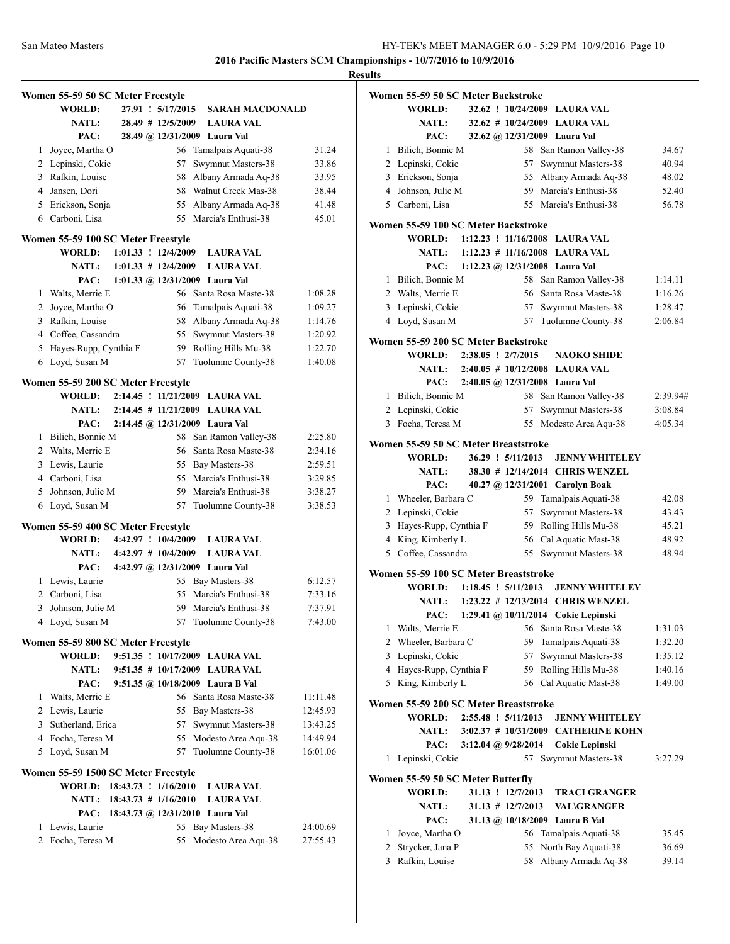|   | Women 55-59 50 SC Meter Freestyle<br>WORLD: |  | 27.91 ! 5/17/2015     | <b>SARAH MACDONALD</b>                |          |
|---|---------------------------------------------|--|-----------------------|---------------------------------------|----------|
|   | <b>NATL:</b>                                |  | 28.49 # 12/5/2009     | <b>LAURA VAL</b>                      |          |
|   | PAC:                                        |  |                       | 28.49 @ 12/31/2009 Laura Val          |          |
| 1 | Joyce, Martha O                             |  | 56                    | Tamalpais Aquati-38                   | 31.24    |
|   | 2 Lepinski, Cokie                           |  | 57                    | Swymnut Masters-38                    | 33.86    |
|   | 3 Rafkin, Louise                            |  | 58                    | Albany Armada Aq-38                   | 33.95    |
|   | 4 Jansen, Dori                              |  | 58                    | Walnut Creek Mas-38                   | 38.44    |
|   | 5 Erickson, Sonja                           |  |                       | 55 Albany Armada Aq-38                | 41.48    |
|   | 6 Carboni, Lisa                             |  | 55                    | Marcia's Enthusi-38                   | 45.01    |
|   | Women 55-59 100 SC Meter Freestyle          |  |                       |                                       |          |
|   | WORLD: 1:01.33 ! 12/4/2009                  |  |                       | <b>LAURA VAL</b>                      |          |
|   | NATL: $1:01.33 \# 12/4/2009$                |  |                       | <b>LAURA VAL</b>                      |          |
|   | PAC:                                        |  |                       | 1:01.33 @ 12/31/2009 Laura Val        |          |
|   | 1 Walts, Merrie E                           |  |                       | 56 Santa Rosa Maste-38                | 1:08.28  |
|   | 2 Joyce, Martha O                           |  |                       | 56 Tamalpais Aquati-38                | 1:09.27  |
|   | 3 Rafkin, Louise                            |  |                       | 58 Albany Armada Aq-38                | 1:14.76  |
|   | 4 Coffee, Cassandra                         |  | 55                    | Swymnut Masters-38                    | 1:20.92  |
|   | 5 Hayes-Rupp, Cynthia F                     |  |                       | 59 Rolling Hills Mu-38                | 1:22.70  |
|   | 6 Loyd, Susan M                             |  | 57                    | Tuolumne County-38                    | 1:40.08  |
|   | Women 55-59 200 SC Meter Freestyle          |  |                       |                                       |          |
|   |                                             |  |                       | WORLD: 2:14.45 ! 11/21/2009 LAURA VAL |          |
|   | <b>NATL:</b>                                |  |                       | 2:14.45 # 11/21/2009 LAURA VAL        |          |
|   | PAC:                                        |  |                       | 2:14.45 @ 12/31/2009 Laura Val        |          |
|   | 1 Bilich, Bonnie M                          |  | 58                    | San Ramon Valley-38                   | 2:25.80  |
|   | 2 Walts, Merrie E                           |  |                       | 56 Santa Rosa Maste-38                | 2:34.16  |
|   | 3 Lewis, Laurie                             |  |                       | 55 Bay Masters-38                     | 2:59.51  |
|   | 4 Carboni, Lisa                             |  |                       | 55 Marcia's Enthusi-38                | 3:29.85  |
|   | 5 Johnson, Julie M                          |  |                       | 59 Marcia's Enthusi-38                | 3:38.27  |
| 6 | Loyd, Susan M                               |  | 57                    | Tuolumne County-38                    | 3:38.53  |
|   | Women 55-59 400 SC Meter Freestyle          |  |                       |                                       |          |
|   | <b>WORLD:</b>                               |  | 4:42.97 ! 10/4/2009   | <b>LAURA VAL</b>                      |          |
|   | <b>NATL:</b>                                |  | $4:42.97$ # 10/4/2009 | <b>LAURA VAL</b>                      |          |
|   | PAC:                                        |  |                       | 4:42.97 @ 12/31/2009 Laura Val        |          |
|   | 1 Lewis, Laurie                             |  |                       | 55 Bay Masters-38                     | 6:12.57  |
|   | 2 Carboni, Lisa                             |  | 55                    | Marcia's Enthusi-38                   | 7:33.16  |
| 3 | Johnson, Julie M                            |  | 59                    | Marcia's Enthusi-38                   | 7:37.91  |
| 4 | Loyd, Susan M                               |  | 57                    | Tuolumne County-38                    | 7:43.00  |
|   | Women 55-59 800 SC Meter Freestyle          |  |                       |                                       |          |
|   | WORLD:                                      |  |                       | 9:51.35 ! 10/17/2009 LAURA VAL        |          |
|   | <b>NATL:</b>                                |  |                       | 9:51.35 # 10/17/2009 LAURA VAL        |          |
|   | PAC:                                        |  |                       | 9:51.35 @ 10/18/2009 Laura B Val      |          |
| 1 | Walts, Merrie E                             |  |                       | 56 Santa Rosa Maste-38                | 11:11.48 |
|   | 2 Lewis, Laurie                             |  |                       | 55 Bay Masters-38                     | 12:45.93 |
|   | 3 Sutherland, Erica                         |  |                       | 57 Swymnut Masters-38                 | 13:43.25 |
|   | 4 Focha, Teresa M                           |  |                       | 55 Modesto Area Aqu-38                | 14:49.94 |
|   | 5 Loyd, Susan M                             |  |                       | 57 Tuolumne County-38                 | 16:01.06 |
|   | Women 55-59 1500 SC Meter Freestyle         |  |                       |                                       |          |
|   | <b>WORLD:</b>                               |  | 18:43.73 ! 1/16/2010  | <b>LAURA VAL</b>                      |          |
|   | NATL: 18:43.73 # 1/16/2010                  |  |                       | <b>LAURA VAL</b>                      |          |
|   | PAC:                                        |  |                       | 18:43.73 @ 12/31/2010 Laura Val       |          |
| 1 | Lewis, Laurie                               |  |                       | 55 Bay Masters-38                     | 24:00.69 |
| 2 | Focha, Teresa M                             |  | 55                    | Modesto Area Aqu-38                   | 27:55.43 |
|   |                                             |  |                       |                                       |          |

|   | Women 55-59 50 SC Meter Backstroke                 |                       |                                          |          |
|---|----------------------------------------------------|-----------------------|------------------------------------------|----------|
|   | WORLD:                                             |                       | 32.62 ! 10/24/2009 LAURA VAL             |          |
|   | <b>NATL:</b>                                       |                       | 32.62 # 10/24/2009 LAURA VAL             |          |
|   | PAC:                                               |                       | 32.62 @ 12/31/2009 Laura Val             |          |
| 1 | Bilich, Bonnie M                                   |                       | 58 San Ramon Valley-38                   | 34.67    |
| 2 | Lepinski, Cokie                                    | 57                    | Swymnut Masters-38                       | 40.94    |
|   | 3 Erickson, Sonja                                  | 55                    | Albany Armada Aq-38                      | 48.02    |
|   | 4 Johnson, Julie M                                 | 59.                   | Marcia's Enthusi-38                      | 52.40    |
|   | 5 Carboni, Lisa                                    |                       | 55 Marcia's Enthusi-38                   | 56.78    |
|   | Women 55-59 100 SC Meter Backstroke                |                       |                                          |          |
|   | <b>WORLD:</b>                                      |                       | 1:12.23 ! 11/16/2008 LAURA VAL           |          |
|   | <b>NATL:</b>                                       |                       | $1:12.23$ # $11/16/2008$ LAURA VAL       |          |
|   | PAC:                                               |                       | 1:12.23 @ 12/31/2008 Laura Val           |          |
|   | 1 Bilich, Bonnie M                                 |                       | 58 San Ramon Valley-38                   | 1:14.11  |
|   | 2 Walts, Merrie E                                  |                       | 56 Santa Rosa Maste-38                   | 1:16.26  |
|   | 3 Lepinski, Cokie                                  | 57                    | Swymnut Masters-38                       | 1:28.47  |
|   | 4 Loyd, Susan M                                    | 57                    | Tuolumne County-38                       | 2:06.84  |
|   | Women 55-59 200 SC Meter Backstroke                |                       |                                          |          |
|   | <b>WORLD:</b>                                      | 2:38.05 ! 2/7/2015    | <b>NAOKO SHIDE</b>                       |          |
|   | <b>NATL:</b>                                       |                       | 2:40.05 # 10/12/2008 LAURA VAL           |          |
|   | PAC:                                               |                       | 2:40.05 @ 12/31/2008 Laura Val           |          |
|   | 1 Bilich, Bonnie M                                 |                       | 58 San Ramon Valley-38                   | 2:39.94# |
|   | 2 Lepinski, Cokie                                  | 57                    | Swymnut Masters-38                       | 3:08.84  |
|   | 3 Focha, Teresa M                                  | 55                    | Modesto Area Aqu-38                      | 4:05.34  |
|   | Women 55-59 50 SC Meter Breaststroke               |                       |                                          |          |
|   | <b>WORLD:</b>                                      | 36.29 ! 5/11/2013     | <b>JENNY WHITELEY</b>                    |          |
|   | <b>NATL:</b>                                       |                       | 38.30 # 12/14/2014 CHRIS WENZEL          |          |
|   | PAC:                                               |                       | 40.27 @ 12/31/2001 Carolyn Boak          |          |
| 1 | Wheeler, Barbara C                                 |                       | 59 Tamalpais Aquati-38                   | 42.08    |
|   | 2 Lepinski, Cokie                                  | 57                    | Swymnut Masters-38                       | 43.43    |
|   | 3 Hayes-Rupp, Cynthia F                            |                       | 59 Rolling Hills Mu-38                   | 45.21    |
|   | 4 King, Kimberly L                                 |                       | 56 Cal Aquatic Mast-38                   | 48.92    |
| 5 | Coffee, Cassandra                                  | 55                    | Swymnut Masters-38                       | 48.94    |
|   | Women 55-59 100 SC Meter Breaststroke              |                       |                                          |          |
|   | <b>WORLD:</b>                                      |                       | 1:18.45 ! 5/11/2013 JENNY WHITELEY       |          |
|   |                                                    |                       | NATL: 1:23.22 # 12/13/2014 CHRIS WENZEL  |          |
|   |                                                    |                       | PAC: 1:29.41 @ 10/11/2014 Cokie Lepinski |          |
| 1 | Walts, Merrie E                                    |                       | 56 Santa Rosa Maste-38                   | 1:31.03  |
| 2 | Wheeler, Barbara C                                 | 59                    | Tamalpais Aquati-38                      | 1:32.20  |
| 3 | Lepinski, Cokie                                    | 57                    | Swymnut Masters-38                       | 1:35.12  |
| 4 | Hayes-Rupp, Cynthia F                              | 59                    | Rolling Hills Mu-38                      | 1:40.16  |
| 5 | King, Kimberly L                                   |                       | 56 Cal Aquatic Mast-38                   | 1:49.00  |
|   | Women 55-59 200 SC Meter Breaststroke              |                       |                                          |          |
|   | WORLD:                                             | 2:55.48 ! 5/11/2013   | <b>JENNY WHITELEY</b>                    |          |
|   | <b>NATL:</b>                                       |                       | 3:02.37 # 10/31/2009 CATHERINE KOHN      |          |
|   | PAC:                                               | 3:12.04 @ 9/28/2014   | Cokie Lepinski                           |          |
| 1 | Lepinski, Cokie                                    |                       | 57 Swymnut Masters-38                    | 3:27.29  |
|   |                                                    |                       |                                          |          |
|   | Women 55-59 50 SC Meter Butterfly<br><b>WORLD:</b> | 31.13 ! 12/7/2013     | <b>TRACI GRANGER</b>                     |          |
|   | <b>NATL:</b>                                       | $31.13$ # $12/7/2013$ | <b>VAL\GRANGER</b>                       |          |
|   | PAC:                                               |                       | 31.13 @ 10/18/2009 Laura B Val           |          |
| 1 | Joyce, Martha O                                    | 56                    | Tamalpais Aquati-38                      | 35.45    |
| 2 | Strycker, Jana P                                   | 55                    | North Bay Aquati-38                      | 36.69    |
| 3 | Rafkin, Louise                                     | 58                    | Albany Armada Aq-38                      | 39.14    |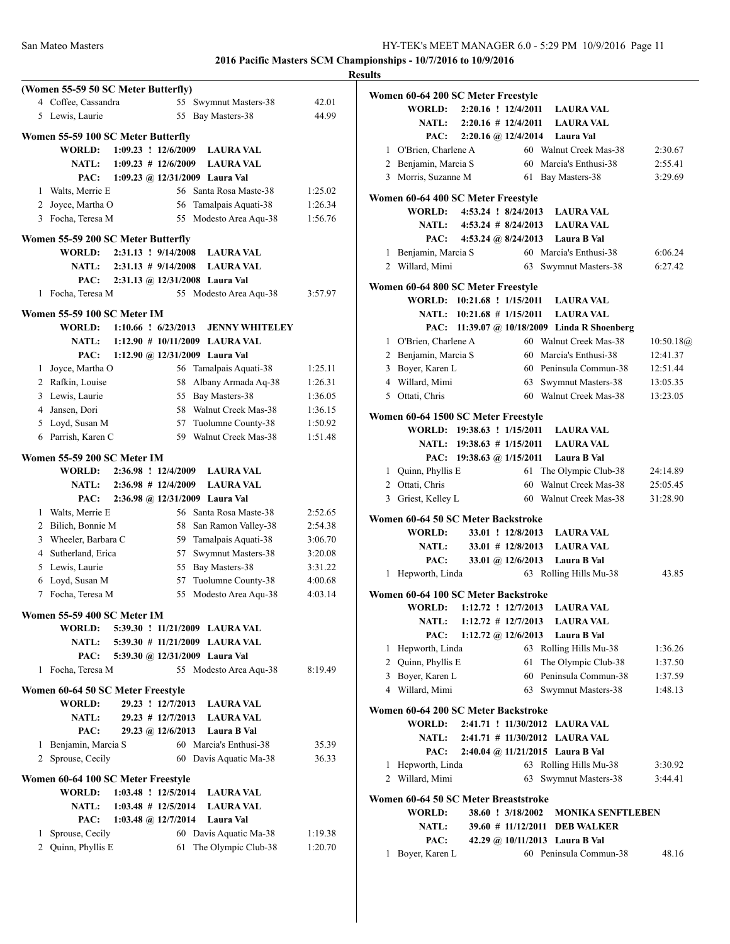|              |                                                     |                              |    |                                      |         | <b>Results</b> |
|--------------|-----------------------------------------------------|------------------------------|----|--------------------------------------|---------|----------------|
|              | (Women 55-59 50 SC Meter Butterfly)                 |                              |    |                                      |         | Wo             |
|              | 4 Coffee, Cassandra                                 |                              |    | 55 Swymnut Masters-38                | 42.01   |                |
|              | 5 Lewis, Laurie                                     |                              |    | 55 Bay Masters-38                    | 44.99   |                |
|              | Women 55-59 100 SC Meter Butterfly                  |                              |    |                                      |         |                |
|              | <b>WORLD:</b>                                       | $1:09.23$ ! $12/6/2009$      |    | <b>LAURA VAL</b>                     |         |                |
|              | <b>NATL:</b>                                        | $1:09.23 \# 12/6/2009$       |    | <b>LAURA VAL</b>                     |         |                |
|              | PAC:                                                |                              |    | 1:09.23 @ $12/31/2009$ Laura Val     |         |                |
|              | 1 Walts, Merrie E                                   |                              |    | 56 Santa Rosa Maste-38               | 1:25.02 |                |
|              | 2 Joyce, Martha O                                   |                              | 56 | Tamalpais Aquati-38                  | 1:26.34 | Wo             |
|              | 3 Focha, Teresa M                                   |                              |    | 55 Modesto Area Aqu-38               | 1:56.76 |                |
|              |                                                     |                              |    |                                      |         |                |
|              | Women 55-59 200 SC Meter Butterfly<br><b>WORLD:</b> | 2:31.13 ! 9/14/2008          |    | <b>LAURA VAL</b>                     |         |                |
|              | <b>NATL:</b>                                        | $2:31.13 \# 9/14/2008$       |    | <b>LAURA VAL</b>                     |         |                |
|              | PAC:                                                |                              |    | 2:31.13 @ 12/31/2008 Laura Val       |         |                |
|              | 1 Focha, Teresa M                                   |                              |    | 55 Modesto Area Aqu-38               | 3:57.97 | W <sub>0</sub> |
|              |                                                     |                              |    |                                      |         |                |
|              | Women 55-59 100 SC Meter IM                         |                              |    |                                      |         |                |
|              | <b>WORLD:</b>                                       | $1:10.66$ : $6/23/2013$      |    | <b>JENNY WHITELEY</b>                |         |                |
|              |                                                     |                              |    | NATL: 1:12.90 # 10/11/2009 LAURA VAL |         |                |
|              | PAC:                                                |                              |    | 1:12.90 @ 12/31/2009 Laura Val       |         |                |
| 1            | Joyce, Martha O                                     |                              |    | 56 Tamalpais Aquati-38               | 1:25.11 |                |
|              | 2 Rafkin, Louise                                    |                              | 58 | Albany Armada Aq-38                  | 1:26.31 |                |
|              | 3 Lewis, Laurie                                     |                              |    | 55 Bay Masters-38                    | 1:36.05 |                |
|              | 4 Jansen, Dori                                      |                              |    | 58 Walnut Creek Mas-38               | 1:36.15 | Wo             |
|              | 5 Loyd, Susan M                                     |                              | 57 | Tuolumne County-38                   | 1:50.92 |                |
|              | 6 Parrish, Karen C                                  |                              |    | 59 Walnut Creek Mas-38               | 1:51.48 |                |
|              | <b>Women 55-59 200 SC Meter IM</b>                  |                              |    |                                      |         |                |
|              | <b>WORLD:</b>                                       | 2:36.98 ! 12/4/2009          |    | <b>LAURA VAL</b>                     |         |                |
|              | <b>NATL:</b>                                        | $2:36.98$ # 12/4/2009        |    | <b>LAURA VAL</b>                     |         |                |
|              | PAC:                                                |                              |    | 2:36.98 @ 12/31/2009 Laura Val       |         |                |
|              | 1 Walts, Merrie E                                   |                              |    | 56 Santa Rosa Maste-38               | 2:52.65 |                |
|              | 2 Bilich, Bonnie M                                  |                              | 58 | San Ramon Valley-38                  | 2:54.38 | W <sub>0</sub> |
|              | 3 Wheeler, Barbara C                                |                              | 59 | Tamalpais Aquati-38                  | 3:06.70 |                |
|              | 4 Sutherland, Erica                                 |                              | 57 | Swymnut Masters-38                   | 3:20.08 |                |
|              | 5 Lewis, Laurie                                     |                              |    | 55 Bay Masters-38                    | 3:31.22 |                |
|              | 6 Loyd, Susan M                                     |                              | 57 | Tuolumne County-38                   | 4:00.68 |                |
|              | 7 Focha, Teresa M                                   |                              | 55 | Modesto Area Aqu-38                  | 4:03.14 | W <sub>0</sub> |
|              |                                                     |                              |    |                                      |         |                |
|              | <b>Women 55-59 400 SC Meter IM</b>                  |                              |    |                                      |         |                |
|              | WORLD:                                              |                              |    | 5:39.30 ! 11/21/2009 LAURA VAL       |         |                |
|              | <b>NATL:</b>                                        |                              |    | 5:39.30 # 11/21/2009 LAURA VAL       |         |                |
|              | PAC:                                                |                              |    | 5:39.30 @ 12/31/2009 Laura Val       |         |                |
|              | 1 Focha, Teresa M                                   |                              |    | 55 Modesto Area Aqu-38               | 8:19.49 |                |
|              | Women 60-64 50 SC Meter Freestyle                   |                              |    |                                      |         |                |
|              | <b>WORLD:</b>                                       | 29.23 ! 12/7/2013            |    | <b>LAURA VAL</b>                     |         |                |
|              | <b>NATL:</b>                                        | $29.23$ # $12/7/2013$        |    | <b>LAURA VAL</b>                     |         | W <sub>0</sub> |
|              | PAC:                                                | 29.23 @ 12/6/2013            |    | Laura B Val                          |         |                |
|              | 1 Benjamin, Marcia S                                |                              |    | 60 Marcia's Enthusi-38               | 35.39   |                |
|              | 2 Sprouse, Cecily                                   |                              |    | 60 Davis Aquatic Ma-38               | 36.33   |                |
|              |                                                     |                              |    |                                      |         |                |
|              | Women 60-64 100 SC Meter Freestyle                  |                              |    |                                      |         |                |
|              | <b>WORLD:</b>                                       | 1:03.48 ! 12/5/2014          |    | <b>LAURA VAL</b>                     |         | Wo             |
|              |                                                     | NATL: $1:03.48 \# 12/5/2014$ |    | <b>LAURA VAL</b>                     |         |                |
|              | PAC:                                                | 1:03.48 @ $12/7/2014$        |    | Laura Val                            |         |                |
| 1            | Sprouse, Cecily                                     |                              |    | 60 Davis Aquatic Ma-38               | 1:19.38 |                |
| $\mathbf{2}$ | Quinn, Phyllis E                                    |                              | 61 | The Olympic Club-38                  | 1:20.70 |                |

|              | Women 60-64 200 SC Meter Freestyle   |                           |                         |                                              |             |
|--------------|--------------------------------------|---------------------------|-------------------------|----------------------------------------------|-------------|
|              | <b>WORLD:</b>                        | 2:20.16 ! 12/4/2011       |                         | <b>LAURA VAL</b>                             |             |
|              | <b>NATL:</b>                         |                           |                         | $2:20.16$ # $12/4/2011$ LAURA VAL            |             |
|              | PAC:                                 |                           |                         | 2:20.16 @ 12/4/2014 Laura Val                |             |
|              | 1 O'Brien, Charlene A                |                           |                         | 60 Walnut Creek Mas-38                       | 2:30.67     |
|              | 2 Benjamin, Marcia S                 |                           |                         | 60 Marcia's Enthusi-38                       | 2:55.41     |
|              | 3 Morris, Suzanne M                  |                           |                         | 61 Bay Masters-38                            | 3:29.69     |
|              | Women 60-64 400 SC Meter Freestyle   |                           |                         |                                              |             |
|              | WORLD:                               | 4:53.24 ! 8/24/2013       |                         | <b>LAURA VAL</b>                             |             |
|              |                                      |                           |                         | NATL: 4:53.24 # 8/24/2013 LAURA VAL          |             |
|              | PAC:                                 |                           |                         | 4:53.24 @ 8/24/2013 Laura B Val              |             |
|              | 1 Benjamin, Marcia S                 |                           |                         | 60 Marcia's Enthusi-38                       | 6:06.24     |
|              | 2 Willard, Mimi                      |                           | 63                      | Swymnut Masters-38                           | 6:27.42     |
|              | Women 60-64 800 SC Meter Freestyle   |                           |                         |                                              |             |
|              |                                      |                           |                         | WORLD: 10:21.68 ! 1/15/2011 LAURA VAL        |             |
|              |                                      |                           |                         | NATL: 10:21.68 # 1/15/2011 LAURA VAL         |             |
|              |                                      |                           |                         | PAC: 11:39.07 @ 10/18/2009 Linda R Shoenberg |             |
|              | 1 O'Brien, Charlene A                |                           |                         | 60 Walnut Creek Mas-38                       | 10:50.18(a) |
|              | 2 Benjamin, Marcia S                 |                           |                         | 60 Marcia's Enthusi-38                       | 12:41.37    |
|              | 3 Boyer, Karen L                     |                           |                         | 60 Peninsula Commun-38                       | 12:51.44    |
|              | 4 Willard, Mimi                      |                           | 63                      | Swymnut Masters-38                           | 13:05.35    |
|              | 5 Ottati, Chris                      |                           |                         | 60 Walnut Creek Mas-38                       | 13:23.05    |
|              | Women 60-64 1500 SC Meter Freestyle  |                           |                         |                                              |             |
|              |                                      |                           |                         | WORLD: 19:38.63 ! 1/15/2011 LAURA VAL        |             |
|              |                                      |                           |                         | NATL: 19:38.63 # 1/15/2011 LAURA VAL         |             |
|              |                                      | PAC: 19:38.63 @ 1/15/2011 |                         | Laura B Val                                  |             |
|              | 1 Quinn, Phyllis E                   |                           | 61                      | The Olympic Club-38                          | 24:14.89    |
|              | 2 Ottati, Chris                      |                           | 60                      | Walnut Creek Mas-38                          | 25:05.45    |
|              | 3 Griest, Kelley L                   |                           |                         | 60 Walnut Creek Mas-38                       | 31:28.90    |
|              | Women 60-64 50 SC Meter Backstroke   |                           |                         |                                              |             |
|              | WORLD:                               |                           | 33.01 ! 12/8/2013       | <b>LAURA VAL</b>                             |             |
|              | <b>NATL:</b>                         |                           |                         | 33.01 # 12/8/2013 LAURA VAL                  |             |
|              | PAC:                                 |                           | 33.01 @ 12/6/2013       | Laura B Val                                  |             |
| 1            | Hepworth, Linda                      |                           |                         | 63 Rolling Hills Mu-38                       | 43.85       |
|              | Women 60-64 100 SC Meter Backstroke  |                           |                         |                                              |             |
|              | <b>WORLD:</b>                        |                           | $1:12.72$ : $12/7/2013$ | <b>LAURA VAL</b>                             |             |
|              | <b>NATL:</b>                         |                           | $1:12.72$ # $12/7/2013$ | <b>LAURA VAL</b>                             |             |
|              | PAC:                                 |                           | 1:12.72 @ $12/6/2013$   | Laura B Val                                  |             |
| 1            | Hepworth, Linda                      |                           | 63                      | Rolling Hills Mu-38                          | 1:36.26     |
| 2            | Quinn, Phyllis E                     |                           | 61                      | The Olympic Club-38                          | 1:37.50     |
| 3            | Boyer, Karen L                       |                           | 60                      | Peninsula Commun-38                          | 1:37.59     |
| 4            | Willard, Mimi                        |                           | 63                      | Swymnut Masters-38                           | 1:48.13     |
|              | Women 60-64 200 SC Meter Backstroke  |                           |                         |                                              |             |
|              | <b>WORLD:</b>                        |                           |                         | 2:41.71 ! 11/30/2012 LAURA VAL               |             |
|              | <b>NATL:</b>                         |                           |                         | 2:41.71 # 11/30/2012 LAURA VAL               |             |
|              | PAC:                                 |                           |                         | 2:40.04 @ 11/21/2015 Laura B Val             |             |
| 1            | Hepworth, Linda                      |                           | 63                      | Rolling Hills Mu-38                          | 3:30.92     |
| $\mathbf{2}$ | Willard, Mimi                        |                           | 63                      | Swymnut Masters-38                           | 3:44.41     |
|              | Women 60-64 50 SC Meter Breaststroke |                           |                         |                                              |             |
|              | WORLD:                               |                           | 38.60 ! 3/18/2002       | <b>MONIKA SENFTLEBEN</b>                     |             |
|              | <b>NATL:</b>                         |                           | $39.60 \# 11/12/2011$   | <b>DEB WALKER</b>                            |             |
|              | PAC:                                 |                           |                         | 42.29 @ 10/11/2013 Laura B Val               |             |
| 1            | Boyer, Karen L                       |                           |                         | 60 Peninsula Commun-38                       | 48.16       |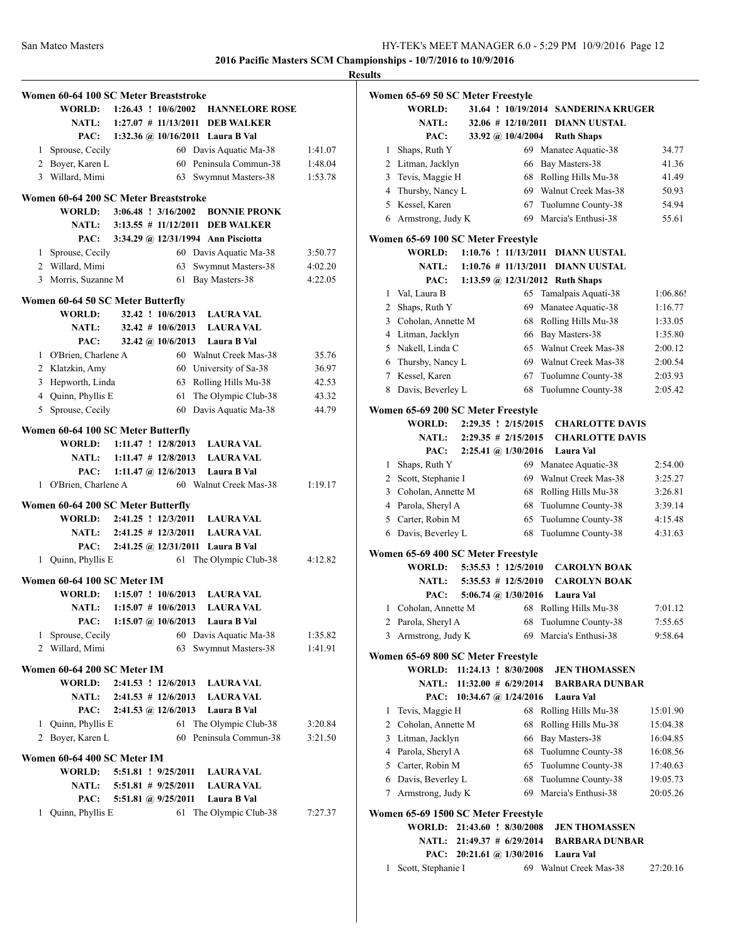|                                                                                                       | <b>Results</b>                                                                                                                                                                                                                                                                                                                                                                                                                                                                                                                                                                                                                                                                                                                                                                                                                                                                                                                                                                                                                                                                                                                                                                                                                                                                                                                                                                                                                                                                                                                                                                                                                                                                                                                                                  |
|-------------------------------------------------------------------------------------------------------|-----------------------------------------------------------------------------------------------------------------------------------------------------------------------------------------------------------------------------------------------------------------------------------------------------------------------------------------------------------------------------------------------------------------------------------------------------------------------------------------------------------------------------------------------------------------------------------------------------------------------------------------------------------------------------------------------------------------------------------------------------------------------------------------------------------------------------------------------------------------------------------------------------------------------------------------------------------------------------------------------------------------------------------------------------------------------------------------------------------------------------------------------------------------------------------------------------------------------------------------------------------------------------------------------------------------------------------------------------------------------------------------------------------------------------------------------------------------------------------------------------------------------------------------------------------------------------------------------------------------------------------------------------------------------------------------------------------------------------------------------------------------|
|                                                                                                       | Wo                                                                                                                                                                                                                                                                                                                                                                                                                                                                                                                                                                                                                                                                                                                                                                                                                                                                                                                                                                                                                                                                                                                                                                                                                                                                                                                                                                                                                                                                                                                                                                                                                                                                                                                                                              |
| 1:26.43 ! 10/6/2002 HANNELORE ROSE<br><b>WORLD:</b>                                                   |                                                                                                                                                                                                                                                                                                                                                                                                                                                                                                                                                                                                                                                                                                                                                                                                                                                                                                                                                                                                                                                                                                                                                                                                                                                                                                                                                                                                                                                                                                                                                                                                                                                                                                                                                                 |
| <b>NATL:</b><br>$1:27.07$ # 11/13/2011 DEB WALKER                                                     |                                                                                                                                                                                                                                                                                                                                                                                                                                                                                                                                                                                                                                                                                                                                                                                                                                                                                                                                                                                                                                                                                                                                                                                                                                                                                                                                                                                                                                                                                                                                                                                                                                                                                                                                                                 |
| PAC:<br>1:32.36 @ 10/16/2011 Laura B Val                                                              |                                                                                                                                                                                                                                                                                                                                                                                                                                                                                                                                                                                                                                                                                                                                                                                                                                                                                                                                                                                                                                                                                                                                                                                                                                                                                                                                                                                                                                                                                                                                                                                                                                                                                                                                                                 |
| 60 Davis Aquatic Ma-38<br>1:41.07                                                                     |                                                                                                                                                                                                                                                                                                                                                                                                                                                                                                                                                                                                                                                                                                                                                                                                                                                                                                                                                                                                                                                                                                                                                                                                                                                                                                                                                                                                                                                                                                                                                                                                                                                                                                                                                                 |
| 60 Peninsula Commun-38<br>1:48.04                                                                     |                                                                                                                                                                                                                                                                                                                                                                                                                                                                                                                                                                                                                                                                                                                                                                                                                                                                                                                                                                                                                                                                                                                                                                                                                                                                                                                                                                                                                                                                                                                                                                                                                                                                                                                                                                 |
| 63 Swymnut Masters-38<br>1:53.78                                                                      |                                                                                                                                                                                                                                                                                                                                                                                                                                                                                                                                                                                                                                                                                                                                                                                                                                                                                                                                                                                                                                                                                                                                                                                                                                                                                                                                                                                                                                                                                                                                                                                                                                                                                                                                                                 |
|                                                                                                       |                                                                                                                                                                                                                                                                                                                                                                                                                                                                                                                                                                                                                                                                                                                                                                                                                                                                                                                                                                                                                                                                                                                                                                                                                                                                                                                                                                                                                                                                                                                                                                                                                                                                                                                                                                 |
|                                                                                                       |                                                                                                                                                                                                                                                                                                                                                                                                                                                                                                                                                                                                                                                                                                                                                                                                                                                                                                                                                                                                                                                                                                                                                                                                                                                                                                                                                                                                                                                                                                                                                                                                                                                                                                                                                                 |
|                                                                                                       |                                                                                                                                                                                                                                                                                                                                                                                                                                                                                                                                                                                                                                                                                                                                                                                                                                                                                                                                                                                                                                                                                                                                                                                                                                                                                                                                                                                                                                                                                                                                                                                                                                                                                                                                                                 |
|                                                                                                       | Wo                                                                                                                                                                                                                                                                                                                                                                                                                                                                                                                                                                                                                                                                                                                                                                                                                                                                                                                                                                                                                                                                                                                                                                                                                                                                                                                                                                                                                                                                                                                                                                                                                                                                                                                                                              |
|                                                                                                       |                                                                                                                                                                                                                                                                                                                                                                                                                                                                                                                                                                                                                                                                                                                                                                                                                                                                                                                                                                                                                                                                                                                                                                                                                                                                                                                                                                                                                                                                                                                                                                                                                                                                                                                                                                 |
|                                                                                                       |                                                                                                                                                                                                                                                                                                                                                                                                                                                                                                                                                                                                                                                                                                                                                                                                                                                                                                                                                                                                                                                                                                                                                                                                                                                                                                                                                                                                                                                                                                                                                                                                                                                                                                                                                                 |
| 4:22.05                                                                                               |                                                                                                                                                                                                                                                                                                                                                                                                                                                                                                                                                                                                                                                                                                                                                                                                                                                                                                                                                                                                                                                                                                                                                                                                                                                                                                                                                                                                                                                                                                                                                                                                                                                                                                                                                                 |
|                                                                                                       |                                                                                                                                                                                                                                                                                                                                                                                                                                                                                                                                                                                                                                                                                                                                                                                                                                                                                                                                                                                                                                                                                                                                                                                                                                                                                                                                                                                                                                                                                                                                                                                                                                                                                                                                                                 |
|                                                                                                       |                                                                                                                                                                                                                                                                                                                                                                                                                                                                                                                                                                                                                                                                                                                                                                                                                                                                                                                                                                                                                                                                                                                                                                                                                                                                                                                                                                                                                                                                                                                                                                                                                                                                                                                                                                 |
|                                                                                                       |                                                                                                                                                                                                                                                                                                                                                                                                                                                                                                                                                                                                                                                                                                                                                                                                                                                                                                                                                                                                                                                                                                                                                                                                                                                                                                                                                                                                                                                                                                                                                                                                                                                                                                                                                                 |
|                                                                                                       |                                                                                                                                                                                                                                                                                                                                                                                                                                                                                                                                                                                                                                                                                                                                                                                                                                                                                                                                                                                                                                                                                                                                                                                                                                                                                                                                                                                                                                                                                                                                                                                                                                                                                                                                                                 |
|                                                                                                       |                                                                                                                                                                                                                                                                                                                                                                                                                                                                                                                                                                                                                                                                                                                                                                                                                                                                                                                                                                                                                                                                                                                                                                                                                                                                                                                                                                                                                                                                                                                                                                                                                                                                                                                                                                 |
|                                                                                                       |                                                                                                                                                                                                                                                                                                                                                                                                                                                                                                                                                                                                                                                                                                                                                                                                                                                                                                                                                                                                                                                                                                                                                                                                                                                                                                                                                                                                                                                                                                                                                                                                                                                                                                                                                                 |
|                                                                                                       |                                                                                                                                                                                                                                                                                                                                                                                                                                                                                                                                                                                                                                                                                                                                                                                                                                                                                                                                                                                                                                                                                                                                                                                                                                                                                                                                                                                                                                                                                                                                                                                                                                                                                                                                                                 |
|                                                                                                       |                                                                                                                                                                                                                                                                                                                                                                                                                                                                                                                                                                                                                                                                                                                                                                                                                                                                                                                                                                                                                                                                                                                                                                                                                                                                                                                                                                                                                                                                                                                                                                                                                                                                                                                                                                 |
|                                                                                                       |                                                                                                                                                                                                                                                                                                                                                                                                                                                                                                                                                                                                                                                                                                                                                                                                                                                                                                                                                                                                                                                                                                                                                                                                                                                                                                                                                                                                                                                                                                                                                                                                                                                                                                                                                                 |
|                                                                                                       | Wo                                                                                                                                                                                                                                                                                                                                                                                                                                                                                                                                                                                                                                                                                                                                                                                                                                                                                                                                                                                                                                                                                                                                                                                                                                                                                                                                                                                                                                                                                                                                                                                                                                                                                                                                                              |
|                                                                                                       |                                                                                                                                                                                                                                                                                                                                                                                                                                                                                                                                                                                                                                                                                                                                                                                                                                                                                                                                                                                                                                                                                                                                                                                                                                                                                                                                                                                                                                                                                                                                                                                                                                                                                                                                                                 |
| $1:11.47$ ! $12/8/2013$<br><b>WORLD:</b><br><b>LAURA VAL</b>                                          |                                                                                                                                                                                                                                                                                                                                                                                                                                                                                                                                                                                                                                                                                                                                                                                                                                                                                                                                                                                                                                                                                                                                                                                                                                                                                                                                                                                                                                                                                                                                                                                                                                                                                                                                                                 |
| <b>NATL:</b><br>$1:11.47 \# 12/8/2013$ LAURA VAL                                                      |                                                                                                                                                                                                                                                                                                                                                                                                                                                                                                                                                                                                                                                                                                                                                                                                                                                                                                                                                                                                                                                                                                                                                                                                                                                                                                                                                                                                                                                                                                                                                                                                                                                                                                                                                                 |
| 1:11.47 @ $12/6/2013$ Laura B Val<br>PAC:                                                             |                                                                                                                                                                                                                                                                                                                                                                                                                                                                                                                                                                                                                                                                                                                                                                                                                                                                                                                                                                                                                                                                                                                                                                                                                                                                                                                                                                                                                                                                                                                                                                                                                                                                                                                                                                 |
| 60 Walnut Creek Mas-38<br>1:19.17                                                                     |                                                                                                                                                                                                                                                                                                                                                                                                                                                                                                                                                                                                                                                                                                                                                                                                                                                                                                                                                                                                                                                                                                                                                                                                                                                                                                                                                                                                                                                                                                                                                                                                                                                                                                                                                                 |
|                                                                                                       |                                                                                                                                                                                                                                                                                                                                                                                                                                                                                                                                                                                                                                                                                                                                                                                                                                                                                                                                                                                                                                                                                                                                                                                                                                                                                                                                                                                                                                                                                                                                                                                                                                                                                                                                                                 |
|                                                                                                       |                                                                                                                                                                                                                                                                                                                                                                                                                                                                                                                                                                                                                                                                                                                                                                                                                                                                                                                                                                                                                                                                                                                                                                                                                                                                                                                                                                                                                                                                                                                                                                                                                                                                                                                                                                 |
|                                                                                                       |                                                                                                                                                                                                                                                                                                                                                                                                                                                                                                                                                                                                                                                                                                                                                                                                                                                                                                                                                                                                                                                                                                                                                                                                                                                                                                                                                                                                                                                                                                                                                                                                                                                                                                                                                                 |
|                                                                                                       |                                                                                                                                                                                                                                                                                                                                                                                                                                                                                                                                                                                                                                                                                                                                                                                                                                                                                                                                                                                                                                                                                                                                                                                                                                                                                                                                                                                                                                                                                                                                                                                                                                                                                                                                                                 |
|                                                                                                       | Wo                                                                                                                                                                                                                                                                                                                                                                                                                                                                                                                                                                                                                                                                                                                                                                                                                                                                                                                                                                                                                                                                                                                                                                                                                                                                                                                                                                                                                                                                                                                                                                                                                                                                                                                                                              |
|                                                                                                       |                                                                                                                                                                                                                                                                                                                                                                                                                                                                                                                                                                                                                                                                                                                                                                                                                                                                                                                                                                                                                                                                                                                                                                                                                                                                                                                                                                                                                                                                                                                                                                                                                                                                                                                                                                 |
|                                                                                                       |                                                                                                                                                                                                                                                                                                                                                                                                                                                                                                                                                                                                                                                                                                                                                                                                                                                                                                                                                                                                                                                                                                                                                                                                                                                                                                                                                                                                                                                                                                                                                                                                                                                                                                                                                                 |
|                                                                                                       |                                                                                                                                                                                                                                                                                                                                                                                                                                                                                                                                                                                                                                                                                                                                                                                                                                                                                                                                                                                                                                                                                                                                                                                                                                                                                                                                                                                                                                                                                                                                                                                                                                                                                                                                                                 |
|                                                                                                       |                                                                                                                                                                                                                                                                                                                                                                                                                                                                                                                                                                                                                                                                                                                                                                                                                                                                                                                                                                                                                                                                                                                                                                                                                                                                                                                                                                                                                                                                                                                                                                                                                                                                                                                                                                 |
|                                                                                                       |                                                                                                                                                                                                                                                                                                                                                                                                                                                                                                                                                                                                                                                                                                                                                                                                                                                                                                                                                                                                                                                                                                                                                                                                                                                                                                                                                                                                                                                                                                                                                                                                                                                                                                                                                                 |
|                                                                                                       |                                                                                                                                                                                                                                                                                                                                                                                                                                                                                                                                                                                                                                                                                                                                                                                                                                                                                                                                                                                                                                                                                                                                                                                                                                                                                                                                                                                                                                                                                                                                                                                                                                                                                                                                                                 |
|                                                                                                       | <b>Wo</b>                                                                                                                                                                                                                                                                                                                                                                                                                                                                                                                                                                                                                                                                                                                                                                                                                                                                                                                                                                                                                                                                                                                                                                                                                                                                                                                                                                                                                                                                                                                                                                                                                                                                                                                                                       |
|                                                                                                       |                                                                                                                                                                                                                                                                                                                                                                                                                                                                                                                                                                                                                                                                                                                                                                                                                                                                                                                                                                                                                                                                                                                                                                                                                                                                                                                                                                                                                                                                                                                                                                                                                                                                                                                                                                 |
| 2:41.53 ! 12/6/2013<br>WORLD:<br><b>LAURA VAL</b>                                                     |                                                                                                                                                                                                                                                                                                                                                                                                                                                                                                                                                                                                                                                                                                                                                                                                                                                                                                                                                                                                                                                                                                                                                                                                                                                                                                                                                                                                                                                                                                                                                                                                                                                                                                                                                                 |
| <b>NATL:</b><br>$2:41.53 \# 12/6/2013$<br><b>LAURA VAL</b>                                            |                                                                                                                                                                                                                                                                                                                                                                                                                                                                                                                                                                                                                                                                                                                                                                                                                                                                                                                                                                                                                                                                                                                                                                                                                                                                                                                                                                                                                                                                                                                                                                                                                                                                                                                                                                 |
| 2:41.53 @ 12/6/2013<br>PAC:<br>Laura B Val                                                            |                                                                                                                                                                                                                                                                                                                                                                                                                                                                                                                                                                                                                                                                                                                                                                                                                                                                                                                                                                                                                                                                                                                                                                                                                                                                                                                                                                                                                                                                                                                                                                                                                                                                                                                                                                 |
| The Olympic Club-38<br>61<br>3:20.84                                                                  |                                                                                                                                                                                                                                                                                                                                                                                                                                                                                                                                                                                                                                                                                                                                                                                                                                                                                                                                                                                                                                                                                                                                                                                                                                                                                                                                                                                                                                                                                                                                                                                                                                                                                                                                                                 |
| Peninsula Commun-38<br>60<br>3:21.50                                                                  |                                                                                                                                                                                                                                                                                                                                                                                                                                                                                                                                                                                                                                                                                                                                                                                                                                                                                                                                                                                                                                                                                                                                                                                                                                                                                                                                                                                                                                                                                                                                                                                                                                                                                                                                                                 |
|                                                                                                       |                                                                                                                                                                                                                                                                                                                                                                                                                                                                                                                                                                                                                                                                                                                                                                                                                                                                                                                                                                                                                                                                                                                                                                                                                                                                                                                                                                                                                                                                                                                                                                                                                                                                                                                                                                 |
| WORLD:<br>5:51.81 ! 9/25/2011                                                                         |                                                                                                                                                                                                                                                                                                                                                                                                                                                                                                                                                                                                                                                                                                                                                                                                                                                                                                                                                                                                                                                                                                                                                                                                                                                                                                                                                                                                                                                                                                                                                                                                                                                                                                                                                                 |
| <b>LAURA VAL</b>                                                                                      |                                                                                                                                                                                                                                                                                                                                                                                                                                                                                                                                                                                                                                                                                                                                                                                                                                                                                                                                                                                                                                                                                                                                                                                                                                                                                                                                                                                                                                                                                                                                                                                                                                                                                                                                                                 |
| <b>NATL:</b><br>$5:51.81$ # $9/25/2011$<br><b>LAURA VAL</b>                                           |                                                                                                                                                                                                                                                                                                                                                                                                                                                                                                                                                                                                                                                                                                                                                                                                                                                                                                                                                                                                                                                                                                                                                                                                                                                                                                                                                                                                                                                                                                                                                                                                                                                                                                                                                                 |
|                                                                                                       |                                                                                                                                                                                                                                                                                                                                                                                                                                                                                                                                                                                                                                                                                                                                                                                                                                                                                                                                                                                                                                                                                                                                                                                                                                                                                                                                                                                                                                                                                                                                                                                                                                                                                                                                                                 |
| PAC:<br>5:51.81 @ 9/25/2011<br>Laura B Val<br>61 The Olympic Club-38<br>1 Quinn, Phyllis E<br>7:27.37 | Wo                                                                                                                                                                                                                                                                                                                                                                                                                                                                                                                                                                                                                                                                                                                                                                                                                                                                                                                                                                                                                                                                                                                                                                                                                                                                                                                                                                                                                                                                                                                                                                                                                                                                                                                                                              |
| 1                                                                                                     | Women 60-64 100 SC Meter Breaststroke<br>1 Sprouse, Cecily<br>2 Boyer, Karen L<br>3 Willard, Mimi<br>Women 60-64 200 SC Meter Breaststroke<br>WORLD:<br>$3:06.48$ : $3/16/2002$<br><b>BONNIE PRONK</b><br>3:13.55 # 11/12/2011 DEB WALKER<br><b>NATL:</b><br>3:34.29 @ 12/31/1994 Ann Pisciotta<br>PAC:<br>60 Davis Aquatic Ma-38<br>1 Sprouse, Cecily<br>3:50.77<br>2 Willard, Mimi<br>Swymnut Masters-38<br>63<br>4:02.20<br>3 Morris, Suzanne M<br>Bay Masters-38<br>61<br>Women 60-64 50 SC Meter Butterfly<br>32.42 ! 10/6/2013<br>WORLD:<br><b>LAURA VAL</b><br>32.42 # 10/6/2013 LAURA VAL<br><b>NATL:</b><br>32.42 @ $10/6/2013$<br>Laura B Val<br>PAC:<br>1 O'Brien, Charlene A<br>60 Walnut Creek Mas-38<br>35.76<br>2 Klatzkin, Amy<br>60 University of Sa-38<br>36.97<br>3 Hepworth, Linda<br>63 Rolling Hills Mu-38<br>42.53<br>4 Quinn, Phyllis E<br>The Olympic Club-38<br>61<br>43.32<br>60 Davis Aquatic Ma-38<br>5 Sprouse, Cecily<br>44.79<br>Women 60-64 100 SC Meter Butterfly<br>1 O'Brien, Charlene A<br>Women 60-64 200 SC Meter Butterfly<br><b>WORLD:</b><br>2:41.25 ! 12/3/2011<br><b>LAURA VAL</b><br><b>NATL:</b><br>$2:41.25 \# 12/3/2011$<br><b>LAURA VAL</b><br>2:41.25 @ 12/31/2011 Laura B Val<br>PAC:<br>1 Quinn, Phyllis E<br>61 The Olympic Club-38<br>4:12.82<br>Women 60-64 100 SC Meter IM<br><b>WORLD:</b><br>$1:15.07$ ! $10/6/2013$<br><b>LAURA VAL</b><br><b>NATL:</b><br>$1:15.07$ # $10/6/2013$<br><b>LAURA VAL</b><br>PAC:<br>$1:15.07 \; \textcircled{a} \; 10/6/2013$<br>Laura B Val<br>Sprouse, Cecily<br>60 Davis Aquatic Ma-38<br>1:35.82<br>2 Willard, Mimi<br>Swymnut Masters-38<br>63<br>1:41.91<br>Women 60-64 200 SC Meter IM<br>1 Quinn, Phyllis E<br>2 Boyer, Karen L<br>Women 60-64 400 SC Meter IM |

|                                     | Women 65-69 50 SC Meter Freestyle  |  |                          |  |                                       |          |
|-------------------------------------|------------------------------------|--|--------------------------|--|---------------------------------------|----------|
|                                     | WORLD:                             |  |                          |  | 31.64 ! 10/19/2014 SANDERINA KRUGER   |          |
|                                     | <b>NATL:</b>                       |  |                          |  | 32.06 # 12/10/2011 DIANN UUSTAL       |          |
|                                     | PAC:                               |  | 33.92 @ 10/4/2004        |  | <b>Ruth Shaps</b>                     |          |
| 1                                   | Shaps, Ruth Y                      |  |                          |  | 69 Manatee Aquatic-38                 | 34.77    |
| 2                                   | Litman, Jacklyn                    |  | 66                       |  | Bay Masters-38                        | 41.36    |
| 3                                   | Tevis, Maggie H                    |  | 68                       |  | Rolling Hills Mu-38                   | 41.49    |
| 4                                   | Thursby, Nancy L                   |  | 69                       |  | Walnut Creek Mas-38                   | 50.93    |
| 5                                   | Kessel, Karen                      |  | 67                       |  | Tuolumne County-38                    | 54.94    |
|                                     | 6 Armstrong, Judy K                |  | 69                       |  | Marcia's Enthusi-38                   | 55.61    |
|                                     | Women 65-69 100 SC Meter Freestyle |  |                          |  |                                       |          |
|                                     | <b>WORLD:</b>                      |  |                          |  | 1:10.76 ! 11/13/2011 DIANN UUSTAL     |          |
|                                     | <b>NATL:</b>                       |  |                          |  | $1:10.76$ # $11/13/2011$ DIANN UUSTAL |          |
|                                     | PAC:                               |  |                          |  | 1:13.59 @ 12/31/2012 Ruth Shaps       |          |
| 1                                   | Val, Laura B                       |  |                          |  | 65 Tamalpais Aquati-38                | 1:06.86! |
| 2                                   | Shaps, Ruth Y                      |  | 69                       |  | Manatee Aquatic-38                    | 1:16.77  |
| 3                                   | Coholan, Annette M                 |  | 68                       |  | Rolling Hills Mu-38                   | 1:33.05  |
|                                     | 4 Litman, Jacklyn                  |  | 66                       |  | Bay Masters-38                        | 1:35.80  |
|                                     | 5 Nakell, Linda C                  |  | 65                       |  | Walnut Creek Mas-38                   | 2:00.12  |
|                                     | 6 Thursby, Nancy L                 |  | 69                       |  | Walnut Creek Mas-38                   | 2:00.54  |
|                                     | 7 Kessel, Karen                    |  | 67                       |  | Tuolumne County-38                    | 2:03.93  |
| 8                                   | Davis, Beverley L                  |  | 68                       |  | Tuolumne County-38                    | 2:05.42  |
|                                     |                                    |  |                          |  |                                       |          |
|                                     | Women 65-69 200 SC Meter Freestyle |  |                          |  |                                       |          |
|                                     | <b>WORLD:</b>                      |  | 2:29.35 ! 2/15/2015      |  | <b>CHARLOTTE DAVIS</b>                |          |
|                                     | <b>NATL:</b>                       |  | $2:29.35 \# 2/15/2015$   |  | <b>CHARLOTTE DAVIS</b>                |          |
|                                     | PAC:                               |  | 2:25.41 @ 1/30/2016      |  | Laura Val                             |          |
| 1                                   | Shaps, Ruth Y                      |  | 69                       |  | Manatee Aquatic-38                    | 2:54.00  |
| 2                                   | Scott, Stephanie I                 |  | 69                       |  | Walnut Creek Mas-38                   | 3:25.27  |
| 3                                   | Coholan, Annette M                 |  | 68                       |  | Rolling Hills Mu-38                   | 3:26.81  |
|                                     | 4 Parola, Sheryl A                 |  | 68                       |  | Tuolumne County-38                    | 3:39.14  |
| 5                                   | Carter, Robin M                    |  | 65                       |  | Tuolumne County-38                    | 4:15.48  |
|                                     | 6 Davis, Beverley L                |  | 68                       |  | Tuolumne County-38                    | 4:31.63  |
|                                     | Women 65-69 400 SC Meter Freestyle |  |                          |  |                                       |          |
|                                     | <b>WORLD:</b>                      |  | 5:35.53 ! 12/5/2010      |  | <b>CAROLYN BOAK</b>                   |          |
|                                     | NATL:                              |  | $5:35.53$ # $12/5/2010$  |  | <b>CAROLYN BOAK</b>                   |          |
|                                     | PAC:                               |  | 5:06.74 @ 1/30/2016      |  | Laura Val                             |          |
| 1                                   | Coholan, Annette M                 |  | 68                       |  | Rolling Hills Mu-38                   | 7:01.12  |
| 2                                   | Parola, Sheryl A                   |  | 68                       |  | Tuolumne County-38                    | 7:55.65  |
| 3                                   | Armstrong, Judy K                  |  | 69                       |  | Marcia's Enthusi-38                   | 9:58.64  |
|                                     | Women 65-69 800 SC Meter Freestyle |  |                          |  |                                       |          |
|                                     | <b>WORLD:</b>                      |  | $11:24.13$ ! $8/30/2008$ |  | <b>JEN THOMASSEN</b>                  |          |
|                                     | <b>NATL:</b>                       |  | $11:32.00 \# 6/29/2014$  |  | <b>BARBARA DUNBAR</b>                 |          |
|                                     | PAC:                               |  | 10:34.67 @ 1/24/2016     |  | Laura Val                             |          |
| 1                                   | Tevis, Maggie H                    |  | 68                       |  | Rolling Hills Mu-38                   | 15:01.90 |
| 2                                   | Coholan, Annette M                 |  | 68                       |  | Rolling Hills Mu-38                   | 15:04.38 |
|                                     | 3 Litman, Jacklyn                  |  | 66                       |  | Bay Masters-38                        | 16:04.85 |
|                                     | 4 Parola, Sheryl A                 |  | 68                       |  | Tuolumne County-38                    | 16:08.56 |
|                                     | 5 Carter, Robin M                  |  | 65                       |  | Tuolumne County-38                    | 17:40.63 |
|                                     | 6 Davis, Beverley L                |  | 68                       |  | Tuolumne County-38                    | 19:05.73 |
|                                     | 7 Armstrong, Judy K                |  | 69                       |  | Marcia's Enthusi-38                   | 20:05.26 |
|                                     |                                    |  |                          |  |                                       |          |
| Women 65-69 1500 SC Meter Freestyle |                                    |  |                          |  |                                       |          |
|                                     | <b>WORLD:</b>                      |  | 21:43.60 ! 8/30/2008     |  | <b>JEN THOMASSEN</b>                  |          |
|                                     | <b>NATL:</b>                       |  | 21:49.37 # 6/29/2014     |  | <b>BARBARA DUNBAR</b>                 |          |

**PAC: 20:21.61 @ 1/30/2016 Laura Val**

1 Scott, Stephanie I 69 Walnut Creek Mas-38 27:20.16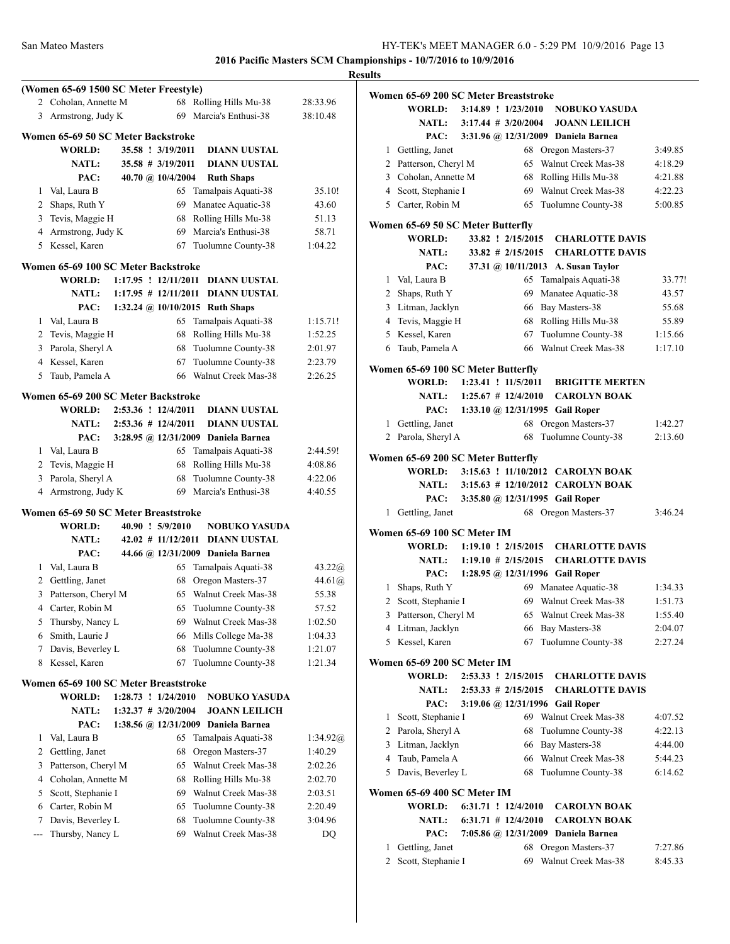**Results (Women 65-69 1500 SC Meter Freestyle)** 2 Coholan, Annette M 68 Rolling Hills Mu-38 28:33.96 3 Armstrong, Judy K 69 Marcia's Enthusi-38 38:10.48 **Women 65-69 50 SC Meter Backstroke WORLD: 35.58 ! 3/19/2011 DIANN UUSTAL NATL: 35.58 # 3/19/2011 DIANN UUSTAL PAC: 40.70 @ 10/4/2004 Ruth Shaps** 1 Val, Laura B 65 Tamalpais Aquati-38 35.10! 2 Shaps, Ruth Y 69 Manatee Aquatic-38 43.60 3 Tevis, Maggie H 68 Rolling Hills Mu-38 51.13 4 Armstrong, Judy K 69 Marcia's Enthusi-38 58.71 5 Kessel, Karen 67 Tuolumne County-38 1:04.22 **Women 65-69 100 SC Meter Backstroke WORLD: 1:17.95 ! 12/11/2011 DIANN UUSTAL NATL: 1:17.95 # 12/11/2011 DIANN UUSTAL PAC: 1:32.24 @ 10/10/2015 Ruth Shaps** 1 Val, Laura B 65 Tamalpais Aquati-38 1:15.71! 2 Tevis, Maggie H 68 Rolling Hills Mu-38 1:52.25 3 Parola, Sheryl A 68 Tuolumne County-38 2:01.97 4 Kessel, Karen 67 Tuolumne County-38 2:23.79 5 Taub, Pamela A 66 Walnut Creek Mas-38 2:26.25 **Women 65-69 200 SC Meter Backstroke WORLD: 2:53.36 ! 12/4/2011 DIANN UUSTAL NATL: 2:53.36 # 12/4/2011 DIANN UUSTAL PAC: 3:28.95 @ 12/31/2009 Daniela Barnea** 1 Val, Laura B 65 Tamalpais Aquati-38 2:44.59! 2 Tevis, Maggie H 68 Rolling Hills Mu-38 4:08.86 3 Parola, Sheryl A 68 Tuolumne County-38 4:22.06 4 Armstrong, Judy K 69 Marcia's Enthusi-38 4:40.55 **Women 65-69 50 SC Meter Breaststroke WORLD: 40.90 ! 5/9/2010 NOBUKO YASUDA NATL: 42.02 # 11/12/2011 DIANN UUSTAL PAC: 44.66 @ 12/31/2009 Daniela Barnea** 1 Val, Laura B 65 Tamalpais Aquati-38 43.22 $\omega$ 2 Gettling, Janet 68 Oregon Masters-37 44.61@ 3 Patterson, Cheryl M 65 Walnut Creek Mas-38 55.38 4 Carter, Robin M 65 Tuolumne County-38 57.52 5 Thursby, Nancy L 69 Walnut Creek Mas-38 1:02.50 6 Smith, Laurie J 66 Mills College Ma-38 1:04.33 7 Davis, Beverley L 68 Tuolumne County-38 1:21.07 8 Kessel, Karen 67 Tuolumne County-38 1:21.34 **Women 65-69 100 SC Meter Breaststroke WORLD: 1:28.73 ! 1/24/2010 NOBUKO YASUDA NATL: 1:32.37 # 3/20/2004 JOANN LEILICH PAC: 1:38.56 @ 12/31/2009 Daniela Barnea** 1 Val, Laura B 65 Tamalpais Aquati-38 1:34.92@ 2 Gettling, Janet 68 Oregon Masters-37 1:40.29 3 Patterson, Cheryl M 65 Walnut Creek Mas-38 2:02.26 4 Coholan, Annette M 68 Rolling Hills Mu-38 2:02.70 5 Scott, Stephanie I 69 Walnut Creek Mas-38 2:03.51 6 Carter, Robin M 65 Tuolumne County-38 2:20.49 7 Davis, Beverley L 68 Tuolumne County-38 3:04.96 --- Thursby, Nancy L 69 Walnut Creek Mas-38 DQ

|              | Women 65-69 200 SC Meter Breaststroke<br><b>WORLD:</b> | 3:14.89 ! 1/23/2010 |                         | <b>NOBUKO YASUDA</b>                |         |
|--------------|--------------------------------------------------------|---------------------|-------------------------|-------------------------------------|---------|
|              | <b>NATL:</b>                                           |                     | $3:17.44$ # $3/20/2004$ | <b>JOANN LEILICH</b>                |         |
|              | PAC:                                                   |                     |                         | 3:31.96 @ 12/31/2009 Daniela Barnea |         |
|              | 1 Gettling, Janet                                      |                     | 68                      | Oregon Masters-37                   | 3:49.85 |
|              | 2 Patterson, Cheryl M                                  |                     | 65                      | Walnut Creek Mas-38                 | 4:18.29 |
|              | 3 Coholan, Annette M                                   |                     | 68                      | Rolling Hills Mu-38                 | 4:21.88 |
|              | 4 Scott, Stephanie I                                   |                     | 69                      | Walnut Creek Mas-38                 | 4:22.23 |
| 5            | Carter, Robin M                                        |                     | 65                      | Tuolumne County-38                  | 5:00.85 |
|              | Women 65-69 50 SC Meter Butterfly                      |                     |                         |                                     |         |
|              | <b>WORLD:</b>                                          |                     | 33.82 ! 2/15/2015       | <b>CHARLOTTE DAVIS</b>              |         |
|              | <b>NATL:</b>                                           |                     | $33.82$ # 2/15/2015     | <b>CHARLOTTE DAVIS</b>              |         |
|              | PAC:                                                   |                     |                         | 37.31 @ 10/11/2013 A. Susan Taylor  |         |
|              | 1 Val, Laura B                                         |                     | 65                      | Tamalpais Aquati-38                 | 33.77!  |
|              | 2 Shaps, Ruth Y                                        |                     |                         | 69 Manatee Aquatic-38               | 43.57   |
|              | 3 Litman, Jacklyn                                      |                     |                         | 66 Bay Masters-38                   | 55.68   |
|              | 4 Tevis, Maggie H                                      |                     |                         | 68 Rolling Hills Mu-38              | 55.89   |
|              | 5 Kessel, Karen                                        |                     | 67                      | Tuolumne County-38                  | 1:15.66 |
| 6            | Taub, Pamela A                                         |                     | 66                      | Walnut Creek Mas-38                 | 1:17.10 |
|              |                                                        |                     |                         |                                     |         |
|              | Women 65-69 100 SC Meter Butterfly                     |                     |                         |                                     |         |
|              | WORLD:                                                 |                     | 1:23.41 ! 11/5/2011     | <b>BRIGITTE MERTEN</b>              |         |
|              | <b>NATL:</b>                                           |                     | $1:25.67$ # 12/4/2010   | <b>CAROLYN BOAK</b>                 |         |
|              | PAC:                                                   |                     |                         | 1:33.10 @ 12/31/1995 Gail Roper     |         |
| 1            | Gettling, Janet                                        |                     | 68                      | Oregon Masters-37                   | 1:42.27 |
| 2            | Parola, Sheryl A                                       |                     | 68                      | Tuolumne County-38                  | 2:13.60 |
|              | Women 65-69 200 SC Meter Butterfly                     |                     |                         |                                     |         |
|              | <b>WORLD:</b>                                          |                     |                         | 3:15.63 ! 11/10/2012 CAROLYN BOAK   |         |
|              | <b>NATL:</b>                                           |                     |                         | 3:15.63 # 12/10/2012 CAROLYN BOAK   |         |
|              | PAC:                                                   |                     |                         | 3:35.80 @ 12/31/1995 Gail Roper     |         |
| 1            | Gettling, Janet                                        |                     |                         | 68 Oregon Masters-37                | 3:46.24 |
|              |                                                        |                     |                         |                                     |         |
|              | Women 65-69 100 SC Meter IM                            |                     |                         |                                     |         |
|              | WORLD:                                                 |                     | $1:19.10$ ! $2/15/2015$ | <b>CHARLOTTE DAVIS</b>              |         |
|              | <b>NATL:</b>                                           |                     | $1:19.10 \# 2/15/2015$  | <b>CHARLOTTE DAVIS</b>              |         |
|              | PAC:                                                   |                     |                         | 1:28.95 @ 12/31/1996 Gail Roper     |         |
| $\mathbf{1}$ | Shaps, Ruth Y                                          |                     |                         | 69 Manatee Aquatic-38               | 1:34.33 |
|              | 2 Scott, Stephanie I                                   |                     |                         | 69 Walnut Creek Mas-38              | 1:51.73 |
|              | 3 Patterson, Cheryl M                                  |                     |                         | 65 Walnut Creek Mas-38              | 1:55.40 |
|              | 4 Litman, Jacklyn                                      |                     | 66                      | Bay Masters-38                      | 2:04.07 |
|              | 5 Kessel, Karen                                        |                     | 67                      | Tuolumne County-38                  | 2:27.24 |
|              | Women 65-69 200 SC Meter IM                            |                     |                         |                                     |         |
|              | <b>WORLD:</b>                                          |                     | 2:53.33 ! 2/15/2015     | <b>CHARLOTTE DAVIS</b>              |         |
|              | <b>NATL:</b>                                           |                     | $2:53.33 \# 2/15/2015$  | <b>CHARLOTTE DAVIS</b>              |         |
|              | PAC:                                                   |                     |                         | 3:19.06 @ 12/31/1996 Gail Roper     |         |
| 1            | Scott, Stephanie I                                     |                     |                         | 69 Walnut Creek Mas-38              | 4:07.52 |
|              | 2 Parola, Sheryl A                                     |                     | 68                      | Tuolumne County-38                  | 4:22.13 |
|              | 3 Litman, Jacklyn                                      |                     |                         | 66 Bay Masters-38                   | 4:44.00 |
|              | 4 Taub, Pamela A                                       |                     |                         | 66 Walnut Creek Mas-38              | 5:44.23 |
| 5            | Davis, Beverley L                                      |                     | 68                      | Tuolumne County-38                  | 6:14.62 |
|              |                                                        |                     |                         |                                     |         |
|              | Women 65-69 400 SC Meter IM                            |                     |                         |                                     |         |
|              | WORLD:                                                 |                     | 6:31.71 ! 12/4/2010     | <b>CAROLYN BOAK</b>                 |         |
|              | <b>NATL:</b>                                           |                     | $6:31.71$ # $12/4/2010$ | <b>CAROLYN BOAK</b>                 |         |
|              | PAC:                                                   |                     | 7:05.86 @ 12/31/2009    | Daniela Barnea                      |         |

| 1 Gettling, Janet    | 68 Oregon Masters-37   | 7:27.86 |
|----------------------|------------------------|---------|
| 2 Scott, Stephanie I | 69 Walnut Creek Mas-38 | 8:45.33 |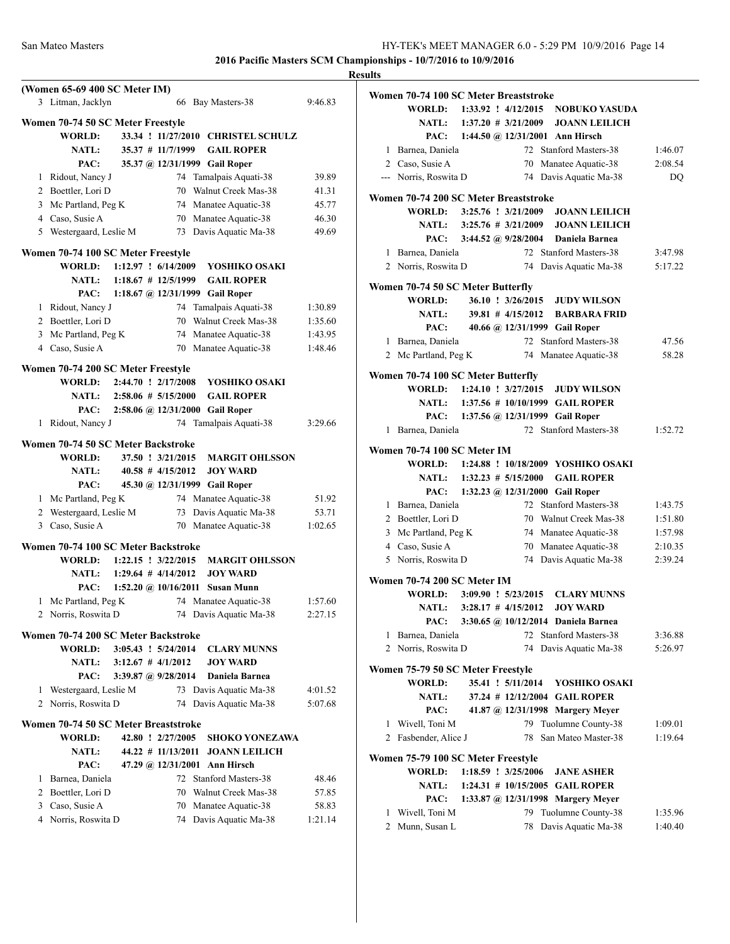|   | (Women 65-69 400 SC Meter IM)<br>3 Litman, Jacklyn |                               |                        | 66 Bay Masters-38                                | 9:46.83 |
|---|----------------------------------------------------|-------------------------------|------------------------|--------------------------------------------------|---------|
|   | Women 70-74 50 SC Meter Freestyle                  |                               |                        |                                                  |         |
|   | <b>WORLD:</b>                                      |                               |                        | 33.34 ! 11/27/2010 CHRISTEL SCHULZ               |         |
|   | <b>NATL:</b>                                       |                               | 35.37 # 11/7/1999      | <b>GAIL ROPER</b>                                |         |
|   | PAC:                                               |                               |                        | 35.37 @ 12/31/1999 Gail Roper                    |         |
|   | 1 Ridout, Nancy J                                  |                               | 74                     | Tamalpais Aquati-38                              | 39.89   |
|   | 2 Boettler, Lori D                                 |                               |                        | 70 Walnut Creek Mas-38                           | 41.31   |
|   | 3 Mc Partland, Peg K                               |                               |                        | 74 Manatee Aquatic-38                            | 45.77   |
|   | 4 Caso, Susie A                                    |                               |                        | 70 Manatee Aquatic-38                            | 46.30   |
|   | 5 Westergaard, Leslie M                            |                               |                        | 73 Davis Aquatic Ma-38                           | 49.69   |
|   |                                                    |                               |                        |                                                  |         |
|   | Women 70-74 100 SC Meter Freestyle                 |                               |                        |                                                  |         |
|   | <b>WORLD:</b>                                      |                               | 1:12.97 ! 6/14/2009    | YOSHIKO OSAKI                                    |         |
|   | NATL:                                              |                               | $1:18.67$ # 12/5/1999  | <b>GAIL ROPER</b>                                |         |
|   | PAC:                                               |                               |                        | 1:18.67 @ 12/31/1999 Gail Roper                  |         |
|   | 1 Ridout, Nancy J                                  |                               |                        | 74 Tamalpais Aquati-38<br>70 Walnut Creek Mas-38 | 1:30.89 |
|   | 2 Boettler, Lori D                                 |                               |                        |                                                  | 1:35.60 |
|   | 3 Mc Partland, Peg K                               |                               |                        | 74 Manatee Aquatic-38                            | 1:43.95 |
|   | 4 Caso, Susie A                                    |                               |                        | 70 Manatee Aquatic-38                            | 1:48.46 |
|   | Women 70-74 200 SC Meter Freestyle                 |                               |                        |                                                  |         |
|   | <b>WORLD:</b>                                      | 2:44.70 ! 2/17/2008           |                        | YOSHIKO OSAKI                                    |         |
|   | NATL:                                              | $2:58.06 \# 5/15/2000$        |                        | <b>GAIL ROPER</b>                                |         |
|   | PAC:                                               |                               |                        | 2:58.06 @ 12/31/2000 Gail Roper                  |         |
| 1 | Ridout, Nancy J                                    |                               | 74                     | Tamalpais Aquati-38                              | 3:29.66 |
|   | Women 70-74 50 SC Meter Backstroke                 |                               |                        |                                                  |         |
|   | <b>WORLD:</b>                                      |                               | 37.50 ! 3/21/2015      | <b>MARGIT OHLSSON</b>                            |         |
|   | <b>NATL:</b>                                       |                               | $40.58$ # $4/15/2012$  | <b>JOY WARD</b>                                  |         |
|   | PAC:                                               |                               |                        | 45.30 @ 12/31/1999 Gail Roper                    |         |
|   | 1 Mc Partland, Peg K                               |                               |                        | 74 Manatee Aquatic-38                            | 51.92   |
|   | 2 Westergaard, Leslie M                            |                               |                        | 73 Davis Aquatic Ma-38                           | 53.71   |
|   | 3 Caso, Susie A                                    |                               |                        | 70 Manatee Aquatic-38                            | 1:02.65 |
|   | Women 70-74 100 SC Meter Backstroke                |                               |                        |                                                  |         |
|   | WORLD: 1:22.15 ! 3/22/2015                         |                               |                        | <b>MARGIT OHLSSON</b>                            |         |
|   | NATL: $1:29.64 \# 4/14/2012$                       |                               |                        | <b>JOY WARD</b>                                  |         |
|   | PAC:                                               |                               | 1:52.20 @ $10/16/2011$ | <b>Susan Munn</b>                                |         |
| 1 | Mc Partland, Peg K                                 |                               | 74                     | Manatee Aquatic-38                               | 1:57.60 |
|   | 2 Norris, Roswita D                                |                               |                        | 74 Davis Aquatic Ma-38                           | 2:27.15 |
|   |                                                    |                               |                        |                                                  |         |
|   | Women 70-74 200 SC Meter Backstroke                |                               |                        |                                                  |         |
|   | <b>WORLD:</b>                                      | $3:05.43$ $\cdot$ $5/24/2014$ |                        | <b>CLARY MUNNS</b>                               |         |
|   | <b>NATL:</b>                                       | $3:12.67$ # $4/1/2012$        |                        | <b>JOY WARD</b>                                  |         |
|   | PAC:                                               |                               | 3:39.87 @ $9/28/2014$  | Daniela Barnea                                   |         |
|   | 1 Westergaard, Leslie M                            |                               | 73                     | Davis Aquatic Ma-38                              | 4:01.52 |
|   | 2 Norris, Roswita D                                |                               | 74                     | Davis Aquatic Ma-38                              | 5:07.68 |
|   | Women 70-74 50 SC Meter Breaststroke               |                               |                        |                                                  |         |
|   | <b>WORLD:</b>                                      |                               | 42.80 ! 2/27/2005      | SHOKO YONEZAWA                                   |         |
|   | <b>NATL:</b>                                       |                               | $44.22$ # 11/13/2011   | <b>JOANN LEILICH</b>                             |         |
|   | PAC:                                               |                               | 47.29 @ 12/31/2001     | Ann Hirsch                                       |         |
|   | 1 Barnea, Daniela                                  |                               |                        | 72 Stanford Masters-38                           | 48.46   |
|   | 2 Boettler, Lori D                                 |                               |                        | 70 Walnut Creek Mas-38                           | 57.85   |
|   | 3 Caso, Susie A                                    |                               |                        | 70 Manatee Aquatic-38                            | 58.83   |
|   | 4 Norris, Roswita D                                |                               |                        | 74 Davis Aquatic Ma-38                           | 1:21.14 |
|   |                                                    |                               |                        |                                                  |         |

| <b>Results</b>                                                      |                                    |
|---------------------------------------------------------------------|------------------------------------|
| Women 70-74 100 SC Meter Breaststroke                               |                                    |
| WORLD: 1:33.92 ! 4/12/2015 NOBUKO YASUDA                            |                                    |
| NATL: 1:37.20 # 3/21/2009 JOANN LEILICH                             |                                    |
| PAC: 1:44.50 @ 12/31/2001 Ann Hirsch                                |                                    |
| 1 Barnea, Daniela                                                   | 72 Stanford Masters-38<br>1:46.07  |
| 2 Caso, Susie A                                                     | 70 Manatee Aquatic-38<br>2:08.54   |
| --- Norris, Roswita D                                               | 74 Davis Aquatic Ma-38<br>DQ       |
| Women 70-74 200 SC Meter Breaststroke                               |                                    |
| WORLD: 3:25.76 ! 3/21/2009 JOANN LEILICH                            |                                    |
| NATL: 3:25.76 # 3/21/2009 JOANN LEILICH                             |                                    |
| PAC: 3:44.52 @ 9/28/2004 Daniela Barnea                             |                                    |
| 1 Barnea, Daniela                                                   | 72 Stanford Masters-38<br>3:47.98  |
| 2 Norris, Roswita D                                                 | 74 Davis Aquatic Ma-38<br>5:17.22  |
|                                                                     |                                    |
| Women 70-74 50 SC Meter Butterfly                                   |                                    |
| <b>WORLD:</b>                                                       | 36.10 ! 3/26/2015 JUDY WILSON      |
| <b>NATL:</b>                                                        | 39.81 # 4/15/2012 BARBARA FRID     |
| PAC: 40.66 @ 12/31/1999 Gail Roper                                  |                                    |
| 1 Barnea, Daniela                                                   | 72 Stanford Masters-38<br>47.56    |
| 2 Mc Partland, Peg K                                                | 74 Manatee Aquatic-38<br>58.28     |
| Women 70-74 100 SC Meter Butterfly                                  |                                    |
| WORLD: 1:24.10 ! 3/27/2015 JUDY WILSON                              |                                    |
| $1:37.56$ # 10/10/1999 GAIL ROPER<br><b>NATL:</b>                   |                                    |
| PAC: 1:37.56 @ 12/31/1999 Gail Roper                                |                                    |
| 1 Barnea, Daniela                                                   | 72 Stanford Masters-38<br>1:52.72  |
| NATL: 1:32.23 # 5/15/2000<br>PAC: 1:32.23 @ 12/31/2000 Gail Roper   | <b>GAIL ROPER</b>                  |
| 1 Barnea, Daniela                                                   | 72 Stanford Masters-38<br>1:43.75  |
| 2 Boettler, Lori D                                                  | 70 Walnut Creek Mas-38<br>1:51.80  |
| 3 Mc Partland, Peg K                                                | 74 Manatee Aquatic-38<br>1:57.98   |
| 4 Caso, Susie A                                                     | 70 Manatee Aquatic-38<br>2:10.35   |
| 5 Norris, Roswita D                                                 | 74 Davis Aquatic Ma-38<br>2:39.24  |
| <b>Women 70-74 200 SC Meter IM</b>                                  |                                    |
| $3:09.90$ ! $5/23/2015$<br><b>WORLD:</b>                            | <b>CLARY MUNNS</b>                 |
| <b>NATL:</b><br>$3:28.17$ # $4/15/2012$                             | <b>JOY WARD</b>                    |
| 3:30.65 @ 10/12/2014 Daniela Barnea<br>PAC:                         |                                    |
| 1 Barnea, Daniela                                                   | 72 Stanford Masters-38<br>3:36.88  |
| 2 Norris, Roswita D<br>74                                           | Davis Aquatic Ma-38<br>5:26.97     |
| Women 75-79 50 SC Meter Freestyle                                   |                                    |
| <b>WORLD:</b><br>35.41 ! 5/11/2014                                  | YOSHIKO OSAKI                      |
| <b>NATL:</b>                                                        | 37.24 # 12/12/2004 GAIL ROPER      |
| PAC:                                                                | 41.87 @ 12/31/1998 Margery Meyer   |
| 1 Wivell, Toni M<br>79                                              | Tuolumne County-38<br>1:09.01      |
| 2 Fasbender, Alice J<br>78                                          | San Mateo Master-38<br>1:19.64     |
|                                                                     |                                    |
| Women 75-79 100 SC Meter Freestyle<br>WORLD:<br>1:18.59 ! 3/25/2006 | <b>JANE ASHER</b>                  |
| <b>NATL:</b><br>1:24.31 # 10/15/2005 GAIL ROPER                     |                                    |
| PAC:                                                                | 1:33.87 @ 12/31/1998 Margery Meyer |
| 1 Wivell, Toni M<br>79                                              | Tuolumne County-38<br>1:35.96      |
| 2 Munn, Susan L<br>78                                               | Davis Aquatic Ma-38<br>1:40.40     |
|                                                                     |                                    |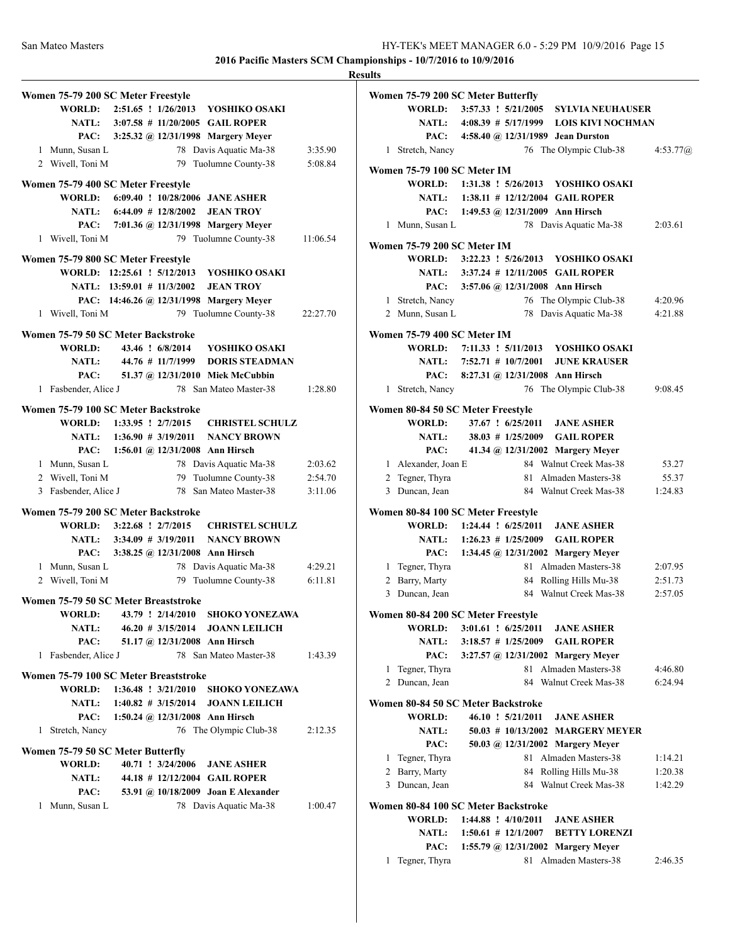**Results Women 75-79 200 SC Meter Freestyle WORLD: 2:51.65 ! 1/26/2013 YOSHIKO OSAKI NATL: 3:07.58 # 11/20/2005 GAIL ROPER PAC: 3:25.32 @ 12/31/1998 Margery Meyer** 1 Munn, Susan L 78 Davis Aquatic Ma-38 3:35.90 2 Wivell, Toni M 79 Tuolumne County-38 5:08.84 **Women 75-79 400 SC Meter Freestyle WORLD: 6:09.40 ! 10/28/2006 JANE ASHER NATL: 6:44.09 # 12/8/2002 JEAN TROY PAC: 7:01.36 @ 12/31/1998 Margery Meyer** 1 Wivell, Toni M 79 Tuolumne County-38 11:06.54 **Women 75-79 800 SC Meter Freestyle WORLD: 12:25.61 ! 5/12/2013 YOSHIKO OSAKI NATL: 13:59.01 # 11/3/2002 JEAN TROY PAC: 14:46.26 @ 12/31/1998 Margery Meyer** 1 Wivell, Toni M 79 Tuolumne County-38 22:27.70 **Women 75-79 50 SC Meter Backstroke WORLD: 43.46 ! 6/8/2014 YOSHIKO OSAKI NATL: 44.76 # 11/7/1999 DORIS STEADMAN PAC: 51.37 @ 12/31/2010 Miek McCubbin** 1 Fasbender, Alice J 78 San Mateo Master-38 1:28.80 **Women 75-79 100 SC Meter Backstroke WORLD: 1:33.95 ! 2/7/2015 CHRISTEL SCHULZ NATL: 1:36.90 # 3/19/2011 NANCY BROWN PAC: 1:56.01 @ 12/31/2008 Ann Hirsch** 1 Munn, Susan L 78 Davis Aquatic Ma-38 2:03.62 2 Wivell, Toni M 79 Tuolumne County-38 2:54.70 3 Fasbender, Alice J 78 San Mateo Master-38 3:11.06 **Women 75-79 200 SC Meter Backstroke WORLD: 3:22.68 ! 2/7/2015 CHRISTEL SCHULZ NATL: 3:34.09 # 3/19/2011 NANCY BROWN PAC: 3:38.25 @ 12/31/2008 Ann Hirsch** 1 Munn, Susan L 78 Davis Aquatic Ma-38 4:29.21 2 Wivell, Toni M 79 Tuolumne County-38 6:11.81 **Women 75-79 50 SC Meter Breaststroke WORLD: 43.79 ! 2/14/2010 SHOKO YONEZAWA NATL: 46.20 # 3/15/2014 JOANN LEILICH PAC: 51.17 @ 12/31/2008 Ann Hirsch** 1 Fasbender, Alice J 78 San Mateo Master-38 1:43.39 **Women 75-79 100 SC Meter Breaststroke WORLD: 1:36.48 ! 3/21/2010 SHOKO YONEZAWA NATL: 1:40.82 # 3/15/2014 JOANN LEILICH PAC: 1:50.24 @ 12/31/2008 Ann Hirsch** 1 Stretch, Nancy 76 The Olympic Club-38 2:12.35 **Women 75-79 50 SC Meter Butterfly WORLD: 40.71 ! 3/24/2006 JANE ASHER NATL: 44.18 # 12/12/2004 GAIL ROPER PAC: 53.91 @ 10/18/2009 Joan E Alexander** 1 Munn, Susan L 78 Davis Aquatic Ma-38 1:00.47

|              | Women 75-79 200 SC Meter Butterfly                  |                           |                   |                                                                            |            |
|--------------|-----------------------------------------------------|---------------------------|-------------------|----------------------------------------------------------------------------|------------|
|              | <b>WORLD:</b>                                       |                           |                   | 3:57.33 ! 5/21/2005 SYLVIA NEUHAUSER                                       |            |
|              |                                                     |                           |                   | NATL: 4:08.39 # 5/17/1999 LOIS KIVI NOCHMAN                                |            |
|              |                                                     |                           |                   | PAC: 4:58.40 @ 12/31/1989 Jean Durston                                     |            |
| $\mathbf{1}$ | Stretch, Nancy                                      |                           |                   | 76 The Olympic Club-38                                                     | 4:53.77(a) |
|              |                                                     |                           |                   |                                                                            |            |
|              | <b>Women 75-79 100 SC Meter IM</b>                  |                           |                   | WORLD: 1:31.38 ! 5/26/2013 YOSHIKO OSAKI                                   |            |
|              |                                                     |                           |                   | NATL: 1:38.11 # 12/12/2004 GAIL ROPER                                      |            |
|              |                                                     |                           |                   | PAC: 1:49.53 @ 12/31/2009 Ann Hirsch                                       |            |
| 1            | Munn, Susan L                                       |                           |                   | 78 Davis Aquatic Ma-38                                                     | 2:03.61    |
|              |                                                     |                           |                   |                                                                            |            |
|              | Women 75-79 200 SC Meter IM                         |                           |                   | WORLD: 3:22.23 ! 5/26/2013 YOSHIKO OSAKI                                   |            |
|              |                                                     |                           |                   | NATL: 3:37.24 # 12/11/2005 GAIL ROPER                                      |            |
|              | PAC:                                                |                           |                   | 3:57.06 @ 12/31/2008 Ann Hirsch                                            |            |
|              |                                                     |                           |                   |                                                                            |            |
| 1            | Stretch, Nancy                                      |                           | 76                | The Olympic Club-38                                                        | 4:20.96    |
|              | 2 Munn, Susan L                                     |                           | 78                | Davis Aquatic Ma-38                                                        | 4:21.88    |
|              | Women 75-79 400 SC Meter IM                         |                           |                   |                                                                            |            |
|              |                                                     |                           |                   | WORLD: 7:11.33 ! 5/11/2013 YOSHIKO OSAKI                                   |            |
|              |                                                     | NATL: 7:52.71 # 10/7/2001 |                   | <b>JUNE KRAUSER</b>                                                        |            |
|              |                                                     |                           |                   | PAC: 8:27.31 @ 12/31/2008 Ann Hirsch                                       |            |
| 1            | Stretch, Nancy                                      |                           | 76                | The Olympic Club-38                                                        | 9:08.45    |
|              | Women 80-84 50 SC Meter Freestyle                   |                           |                   |                                                                            |            |
|              | WORLD:                                              |                           | 37.67 ! 6/25/2011 | <b>JANE ASHER</b>                                                          |            |
|              |                                                     |                           |                   | NATL: 38.03 # 1/25/2009 GAIL ROPER                                         |            |
|              | PAC:                                                |                           |                   | 41.34 @ 12/31/2002 Margery Meyer                                           |            |
|              | 1 Alexander, Joan E                                 |                           |                   | 84 Walnut Creek Mas-38                                                     | 53.27      |
| 2            | Tegner, Thyra                                       |                           | 81                | Almaden Masters-38                                                         | 55.37      |
|              | 3 Duncan, Jean                                      |                           |                   | 84 Walnut Creek Mas-38                                                     | 1:24.83    |
|              |                                                     |                           |                   |                                                                            |            |
|              | Women 80-84 100 SC Meter Freestyle<br><b>WORLD:</b> | $1:24.44$ : $6/25/2011$   |                   |                                                                            |            |
|              |                                                     |                           |                   | <b>JANE ASHER</b>                                                          |            |
|              | PAC:                                                |                           |                   | NATL: 1:26.23 # 1/25/2009 GAIL ROPER<br>1:34.45 @ 12/31/2002 Margery Meyer |            |
|              |                                                     |                           |                   | 81 Almaden Masters-38                                                      |            |
|              | 1 Tegner, Thyra<br>2 Barry, Marty                   |                           |                   |                                                                            | 2:07.95    |
| $\mathbf{3}$ |                                                     |                           |                   | 84 Rolling Hills Mu-38<br>84 Walnut Creek Mas-38                           | 2:51.73    |
|              | Duncan, Jean                                        |                           |                   |                                                                            | 2:57.05    |
|              | Women 80-84 200 SC Meter Freestyle                  |                           |                   |                                                                            |            |
|              | <b>WORLD:</b>                                       | $3:01.61$ : $6/25/2011$   |                   | <b>JANE ASHER</b>                                                          |            |
|              | <b>NATL:</b>                                        |                           |                   | 3:18.57 # 1/25/2009 GAIL ROPER                                             |            |
|              | PAC:                                                |                           |                   | 3:27.57 @ 12/31/2002 Margery Meyer                                         |            |
| 1            | Tegner, Thyra                                       |                           | 81                | Almaden Masters-38                                                         | 4:46.80    |
| 2            | Duncan, Jean                                        |                           | 84                | Walnut Creek Mas-38                                                        | 6:24.94    |
|              | Women 80-84 50 SC Meter Backstroke                  |                           |                   |                                                                            |            |
|              | WORLD:                                              |                           | 46.10 : 5/21/2011 | <b>JANE ASHER</b>                                                          |            |
|              | <b>NATL:</b>                                        |                           |                   | 50.03 # 10/13/2002 MARGERY MEYER                                           |            |
|              | PAC:                                                |                           |                   | 50.03 @ 12/31/2002 Margery Meyer                                           |            |
| 1            | Tegner, Thyra                                       |                           |                   | 81 Almaden Masters-38                                                      | 1:14.21    |
| 2            | Barry, Marty                                        |                           | 84                | Rolling Hills Mu-38                                                        | 1:20.38    |
|              | 3 Duncan, Jean                                      |                           |                   | 84 Walnut Creek Mas-38                                                     | 1:42.29    |
|              | Women 80-84 100 SC Meter Backstroke                 |                           |                   |                                                                            |            |
|              | <b>WORLD:</b>                                       | $1:44.88$ : $4/10/2011$   |                   | <b>JANE ASHER</b>                                                          |            |
|              | <b>NATL:</b>                                        |                           |                   | $1:50.61$ # $12/1/2007$ BETTY LORENZI                                      |            |
|              | PAC:                                                |                           |                   | 1:55.79 @ 12/31/2002 Margery Meyer                                         |            |
|              | 1 Tegner, Thyra                                     |                           |                   | 81 Almaden Masters-38                                                      | 2:46.35    |
|              |                                                     |                           |                   |                                                                            |            |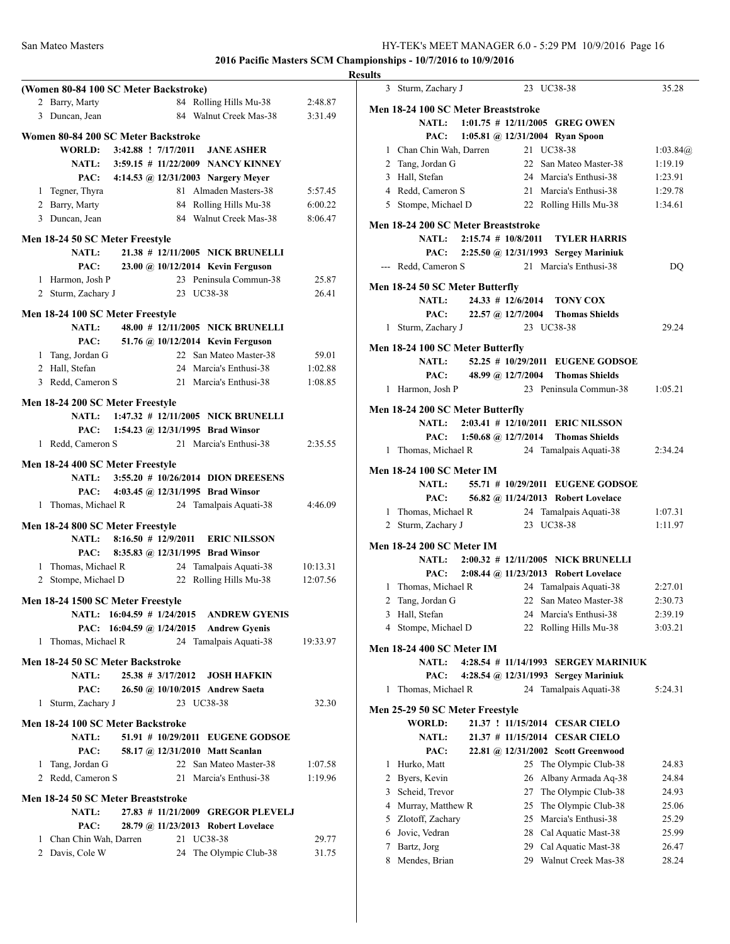| (Women 80-84 100 SC Meter Backstroke)                                             |          |
|-----------------------------------------------------------------------------------|----------|
| 84 Rolling Hills Mu-38<br>2 Barry, Marty                                          | 2:48.87  |
| 3 Duncan, Jean<br>84 Walnut Creek Mas-38                                          | 3:31.49  |
| Women 80-84 200 SC Meter Backstroke                                               |          |
| WORLD: 3:42.88 ! 7/17/2011<br><b>JANE ASHER</b>                                   |          |
| NATL: 3:59.15 # 11/22/2009 NANCY KINNEY                                           |          |
| PAC: 4:14.53 @ 12/31/2003 Nargery Meyer                                           |          |
| 81 Almaden Masters-38<br>1 Tegner, Thyra                                          | 5:57.45  |
| 2 Barry, Marty<br>84 Rolling Hills Mu-38                                          | 6:00.22  |
| 84 Walnut Creek Mas-38<br>3 Duncan, Jean                                          | 8:06.47  |
| Men 18-24 50 SC Meter Freestyle                                                   |          |
| 21.38 # 12/11/2005 NICK BRUNELLI<br><b>NATL:</b>                                  |          |
| PAC:<br>23.00 @ 10/12/2014 Kevin Ferguson                                         |          |
| 1 Harmon, Josh P<br>23 Peninsula Commun-38                                        | 25.87    |
| 23 UC38-38<br>2 Sturm, Zachary J                                                  | 26.41    |
|                                                                                   |          |
| Men 18-24 100 SC Meter Freestyle                                                  |          |
| 48.00 # 12/11/2005 NICK BRUNELLI<br><b>NATL:</b>                                  |          |
| PAC:<br>51.76 @ 10/12/2014 Kevin Ferguson                                         |          |
| 22 San Mateo Master-38<br>1 Tang, Jordan G<br>24 Marcia's Enthusi-38              | 59.01    |
| 2 Hall, Stefan<br>21 Marcia's Enthusi-38                                          | 1:02.88  |
| 3 Redd, Cameron S                                                                 | 1:08.85  |
| Men 18-24 200 SC Meter Freestyle                                                  |          |
| 1:47.32 # 12/11/2005 NICK BRUNELLI<br>NATL:                                       |          |
| 1:54.23 @ 12/31/1995 Brad Winsor<br>PAC:                                          |          |
| 21 Marcia's Enthusi-38<br>1 Redd, Cameron S                                       | 2:35.55  |
| Men 18-24 400 SC Meter Freestyle                                                  |          |
| 3:55.20 # 10/26/2014 DION DREESENS<br><b>NATL:</b>                                |          |
| PAC: 4:03.45 @ 12/31/1995 Brad Winsor                                             |          |
| 1 Thomas, Michael R<br>24 Tamalpais Aquati-38                                     | 4:46.09  |
|                                                                                   |          |
| Men 18-24 800 SC Meter Freestyle                                                  |          |
| <b>NATL:</b><br>8:16.50 # 12/9/2011 ERIC NILSSON                                  |          |
| 8:35.83 @ 12/31/1995 Brad Winsor<br>PAC:                                          |          |
| 1 Thomas, Michael R<br>24 Tamalpais Aquati-38                                     | 10:13.31 |
| 22<br>Rolling Hills Mu-38<br>2 Stompe, Michael D                                  | 12:07.56 |
| Men 18-24 1500 SC Meter Freestyle                                                 |          |
| NATL: 16:04.59 # 1/24/2015 ANDREW GYENIS                                          |          |
| PAC: 16:04.59 @ 1/24/2015 Andrew Gyenis                                           |          |
| 1 Thomas, Michael R<br>24 Tamalpais Aquati-38                                     | 19:33.97 |
|                                                                                   |          |
| Men 18-24 50 SC Meter Backstroke<br>25.38 # 3/17/2012 JOSH HAFKIN<br><b>NATL:</b> |          |
|                                                                                   |          |
| PAC:<br>26.50 @ 10/10/2015 Andrew Saeta<br>1 Sturm, Zachary J<br>23 UC38-38       | 32.30    |
|                                                                                   |          |
| Men 18-24 100 SC Meter Backstroke                                                 |          |
| 51.91 # 10/29/2011 EUGENE GODSOE<br><b>NATL:</b>                                  |          |
| PAC:<br>58.17 @ 12/31/2010 Matt Scanlan                                           |          |
| 1 Tang, Jordan G<br>22 San Mateo Master-38                                        | 1:07.58  |
| 21 Marcia's Enthusi-38<br>2 Redd, Cameron S                                       | 1:19.96  |
| Men 18-24 50 SC Meter Breaststroke                                                |          |
| 27.83 # 11/21/2009 GREGOR PLEVELJ<br><b>NATL:</b>                                 |          |
| PAC:<br>28.79 @ 11/23/2013 Robert Lovelace                                        |          |
| 1 Chan Chin Wah, Darren<br>21 UC38-38                                             | 29.77    |
| 2 Davis, Cole W<br>24<br>The Olympic Club-38                                      | 31.75    |
|                                                                                   |          |

| <b>Results</b>                                                      |          |
|---------------------------------------------------------------------|----------|
| 3 Sturm, Zachary J<br>23 UC38-38                                    | 35.28    |
| Men 18-24 100 SC Meter Breaststroke                                 |          |
| NATL: 1:01.75 # 12/11/2005 GREG OWEN                                |          |
| 1:05.81 @ $12/31/2004$ Ryan Spoon<br>PAC:                           |          |
| 21 UC38-38<br>1 Chan Chin Wah, Darren                               | 1:03.84@ |
| 22 San Mateo Master-38<br>2 Tang, Jordan G                          | 1:19.19  |
| 3 Hall, Stefan<br>24 Marcia's Enthusi-38                            | 1:23.91  |
| 4 Redd, Cameron S<br>21 Marcia's Enthusi-38                         | 1:29.78  |
| 5 Stompe, Michael D<br>22 Rolling Hills Mu-38                       | 1:34.61  |
|                                                                     |          |
| Men 18-24 200 SC Meter Breaststroke                                 |          |
| NATL: 2:15.74 # 10/8/2011 TYLER HARRIS                              |          |
| PAC: 2:25.50 @ 12/31/1993 Sergey Mariniuk<br>21 Marcia's Enthusi-38 |          |
| --- Redd, Cameron S                                                 | DO       |
| Men 18-24 50 SC Meter Butterfly                                     |          |
| NATL:<br>24.33 # 12/6/2014 TONY COX                                 |          |
| 22.57 @ 12/7/2004 Thomas Shields<br>PAC:                            |          |
| 23 UC38-38<br>1 Sturm, Zachary J                                    | 29.24    |
| Men 18-24 100 SC Meter Butterfly                                    |          |
| 52.25 # 10/29/2011 EUGENE GODSOE<br><b>NATL:</b>                    |          |
| 48.99 @ 12/7/2004 Thomas Shields<br>PAC:                            |          |
| 23 Peninsula Commun-38<br>1 Harmon, Josh P                          | 1:05.21  |
|                                                                     |          |
| Men 18-24 200 SC Meter Butterfly                                    |          |
| NATL: 2:03.41 # 12/10/2011 ERIC NILSSON                             |          |
| PAC: 1:50.68 @ 12/7/2014 Thomas Shields                             |          |
| 24 Tamalpais Aquati-38<br>1 Thomas, Michael R                       | 2:34.24  |
| <b>Men 18-24 100 SC Meter IM</b>                                    |          |
| NATL: 55.71 # 10/29/2011 EUGENE GODSOE                              |          |
| 56.82 @ 11/24/2013 Robert Lovelace<br>PAC:                          |          |
| 24 Tamalpais Aquati-38<br>1 Thomas, Michael R                       | 1:07.31  |
| 23 UC38-38<br>2 Sturm, Zachary J                                    | 1:11.97  |
|                                                                     |          |
| <b>Men 18-24 200 SC Meter IM</b>                                    |          |
| NATL: 2:00.32 # 12/11/2005 NICK BRUNELLI                            |          |
| 2:08.44 @ 11/23/2013 Robert Lovelace<br>PAC:                        |          |
| 24 Tamalpais Aquati-38<br>1 Thomas, Michael R                       | 2:27.01  |
| 2 Tang, Jordan G 22 San Mateo Master-38                             | 2:30.73  |
| 24 Marcia's Enthusi-38<br>3 Hall, Stefan                            | 2:39.19  |
| 4 Stompe, Michael D<br>22 Rolling Hills Mu-38                       | 3:03.21  |
| <b>Men 18-24 400 SC Meter IM</b>                                    |          |
| 4:28.54 # 11/14/1993 SERGEY MARINIUK<br><b>NATL:</b>                |          |
| PAC:<br>4:28.54 @ 12/31/1993 Sergey Mariniuk                        |          |
| Thomas, Michael R<br>24 Tamalpais Aquati-38<br>1                    | 5:24.31  |
| Men 25-29 50 SC Meter Freestyle                                     |          |
| <b>WORLD:</b><br>21.37 ! 11/15/2014 CESAR CIELO                     |          |
| 21.37 # 11/15/2014 CESAR CIELO<br><b>NATL:</b>                      |          |
| PAC:<br>22.81 @ 12/31/2002 Scott Greenwood                          |          |
| 1 Hurko, Matt<br>25<br>The Olympic Club-38                          | 24.83    |
| 2 Byers, Kevin<br>Albany Armada Aq-38<br>26                         | 24.84    |
| 3 Scheid, Trevor<br>The Olympic Club-38<br>27                       | 24.93    |
| 4 Murray, Matthew R<br>The Olympic Club-38<br>25                    | 25.06    |
| Marcia's Enthusi-38<br>5 Zlotoff, Zachary<br>25.                    | 25.29    |
| 6 Jovic, Vedran<br>28 Cal Aquatic Mast-38                           | 25.99    |
| Cal Aquatic Mast-38<br>7 Bartz, Jorg<br>29                          | 26.47    |
| 8 Mendes, Brian<br>29 Walnut Creek Mas-38                           | 28.24    |
|                                                                     |          |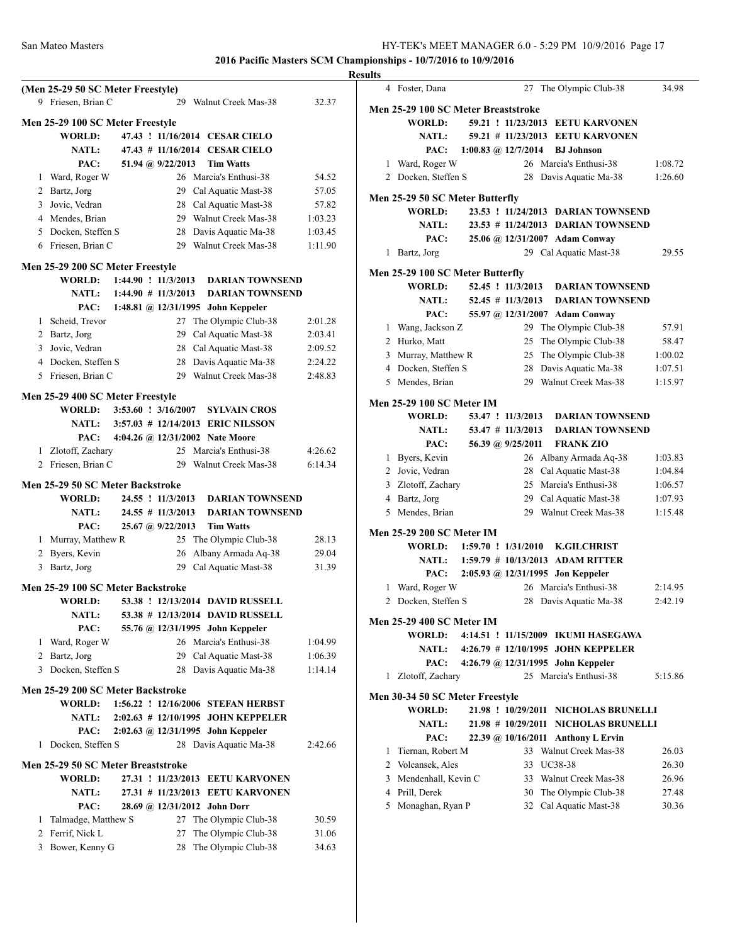| (Men 25-29 50 SC Meter Freestyle)<br>9 Friesen, Brian C<br>29 Walnut Creek Mas-38        | 32.37   |
|------------------------------------------------------------------------------------------|---------|
| Men 25-29 100 SC Meter Freestyle                                                         |         |
| 47.43 ! 11/16/2014 CESAR CIELO<br>WORLD:                                                 |         |
| NATL:<br>47.43 # 11/16/2014 CESAR CIELO                                                  |         |
| PAC:<br>51.94 @ 9/22/2013<br><b>Tim Watts</b>                                            |         |
| Ward, Roger W<br>26 Marcia's Enthusi-38<br>1                                             | 54.52   |
| 29 Cal Aquatic Mast-38<br>2 Bartz, Jorg                                                  | 57.05   |
| 3 Jovic, Vedran<br>28 Cal Aquatic Mast-38                                                | 57.82   |
| 4 Mendes, Brian<br>29 Walnut Creek Mas-38                                                | 1:03.23 |
| 5 Docken, Steffen S<br>28 Davis Aquatic Ma-38                                            | 1:03.45 |
| 29 Walnut Creek Mas-38<br>6 Friesen, Brian C                                             | 1:11.90 |
|                                                                                          |         |
| Men 25-29 200 SC Meter Freestyle<br>1:44.90 ! 11/3/2013 DARIAN TOWNSEND<br><b>WORLD:</b> |         |
| NATL: 1:44.90 # 11/3/2013<br><b>DARIAN TOWNSEND</b>                                      |         |
| PAC:<br>1:48.81 @ 12/31/1995 John Keppeler                                               |         |
| 1 Scheid, Trevor<br>The Olympic Club-38<br>27                                            | 2:01.28 |
| 2 Bartz, Jorg<br>Cal Aquatic Mast-38<br>29                                               | 2:03.41 |
| 3 Jovic, Vedran<br>28 Cal Aquatic Mast-38                                                | 2:09.52 |
| 4 Docken, Steffen S<br>Davis Aquatic Ma-38<br>28                                         | 2:24.22 |
| Walnut Creek Mas-38<br>5 Friesen, Brian C<br>29                                          | 2:48.83 |
|                                                                                          |         |
| Men 25-29 400 SC Meter Freestyle                                                         |         |
| $3:53.60$ : $3/16/2007$<br><b>WORLD:</b><br><b>SYLVAIN CROS</b>                          |         |
| NATL:<br>3:57.03 # 12/14/2013 ERIC NILSSON                                               |         |
| 4:04.26 @ 12/31/2002 Nate Moore<br>PAC:                                                  |         |
| 1 Zlotoff, Zachary<br>25 Marcia's Enthusi-38                                             | 4:26.62 |
| 2 Friesen, Brian C<br>29 Walnut Creek Mas-38                                             | 6:14.34 |
| Men 25-29 50 SC Meter Backstroke                                                         |         |
| 24.55 ! 11/3/2013<br><b>DARIAN TOWNSEND</b><br>WORLD:                                    |         |
| $24.55$ # 11/3/2013<br><b>DARIAN TOWNSEND</b><br><b>NATL:</b>                            |         |
| 25.67 @ 9/22/2013<br>PAC:<br><b>Tim Watts</b>                                            |         |
| 1 Murray, Matthew R<br>25 The Olympic Club-38                                            | 28.13   |
| 2 Byers, Kevin<br>Albany Armada Aq-38<br>26                                              | 29.04   |
| 29<br>Cal Aquatic Mast-38<br>3 Bartz, Jorg                                               | 31.39   |
| Men 25-29 100 SC Meter Backstroke                                                        |         |
| <b>WORLD:</b><br>53.38 ! 12/13/2014 DAVID RUSSELL                                        |         |
| NATL:<br>53.38 # 12/13/2014 DAVID RUSSELL                                                |         |
| PAC:<br>55.76 @ 12/31/1995 John Keppeler                                                 |         |
| 26 Marcia's Enthusi-38<br>1 Ward, Roger W                                                | 1:04.99 |
| 29 Cal Aquatic Mast-38<br>2 Bartz, Jorg                                                  | 1:06.39 |
| 3 Docken, Steffen S<br>Davis Aquatic Ma-38<br>28                                         | 1:14.14 |
|                                                                                          |         |
| Men 25-29 200 SC Meter Backstroke                                                        |         |
| 1:56.22 ! 12/16/2006 STEFAN HERBST<br><b>WORLD:</b>                                      |         |
| 2:02.63 # 12/10/1995 JOHN KEPPELER<br><b>NATL:</b>                                       |         |
| 2:02.63 @ 12/31/1995 John Keppeler<br>PAC:                                               |         |
| Docken, Steffen S<br>28 Davis Aquatic Ma-38<br>1                                         |         |
|                                                                                          | 2:42.66 |
| Men 25-29 50 SC Meter Breaststroke                                                       |         |
| 27.31 ! 11/23/2013 EETU KARVONEN<br><b>WORLD:</b>                                        |         |
| 27.31 # 11/23/2013 EETU KARVONEN<br><b>NATL:</b>                                         |         |
| PAC:<br>28.69 @ 12/31/2012 John Dorr                                                     |         |
| 1 Talmadge, Matthew S<br>27<br>The Olympic Club-38                                       | 30.59   |
| 2 Ferrif, Nick L<br>27<br>The Olympic Club-38                                            | 31.06   |
| 3 Bower, Kenny G<br>The Olympic Club-38<br>28                                            | 34.63   |

| <b>Results</b> |                                     |  |                     |                                          |                  |
|----------------|-------------------------------------|--|---------------------|------------------------------------------|------------------|
|                | 4 Foster, Dana                      |  |                     | 27 The Olympic Club-38                   | 34.98            |
|                | Men 25-29 100 SC Meter Breaststroke |  |                     |                                          |                  |
|                | <b>WORLD:</b>                       |  |                     | 59.21 ! 11/23/2013 EETU KARVONEN         |                  |
|                | <b>NATL:</b>                        |  |                     | 59.21 # 11/23/2013 EETU KARVONEN         |                  |
|                | PAC: 1:00.83 @ 12/7/2014            |  |                     | <b>BJ</b> Johnson                        |                  |
|                | 1 Ward, Roger W                     |  |                     | 26 Marcia's Enthusi-38                   | 1:08.72          |
|                | 2 Docken, Steffen S                 |  |                     | 28 Davis Aquatic Ma-38                   | 1:26.60          |
|                | Men 25-29 50 SC Meter Butterfly     |  |                     |                                          |                  |
|                | <b>WORLD:</b>                       |  |                     | 23.53 ! 11/24/2013 DARIAN TOWNSEND       |                  |
|                | <b>NATL:</b>                        |  |                     | 23.53 # 11/24/2013 DARIAN TOWNSEND       |                  |
|                | PAC:                                |  |                     | 25.06 @ 12/31/2007 Adam Conway           |                  |
|                | 1 Bartz, Jorg                       |  |                     | 29 Cal Aquatic Mast-38                   | 29.55            |
|                |                                     |  |                     |                                          |                  |
|                | Men 25-29 100 SC Meter Butterfly    |  |                     |                                          |                  |
|                | <b>WORLD:</b>                       |  | 52.45 ! 11/3/2013   | <b>DARIAN TOWNSEND</b>                   |                  |
|                | <b>NATL:</b>                        |  | $52.45$ # 11/3/2013 | <b>DARIAN TOWNSEND</b>                   |                  |
|                | PAC:                                |  |                     | 55.97 @ 12/31/2007 Adam Conway           |                  |
|                | 1 Wang, Jackson Z                   |  |                     | 29 The Olympic Club-38                   | 57.91            |
|                | 2 Hurko, Matt                       |  |                     | 25 The Olympic Club-38                   | 58.47<br>1:00.02 |
|                | 3 Murray, Matthew R                 |  |                     | 25 The Olympic Club-38                   |                  |
|                | 4 Docken, Steffen S                 |  |                     | 28 Davis Aquatic Ma-38                   | 1:07.51          |
|                | 5 Mendes, Brian                     |  |                     | 29 Walnut Creek Mas-38                   | 1:15.97          |
|                | <b>Men 25-29 100 SC Meter IM</b>    |  |                     |                                          |                  |
|                | <b>WORLD:</b>                       |  | 53.47 ! 11/3/2013   | <b>DARIAN TOWNSEND</b>                   |                  |
|                | <b>NATL:</b>                        |  | $53.47$ # 11/3/2013 | <b>DARIAN TOWNSEND</b>                   |                  |
|                | PAC:                                |  | 56.39 @ 9/25/2011   | <b>FRANK ZIO</b>                         |                  |
|                | 1 Byers, Kevin                      |  |                     | 26 Albany Armada Aq-38                   | 1:03.83          |
|                | 2 Jovic, Vedran                     |  |                     | 28 Cal Aquatic Mast-38                   | 1:04.84          |
|                | 3 Zlotoff, Zachary                  |  |                     | 25 Marcia's Enthusi-38                   | 1:06.57          |
|                | 4 Bartz, Jorg                       |  |                     | 29 Cal Aquatic Mast-38                   | 1:07.93          |
|                | 5 Mendes, Brian                     |  |                     | 29 Walnut Creek Mas-38                   | 1:15.48          |
|                | <b>Men 25-29 200 SC Meter IM</b>    |  |                     |                                          |                  |
|                |                                     |  |                     | WORLD: 1:59.70 ! 1/31/2010 K.GILCHRIST   |                  |
|                |                                     |  |                     | NATL: 1:59.79 # 10/13/2013 ADAM RITTER   |                  |
|                |                                     |  |                     | PAC: 2:05.93 @ 12/31/1995 Jon Keppeler   |                  |
|                | 1 Ward, Roger W                     |  |                     | 26 Marcia's Enthusi-38                   | 2:14.95          |
|                | 2 Docken, Steffen S                 |  |                     | 28 Davis Aquatic Ma-38                   | 2:42.19          |
|                | <b>Men 25-29 400 SC Meter IM</b>    |  |                     |                                          |                  |
|                | <b>WORLD:</b>                       |  |                     | 4:14.51 ! 11/15/2009 IKUMI HASEGAWA      |                  |
|                |                                     |  |                     | NATL: 4:26.79 # 12/10/1995 JOHN KEPPELER |                  |
|                |                                     |  |                     | PAC: 4:26.79 @ 12/31/1995 John Keppeler  |                  |
|                | 1 Zlotoff, Zachary                  |  |                     | 25 Marcia's Enthusi-38                   | 5:15.86          |
|                | Men 30-34 50 SC Meter Freestyle     |  |                     |                                          |                  |
|                | WORLD:                              |  |                     | 21.98 ! 10/29/2011 NICHOLAS BRUNELLI     |                  |
|                | <b>NATL:</b>                        |  |                     | 21.98 # 10/29/2011 NICHOLAS BRUNELLI     |                  |
|                | PAC:                                |  |                     | 22.39 @ 10/16/2011 Anthony L Ervin       |                  |
|                | 1 Tiernan, Robert M                 |  |                     | 33 Walnut Creek Mas-38                   | 26.03            |
|                | 2 Volcansek, Ales                   |  |                     | 33 UC38-38                               | 26.30            |
|                | 3 Mendenhall, Kevin C               |  |                     | 33 Walnut Creek Mas-38                   | 26.96            |
|                | 4 Prill, Derek                      |  |                     | 30 The Olympic Club-38                   | 27.48            |
|                | 5 Monaghan, Ryan P                  |  |                     | 32 Cal Aquatic Mast-38                   | 30.36            |
|                |                                     |  |                     |                                          |                  |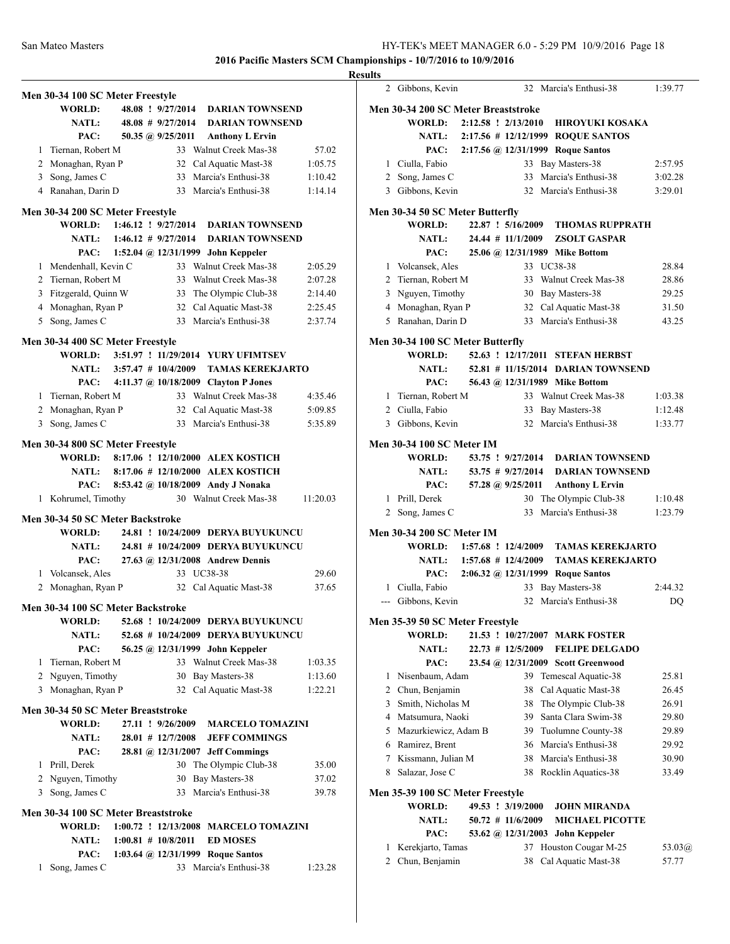|   | Men 30-34 100 SC Meter Freestyle    |                        |                          |                                                  |          |
|---|-------------------------------------|------------------------|--------------------------|--------------------------------------------------|----------|
|   | <b>WORLD:</b>                       |                        | 48.08 ! 9/27/2014        | <b>DARIAN TOWNSEND</b>                           |          |
|   | <b>NATL:</b>                        |                        | $48.08$ # $9/27/2014$    | <b>DARIAN TOWNSEND</b>                           |          |
|   | PAC:                                |                        | 50.35 @ $9/25/2011$      | <b>Anthony L Ervin</b>                           |          |
|   | 1 Tiernan, Robert M                 |                        |                          | 33 Walnut Creek Mas-38                           | 57.02    |
|   | 2 Monaghan, Ryan P                  |                        |                          | 32 Cal Aquatic Mast-38                           | 1:05.75  |
|   | 3 Song, James C                     |                        |                          | 33 Marcia's Enthusi-38                           | 1:10.42  |
|   | 4 Ranahan, Darin D                  |                        |                          | 33 Marcia's Enthusi-38                           | 1:14.14  |
|   |                                     |                        |                          |                                                  |          |
|   | Men 30-34 200 SC Meter Freestyle    |                        |                          |                                                  |          |
|   | <b>WORLD:</b>                       |                        | $1:46.12$ ! $9/27/2014$  | <b>DARIAN TOWNSEND</b>                           |          |
|   | <b>NATL:</b>                        | $1:46.12 \# 9/27/2014$ |                          | <b>DARIAN TOWNSEND</b>                           |          |
|   |                                     |                        |                          | PAC: 1:52.04 @ 12/31/1999 John Keppeler          |          |
|   | 1 Mendenhall, Kevin C               |                        |                          | 33 Walnut Creek Mas-38                           | 2:05.29  |
|   | 2 Tiernan, Robert M                 |                        |                          | 33 Walnut Creek Mas-38                           | 2:07.28  |
|   | 3 Fitzgerald, Quinn W               |                        |                          | 33 The Olympic Club-38                           | 2:14.40  |
|   | 4 Monaghan, Ryan P                  |                        |                          | 32 Cal Aquatic Mast-38                           | 2:25.45  |
|   | 5 Song, James C                     |                        |                          | 33 Marcia's Enthusi-38                           | 2:37.74  |
|   | Men 30-34 400 SC Meter Freestyle    |                        |                          |                                                  |          |
|   | <b>WORLD:</b>                       |                        |                          | 3:51.97 ! 11/29/2014 YURY UFIMTSEV               |          |
|   | <b>NATL:</b>                        |                        | $3:57.47$ # $10/4/2009$  | <b>TAMAS KEREKJARTO</b>                          |          |
|   | PAC:                                |                        |                          | 4:11.37 @ 10/18/2009 Clayton P Jones             |          |
|   | 1 Tiernan, Robert M                 |                        |                          | 33 Walnut Creek Mas-38                           | 4:35.46  |
|   |                                     |                        |                          |                                                  |          |
|   | 2 Monaghan, Ryan P                  |                        |                          | 32 Cal Aquatic Mast-38<br>33 Marcia's Enthusi-38 | 5:09.85  |
|   | 3 Song, James C                     |                        |                          |                                                  | 5:35.89  |
|   | Men 30-34 800 SC Meter Freestyle    |                        |                          |                                                  |          |
|   |                                     |                        |                          | WORLD: 8:17.06 ! 12/10/2000 ALEX KOSTICH         |          |
|   |                                     |                        |                          | NATL: 8:17.06 # 12/10/2000 ALEX KOSTICH          |          |
|   | PAC:                                |                        |                          | 8:53.42 @ 10/18/2009 Andy J Nonaka               |          |
|   | 1 Kohrumel, Timothy                 |                        |                          | 30 Walnut Creek Mas-38                           | 11:20.03 |
|   | Men 30-34 50 SC Meter Backstroke    |                        |                          |                                                  |          |
|   | <b>WORLD:</b>                       |                        |                          | 24.81 ! 10/24/2009 DERYA BUYUKUNCU               |          |
|   | <b>NATL:</b>                        |                        |                          | 24.81 # 10/24/2009 DERYA BUYUKUNCU               |          |
|   | PAC:                                |                        |                          | 27.63 @ 12/31/2008 Andrew Dennis                 |          |
|   | 1 Volcansek, Ales                   |                        |                          | 33 UC38-38                                       | 29.60    |
|   | 2 Monaghan, Ryan P                  |                        |                          | 32 Cal Aquatic Mast-38                           | 37.65    |
|   |                                     |                        |                          |                                                  |          |
|   | Men 30-34 100 SC Meter Backstroke   |                        |                          |                                                  |          |
|   | <b>WORLD:</b>                       |                        |                          | 52.68 ! 10/24/2009 DERYA BUYUKUNCU               |          |
|   | <b>NATL:</b>                        |                        |                          | 52.68 # 10/24/2009 DERYA BUYUKUNCU               |          |
|   | PAC:                                |                        |                          | 56.25 @ 12/31/1999 John Keppeler                 |          |
|   | 1 Tiernan, Robert M                 |                        |                          | 33 Walnut Creek Mas-38                           | 1:03.35  |
|   | 2 Nguyen, Timothy                   |                        |                          | 30 Bay Masters-38                                | 1:13.60  |
|   | 3 Monaghan, Ryan P                  |                        | 32                       | Cal Aquatic Mast-38                              | 1:22.21  |
|   |                                     |                        |                          |                                                  |          |
|   | Men 30-34 50 SC Meter Breaststroke  |                        |                          |                                                  |          |
|   | <b>WORLD:</b>                       |                        | 27.11 ! 9/26/2009        | <b>MARCELO TOMAZINI</b>                          |          |
|   | <b>NATL:</b>                        |                        | $28.01$ # $12/7/2008$    | <b>JEFF COMMINGS</b>                             |          |
|   | PAC:                                |                        |                          | 28.81 @ 12/31/2007 Jeff Commings                 |          |
|   | 1 Prill, Derek                      |                        |                          | 30 The Olympic Club-38                           | 35.00    |
|   | 2 Nguyen, Timothy                   |                        |                          | 30 Bay Masters-38                                | 37.02    |
|   | 3 Song, James C                     |                        |                          | 33 Marcia's Enthusi-38                           | 39.78    |
|   | Men 30-34 100 SC Meter Breaststroke |                        |                          |                                                  |          |
|   | <b>WORLD:</b>                       |                        | $1:00.72$ ! $12/13/2008$ | <b>MARCELO TOMAZINI</b>                          |          |
|   | <b>NATL:</b>                        |                        | $1:00.81 \# 10/8/2011$   | <b>ED MOSES</b>                                  |          |
|   | PAC:                                |                        |                          | 1:03.64 @ 12/31/1999 Roque Santos                |          |
| 1 | Song, James C                       |                        |                          | 33 Marcia's Enthusi-38                           | 1:23.28  |
|   |                                     |                        |                          |                                                  |          |

| Results        |                                                  |  |                         |                                    |         |
|----------------|--------------------------------------------------|--|-------------------------|------------------------------------|---------|
|                | 2 Gibbons, Kevin                                 |  |                         | 32 Marcia's Enthusi-38             | 1:39.77 |
|                | Men 30-34 200 SC Meter Breaststroke              |  |                         |                                    |         |
|                | WORLD:                                           |  | 2:12.58 ! 2/13/2010     | <b>HIROYUKI KOSAKA</b>             |         |
|                | <b>NATL:</b>                                     |  |                         | 2:17.56 # 12/12/1999 ROQUE SANTOS  |         |
|                | PAC:                                             |  |                         | 2:17.56 @ 12/31/1999 Roque Santos  |         |
|                | 1 Ciulla, Fabio                                  |  |                         | 33 Bay Masters-38                  | 2:57.95 |
|                | 2 Song, James C                                  |  | 33                      | Marcia's Enthusi-38                | 3:02.28 |
|                | 3 Gibbons, Kevin                                 |  |                         | 32 Marcia's Enthusi-38             | 3:29.01 |
|                | Men 30-34 50 SC Meter Butterfly                  |  |                         |                                    |         |
|                | WORLD:                                           |  | 22.87 ! 5/16/2009       | <b>THOMAS RUPPRATH</b>             |         |
|                | <b>NATL:</b>                                     |  |                         | 24.44 # 11/1/2009 ZSOLT GASPAR     |         |
|                | PAC:                                             |  |                         | 25.06 @ 12/31/1989 Mike Bottom     |         |
|                | 1 Volcansek, Ales                                |  |                         | 33 UC38-38                         | 28.84   |
|                | 2 Tiernan, Robert M                              |  |                         | 33 Walnut Creek Mas-38             | 28.86   |
|                | 3 Nguyen, Timothy                                |  |                         | 30 Bay Masters-38                  | 29.25   |
|                | 4 Monaghan, Ryan P                               |  |                         | 32 Cal Aquatic Mast-38             | 31.50   |
|                | 5 Ranahan, Darin D                               |  |                         | 33 Marcia's Enthusi-38             | 43.25   |
|                |                                                  |  |                         |                                    |         |
|                | Men 30-34 100 SC Meter Butterfly<br>WORLD:       |  |                         | 52.63 ! 12/17/2011 STEFAN HERBST   |         |
|                |                                                  |  |                         |                                    |         |
|                | <b>NATL:</b>                                     |  |                         | 52.81 # 11/15/2014 DARIAN TOWNSEND |         |
|                | PAC:                                             |  |                         | 56.43 @ 12/31/1989 Mike Bottom     |         |
|                | 1 Tiernan, Robert M                              |  |                         | 33 Walnut Creek Mas-38             | 1:03.38 |
|                | 2 Ciulla, Fabio                                  |  |                         | 33 Bay Masters-38                  | 1:12.48 |
|                | 3 Gibbons, Kevin                                 |  |                         | 32 Marcia's Enthusi-38             | 1:33.77 |
|                | <b>Men 30-34 100 SC Meter IM</b>                 |  |                         |                                    |         |
|                | WORLD:                                           |  | 53.75 ! 9/27/2014       | <b>DARIAN TOWNSEND</b>             |         |
|                | <b>NATL:</b>                                     |  |                         | 53.75 # 9/27/2014 DARIAN TOWNSEND  |         |
|                | PAC:                                             |  | 57.28 @ 9/25/2011       | <b>Anthony L Ervin</b>             |         |
|                | 1 Prill, Derek                                   |  |                         | 30 The Olympic Club-38             | 1:10.48 |
|                | 2 Song, James C                                  |  |                         | 33 Marcia's Enthusi-38             | 1:23.79 |
|                | <b>Men 30-34 200 SC Meter IM</b>                 |  |                         |                                    |         |
|                | <b>WORLD:</b>                                    |  | $1:57.68$ ! $12/4/2009$ | <b>TAMAS KEREKJARTO</b>            |         |
|                | <b>NATL:</b>                                     |  | $1:57.68$ # 12/4/2009   | <b>TAMAS KEREKJARTO</b>            |         |
|                | PAC:                                             |  |                         | 2:06.32 @ 12/31/1999 Roque Santos  |         |
|                | 1 Ciulla, Fabio                                  |  |                         | 33 Bay Masters-38                  | 2:44.32 |
|                | --- Gibbons, Kevin                               |  |                         | 32 Marcia's Enthusi-38             | DQ      |
|                |                                                  |  |                         |                                    |         |
|                | Men 35-39 50 SC Meter Freestyle<br><b>WORLD:</b> |  |                         | 21.53 ! 10/27/2007 MARK FOSTER     |         |
|                | <b>NATL:</b>                                     |  | $22.73$ # 12/5/2009     | <b>FELIPE DELGADO</b>              |         |
|                | PAC:                                             |  |                         | 23.54 @ 12/31/2009 Scott Greenwood |         |
|                |                                                  |  |                         | Temescal Aquatic-38                |         |
| $\mathbf{1}$   | Nisenbaum, Adam                                  |  | 39                      |                                    | 25.81   |
|                | 2 Chun, Benjamin                                 |  | 38                      | Cal Aquatic Mast-38                | 26.45   |
| $\overline{3}$ | Smith, Nicholas M                                |  | 38                      | The Olympic Club-38                | 26.91   |
|                | 4 Matsumura, Naoki                               |  | 39                      | Santa Clara Swim-38                | 29.80   |
|                | 5 Mazurkiewicz, Adam B                           |  | 39                      | Tuolumne County-38                 | 29.89   |
|                | 6 Ramirez, Brent                                 |  | 36                      | Marcia's Enthusi-38                | 29.92   |
|                | 7 Kissmann, Julian M                             |  | 38                      | Marcia's Enthusi-38                | 30.90   |
|                | 8 Salazar, Jose C                                |  | 38                      | Rocklin Aquatics-38                | 33.49   |
|                | Men 35-39 100 SC Meter Freestyle                 |  |                         |                                    |         |
|                | <b>WORLD:</b>                                    |  | 49.53 ! 3/19/2000       | <b>JOHN MIRANDA</b>                |         |
|                | <b>NATL:</b>                                     |  | $50.72$ # 11/6/2009     | <b>MICHAEL PICOTTE</b>             |         |
|                | PAC:                                             |  |                         | 53.62 @ 12/31/2003 John Keppeler   |         |
|                | 1 Kerekjarto, Tamas                              |  | 37                      | Houston Cougar M-25                | 53.03@  |
| $\overline{2}$ | Chun, Benjamin                                   |  | 38                      | Cal Aquatic Mast-38                | 57.77   |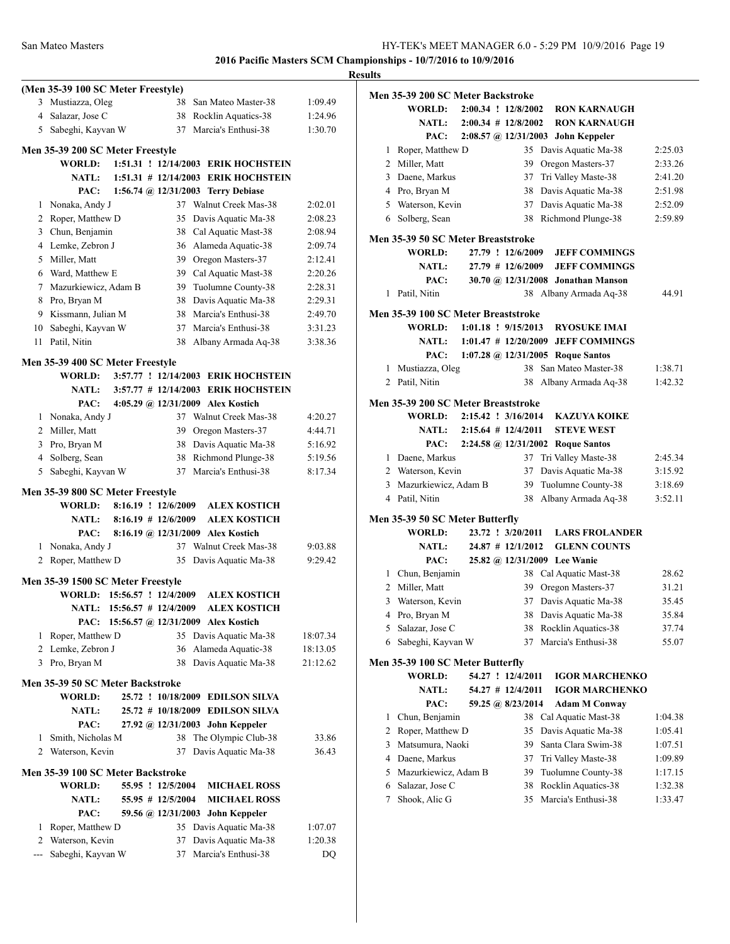|                |                                    |                         |                                                                      |          | <b>Results</b> |
|----------------|------------------------------------|-------------------------|----------------------------------------------------------------------|----------|----------------|
|                | (Men 35-39 100 SC Meter Freestyle) |                         |                                                                      |          | Мe             |
|                | 3 Mustiazza, Oleg                  |                         | 38 San Mateo Master-38                                               | 1:09.49  |                |
|                | 4 Salazar, Jose C                  |                         | 38 Rocklin Aquatics-38                                               | 1:24.96  |                |
|                | 5 Sabeghi, Kayvan W                |                         | 37 Marcia's Enthusi-38                                               | 1:30.70  |                |
|                | Men 35-39 200 SC Meter Freestyle   |                         |                                                                      |          |                |
|                | <b>WORLD:</b>                      |                         | 1:51.31 ! 12/14/2003 ERIK HOCHSTEIN                                  |          |                |
|                | <b>NATL:</b>                       |                         | 1:51.31 # 12/14/2003 ERIK HOCHSTEIN                                  |          |                |
|                | PAC:                               |                         | 1:56.74 @ $12/31/2003$ Terry Debiase                                 |          |                |
| 1              | Nonaka, Andy J                     |                         | 37 Walnut Creek Mas-38                                               | 2:02.01  |                |
|                | 2 Roper, Matthew D                 |                         | 35 Davis Aquatic Ma-38                                               | 2:08.23  |                |
|                | 3 Chun, Benjamin                   |                         | 38 Cal Aquatic Mast-38                                               | 2:08.94  | Me             |
|                | 4 Lemke, Zebron J                  |                         | 36 Alameda Aquatic-38                                                | 2:09.74  |                |
|                | 5 Miller, Matt                     |                         | 39 Oregon Masters-37                                                 | 2:12.41  |                |
|                | 6 Ward, Matthew E                  |                         | 39 Cal Aquatic Mast-38                                               | 2:20.26  |                |
|                | 7 Mazurkiewicz, Adam B             |                         | 39 Tuolumne County-38                                                | 2:28.31  |                |
|                | 8 Pro, Bryan M                     |                         | 38 Davis Aquatic Ma-38                                               | 2:29.31  |                |
|                | 9 Kissmann, Julian M               |                         | 38 Marcia's Enthusi-38                                               | 2:49.70  | Me             |
|                | 10 Sabeghi, Kayvan W               |                         | 37 Marcia's Enthusi-38                                               | 3:31.23  |                |
| 11             | Patil. Nitin                       | 38                      | Albany Armada Aq-38                                                  | 3:38.36  |                |
|                | Men 35-39 400 SC Meter Freestyle   |                         |                                                                      |          |                |
|                | WORLD:                             |                         | 3:57.77 ! 12/14/2003 ERIK HOCHSTEIN                                  |          |                |
|                |                                    |                         | NATL: 3:57.77 # 12/14/2003 ERIK HOCHSTEIN                            |          |                |
|                | PAC:                               |                         | 4:05.29 @ 12/31/2009 Alex Kostich                                    |          | Me             |
|                | 1 Nonaka, Andy J                   |                         | 37 Walnut Creek Mas-38                                               | 4:20.27  |                |
|                | 2 Miller, Matt                     |                         | 39 Oregon Masters-37                                                 | 4:44.71  |                |
|                | 3 Pro, Bryan M                     |                         | 38 Davis Aquatic Ma-38                                               | 5:16.92  |                |
|                | 4 Solberg, Sean                    |                         | 38 Richmond Plunge-38                                                | 5:19.56  |                |
|                | 5 Sabeghi, Kayvan W                |                         | 37 Marcia's Enthusi-38                                               | 8:17.34  |                |
|                | Men 35-39 800 SC Meter Freestyle   |                         |                                                                      |          |                |
|                | <b>WORLD:</b>                      | $8:16.19$ ! $12/6/2009$ | <b>ALEX KOSTICH</b>                                                  |          |                |
|                | <b>NATL:</b>                       | $8:16.19$ # 12/6/2009   | <b>ALEX KOSTICH</b>                                                  |          | Me             |
|                | PAC:                               |                         | 8:16.19 @ 12/31/2009 Alex Kostich                                    |          |                |
|                | 1 Nonaka, Andy J                   |                         | 37 Walnut Creek Mas-38                                               | 9:03.88  |                |
|                | 2 Roper, Matthew D                 |                         | 35 Davis Aquatic Ma-38                                               | 9:29.42  |                |
|                | Men 35-39 1500 SC Meter Freestyle  |                         |                                                                      |          |                |
|                | WORLD: 15:56.57 ! 12/4/2009        |                         | <b>ALEX KOSTICH</b>                                                  |          |                |
|                | <b>NATL:</b>                       | 15:56.57 # 12/4/2009    | <b>ALEX KOSTICH</b>                                                  |          |                |
|                | PAC:                               |                         | 15:56.57 @ 12/31/2009 Alex Kostich                                   |          |                |
| 1              | Roper, Matthew D                   |                         | 35 Davis Aquatic Ma-38                                               | 18:07.34 |                |
|                | 2 Lemke, Zebron J                  |                         | 36 Alameda Aquatic-38                                                | 18:13.05 |                |
|                | 3 Pro, Bryan M                     |                         | 38 Davis Aquatic Ma-38                                               | 21:12.62 | Me             |
|                |                                    |                         |                                                                      |          |                |
|                | Men 35-39 50 SC Meter Backstroke   |                         |                                                                      |          |                |
|                | <b>WORLD:</b><br><b>NATL:</b>      |                         | 25.72 ! 10/18/2009 EDILSON SILVA                                     |          |                |
|                | PAC:                               |                         | 25.72 # 10/18/2009 EDILSON SILVA<br>27.92 @ 12/31/2003 John Keppeler |          |                |
| 1              | Smith, Nicholas M                  | 38                      | The Olympic Club-38                                                  | 33.86    |                |
| 2              | Waterson, Kevin                    | 37                      | Davis Aquatic Ma-38                                                  | 36.43    |                |
|                |                                    |                         |                                                                      |          |                |
|                | Men 35-39 100 SC Meter Backstroke  |                         |                                                                      |          |                |
|                | <b>WORLD:</b>                      | 55.95 ! 12/5/2004       | <b>MICHAEL ROSS</b>                                                  |          |                |
|                | <b>NATL:</b>                       | 55.95 # 12/5/2004       | <b>MICHAEL ROSS</b>                                                  |          |                |
|                | PAC:                               |                         | 59.56 @ 12/31/2003 John Keppeler                                     |          |                |
| 1              | Roper, Matthew D                   |                         | 35 Davis Aquatic Ma-38                                               | 1:07.07  |                |
|                | 2 Waterson, Kevin                  | 37                      | Davis Aquatic Ma-38                                                  | 1:20.38  |                |
| $\overline{a}$ | Sabeghi, Kayvan W                  | 37                      | Marcia's Enthusi-38                                                  | DO       |                |

|                | Men 35-39 200 SC Meter Backstroke   |  |                        |                                    |         |
|----------------|-------------------------------------|--|------------------------|------------------------------------|---------|
|                | <b>WORLD:</b>                       |  | 2:00.34 ! 12/8/2002    | <b>RON KARNAUGH</b>                |         |
|                | <b>NATL:</b>                        |  | $2:00.34 \# 12/8/2002$ | <b>RON KARNAUGH</b>                |         |
|                | PAC:                                |  |                        | 2:08.57 @ 12/31/2003 John Keppeler |         |
| 1              | Roper, Matthew D                    |  |                        | 35 Davis Aquatic Ma-38             | 2:25.03 |
|                | 2 Miller, Matt                      |  |                        | 39 Oregon Masters-37               | 2:33.26 |
|                | 3 Daene, Markus                     |  |                        | 37 Tri Valley Maste-38             | 2:41.20 |
|                | 4 Pro, Bryan M                      |  |                        | 38 Davis Aquatic Ma-38             | 2:51.98 |
|                | 5 Waterson, Kevin                   |  |                        | 37 Davis Aquatic Ma-38             | 2:52.09 |
|                | 6 Solberg, Sean                     |  |                        | 38 Richmond Plunge-38              | 2:59.89 |
|                | Men 35-39 50 SC Meter Breaststroke  |  |                        |                                    |         |
|                | <b>WORLD:</b>                       |  | 27.79 ! 12/6/2009      | <b>JEFF COMMINGS</b>               |         |
|                | <b>NATL:</b>                        |  | $27.79$ # 12/6/2009    | <b>JEFF COMMINGS</b>               |         |
|                | PAC:                                |  |                        | 30.70 @ 12/31/2008 Jonathan Manson |         |
|                | 1 Patil, Nitin                      |  |                        | 38 Albany Armada Aq-38             | 44.91   |
|                |                                     |  |                        |                                    |         |
|                | Men 35-39 100 SC Meter Breaststroke |  |                        |                                    |         |
|                | WORLD:                              |  | 1:01.18 ! 9/15/2013    | <b>RYOSUKE IMAI</b>                |         |
|                | <b>NATL:</b>                        |  |                        | 1:01.47 # 12/20/2009 JEFF COMMINGS |         |
|                | PAC:                                |  |                        | 1:07.28 @ 12/31/2005 Roque Santos  |         |
| 1              | Mustiazza, Oleg                     |  |                        | 38 San Mateo Master-38             | 1:38.71 |
| $\overline{2}$ | Patil, Nitin                        |  |                        | 38 Albany Armada Aq-38             | 1:42.32 |
|                | Men 35-39 200 SC Meter Breaststroke |  |                        |                                    |         |
|                | <b>WORLD:</b>                       |  | 2:15.42 ! 3/16/2014    | <b>KAZUYA KOIKE</b>                |         |
|                | NATL:                               |  | $2:15.64$ # 12/4/2011  | <b>STEVE WEST</b>                  |         |
|                | PAC:                                |  |                        | 2:24.58 @ 12/31/2002 Roque Santos  |         |
|                | 1 Daene, Markus                     |  |                        | 37 Tri Valley Maste-38             | 2:45.34 |
|                | 2 Waterson, Kevin                   |  |                        | 37 Davis Aquatic Ma-38             | 3:15.92 |
|                | 3 Mazurkiewicz, Adam B              |  |                        | 39 Tuolumne County-38              | 3:18.69 |
|                | 4 Patil, Nitin                      |  | 38                     | Albany Armada Aq-38                | 3:52.11 |
|                |                                     |  |                        |                                    |         |
|                | Men 35-39 50 SC Meter Butterfly     |  |                        |                                    |         |
|                | <b>WORLD:</b>                       |  | 23.72 ! 3/20/2011      | <b>LARS FROLANDER</b>              |         |
|                | <b>NATL:</b>                        |  | $24.87$ # 12/1/2012    | <b>GLENN COUNTS</b>                |         |
|                | PAC:                                |  |                        | 25.82 @ 12/31/2009 Lee Wanie       |         |
|                | 1 Chun, Benjamin                    |  |                        | 38 Cal Aquatic Mast-38             | 28.62   |
|                | 2 Miller, Matt                      |  |                        | 39 Oregon Masters-37               | 31.21   |
|                | 3 Waterson, Kevin                   |  |                        | 37 Davis Aquatic Ma-38             | 35.45   |
| 4              | Pro, Bryan M                        |  | 38                     | Davis Aquatic Ma-38                | 35.84   |
| 5              | Salazar, Jose C                     |  | 38                     | Rocklin Aquatics-38                | 37.74   |
| 6              | Sabeghi, Kayvan W                   |  | 37                     | Marcia's Enthusi-38                | 55.07   |
|                | Men 35-39 100 SC Meter Butterfly    |  |                        |                                    |         |
|                | <b>WORLD:</b>                       |  | 54.27 ! 12/4/2011      | <b>IGOR MARCHENKO</b>              |         |
|                | NATL:                               |  | 54.27 # 12/4/2011      | <b>IGOR MARCHENKO</b>              |         |
|                | PAC:                                |  | 59.25 @ 8/23/2014      | <b>Adam M Conway</b>               |         |
| 1              | Chun, Benjamin                      |  | 38                     | Cal Aquatic Mast-38                | 1:04.38 |
| 2              | Roper, Matthew D                    |  | 35                     | Davis Aquatic Ma-38                | 1:05.41 |
| 3              | Matsumura, Naoki                    |  | 39                     | Santa Clara Swim-38                | 1:07.51 |
|                | 4 Daene, Markus                     |  | 37                     | Tri Valley Maste-38                | 1:09.89 |
| 5.             | Mazurkiewicz, Adam B                |  | 39                     | Tuolumne County-38                 | 1:17.15 |
| 6              | Salazar, Jose C                     |  | 38                     | Rocklin Aquatics-38                | 1:32.38 |
| 7              | Shook, Alic G                       |  | 35                     | Marcia's Enthusi-38                | 1:33.47 |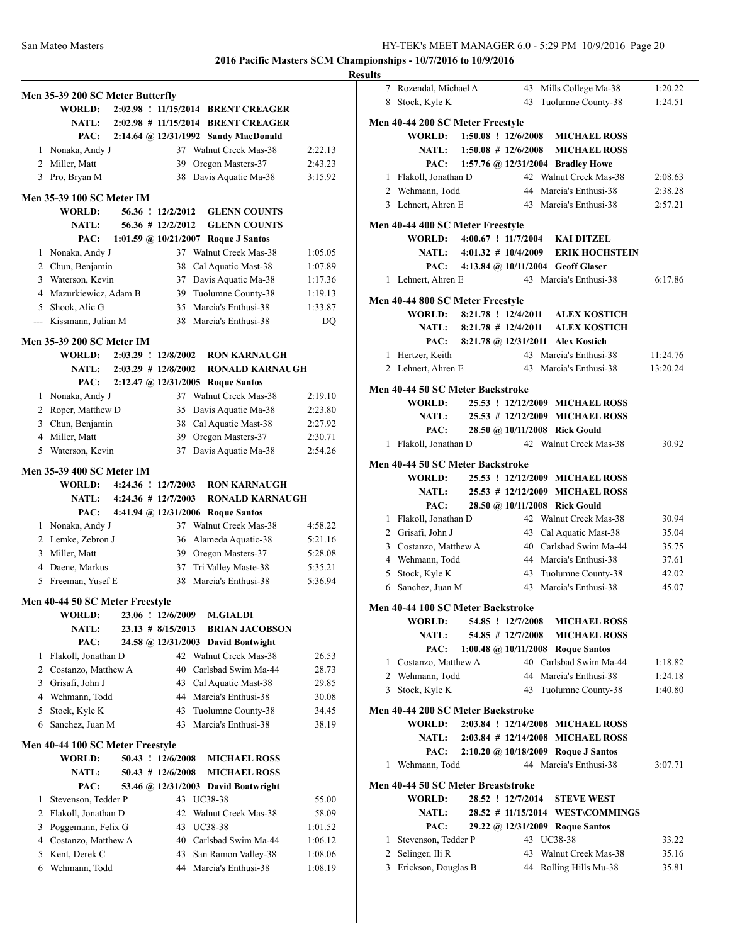|              | Men 35-39 200 SC Meter Butterfly           |  |                         |                                                            |                    |
|--------------|--------------------------------------------|--|-------------------------|------------------------------------------------------------|--------------------|
|              | <b>WORLD:</b>                              |  |                         | 2:02.98 ! 11/15/2014 BRENT CREAGER                         |                    |
|              | <b>NATL:</b>                               |  |                         | 2:02.98 # 11/15/2014 BRENT CREAGER                         |                    |
|              | PAC:                                       |  |                         | 2:14.64 @ 12/31/1992 Sandy MacDonald                       |                    |
| $\mathbf{1}$ | Nonaka, Andy J                             |  |                         | 37 Walnut Creek Mas-38                                     | 2:22.13            |
|              | 2 Miller, Matt                             |  | 39                      | Oregon Masters-37                                          | 2:43.23            |
|              | 3 Pro, Bryan M                             |  |                         | 38 Davis Aquatic Ma-38                                     | 3:15.92            |
|              |                                            |  |                         |                                                            |                    |
|              | <b>Men 35-39 100 SC Meter IM</b><br>WORLD: |  | 56.36 ! 12/2/2012       | <b>GLENN COUNTS</b>                                        |                    |
|              | <b>NATL:</b>                               |  | 56.36 # 12/2/2012       |                                                            |                    |
|              |                                            |  |                         | <b>GLENN COUNTS</b><br>1:01.59 @ 10/21/2007 Roque J Santos |                    |
| 1            | PAC:                                       |  | 37                      | Walnut Creek Mas-38                                        | 1:05.05            |
|              | Nonaka, Andy J                             |  | 38                      | Cal Aquatic Mast-38                                        |                    |
|              | 2 Chun, Benjamin<br>3 Waterson, Kevin      |  |                         |                                                            | 1:07.89<br>1:17.36 |
|              | 4 Mazurkiewicz, Adam B                     |  |                         | 37 Davis Aquatic Ma-38<br>39 Tuolumne County-38            |                    |
|              | 5 Shook, Alic G                            |  |                         | 35 Marcia's Enthusi-38                                     | 1:19.13            |
|              | --- Kissmann, Julian M                     |  |                         | 38 Marcia's Enthusi-38                                     | 1:33.87            |
|              |                                            |  |                         |                                                            | DQ                 |
|              | Men 35-39 200 SC Meter IM                  |  |                         |                                                            |                    |
|              | <b>WORLD:</b>                              |  | 2:03.29 ! 12/8/2002     | <b>RON KARNAUGH</b>                                        |                    |
|              | <b>NATL:</b>                               |  | $2:03.29$ # $12/8/2002$ | <b>RONALD KARNAUGH</b>                                     |                    |
|              | PAC:                                       |  |                         | 2:12.47 @ 12/31/2005 Roque Santos                          |                    |
| 1            | Nonaka, Andy J                             |  |                         | 37 Walnut Creek Mas-38                                     | 2:19.10            |
|              | 2 Roper, Matthew D                         |  | 35                      | Davis Aquatic Ma-38                                        | 2:23.80            |
|              | 3 Chun, Benjamin                           |  | 38                      | Cal Aquatic Mast-38                                        | 2:27.92            |
|              | 4 Miller, Matt                             |  | 39                      | Oregon Masters-37                                          | 2:30.71            |
|              | 5 Waterson, Kevin                          |  | 37                      | Davis Aquatic Ma-38                                        | 2:54.26            |
|              | Men 35-39 400 SC Meter IM                  |  |                         |                                                            |                    |
|              | WORLD: 4:24.36 ! 12/7/2003                 |  |                         | <b>RON KARNAUGH</b>                                        |                    |
|              | NATL: $4:24.36 \# 12/7/2003$               |  |                         | <b>RONALD KARNAUGH</b>                                     |                    |
|              | PAC:                                       |  |                         | 4:41.94 @ 12/31/2006 Roque Santos                          |                    |
|              | 1 Nonaka, Andy J                           |  |                         | 37 Walnut Creek Mas-38                                     | 4:58.22            |
|              | 2 Lemke, Zebron J                          |  |                         | 36 Alameda Aquatic-38                                      | 5:21.16            |
|              | 3 Miller, Matt                             |  |                         | 39 Oregon Masters-37                                       | 5:28.08            |
|              | 4 Daene, Markus                            |  | 37                      | Tri Valley Maste-38                                        | 5:35.21            |
| 5            | Freeman, Yusef E                           |  | 38                      | Marcia's Enthusi-38                                        | 5:36.94            |
|              | Men 40-44 50 SC Meter Freestyle            |  |                         |                                                            |                    |
|              | <b>WORLD:</b>                              |  | 23.06 ! 12/6/2009       | <b>M.GIALDI</b>                                            |                    |
|              | <b>NATL:</b>                               |  | $23.13 \# 8/15/2013$    | <b>BRIAN JACOBSON</b>                                      |                    |
|              | PAC:                                       |  |                         | 24.58 @ 12/31/2003 David Boatwight                         |                    |
| 1            | Flakoll, Jonathan D                        |  | 42                      | Walnut Creek Mas-38                                        | 26.53              |
|              | 2 Costanzo, Matthew A                      |  |                         | 40 Carlsbad Swim Ma-44                                     | 28.73              |
|              | 3 Grisafi, John J                          |  |                         | 43 Cal Aquatic Mast-38                                     | 29.85              |
|              | 4 Wehmann, Todd                            |  |                         | 44 Marcia's Enthusi-38                                     | 30.08              |
| 5            | Stock, Kyle K                              |  | 43                      | Tuolumne County-38                                         | 34.45              |
| 6            | Sanchez, Juan M                            |  | 43                      | Marcia's Enthusi-38                                        | 38.19              |
|              | Men 40-44 100 SC Meter Freestyle           |  |                         |                                                            |                    |
|              | <b>WORLD:</b>                              |  | 50.43 ! 12/6/2008       | <b>MICHAEL ROSS</b>                                        |                    |
|              | <b>NATL:</b>                               |  | $50.43$ # 12/6/2008     | <b>MICHAEL ROSS</b>                                        |                    |
|              | PAC:                                       |  |                         | 53.46 @ 12/31/2003 David Boatwright                        |                    |
| 1            | Stevenson, Tedder P                        |  | 43                      | UC38-38                                                    | 55.00              |
|              | 2 Flakoll, Jonathan D                      |  |                         | 42 Walnut Creek Mas-38                                     | 58.09              |
| 3            | Poggemann, Felix G                         |  |                         | 43 UC38-38                                                 | 1:01.52            |
|              | 4 Costanzo, Matthew A                      |  |                         | 40 Carlsbad Swim Ma-44                                     | 1:06.12            |
|              | 5 Kent, Derek C                            |  | 43                      | San Ramon Valley-38                                        | 1:08.06            |
|              | 6 Wehmann, Todd                            |  | 44                      | Marcia's Enthusi-38                                        | 1:08.19            |
|              |                                            |  |                         |                                                            |                    |

| <b>Results</b> |                                        |  |                   |                                                  |                      |
|----------------|----------------------------------------|--|-------------------|--------------------------------------------------|----------------------|
|                | 7 Rozendal, Michael A                  |  |                   | 43 Mills College Ma-38                           | 1:20.22              |
|                | 8 Stock, Kyle K                        |  |                   | 43 Tuolumne County-38                            | 1:24.51              |
|                | Men 40-44 200 SC Meter Freestyle       |  |                   |                                                  |                      |
|                |                                        |  |                   | WORLD: 1:50.08 ! 12/6/2008 MICHAEL ROSS          |                      |
|                | NATL: $1:50.08 \neq 12/6/2008$         |  |                   | <b>MICHAEL ROSS</b>                              |                      |
|                |                                        |  |                   | PAC: 1:57.76 @ 12/31/2004 Bradley Howe           |                      |
|                | 1 Flakoll, Jonathan D                  |  |                   | 42 Walnut Creek Mas-38                           | 2:08.63              |
|                | 2 Wehmann, Todd                        |  |                   | 44 Marcia's Enthusi-38                           | 2:38.28              |
|                | 3 Lehnert, Ahren E                     |  |                   | 43 Marcia's Enthusi-38                           | 2:57.21              |
|                |                                        |  |                   |                                                  |                      |
|                | Men 40-44 400 SC Meter Freestyle       |  |                   | WORLD: 4:00.67 ! 11/7/2004 KAI DITZEL            |                      |
|                |                                        |  |                   | NATL: 4:01.32 # 10/4/2009 ERIK HOCHSTEIN         |                      |
|                |                                        |  |                   | PAC: 4:13.84 @ 10/11/2004 Geoff Glaser           |                      |
|                | 1 Lehnert, Ahren E                     |  |                   | 43 Marcia's Enthusi-38                           | 6:17.86              |
|                |                                        |  |                   |                                                  |                      |
|                | Men 40-44 800 SC Meter Freestyle       |  |                   |                                                  |                      |
|                |                                        |  |                   | WORLD: 8:21.78 ! 12/4/2011 ALEX KOSTICH          |                      |
|                |                                        |  |                   | NATL: 8:21.78 # 12/4/2011 ALEX KOSTICH           |                      |
|                |                                        |  |                   | PAC: 8:21.78 @ 12/31/2011 Alex Kostich           |                      |
|                | 1 Hertzer, Keith<br>2 Lehnert, Ahren E |  |                   | 43 Marcia's Enthusi-38<br>43 Marcia's Enthusi-38 | 11:24.76<br>13:20.24 |
|                |                                        |  |                   |                                                  |                      |
|                | Men 40-44 50 SC Meter Backstroke       |  |                   |                                                  |                      |
|                | <b>WORLD:</b>                          |  |                   | 25.53 ! 12/12/2009 MICHAEL ROSS                  |                      |
|                | <b>NATL:</b>                           |  |                   | 25.53 # 12/12/2009 MICHAEL ROSS                  |                      |
|                | PAC:                                   |  |                   | 28.50 @ 10/11/2008 Rick Gould                    |                      |
|                | 1 Flakoll, Jonathan D                  |  |                   | 42 Walnut Creek Mas-38                           | 30.92                |
|                | Men 40-44 50 SC Meter Backstroke       |  |                   |                                                  |                      |
|                | WORLD:                                 |  |                   | 25.53 ! 12/12/2009 MICHAEL ROSS                  |                      |
|                | NATL:                                  |  |                   | 25.53 # 12/12/2009 MICHAEL ROSS                  |                      |
|                | PAC:                                   |  |                   | 28.50 @ 10/11/2008 Rick Gould                    |                      |
|                | 1 Flakoll, Jonathan D                  |  |                   | 42 Walnut Creek Mas-38                           | 30.94                |
|                | 2 Grisafi, John J                      |  |                   | 43 Cal Aquatic Mast-38                           | 35.04                |
|                | 3 Costanzo, Matthew A                  |  |                   | 40 Carlsbad Swim Ma-44                           | 35.75                |
|                | 4 Wehmann, Todd                        |  |                   | 44 Marcia's Enthusi-38                           | 37.61                |
|                | 5 Stock, Kyle K                        |  |                   | 43 Tuolumne County-38                            | 42.02                |
|                | 6 Sanchez, Juan M                      |  |                   | 43 Marcia's Enthusi-38                           | 45.07                |
|                | Men 40-44 100 SC Meter Backstroke      |  |                   |                                                  |                      |
|                | WORLD:                                 |  | 54.85 ! 12/7/2008 | <b>MICHAEL ROSS</b>                              |                      |
|                | <b>NATL:</b>                           |  | 54.85 # 12/7/2008 | <b>MICHAEL ROSS</b>                              |                      |
|                | PAC:                                   |  |                   | 1:00.48 @ 10/11/2008 Roque Santos                |                      |
|                | 1 Costanzo, Matthew A                  |  |                   | 40 Carlsbad Swim Ma-44                           | 1:18.82              |
|                | 2 Wehmann, Todd                        |  |                   | 44 Marcia's Enthusi-38                           | 1:24.18              |
|                | 3 Stock, Kyle K                        |  | 43                | Tuolumne County-38                               | 1:40.80              |
|                | Men 40-44 200 SC Meter Backstroke      |  |                   |                                                  |                      |
|                | <b>WORLD:</b>                          |  |                   | 2:03.84 ! 12/14/2008 MICHAEL ROSS                |                      |
|                | <b>NATL:</b>                           |  |                   | 2:03.84 # 12/14/2008 MICHAEL ROSS                |                      |
|                | PAC:                                   |  |                   | 2:10.20 @ 10/18/2009 Roque J Santos              |                      |
|                | 1 Wehmann, Todd                        |  |                   | 44 Marcia's Enthusi-38                           | 3:07.71              |
|                | Men 40-44 50 SC Meter Breaststroke     |  |                   |                                                  |                      |
|                | WORLD:                                 |  | 28.52 ! 12/7/2014 | <b>STEVE WEST</b>                                |                      |
|                | <b>NATL:</b>                           |  |                   | 28.52 # 11/15/2014 WEST\COMMINGS                 |                      |
|                | PAC:                                   |  |                   | 29.22 @ 12/31/2009 Roque Santos                  |                      |
|                | 1 Stevenson, Tedder P                  |  |                   | 43 UC38-38                                       | 33.22                |
|                | 2 Selinger, Ili R                      |  |                   | 43 Walnut Creek Mas-38                           | 35.16                |
|                | 3 Erickson, Douglas B                  |  |                   | 44 Rolling Hills Mu-38                           | 35.81                |
|                |                                        |  |                   |                                                  |                      |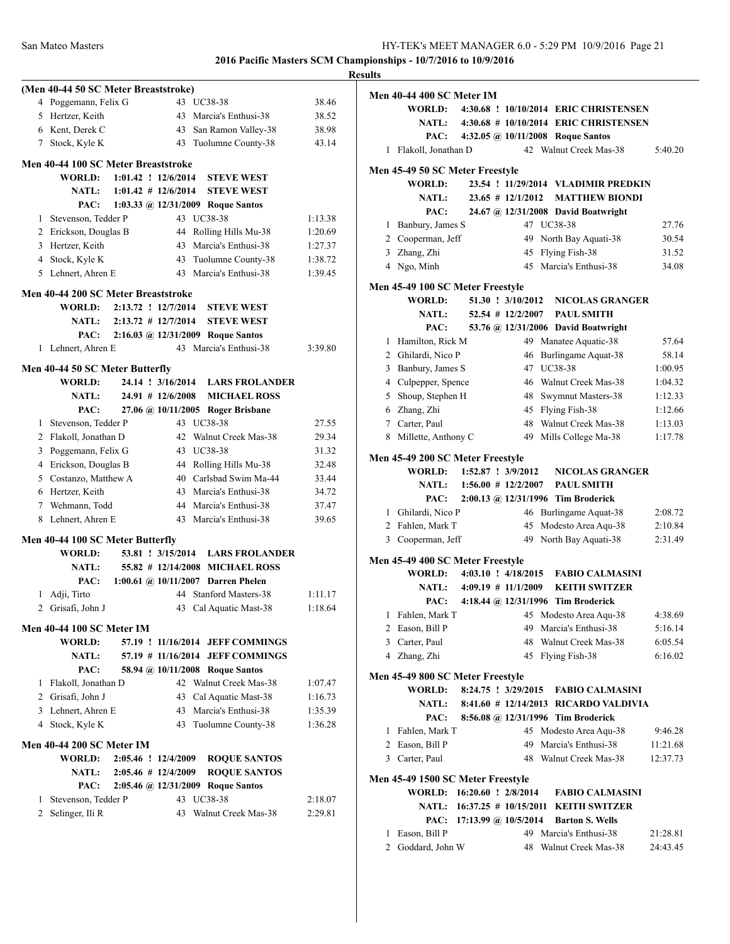|                |                                      |                        |  |                                         |         | <b>Results</b> |
|----------------|--------------------------------------|------------------------|--|-----------------------------------------|---------|----------------|
|                | (Men 40-44 50 SC Meter Breaststroke) |                        |  |                                         |         | Me             |
|                | 4 Poggemann, Felix G                 |                        |  | 43 UC38-38                              | 38.46   |                |
|                | 5 Hertzer, Keith                     |                        |  | 43 Marcia's Enthusi-38                  | 38.52   |                |
|                | 6 Kent, Derek C                      |                        |  | 43 San Ramon Valley-38                  | 38.98   |                |
|                | 7 Stock, Kyle K                      |                        |  | 43 Tuolumne County-38                   | 43.14   |                |
|                | Men 40-44 100 SC Meter Breaststroke  |                        |  |                                         |         |                |
|                | WORLD: 1:01.42 ! 12/6/2014           |                        |  | <b>STEVE WEST</b>                       |         | Me             |
|                |                                      |                        |  | NATL: 1:01.42 # 12/6/2014 STEVE WEST    |         |                |
|                |                                      |                        |  | PAC: 1:03.33 @ 12/31/2009 Roque Santos  |         |                |
|                | 1 Stevenson, Tedder P                |                        |  | 43 UC38-38                              | 1:13.38 |                |
|                | 2 Erickson, Douglas B                |                        |  | 44 Rolling Hills Mu-38                  | 1:20.69 |                |
|                | 3 Hertzer, Keith                     |                        |  | 43 Marcia's Enthusi-38                  | 1:27.37 |                |
|                | 4 Stock, Kyle K                      |                        |  | 43 Tuolumne County-38                   | 1:38.72 |                |
|                | 5 Lehnert, Ahren E                   |                        |  | 43 Marcia's Enthusi-38                  | 1:39.45 |                |
|                |                                      |                        |  |                                         |         | Me             |
|                | Men 40-44 200 SC Meter Breaststroke  |                        |  | WORLD: 2:13.72 ! 12/7/2014 STEVE WEST   |         |                |
|                |                                      |                        |  | NATL: 2:13.72 # 12/7/2014 STEVE WEST    |         |                |
|                |                                      |                        |  |                                         |         |                |
|                |                                      |                        |  | PAC: 2:16.03 @ 12/31/2009 Roque Santos  |         |                |
|                | 1 Lehnert, Ahren E                   |                        |  | 43 Marcia's Enthusi-38                  | 3:39.80 |                |
|                | Men 40-44 50 SC Meter Butterfly      |                        |  |                                         |         |                |
|                |                                      |                        |  | WORLD: 24.14 ! 3/16/2014 LARS FROLANDER |         |                |
|                | <b>NATL:</b>                         |                        |  | 24.91 # 12/6/2008 MICHAEL ROSS          |         |                |
|                | PAC:                                 |                        |  | 27.06 @ 10/11/2005 Roger Brisbane       |         |                |
|                | 1 Stevenson, Tedder P                |                        |  | 43 UC38-38                              | 27.55   |                |
|                | 2 Flakoll, Jonathan D                |                        |  | 42 Walnut Creek Mas-38                  | 29.34   |                |
|                | 3 Poggemann, Felix G                 |                        |  | 43 UC38-38                              | 31.32   | Me             |
|                | 4 Erickson, Douglas B                |                        |  | 44 Rolling Hills Mu-38                  | 32.48   |                |
|                | 5 Costanzo, Matthew A                |                        |  | 40 Carlsbad Swim Ma-44                  | 33.44   |                |
|                | 6 Hertzer, Keith                     |                        |  | 43 Marcia's Enthusi-38                  | 34.72   |                |
|                | 7 Wehmann, Todd                      |                        |  | 44 Marcia's Enthusi-38                  | 37.47   |                |
|                | 8 Lehnert, Ahren E                   |                        |  | 43 Marcia's Enthusi-38                  | 39.65   |                |
|                | Men 40-44 100 SC Meter Butterfly     |                        |  |                                         |         |                |
|                | WORLD:                               |                        |  | 53.81 ! 3/15/2014 LARS FROLANDER        |         |                |
|                | NATL:                                |                        |  | 55.82 # 12/14/2008 MICHAEL ROSS         |         | Me             |
|                |                                      |                        |  | PAC: 1:00.61 @ 10/11/2007 Darren Phelen |         |                |
|                | 1 Adji, Tirto                        |                        |  | 44 Stanford Masters-38                  | 1:11.17 |                |
|                | 2 Grisafi, John J                    |                        |  | 43 Cal Aquatic Mast-38                  | 1:18.64 |                |
|                |                                      |                        |  |                                         |         |                |
|                | <b>Men 40-44 100 SC Meter IM</b>     |                        |  |                                         |         |                |
|                | <b>WORLD:</b>                        |                        |  | 57.19 ! 11/16/2014 JEFF COMMINGS        |         |                |
|                | <b>NATL:</b>                         |                        |  | 57.19 # 11/16/2014 JEFF COMMINGS        |         |                |
|                | PAC:                                 |                        |  | 58.94 @ 10/11/2008 Roque Santos         |         | Me             |
|                | 1 Flakoll, Jonathan D                |                        |  | 42 Walnut Creek Mas-38                  | 1:07.47 |                |
|                | 2 Grisafi, John J                    |                        |  | 43 Cal Aquatic Mast-38                  | 1:16.73 |                |
|                | 3 Lehnert, Ahren E                   |                        |  | 43 Marcia's Enthusi-38                  | 1:35.39 |                |
|                | 4 Stock, Kyle K                      |                        |  | 43 Tuolumne County-38                   | 1:36.28 |                |
|                | <b>Men 40-44 200 SC Meter IM</b>     |                        |  |                                         |         |                |
|                | <b>WORLD:</b>                        | 2:05.46 ! 12/4/2009    |  | <b>ROQUE SANTOS</b>                     |         |                |
|                | <b>NATL:</b>                         | $2:05.46 \# 12/4/2009$ |  | <b>ROQUE SANTOS</b>                     |         |                |
|                | PAC:                                 |                        |  | 2:05.46 @ 12/31/2009 Roque Santos       |         | Me             |
| 1              | Stevenson, Tedder P                  |                        |  | 43 UC38-38                              | 2:18.07 |                |
| $\overline{2}$ | Selinger, Ili R                      |                        |  | 43 Walnut Creek Mas-38                  | 2:29.81 |                |
|                |                                      |                        |  |                                         |         |                |

|   | <b>Men 40-44 400 SC Meter IM</b>  |  |                       |                                              |          |
|---|-----------------------------------|--|-----------------------|----------------------------------------------|----------|
|   |                                   |  |                       | WORLD: 4:30.68 ! 10/10/2014 ERIC CHRISTENSEN |          |
|   | <b>NATL:</b>                      |  |                       | 4:30.68 # 10/10/2014 ERIC CHRISTENSEN        |          |
|   |                                   |  |                       | PAC: 4:32.05 @ 10/11/2008 Roque Santos       |          |
|   | Flakoll, Jonathan D<br>1          |  |                       | 42 Walnut Creek Mas-38                       | 5:40.20  |
|   | Men 45-49 50 SC Meter Freestyle   |  |                       |                                              |          |
|   | <b>WORLD:</b>                     |  |                       | 23.54 ! 11/29/2014 VLADIMIR PREDKIN          |          |
|   | <b>NATL:</b>                      |  | $23.65$ # $12/1/2012$ | <b>MATTHEW BIONDI</b>                        |          |
|   | PAC:                              |  |                       | 24.67 @ 12/31/2008 David Boatwright          |          |
|   | 1 Banbury, James S                |  |                       | 47 UC38-38                                   | 27.76    |
|   | 2 Cooperman, Jeff                 |  |                       | 49 North Bay Aquati-38                       | 30.54    |
|   | 3 Zhang, Zhi                      |  |                       | 45 Flying Fish-38                            | 31.52    |
|   | 4 Ngo, Minh                       |  |                       | 45 Marcia's Enthusi-38                       | 34.08    |
|   |                                   |  |                       |                                              |          |
|   | Men 45-49 100 SC Meter Freestyle  |  |                       |                                              |          |
|   | WORLD:                            |  | 51.30 ! 3/10/2012     | <b>NICOLAS GRANGER</b>                       |          |
|   | <b>NATL:</b>                      |  | $52.54$ # $12/2/2007$ | <b>PAUL SMITH</b>                            |          |
|   | PAC:                              |  |                       | 53.76 @ 12/31/2006 David Boatwright          |          |
|   | 1 Hamilton, Rick M                |  |                       | 49 Manatee Aquatic-38                        | 57.64    |
|   | 2 Ghilardi, Nico P                |  |                       | 46 Burlingame Aquat-38                       | 58.14    |
| 3 | Banbury, James S                  |  |                       | 47 UC38-38                                   | 1:00.95  |
|   | 4 Culpepper, Spence               |  |                       | 46 Walnut Creek Mas-38                       | 1:04.32  |
|   | 5 Shoup, Stephen H                |  |                       | 48 Swymnut Masters-38                        | 1:12.33  |
|   | 6 Zhang, Zhi                      |  |                       | 45 Flying Fish-38                            | 1:12.66  |
|   | 7 Carter, Paul                    |  |                       | 48 Walnut Creek Mas-38                       | 1:13.03  |
|   | 8 Millette, Anthony C             |  |                       | 49 Mills College Ma-38                       | 1:17.78  |
|   | Men 45-49 200 SC Meter Freestyle  |  |                       |                                              |          |
|   | <b>WORLD:</b>                     |  | 1:52.87 ! 3/9/2012    | <b>NICOLAS GRANGER</b>                       |          |
|   |                                   |  |                       | NATL: 1:56.00 # 12/2/2007 PAUL SMITH         |          |
|   | PAC:                              |  |                       | 2:00.13 @ 12/31/1996 Tim Broderick           |          |
|   | 1 Ghilardi, Nico P                |  |                       | 46 Burlingame Aquat-38                       | 2:08.72  |
|   | 2 Fahlen, Mark T                  |  |                       | 45 Modesto Area Aqu-38                       | 2:10.84  |
| 3 | Cooperman, Jeff                   |  | 49                    | North Bay Aquati-38                          | 2:31.49  |
|   |                                   |  |                       |                                              |          |
|   | Men 45-49 400 SC Meter Freestyle  |  |                       |                                              |          |
|   | WORLD: 4:03.10 ! 4/18/2015        |  |                       | <b>FABIO CALMASINI</b>                       |          |
|   | NATL: $4:09.19 \# 11/1/2009$      |  |                       | <b>KEITH SWITZER</b>                         |          |
|   | PAC:                              |  |                       | 4:18.44 @ 12/31/1996 Tim Broderick           |          |
|   | 1 Fahlen, Mark T                  |  |                       | 45 Modesto Area Aqu-38                       | 4:38.69  |
|   | 2 Eason, Bill P                   |  |                       | 49 Marcia's Enthusi-38                       | 5:16.14  |
|   | 3 Carter, Paul                    |  |                       | 48 Walnut Creek Mas-38                       | 6:05.54  |
|   | 4 Zhang, Zhi                      |  |                       | 45 Flying Fish-38                            | 6:16.02  |
|   | Men 45-49 800 SC Meter Freestyle  |  |                       |                                              |          |
|   |                                   |  |                       | WORLD: 8:24.75 ! 3/29/2015  FABIO CALMASINI  |          |
|   |                                   |  |                       | NATL: 8:41.60 # 12/14/2013 RICARDO VALDIVIA  |          |
|   |                                   |  |                       | PAC: 8:56.08 @ 12/31/1996 Tim Broderick      |          |
|   | 1 Fahlen, Mark T                  |  |                       | 45 Modesto Area Aqu-38                       | 9:46.28  |
|   | 2 Eason, Bill P                   |  |                       | 49 Marcia's Enthusi-38                       | 11:21.68 |
|   | 3 Carter, Paul                    |  |                       | 48 Walnut Creek Mas-38                       | 12:37.73 |
|   |                                   |  |                       |                                              |          |
|   | Men 45-49 1500 SC Meter Freestyle |  |                       |                                              |          |
|   | WORLD: 16:20.60 ! 2/8/2014        |  |                       | <b>FABIO CALMASINI</b>                       |          |
|   |                                   |  |                       | NATL: 16:37.25 # 10/15/2011 KEITH SWITZER    |          |
|   |                                   |  |                       | PAC: 17:13.99 @ 10/5/2014 Barton S. Wells    |          |
|   | 1 Eason, Bill P                   |  |                       | 49 Marcia's Enthusi-38                       | 21:28.81 |
|   | 2 Goddard, John W                 |  | 48                    | <b>Walnut Creek Mas-38</b>                   | 24:43.45 |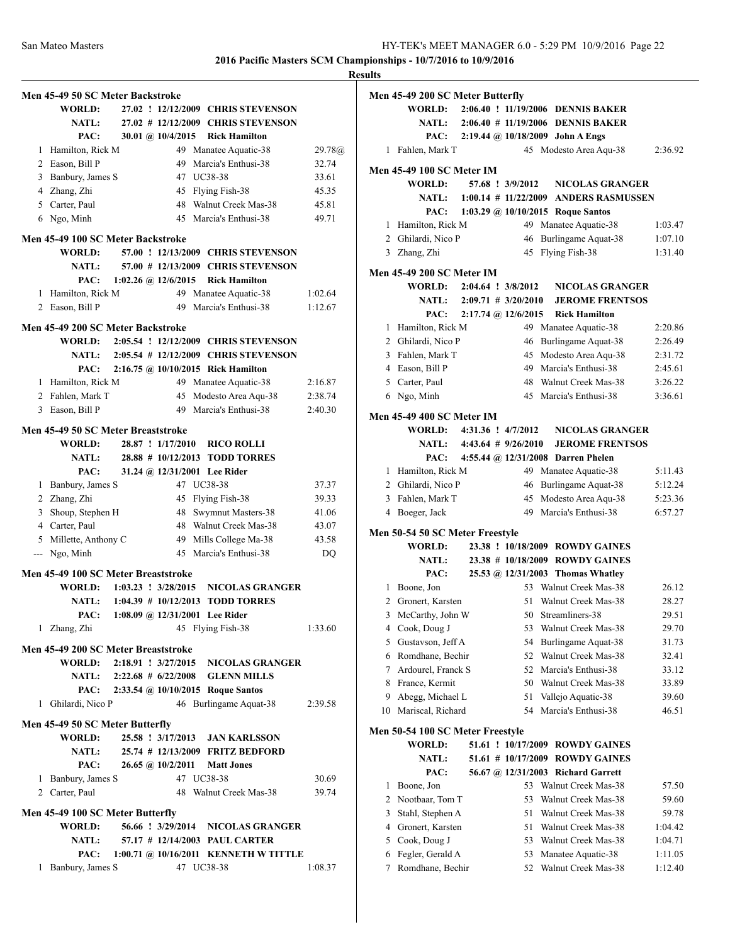|                                     |                         |                                                 |                    | <b>Results</b> |
|-------------------------------------|-------------------------|-------------------------------------------------|--------------------|----------------|
| Men 45-49 50 SC Meter Backstroke    |                         |                                                 |                    | Me             |
| WORLD:                              |                         | 27.02 ! 12/12/2009 CHRIS STEVENSON              |                    |                |
| <b>NATL:</b>                        |                         | 27.02 # 12/12/2009 CHRIS STEVENSON              |                    |                |
| PAC:                                | 30.01 @ $10/4/2015$     | <b>Rick Hamilton</b>                            |                    |                |
| 1 Hamilton, Rick M                  |                         | 49 Manatee Aquatic-38                           | 29.78@             |                |
| 2 Eason, Bill P                     | 49                      | Marcia's Enthusi-38                             | 32.74              |                |
| 3 Banbury, James S                  |                         | 47 UC38-38                                      | 33.61              | Me             |
| 4 Zhang, Zhi                        |                         | 45 Flying Fish-38                               | 45.35              |                |
| 5 Carter, Paul                      |                         | 48 Walnut Creek Mas-38                          | 45.81              |                |
| 6 Ngo, Minh                         |                         | 45 Marcia's Enthusi-38                          | 49.71              |                |
|                                     |                         |                                                 |                    |                |
| Men 45-49 100 SC Meter Backstroke   |                         |                                                 |                    |                |
| <b>WORLD:</b>                       |                         | 57.00 ! 12/13/2009 CHRIS STEVENSON              |                    |                |
| <b>NATL:</b>                        |                         | 57.00 # 12/13/2009 CHRIS STEVENSON              |                    | Me             |
| PAC:                                | 1:02.26 @ 12/6/2015     | <b>Rick Hamilton</b>                            |                    |                |
| 1 Hamilton, Rick M                  |                         | 49 Manatee Aquatic-38<br>49 Marcia's Enthusi-38 | 1:02.64<br>1:12.67 |                |
| 2 Eason, Bill P                     |                         |                                                 |                    |                |
| Men 45-49 200 SC Meter Backstroke   |                         |                                                 |                    |                |
|                                     |                         | WORLD: 2:05.54 ! 12/12/2009 CHRIS STEVENSON     |                    |                |
|                                     |                         | NATL: 2:05.54 # 12/12/2009 CHRIS STEVENSON      |                    |                |
| PAC:                                |                         | 2:16.75 @ 10/10/2015 Rick Hamilton              |                    |                |
| 1 Hamilton, Rick M                  |                         | 49 Manatee Aquatic-38                           | 2:16.87            |                |
| 2 Fahlen, Mark T                    |                         | 45 Modesto Area Aqu-38                          | 2:38.74            |                |
| 3 Eason, Bill P                     |                         | 49 Marcia's Enthusi-38                          | 2:40.30            | Me             |
| Men 45-49 50 SC Meter Breaststroke  |                         |                                                 |                    |                |
| <b>WORLD:</b>                       | 28.87 ! 1/17/2010       | <b>RICO ROLLI</b>                               |                    |                |
| <b>NATL:</b>                        |                         | 28.88 # 10/12/2013 TODD TORRES                  |                    |                |
| PAC:                                |                         | 31.24 @ 12/31/2001 Lee Rider                    |                    |                |
| 1 Banbury, James S                  |                         | 47 UC38-38                                      | 37.37              |                |
| 2 Zhang, Zhi                        |                         | 45 Flying Fish-38                               | 39.33              |                |
| 3 Shoup, Stephen H                  |                         | 48 Swymnut Masters-38                           | 41.06              |                |
| 4 Carter, Paul                      |                         | 48 Walnut Creek Mas-38                          | 43.07              |                |
| 5 Millette, Anthony C               |                         | 49 Mills College Ma-38                          | 43.58              | Me             |
| --- Ngo, Minh                       |                         | 45 Marcia's Enthusi-38                          | DQ                 |                |
|                                     |                         |                                                 |                    |                |
| Men 45-49 100 SC Meter Breaststroke |                         |                                                 |                    |                |
| WORLD:                              | $1:03.23$ : $3/28/2015$ | <b>NICOLAS GRANGER</b>                          |                    |                |
|                                     |                         | NATL: 1:04.39 # 10/12/2013 TODD TORRES          |                    |                |
| PAC:                                |                         | 1:08.09 @ $12/31/2001$ Lee Rider                |                    |                |
| 1 Zhang, Zhi                        |                         | 45 Flying Fish-38                               | 1:33.60            |                |
| Men 45-49 200 SC Meter Breaststroke |                         |                                                 |                    |                |
| WORLD: 2:18.91 ! 3/27/2015          |                         | <b>NICOLAS GRANGER</b>                          |                    |                |
| <b>NATL:</b>                        |                         | 2:22.68 # 6/22/2008 GLENN MILLS                 |                    |                |
| PAC:                                |                         | 2:33.54 @ 10/10/2015 Roque Santos               |                    |                |
| 1 Ghilardi, Nico P                  |                         | 46 Burlingame Aquat-38                          | 2:39.58            |                |
|                                     |                         |                                                 |                    |                |
| Men 45-49 50 SC Meter Butterfly     |                         |                                                 |                    | Me             |
| WORLD:                              |                         | 25.58 ! 3/17/2013 JAN KARLSSON                  |                    |                |
| <b>NATL:</b>                        |                         | 25.74 # 12/13/2009 FRITZ BEDFORD                |                    |                |
| PAC:                                | 26.65 @ 10/2/2011       | <b>Matt Jones</b>                               |                    |                |
| 1 Banbury, James S                  |                         | 47 UC38-38                                      | 30.69              |                |
| 2 Carter, Paul                      |                         | 48 Walnut Creek Mas-38                          | 39.74              |                |
| Men 45-49 100 SC Meter Butterfly    |                         |                                                 |                    |                |
| <b>WORLD:</b>                       |                         | 56.66 ! 3/29/2014 NICOLAS GRANGER               |                    |                |
| <b>NATL:</b>                        |                         | 57.17 # 12/14/2003 PAUL CARTER                  |                    |                |
| PAC:                                |                         | 1:00.71 @ 10/16/2011 KENNETH W TITTLE           |                    |                |
| 1 Banbury, James S                  |                         | 47 UC38-38                                      | 1:08.37            |                |
|                                     |                         |                                                 |                    |                |

|    | Men 45-49 200 SC Meter Butterfly                  |  |                          |                                                                     |         |
|----|---------------------------------------------------|--|--------------------------|---------------------------------------------------------------------|---------|
|    | WORLD:                                            |  |                          | 2:06.40 ! 11/19/2006 DENNIS BAKER                                   |         |
|    | <b>NATL:</b>                                      |  |                          | 2:06.40 # 11/19/2006 DENNIS BAKER                                   |         |
|    | PAC:                                              |  |                          | $2:19.44 \quad \textcircled{a} 10/18/2009 \quad \text{John A Engs}$ |         |
| 1  | Fahlen, Mark T                                    |  | 45                       | Modesto Area Aqu-38                                                 | 2:36.92 |
|    | <b>Men 45-49 100 SC Meter IM</b>                  |  |                          |                                                                     |         |
|    | <b>WORLD:</b>                                     |  | 57.68 ! 3/9/2012         | <b>NICOLAS GRANGER</b>                                              |         |
|    | <b>NATL:</b>                                      |  | $1:00.14$ # $11/22/2009$ | <b>ANDERS RASMUSSEN</b>                                             |         |
|    | PAC:                                              |  |                          | 1:03.29 @ $10/10/2015$ Roque Santos                                 |         |
| 1  | Hamilton, Rick M                                  |  | 49                       | Manatee Aquatic-38                                                  | 1:03.47 |
|    | 2 Ghilardi, Nico P                                |  | 46                       | Burlingame Aquat-38                                                 | 1:07.10 |
| 3  | Zhang, Zhi                                        |  |                          | 45 Flying Fish-38                                                   | 1:31.40 |
|    |                                                   |  |                          |                                                                     |         |
|    | <b>Men 45-49 200 SC Meter IM</b><br><b>WORLD:</b> |  | 2:04.64 ! 3/8/2012       | <b>NICOLAS GRANGER</b>                                              |         |
|    | <b>NATL:</b>                                      |  |                          |                                                                     |         |
|    |                                                   |  | $2:09.71 \# 3/20/2010$   | <b>JEROME FRENTSOS</b>                                              |         |
|    | PAC:                                              |  | 2:17.74 @ 12/6/2015      | <b>Rick Hamilton</b>                                                |         |
|    | 1 Hamilton, Rick M                                |  | 49                       | Manatee Aquatic-38                                                  | 2:20.86 |
|    | 2 Ghilardi, Nico P                                |  | 46                       | Burlingame Aquat-38                                                 | 2:26.49 |
|    | 3 Fahlen, Mark T                                  |  |                          | 45 Modesto Area Aqu-38                                              | 2:31.72 |
|    | 4 Eason, Bill P                                   |  |                          | 49 Marcia's Enthusi-38                                              | 2:45.61 |
|    | 5 Carter, Paul                                    |  |                          | 48 Walnut Creek Mas-38                                              | 3:26.22 |
|    | 6 Ngo, Minh                                       |  |                          | 45 Marcia's Enthusi-38                                              | 3:36.61 |
|    | Men 45-49 400 SC Meter IM                         |  |                          |                                                                     |         |
|    | WORLD: 4:31.36 ! 4/7/2012                         |  |                          | <b>NICOLAS GRANGER</b>                                              |         |
|    | <b>NATL:</b>                                      |  | $4:43.64$ # $9/26/2010$  | <b>JEROME FRENTSOS</b>                                              |         |
|    | PAC:                                              |  |                          | 4:55.44 @ 12/31/2008 Darren Phelen                                  |         |
|    | 1 Hamilton, Rick M                                |  | 49                       | Manatee Aquatic-38                                                  | 5:11.43 |
|    | 2 Ghilardi, Nico P                                |  |                          | 46 Burlingame Aquat-38                                              | 5:12.24 |
|    | 3 Fahlen, Mark T                                  |  | 45                       | Modesto Area Aqu-38                                                 | 5:23.36 |
|    | 4 Boeger, Jack                                    |  |                          | 49 Marcia's Enthusi-38                                              | 6:57.27 |
|    | Men 50-54 50 SC Meter Freestyle                   |  |                          |                                                                     |         |
|    | WORLD:                                            |  |                          | 23.38 ! 10/18/2009 ROWDY GAINES                                     |         |
|    | <b>NATL:</b>                                      |  |                          | 23.38 # 10/18/2009 ROWDY GAINES                                     |         |
|    | PAC:                                              |  |                          | 25.53 @ 12/31/2003 Thomas Whatley                                   |         |
|    | 1 Boone, Jon                                      |  |                          | 53 Walnut Creek Mas-38                                              | 26.12   |
|    | 2 Gronert, Karsten                                |  |                          | 51 Walnut Creek Mas-38                                              | 28.27   |
| 3  | McCarthy, John W                                  |  |                          | 50 Streamliners-38                                                  | 29.51   |
| 4  | Cook, Doug J                                      |  | 53                       | Walnut Creek Mas-38                                                 | 29.70   |
| 5  | Gustavson, Jeff A                                 |  | 54                       | Burlingame Aquat-38                                                 | 31.73   |
| 6  | Romdhane, Bechir                                  |  | 52                       | Walnut Creek Mas-38                                                 | 32.41   |
| 7  | Ardourel, Franck S                                |  | 52                       | Marcia's Enthusi-38                                                 | 33.12   |
| 8  | France, Kermit                                    |  | 50                       | Walnut Creek Mas-38                                                 | 33.89   |
| 9  | Abegg, Michael L                                  |  | 51                       | Vallejo Aquatic-38                                                  | 39.60   |
| 10 | Mariscal, Richard                                 |  | 54                       | Marcia's Enthusi-38                                                 | 46.51   |
|    |                                                   |  |                          |                                                                     |         |
|    | Men 50-54 100 SC Meter Freestyle                  |  |                          |                                                                     |         |
|    | <b>WORLD:</b>                                     |  | 51.61 ! 10/17/2009       | <b>ROWDY GAINES</b>                                                 |         |
|    | <b>NATL:</b>                                      |  | 51.61 # 10/17/2009       | <b>ROWDY GAINES</b>                                                 |         |
|    | PAC:                                              |  | 56.67 @ 12/31/2003       | <b>Richard Garrett</b>                                              |         |
| 1  | Boone, Jon                                        |  | 53                       | Walnut Creek Mas-38                                                 | 57.50   |
| 2  | Nootbaar, Tom T                                   |  | 53                       | Walnut Creek Mas-38                                                 | 59.60   |
| 3  | Stahl, Stephen A                                  |  | 51                       | Walnut Creek Mas-38                                                 | 59.78   |
| 4  | Gronert, Karsten                                  |  | 51                       | Walnut Creek Mas-38                                                 | 1:04.42 |
| 5  | Cook, Doug J                                      |  | 53                       | Walnut Creek Mas-38                                                 | 1:04.71 |
| 6  | Fegler, Gerald A                                  |  | 53                       | Manatee Aquatic-38                                                  | 1:11.05 |
| 7  | Romdhane, Bechir                                  |  | 52                       | Walnut Creek Mas-38                                                 | 1:12.40 |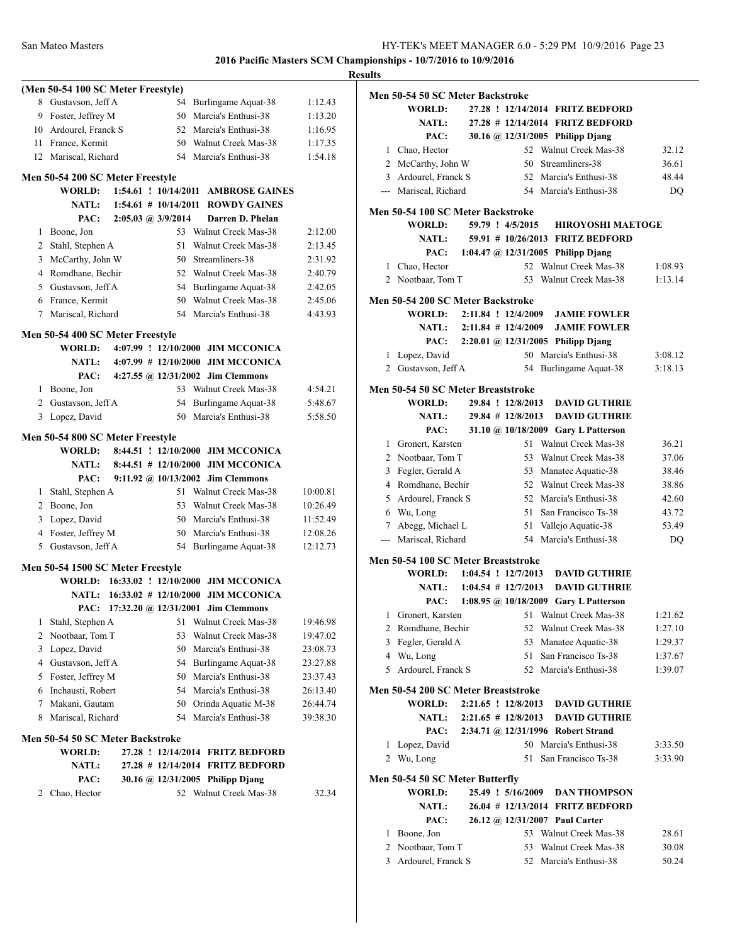|        | (Men 50-54 100 SC Meter Freestyle) |                        |                                               |          |
|--------|------------------------------------|------------------------|-----------------------------------------------|----------|
| 8      | Gustavson, Jeff A                  |                        | 54 Burlingame Aquat-38                        | 1:12.43  |
|        | 9 Foster, Jeffrey M                |                        | 50 Marcia's Enthusi-38                        | 1:13.20  |
|        | 10 Ardourel, Franck S              |                        | 52 Marcia's Enthusi-38                        | 1:16.95  |
|        | 11 France, Kermit                  |                        | 50 Walnut Creek Mas-38                        | 1:17.35  |
|        | 12 Mariscal, Richard               |                        | 54 Marcia's Enthusi-38                        | 1:54.18  |
|        |                                    |                        |                                               |          |
|        | Men 50-54 200 SC Meter Freestyle   |                        |                                               |          |
|        | <b>WORLD:</b>                      | 1:54.61 ! 10/14/2011   | <b>AMBROSE GAINES</b>                         |          |
|        | <b>NATL:</b>                       | $1:54.61$ # 10/14/2011 | <b>ROWDY GAINES</b>                           |          |
|        | PAC:                               | 2:05.03 @ 3/9/2014     | Darren D. Phelan                              |          |
|        | 1 Boone, Jon                       |                        | 53 Walnut Creek Mas-38                        | 2:12.00  |
|        | 2 Stahl, Stephen A                 | 51.                    | Walnut Creek Mas-38                           | 2:13.45  |
|        | 3 McCarthy, John W                 |                        | 50 Streamliners-38                            | 2:31.92  |
|        | 4 Romdhane, Bechir                 |                        | 52 Walnut Creek Mas-38                        | 2:40.79  |
|        | 5 Gustavson, Jeff A                |                        | 54 Burlingame Aquat-38                        | 2:42.05  |
|        | 6 France, Kermit                   |                        | 50 Walnut Creek Mas-38                        | 2:45.06  |
| $\tau$ | Mariscal, Richard                  |                        | 54 Marcia's Enthusi-38                        | 4:43.93  |
|        | Men 50-54 400 SC Meter Freestyle   |                        |                                               |          |
|        | WORLD:                             |                        | 4:07.99 ! 12/10/2000 JIM MCCONICA             |          |
|        | NATL:                              |                        | 4:07.99 # 12/10/2000 JIM MCCONICA             |          |
|        | PAC:                               |                        | 4:27.55 @ 12/31/2002 Jim Clemmons             |          |
|        | 1 Boone, Jon                       |                        | 53 Walnut Creek Mas-38                        | 4:54.21  |
|        | 2 Gustavson, Jeff A                |                        | 54 Burlingame Aquat-38                        | 5:48.67  |
| 3      | Lopez, David                       |                        | 50 Marcia's Enthusi-38                        | 5:58.50  |
|        |                                    |                        |                                               |          |
|        | Men 50-54 800 SC Meter Freestyle   |                        |                                               |          |
|        | <b>WORLD:</b>                      |                        | 8:44.51 ! 12/10/2000 JIM MCCONICA             |          |
|        | <b>NATL:</b>                       |                        | 8:44.51 # 12/10/2000 JIM MCCONICA             |          |
|        | PAC:                               |                        | 9:11.92 @ 10/13/2002 Jim Clemmons             |          |
| 1      | Stahl, Stephen A                   |                        | 51 Walnut Creek Mas-38                        | 10:00.81 |
|        | 2 Boone, Jon                       |                        | 53 Walnut Creek Mas-38                        | 10:26.49 |
|        | 3 Lopez, David                     |                        | 50 Marcia's Enthusi-38                        | 11:52.49 |
|        | 4 Foster, Jeffrey M                |                        | 50 Marcia's Enthusi-38                        | 12:08.26 |
| 5      | Gustavson, Jeff A                  | 54                     | Burlingame Aquat-38                           | 12:12.73 |
|        | Men 50-54 1500 SC Meter Freestyle  |                        |                                               |          |
|        |                                    |                        | WORLD: 16:33.02 ! 12/10/2000 JIM MCCONICA     |          |
|        |                                    |                        | NATL: 16:33.02 # 12/10/2000 JIM MCCONICA      |          |
|        |                                    |                        | PAC: 17:32.20 @ 12/31/2001 Jim Clemmons       |          |
| 1      | Stahl, Stephen A                   | 51                     | Walnut Creek Mas-38                           | 19:46.98 |
| 2      | Nootbaar, Tom T                    | 53                     | Walnut Creek Mas-38                           | 19:47.02 |
| 3      | Lopez, David                       |                        | 50 Marcia's Enthusi-38                        | 23:08.73 |
| 4      | Gustavson, Jeff A                  | 54                     | Burlingame Aquat-38                           | 23:27.88 |
|        | 5 Foster, Jeffrey M                | 50                     | Marcia's Enthusi-38                           | 23:37.43 |
|        | 6 Inchausti, Robert                |                        | 54 Marcia's Enthusi-38                        | 26:13.40 |
| 7      | Makani, Gautam                     |                        |                                               |          |
|        | Mariscal, Richard                  | 54                     | 50 Orinda Aquatic M-38<br>Marcia's Enthusi-38 | 26:44.74 |
| 8      |                                    |                        |                                               | 39:38.30 |
|        | Men 50-54 50 SC Meter Backstroke   |                        |                                               |          |
|        | <b>WORLD:</b>                      |                        | 27.28 ! 12/14/2014 FRITZ BEDFORD              |          |
|        | <b>NATL:</b>                       | $27.28$ # 12/14/2014   | <b>FRITZ BEDFORD</b>                          |          |
|        | PAC:                               |                        | 30.16 @ 12/31/2005 Philipp Djang              |          |
| 2      | Chao, Hector                       |                        | 52 Walnut Creek Mas-38                        | 32.34    |
|        |                                    |                        |                                               |          |
|        |                                    |                        |                                               |          |
|        |                                    |                        |                                               |          |
|        |                                    |                        |                                               |          |
|        |                                    |                        |                                               |          |

| <b>Results</b> |                                                                   |                              |                       |                                                                      |                    |
|----------------|-------------------------------------------------------------------|------------------------------|-----------------------|----------------------------------------------------------------------|--------------------|
|                | Men 50-54 50 SC Meter Backstroke                                  |                              |                       |                                                                      |                    |
|                | WORLD:                                                            |                              |                       | 27.28 ! 12/14/2014 FRITZ BEDFORD                                     |                    |
|                | <b>NATL:</b>                                                      |                              |                       | 27.28 # 12/14/2014 FRITZ BEDFORD                                     |                    |
|                | PAC:                                                              |                              |                       | 30.16 @ 12/31/2005 Philipp Diang                                     |                    |
|                | 1 Chao, Hector                                                    |                              |                       | 52 Walnut Creek Mas-38                                               | 32.12              |
|                | 2 McCarthy, John W                                                |                              |                       | 50 Streamliners-38                                                   | 36.61              |
|                | 3 Ardourel, Franck S                                              |                              |                       | 52 Marcia's Enthusi-38                                               | 48.44              |
|                | --- Mariscal, Richard                                             |                              |                       | 54 Marcia's Enthusi-38                                               | DQ                 |
|                | Men 50-54 100 SC Meter Backstroke                                 |                              |                       |                                                                      |                    |
|                | <b>WORLD:</b>                                                     |                              | 59.79 ! 4/5/2015      | <b>HIROYOSHI MAETOGE</b>                                             |                    |
|                | <b>NATL:</b>                                                      |                              |                       | 59.91 # 10/26/2013 FRITZ BEDFORD                                     |                    |
|                | PAC:                                                              |                              |                       | 1:04.47 @ 12/31/2005 Philipp Djang                                   |                    |
|                | 1 Chao, Hector                                                    |                              |                       | 52 Walnut Creek Mas-38                                               | 1:08.93            |
|                | 2 Nootbaar, Tom T                                                 |                              |                       | 53 Walnut Creek Mas-38                                               | 1:13.14            |
|                |                                                                   |                              |                       |                                                                      |                    |
|                | Men 50-54 200 SC Meter Backstroke                                 |                              |                       |                                                                      |                    |
|                | WORLD: 2:11.84 ! 12/4/2009                                        |                              |                       | <b>JAMIE FOWLER</b>                                                  |                    |
|                |                                                                   | NATL: $2:11.84 \# 12/4/2009$ |                       | <b>JAMIE FOWLER</b>                                                  |                    |
|                | PAC:                                                              |                              |                       | 2:20.01 @ 12/31/2005 Philipp Djang                                   |                    |
|                | 1 Lopez, David                                                    |                              |                       | 50 Marcia's Enthusi-38                                               | 3:08.12            |
|                | 2 Gustavson, Jeff A                                               |                              |                       | 54 Burlingame Aquat-38                                               | 3:18.13            |
|                | Men 50-54 50 SC Meter Breaststroke                                |                              |                       |                                                                      |                    |
|                | WORLD:                                                            |                              | 29.84 ! 12/8/2013     | <b>DAVID GUTHRIE</b>                                                 |                    |
|                | <b>NATL:</b>                                                      |                              | $29.84$ # $12/8/2013$ | <b>DAVID GUTHRIE</b>                                                 |                    |
|                | PAC:                                                              |                              |                       | 31.10 @ 10/18/2009 Gary L Patterson                                  |                    |
|                | 1 Gronert, Karsten                                                |                              |                       | 51 Walnut Creek Mas-38                                               | 36.21              |
|                | 2 Nootbaar, Tom T                                                 |                              |                       | 53 Walnut Creek Mas-38                                               | 37.06              |
|                | 3 Fegler, Gerald A                                                |                              |                       | 53 Manatee Aquatic-38                                                | 38.46              |
|                | 4 Romdhane, Bechir                                                |                              |                       | 52 Walnut Creek Mas-38                                               | 38.86              |
|                | 5 Ardourel, Franck S                                              |                              |                       | 52 Marcia's Enthusi-38                                               | 42.60              |
|                | 6 Wu, Long                                                        |                              |                       | 51 San Francisco Ts-38                                               | 43.72              |
|                | 7 Abegg, Michael L                                                |                              |                       | 51 Vallejo Aquatic-38                                                | 53.49              |
|                | --- Mariscal, Richard                                             |                              |                       | 54 Marcia's Enthusi-38                                               | <b>DQ</b>          |
|                |                                                                   |                              |                       |                                                                      |                    |
|                | Men 50-54 100 SC Meter Breaststroke<br>WORLD: 1:04.54 ! 12/7/2013 |                              |                       | <b>DAVID GUTHRIE</b>                                                 |                    |
|                |                                                                   | NATL: $1:04.54 \# 12/7/2013$ |                       |                                                                      |                    |
|                |                                                                   |                              |                       | <b>DAVID GUTHRIE</b>                                                 |                    |
|                | 1 Gronert, Karsten                                                |                              |                       | PAC: 1:08.95 @ 10/18/2009 Gary L Patterson<br>51 Walnut Creek Mas-38 |                    |
|                | 2 Romdhane, Bechir                                                |                              |                       | 52 Walnut Creek Mas-38                                               | 1:21.62            |
|                | 3 Fegler, Gerald A                                                |                              |                       |                                                                      | 1:27.10            |
|                | 4 Wu, Long                                                        |                              |                       | 53 Manatee Aquatic-38<br>51 San Francisco Ts-38                      | 1:29.37<br>1:37.67 |
|                | 5 Ardourel, Franck S                                              |                              |                       | 52 Marcia's Enthusi-38                                               | 1:39.07            |
|                |                                                                   |                              |                       |                                                                      |                    |
|                | Men 50-54 200 SC Meter Breaststroke                               |                              |                       |                                                                      |                    |
|                | <b>WORLD:</b>                                                     |                              |                       | 2:21.65 ! 12/8/2013 DAVID GUTHRIE                                    |                    |
|                | <b>NATL:</b>                                                      |                              |                       | 2:21.65 # 12/8/2013 DAVID GUTHRIE                                    |                    |
|                | PAC:                                                              |                              |                       | 2:34.71 @ 12/31/1996 Robert Strand                                   |                    |
|                | 1 Lopez, David                                                    |                              |                       | 50 Marcia's Enthusi-38                                               | 3:33.50            |
|                | 2 Wu, Long                                                        |                              |                       | 51 San Francisco Ts-38                                               | 3:33.90            |
|                | Men 50-54 50 SC Meter Butterfly                                   |                              |                       |                                                                      |                    |
|                | WORLD:                                                            |                              | 25.49 ! 5/16/2009     | <b>DAN THOMPSON</b>                                                  |                    |
|                | <b>NATL:</b>                                                      |                              |                       | 26.04 # 12/13/2014 FRITZ BEDFORD                                     |                    |
|                | PAC:                                                              |                              |                       | 26.12 @ 12/31/2007 Paul Carter                                       |                    |
|                | 1 Boone, Jon                                                      |                              |                       | 53 Walnut Creek Mas-38                                               | 28.61              |
|                | 2 Nootbaar, Tom T                                                 |                              |                       | 53 Walnut Creek Mas-38                                               | 30.08              |
|                | 3 Ardourel, Franck S                                              |                              |                       | 52 Marcia's Enthusi-38                                               | 50.24              |
|                |                                                                   |                              |                       |                                                                      |                    |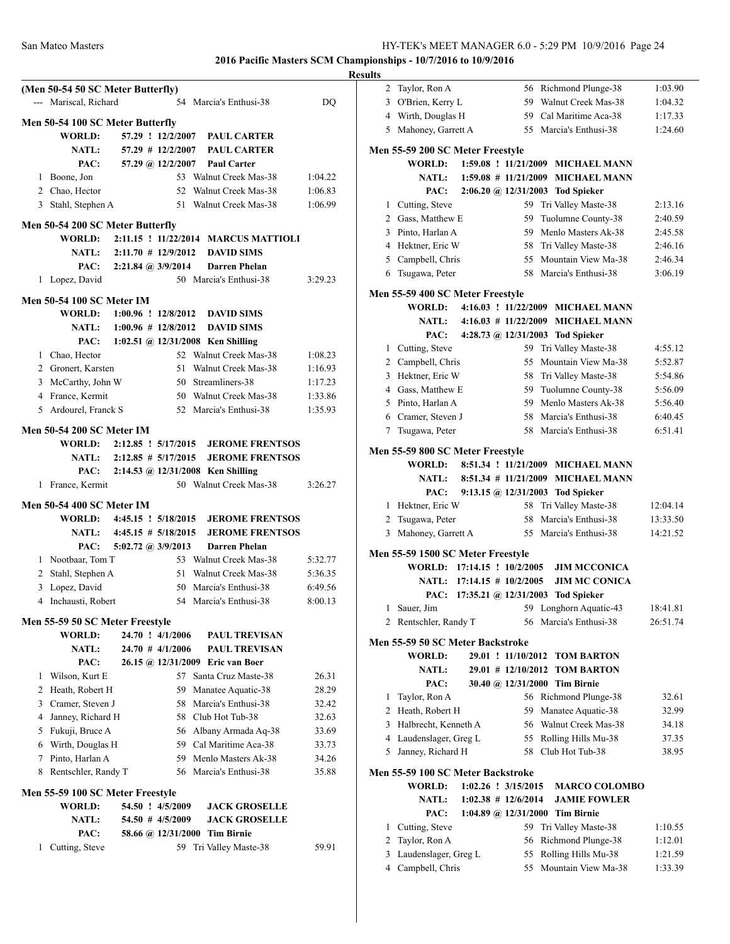|    | <b>NATL:</b><br>PAC:                                           |  | $54.50$ # $4/5/2009$                               | 58.66 @ 12/31/2000 Tim Birnie         |         |
|----|----------------------------------------------------------------|--|----------------------------------------------------|---------------------------------------|---------|
|    |                                                                |  |                                                    |                                       |         |
|    |                                                                |  |                                                    | <b>JACK GROSELLE</b>                  |         |
|    | <b>WORLD:</b>                                                  |  | 54.50 ! 4/5/2009                                   | <b>JACK GROSELLE</b>                  |         |
|    | Men 55-59 100 SC Meter Freestyle                               |  |                                                    |                                       |         |
|    | 8 Rentschler, Randy T                                          |  |                                                    | 56 Marcia's Enthusi-38                | 35.88   |
|    | 7 Pinto, Harlan A                                              |  |                                                    | 59 Menlo Masters Ak-38                | 34.26   |
|    | 6 Wirth, Douglas H                                             |  |                                                    | 59 Cal Maritime Aca-38                | 33.73   |
|    | 5 Fukuji, Bruce A                                              |  |                                                    | 56 Albany Armada Aq-38                | 33.69   |
|    | 4 Janney, Richard H                                            |  |                                                    | 58 Club Hot Tub-38                    | 32.63   |
|    | 3 Cramer, Steven J                                             |  | 58                                                 | Marcia's Enthusi-38                   | 32.42   |
|    | 2 Heath, Robert H                                              |  | 59                                                 | Manatee Aquatic-38                    | 28.29   |
|    | 1 Wilson, Kurt E                                               |  | 57                                                 | Santa Cruz Maste-38                   | 26.31   |
|    | PAC:                                                           |  |                                                    | 26.15 @ 12/31/2009 Eric van Boer      |         |
|    | <b>NATL:</b>                                                   |  | $24.70$ # $4/1/2006$                               | <b>PAUL TREVISAN</b>                  |         |
|    | <b>WORLD:</b>                                                  |  | 24.70 ! 4/1/2006                                   | <b>PAUL TREVISAN</b>                  |         |
|    | Men 55-59 50 SC Meter Freestyle                                |  |                                                    |                                       |         |
|    |                                                                |  |                                                    |                                       |         |
| 4  | Inchausti, Robert                                              |  | 54                                                 | Marcia's Enthusi-38                   | 8:00.13 |
| 3  | Lopez, David                                                   |  | 50                                                 | Marcia's Enthusi-38                   | 6:49.56 |
|    | 2 Stahl, Stephen A                                             |  | 51                                                 | Walnut Creek Mas-38                   | 5:36.35 |
|    | 1 Nootbaar, Tom T                                              |  | 53                                                 | Walnut Creek Mas-38                   | 5:32.77 |
|    | PAC:                                                           |  | 5:02.72 @ $3/9/2013$                               | <b>Darren Phelan</b>                  |         |
|    | NATL: 4:45.15 # 5/18/2015                                      |  |                                                    | <b>JEROME FRENTSOS</b>                |         |
|    | <b>Men 50-54 400 SC Meter IM</b><br>WORLD: 4:45.15 ! 5/18/2015 |  |                                                    | <b>JEROME FRENTSOS</b>                |         |
|    |                                                                |  |                                                    |                                       |         |
|    | 1 France, Kermit                                               |  |                                                    | 50 Walnut Creek Mas-38                | 3:26.27 |
|    | PAC:                                                           |  |                                                    | $2:14.53$ @ $12/31/2008$ Ken Shilling |         |
|    | NATL: 2:12.85 # 5/17/2015                                      |  |                                                    | <b>JEROME FRENTSOS</b>                |         |
|    | WORLD: 2:12.85 ! 5/17/2015                                     |  |                                                    | <b>JEROME FRENTSOS</b>                |         |
|    | <b>Men 50-54 200 SC Meter IM</b>                               |  |                                                    |                                       |         |
| 5. | Ardourel, Franck S                                             |  | 52                                                 | Marcia's Enthusi-38                   | 1:35.93 |
|    | 4 France, Kermit                                               |  |                                                    | 50 Walnut Creek Mas-38                | 1:33.86 |
|    | 3 McCarthy, John W                                             |  |                                                    | 50 Streamliners-38                    | 1:17.23 |
|    | 2 Gronert, Karsten                                             |  | 51                                                 | Walnut Creek Mas-38                   | 1:16.93 |
|    | 1 Chao, Hector                                                 |  |                                                    | 52 Walnut Creek Mas-38                | 1:08.23 |
|    | PAC:                                                           |  |                                                    | 1:02.51 @ 12/31/2008 Ken Shilling     |         |
|    | <b>NATL:</b>                                                   |  | $1:00.96 \neq 12/8/2012$                           | <b>DAVID SIMS</b>                     |         |
|    | <b>WORLD:</b>                                                  |  | $1:00.96$ ! $12/8/2012$                            | <b>DAVID SIMS</b>                     |         |
|    | Men 50-54 100 SC Meter IM                                      |  |                                                    |                                       |         |
|    |                                                                |  |                                                    |                                       |         |
|    | 1 Lopez, David                                                 |  |                                                    | 50 Marcia's Enthusi-38                | 3:29.23 |
|    | PAC:                                                           |  | $2:21.84 \; (\text{\textdegreeled{a}}\; 3/9/2014)$ | <b>Darren Phelan</b>                  |         |
|    | <b>NATL:</b>                                                   |  | $2:11.70 \# 12/9/2012$                             | <b>DAVID SIMS</b>                     |         |
|    | WORLD:                                                         |  |                                                    | 2:11.15 ! 11/22/2014 MARCUS MATTIOLI  |         |
|    | Men 50-54 200 SC Meter Butterfly                               |  |                                                    |                                       |         |
|    | 3 Stahl, Stephen A                                             |  | 51                                                 | Walnut Creek Mas-38                   | 1:06.99 |
|    | 2 Chao, Hector                                                 |  | 52                                                 | Walnut Creek Mas-38                   | 1:06.83 |
|    | 1 Boone, Jon                                                   |  | 53                                                 | <b>Walnut Creek Mas-38</b>            | 1:04.22 |
|    | PAC:                                                           |  | 57.29 @ 12/2/2007                                  | <b>Paul Carter</b>                    |         |
|    | <b>NATL:</b>                                                   |  | $57.29$ # $12/2/2007$                              | <b>PAUL CARTER</b>                    |         |
|    | WORLD:                                                         |  | 57.29 ! 12/2/2007                                  | <b>PAUL CARTER</b>                    |         |
|    |                                                                |  |                                                    |                                       |         |
|    | Men 50-54 100 SC Meter Butterfly                               |  |                                                    |                                       |         |

| <b>Results</b> |                                                                                |                                                             |    |                                                                                              |          |
|----------------|--------------------------------------------------------------------------------|-------------------------------------------------------------|----|----------------------------------------------------------------------------------------------|----------|
|                | 2 Taylor, Ron A                                                                |                                                             |    | 56 Richmond Plunge-38                                                                        | 1:03.90  |
|                | 3 O'Brien, Kerry L                                                             |                                                             |    | 59 Walnut Creek Mas-38                                                                       | 1:04.32  |
|                | 4 Wirth, Douglas H                                                             |                                                             |    | 59 Cal Maritime Aca-38                                                                       | 1:17.33  |
|                | 5 Mahoney, Garrett A                                                           |                                                             |    | 55 Marcia's Enthusi-38                                                                       | 1:24.60  |
|                | Men 55-59 200 SC Meter Freestyle                                               |                                                             |    |                                                                                              |          |
|                | <b>WORLD:</b>                                                                  |                                                             |    | 1:59.08 ! 11/21/2009 MICHAEL MANN                                                            |          |
|                | <b>NATL:</b>                                                                   | $1:59.08$ # $11/21/2009$                                    |    | <b>MICHAEL MANN</b>                                                                          |          |
|                | PAC:                                                                           |                                                             |    | 2:06.20 @ 12/31/2003 Tod Spieker                                                             |          |
|                | 1 Cutting, Steve                                                               |                                                             |    | 59 Tri Valley Maste-38                                                                       | 2:13.16  |
|                | 2 Gass, Matthew E                                                              |                                                             |    | 59 Tuolumne County-38                                                                        | 2:40.59  |
|                | 3 Pinto, Harlan A                                                              |                                                             |    | 59 Menlo Masters Ak-38                                                                       | 2:45.58  |
|                | 4 Hektner, Eric W                                                              |                                                             |    | 58 Tri Valley Maste-38                                                                       | 2:46.16  |
|                | 5 Campbell, Chris                                                              |                                                             |    | 55 Mountain View Ma-38                                                                       | 2:46.34  |
|                | 6 Tsugawa, Peter                                                               |                                                             |    | 58 Marcia's Enthusi-38                                                                       | 3:06.19  |
|                | Men 55-59 400 SC Meter Freestyle                                               |                                                             |    |                                                                                              |          |
|                | WORLD:                                                                         |                                                             |    | 4:16.03 ! 11/22/2009 MICHAEL MANN                                                            |          |
|                |                                                                                | NATL: $4:16.03 \# 11/22/2009$                               |    | <b>MICHAEL MANN</b>                                                                          |          |
|                |                                                                                |                                                             |    | PAC: 4:28.73 @ 12/31/2003 Tod Spieker                                                        |          |
|                | 1 Cutting, Steve                                                               |                                                             |    | 59 Tri Valley Maste-38                                                                       | 4:55.12  |
|                | 2 Campbell, Chris                                                              |                                                             |    | 55 Mountain View Ma-38                                                                       | 5:52.87  |
|                | 3 Hektner, Eric W                                                              |                                                             |    | 58 Tri Valley Maste-38                                                                       | 5:54.86  |
|                | 4 Gass, Matthew E                                                              |                                                             |    | 59 Tuolumne County-38                                                                        | 5:56.09  |
|                | 5 Pinto, Harlan A                                                              |                                                             |    | 59 Menlo Masters Ak-38                                                                       | 5:56.40  |
|                | 6 Cramer, Steven J                                                             |                                                             |    | 58 Marcia's Enthusi-38                                                                       | 6:40.45  |
|                | 7 Tsugawa, Peter                                                               |                                                             |    | 58 Marcia's Enthusi-38                                                                       | 6:51.41  |
|                | Men 55-59 800 SC Meter Freestyle<br><b>WORLD:</b><br><b>NATL:</b><br>PAC:      | $8:51.34$ # 11/21/2009                                      |    | 8:51.34 ! 11/21/2009 MICHAEL MANN<br><b>MICHAEL MANN</b><br>9:13.15 @ 12/31/2003 Tod Spieker |          |
|                | 1 Hektner, Eric W                                                              |                                                             | 58 | Tri Valley Maste-38                                                                          | 12:04.14 |
|                | 2 Tsugawa, Peter                                                               |                                                             |    | 58 Marcia's Enthusi-38                                                                       | 13:33.50 |
|                | 3 Mahoney, Garrett A                                                           |                                                             |    | 55 Marcia's Enthusi-38                                                                       | 14:21.52 |
| 1              | Men 55-59 1500 SC Meter Freestyle<br>WORLD: 17:14.15 ! 10/2/2005<br>Sauer, Jim | NATL: $17:14.15 \# 10/2/2005$<br>PAC: 17:35.21 @ 12/31/2003 |    | <b>JIM MCCONICA</b><br><b>JIM MC CONICA</b><br><b>Tod Spieker</b><br>59 Longhorn Aquatic-43  | 18:41.81 |
| 2              | Rentschler, Randy T                                                            |                                                             |    | 56 Marcia's Enthusi-38                                                                       | 26:51.74 |
|                | Men 55-59 50 SC Meter Backstroke                                               |                                                             |    |                                                                                              |          |
|                | <b>WORLD:</b>                                                                  |                                                             |    | 29.01 ! 11/10/2012 TOM BARTON                                                                |          |
|                | <b>NATL:</b>                                                                   |                                                             |    | 29.01 # 12/10/2012 TOM BARTON                                                                |          |
|                | PAC:                                                                           |                                                             |    | 30.40 @ 12/31/2000 Tim Birnie                                                                |          |
| 1              | Taylor, Ron A                                                                  |                                                             |    | 56 Richmond Plunge-38                                                                        | 32.61    |
|                | 2 Heath, Robert H                                                              |                                                             | 59 | Manatee Aquatic-38                                                                           | 32.99    |
|                | 3 Halbrecht, Kenneth A                                                         |                                                             |    | 56 Walnut Creek Mas-38                                                                       | 34.18    |
|                | 4 Laudenslager, Greg L                                                         |                                                             |    | 55 Rolling Hills Mu-38                                                                       | 37.35    |
|                | 5 Janney, Richard H                                                            |                                                             |    | 58 Club Hot Tub-38                                                                           | 38.95    |
|                | Men 55-59 100 SC Meter Backstroke<br><b>WORLD:</b><br><b>NATL:</b><br>PAC:     | $1:02.26$ : $3/15/2015$<br>$1:02.38$ # 12/6/2014            |    | <b>MARCO COLOMBO</b><br><b>JAMIE FOWLER</b><br>1:04.89 @ 12/31/2000 Tim Birnie               |          |
|                | 1 Cutting, Steve                                                               |                                                             |    | 59 Tri Valley Maste-38                                                                       | 1:10.55  |
|                | 2 Taylor, Ron A                                                                |                                                             | 56 | Richmond Plunge-38                                                                           | 1:12.01  |
|                | 3 Laudenslager, Greg L                                                         |                                                             |    | 55 Rolling Hills Mu-38                                                                       | 1:21.59  |
|                | 4 Campbell, Chris                                                              |                                                             |    | 55 Mountain View Ma-38                                                                       | 1:33.39  |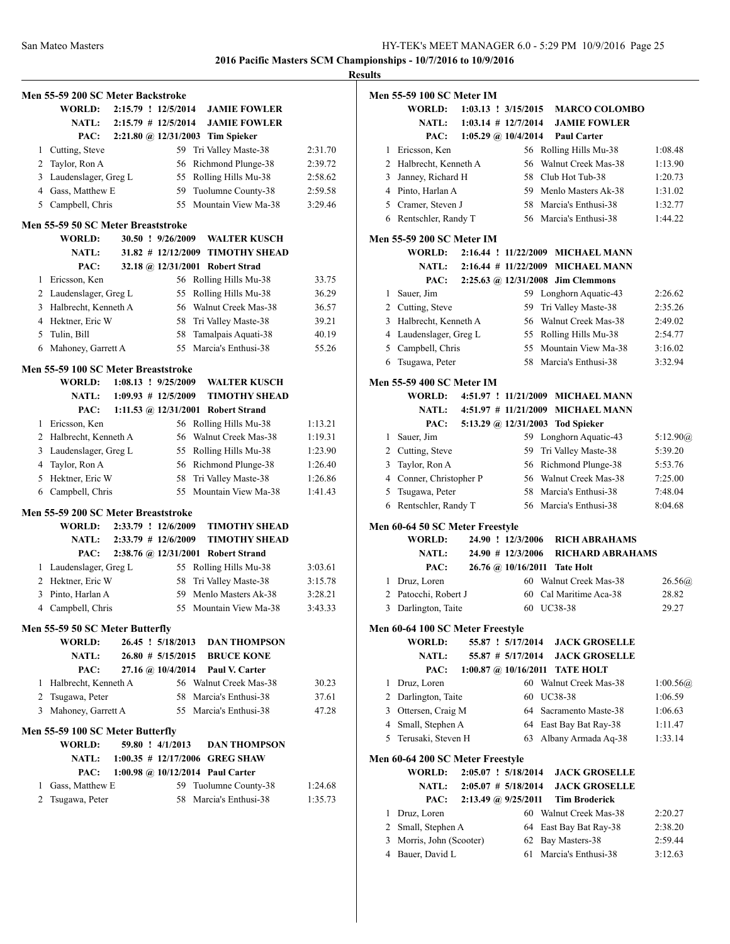**Men 55-59 200 SC Meter Backstroke WORLD: 2:15.79 ! 12/5/2014 JAMIE FOWLER NATL: 2:15.79 # 12/5/2014 JAMIE FOWLER PAC: 2:21.80 @ 12/31/2003 Tim Spieker** 1 Cutting, Steve 59 Tri Valley Maste-38 2:31.70 2 Taylor, Ron A 56 Richmond Plunge-38 2:39.72 3 Laudenslager, Greg L 55 Rolling Hills Mu-38 2:58.62 4 Gass, Matthew E 59 Tuolumne County-38 2:59.58 5 Campbell, Chris 55 Mountain View Ma-38 3:29.46 **Men 55-59 50 SC Meter Breaststroke WORLD: 30.50 ! 9/26/2009 WALTER KUSCH NATL: 31.82 # 12/12/2009 TIMOTHY SHEAD PAC: 32.18 @ 12/31/2001 Robert Strad** 1 Ericsson, Ken 56 Rolling Hills Mu-38 33.75 2 Laudenslager, Greg L 55 Rolling Hills Mu-38 36.29 3 Halbrecht, Kenneth A 56 Walnut Creek Mas-38 36.57 4 Hektner, Eric W 58 Tri Valley Maste-38 39.21 5 Tulin, Bill 58 Tamalpais Aquati-38 40.19 6 Mahoney, Garrett A 55 Marcia's Enthusi-38 55.26 **Men 55-59 100 SC Meter Breaststroke WORLD: 1:08.13 ! 9/25/2009 WALTER KUSCH NATL: 1:09.93 # 12/5/2009 TIMOTHY SHEAD PAC: 1:11.53 @ 12/31/2001 Robert Strand** 1 Ericsson, Ken 56 Rolling Hills Mu-38 1:13.21 2 Halbrecht, Kenneth A 56 Walnut Creek Mas-38 1:19.31 3 Laudenslager, Greg L 55 Rolling Hills Mu-38 1:23.90 4 Taylor, Ron A 56 Richmond Plunge-38 1:26.40 5 Hektner, Eric W 58 Tri Valley Maste-38 1:26.86 6 Campbell, Chris 55 Mountain View Ma-38 1:41.43 **Men 55-59 200 SC Meter Breaststroke WORLD: 2:33.79 ! 12/6/2009 TIMOTHY SHEAD NATL: 2:33.79 # 12/6/2009 TIMOTHY SHEAD PAC: 2:38.76 @ 12/31/2001 Robert Strand** 1 Laudenslager, Greg L 55 Rolling Hills Mu-38 3:03.61 2 Hektner, Eric W 58 Tri Valley Maste-38 3:15.78 3 Pinto, Harlan A 59 Menlo Masters Ak-38 3:28.21 4 Campbell, Chris 55 Mountain View Ma-38 3:43.33 **Men 55-59 50 SC Meter Butterfly WORLD: 26.45 ! 5/18/2013 DAN THOMPSON NATL: 26.80 # 5/15/2015 BRUCE KONE PAC: 27.16 @ 10/4/2014 Paul V. Carter** 1 Halbrecht, Kenneth A 56 Walnut Creek Mas-38 30.23 2 Tsugawa, Peter 58 Marcia's Enthusi-38 37.61 3 Mahoney, Garrett A 55 Marcia's Enthusi-38 47.28 **Men 55-59 100 SC Meter Butterfly WORLD: 59.80 ! 4/1/2013 DAN THOMPSON NATL: 1:00.35 # 12/17/2006 GREG SHAW PAC: 1:00.98 @ 10/12/2014 Paul Carter** 1 Gass, Matthew E 59 Tuolumne County-38 1:24.68 2 Tsugawa, Peter 58 Marcia's Enthusi-38 1:35.73

|   | Men 55-59 100 SC Meter IM        |  |                                                    |                                             |            |
|---|----------------------------------|--|----------------------------------------------------|---------------------------------------------|------------|
|   | <b>WORLD:</b><br><b>NATL:</b>    |  | $1:03.13$ ! $3/15/2015$<br>$1:03.14$ # $12/7/2014$ | <b>MARCO COLOMBO</b><br><b>JAMIE FOWLER</b> |            |
|   | PAC:                             |  | 1:05.29 @ $10/4/2014$                              | <b>Paul Carter</b>                          |            |
| 1 | Ericsson, Ken                    |  | 56                                                 | Rolling Hills Mu-38                         | 1:08.48    |
| 2 | Halbrecht, Kenneth A             |  | 56                                                 | Walnut Creek Mas-38                         | 1:13.90    |
| 3 | Janney, Richard H                |  | 58                                                 | Club Hot Tub-38                             | 1:20.73    |
|   | 4 Pinto, Harlan A                |  |                                                    | 59 Menlo Masters Ak-38                      | 1:31.02    |
|   | 5 Cramer, Steven J               |  |                                                    | 58 Marcia's Enthusi-38                      | 1:32.77    |
| 6 | Rentschler, Randy T              |  |                                                    | 56 Marcia's Enthusi-38                      | 1:44.22    |
|   |                                  |  |                                                    |                                             |            |
|   | <b>Men 55-59 200 SC Meter IM</b> |  |                                                    |                                             |            |
|   | WORLD:                           |  |                                                    | 2:16.44 ! 11/22/2009 MICHAEL MANN           |            |
|   | <b>NATL:</b>                     |  | $2:16.44 \# 11/22/2009$                            | <b>MICHAEL MANN</b>                         |            |
|   | PAC:                             |  |                                                    | 2:25.63 @ 12/31/2008 Jim Clemmons           |            |
| 1 | Sauer, Jim                       |  | 59.                                                | Longhorn Aquatic-43                         | 2:26.62    |
| 2 | Cutting, Steve                   |  | 59.                                                | Tri Valley Maste-38                         | 2:35.26    |
|   | 3 Halbrecht, Kenneth A           |  | 56                                                 | Walnut Creek Mas-38                         | 2:49.02    |
| 4 | Laudenslager, Greg L             |  |                                                    | 55 Rolling Hills Mu-38                      | 2:54.77    |
| 5 | Campbell, Chris                  |  | 55                                                 | Mountain View Ma-38                         | 3:16.02    |
| 6 | Tsugawa, Peter                   |  |                                                    | 58 Marcia's Enthusi-38                      | 3:32.94    |
|   | Men 55-59 400 SC Meter IM        |  |                                                    |                                             |            |
|   | WORLD:                           |  |                                                    | 4:51.97 ! 11/21/2009 MICHAEL MANN           |            |
|   | <b>NATL:</b>                     |  |                                                    | 4:51.97 $\#$ 11/21/2009 MICHAEL MANN        |            |
|   | PAC:                             |  | 5:13.29 @ 12/31/2003                               | <b>Tod Spieker</b>                          |            |
| 1 | Sauer, Jim                       |  | 59.                                                | Longhorn Aquatic-43                         | 5:12.90(a) |
| 2 | Cutting, Steve                   |  | 59                                                 | Tri Valley Maste-38                         | 5:39.20    |
| 3 | Taylor, Ron A                    |  | 56                                                 | Richmond Plunge-38                          | 5:53.76    |
|   | 4 Conner, Christopher P          |  | 56                                                 | Walnut Creek Mas-38                         | 7:25.00    |
| 5 | Tsugawa, Peter                   |  | 58                                                 | Marcia's Enthusi-38                         | 7:48.04    |
| 6 | Rentschler, Randy T              |  |                                                    | 56 Marcia's Enthusi-38                      | 8:04.68    |
|   | Men 60-64 50 SC Meter Freestyle  |  |                                                    |                                             |            |
|   | WORLD:                           |  | 24.90 ! 12/3/2006                                  | <b>RICH ABRAHAMS</b>                        |            |
|   | <b>NATL:</b>                     |  | $24.90 \# 12/3/2006$                               | <b>RICHARD ABRAHAMS</b>                     |            |
|   | PAC:                             |  | 26.76 @ 10/16/2011                                 | <b>Tate Holt</b>                            |            |
| 1 | Druz, Loren                      |  |                                                    | 60 Walnut Creek Mas-38                      | 26.56@     |
| 2 | Patocchi, Robert J               |  | 60                                                 | Cal Maritime Aca-38                         | 28.82      |
| 3 | Darlington, Taite                |  | 60                                                 | UC38-38                                     | 29.27      |
|   |                                  |  |                                                    |                                             |            |
|   | Men 60-64 100 SC Meter Freestyle |  |                                                    |                                             |            |
|   | <b>WORLD:</b>                    |  | 55.87 ! 5/17/2014                                  | <b>JACK GROSELLE</b>                        |            |
|   | <b>NATL:</b>                     |  | 55.87 # 5/17/2014                                  | <b>JACK GROSELLE</b>                        |            |
|   | PAC:                             |  | $1:00.87$ @ $10/16/2011$                           | <b>TATE HOLT</b>                            |            |
| 1 | Druz, Loren                      |  | 60                                                 | Walnut Creek Mas-38                         | 1:00.56@   |
|   | 2 Darlington, Taite              |  |                                                    | 60 UC38-38                                  | 1:06.59    |
|   | 3 Ottersen, Craig M              |  |                                                    | 64 Sacramento Maste-38                      | 1:06.63    |
|   | 4 Small, Stephen A               |  |                                                    | 64 East Bay Bat Ray-38                      | 1:11.47    |
|   | 5 Terusaki, Steven H             |  | 63                                                 | Albany Armada Aq-38                         | 1:33.14    |
|   | Men 60-64 200 SC Meter Freestyle |  |                                                    |                                             |            |
|   | WORLD:                           |  | 2:05.07 ! 5/18/2014                                | <b>JACK GROSELLE</b>                        |            |
|   | <b>NATL:</b>                     |  | $2:05.07$ # $5/18/2014$                            | <b>JACK GROSELLE</b>                        |            |
|   | PAC:                             |  | $2:13.49$ (a) $9/25/2011$                          | <b>Tim Broderick</b>                        |            |
| 1 | Druz, Loren                      |  |                                                    | 60 Walnut Creek Mas-38                      | 2:20.27    |
|   | 2 Small, Stephen A               |  |                                                    | 64 East Bay Bat Ray-38                      | 2:38.20    |

3 Morris, John (Scooter) 62 Bay Masters-38 2:59.44 4 Bauer, David L 61 Marcia's Enthusi-38 3:12.63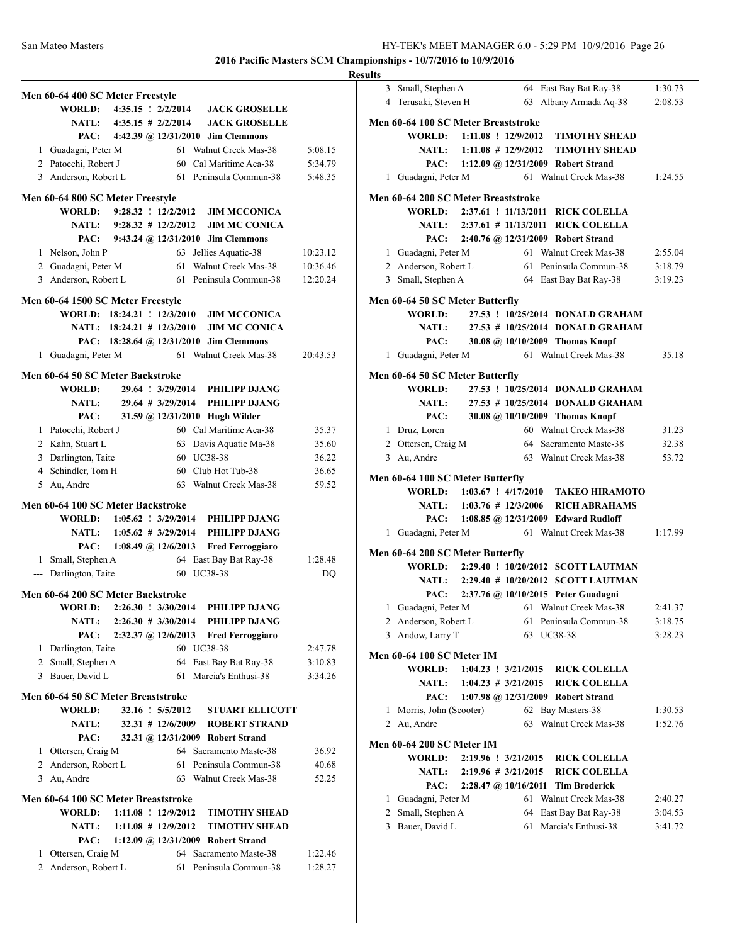|               | Men 60-64 400 SC Meter Freestyle    |                              |                     |                                          |          |
|---------------|-------------------------------------|------------------------------|---------------------|------------------------------------------|----------|
|               |                                     |                              |                     | WORLD: 4:35.15 ! 2/2/2014 JACK GROSELLE  |          |
|               |                                     |                              |                     | NATL: 4:35.15 # 2/2/2014 JACK GROSELLE   |          |
|               |                                     |                              |                     | PAC: 4:42.39 @ 12/31/2010 Jim Clemmons   |          |
|               | 1 Guadagni, Peter M                 |                              |                     | 61 Walnut Creek Mas-38                   | 5:08.15  |
|               | 2 Patocchi, Robert J                |                              |                     | 60 Cal Maritime Aca-38                   | 5:34.79  |
|               | 3 Anderson, Robert L                |                              |                     | 61 Peninsula Commun-38                   | 5:48.35  |
|               |                                     |                              |                     |                                          |          |
|               | Men 60-64 800 SC Meter Freestyle    |                              |                     |                                          |          |
|               |                                     | WORLD: 9:28.32 ! 12/2/2012   |                     | <b>JIM MCCONICA</b>                      |          |
|               |                                     | NATL: $9:28.32 \# 12/2/2012$ |                     | <b>JIM MC CONICA</b>                     |          |
|               |                                     |                              |                     | PAC: 9:43.24 @ 12/31/2010 Jim Clemmons   |          |
|               | 1 Nelson, John P                    |                              | 63                  | Jellies Aquatic-38                       | 10:23.12 |
|               | 2 Guadagni, Peter M                 |                              |                     | 61 Walnut Creek Mas-38                   | 10:36.46 |
|               | 3 Anderson, Robert L                |                              |                     | 61 Peninsula Commun-38                   | 12:20.24 |
|               | Men 60-64 1500 SC Meter Freestyle   |                              |                     |                                          |          |
|               |                                     | WORLD: 18:24.21 ! 12/3/2010  |                     | <b>JIM MCCONICA</b>                      |          |
|               |                                     | NATL: 18:24.21 # 12/3/2010   |                     | <b>JIM MC CONICA</b>                     |          |
|               |                                     |                              |                     | PAC: 18:28.64 @ 12/31/2010 Jim Clemmons  |          |
|               | 1 Guadagni, Peter M                 |                              |                     | 61 Walnut Creek Mas-38                   | 20:43.53 |
|               |                                     |                              |                     |                                          |          |
|               | Men 60-64 50 SC Meter Backstroke    |                              |                     |                                          |          |
|               | WORLD:                              |                              |                     | 29.64 ! 3/29/2014 PHILIPP DJANG          |          |
|               | <b>NATL:</b>                        |                              |                     | 29.64 # 3/29/2014 PHILIPP DJANG          |          |
|               | PAC:                                |                              |                     | 31.59 @ 12/31/2010 Hugh Wilder           |          |
|               | 1 Patocchi, Robert J                |                              |                     | 60 Cal Maritime Aca-38                   | 35.37    |
|               | 2 Kahn, Stuart L                    |                              |                     | 63 Davis Aquatic Ma-38                   | 35.60    |
|               | 3 Darlington, Taite                 |                              |                     | 60 UC38-38                               | 36.22    |
|               | 4 Schindler, Tom H                  |                              |                     | 60 Club Hot Tub-38                       | 36.65    |
|               | 5 Au, Andre                         |                              |                     | 63 Walnut Creek Mas-38                   | 59.52    |
|               | Men 60-64 100 SC Meter Backstroke   |                              |                     |                                          |          |
|               |                                     |                              |                     | WORLD: 1:05.62 ! 3/29/2014 PHILIPP DJANG |          |
|               |                                     |                              |                     | NATL: 1:05.62 # 3/29/2014 PHILIPP DJANG  |          |
|               | PAC:                                | 1:08.49 @ 12/6/2013          |                     | <b>Fred Ferroggiaro</b>                  |          |
|               | 1 Small, Stephen A                  |                              |                     | 64 East Bay Bat Ray-38                   | 1:28.48  |
| $\frac{1}{2}$ | Darlington, Taite                   |                              |                     | 60 UC38-38                               | DQ       |
|               |                                     |                              |                     |                                          |          |
|               | Men 60-64 200 SC Meter Backstroke   |                              |                     |                                          |          |
|               |                                     | WORLD: 2:26.30 ! 3/30/2014   |                     | PHILIPP DJANG                            |          |
|               | <b>NATL:</b>                        | $2:26.30 \# 3/30/2014$       |                     | PHILIPP DJANG                            |          |
|               | PAC:                                | $2:32.37$ @ 12/6/2013        |                     | <b>Fred Ferroggiaro</b>                  |          |
|               | 1 Darlington, Taite                 |                              |                     | 60 UC38-38                               | 2:47.78  |
|               | 2 Small, Stephen A                  |                              |                     | 64 East Bay Bat Ray-38                   | 3:10.83  |
|               | 3 Bauer, David L                    |                              | 61                  | Marcia's Enthusi-38                      | 3:34.26  |
|               | Men 60-64 50 SC Meter Breaststroke  |                              |                     |                                          |          |
|               | <b>WORLD:</b>                       |                              | 32.16 ! 5/5/2012    | <b>STUART ELLICOTT</b>                   |          |
|               | <b>NATL:</b>                        |                              | $32.31$ # 12/6/2009 | <b>ROBERT STRAND</b>                     |          |
|               | PAC:                                |                              |                     | 32.31 @ 12/31/2009 Robert Strand         |          |
|               | 1 Ottersen, Craig M                 |                              | 64                  | Sacramento Maste-38                      | 36.92    |
|               | 2 Anderson, Robert L                |                              | 61                  | Peninsula Commun-38                      | 40.68    |
|               | 3 Au, Andre                         |                              |                     | 63 Walnut Creek Mas-38                   | 52.25    |
|               |                                     |                              |                     |                                          |          |
|               | Men 60-64 100 SC Meter Breaststroke |                              |                     |                                          |          |
|               | <b>WORLD:</b>                       | $1:11.08$ ! $12/9/2012$      |                     | <b>TIMOTHY SHEAD</b>                     |          |
|               | <b>NATL:</b>                        | $1:11.08$ # 12/9/2012        |                     | <b>TIMOTHY SHEAD</b>                     |          |
|               | PAC:                                |                              |                     | 1:12.09 @ 12/31/2009 Robert Strand       |          |
|               | 1 Ottersen, Craig M                 |                              |                     | 64 Sacramento Maste-38                   | 1:22.46  |
|               | 2 Anderson, Robert L                |                              | 61                  | Peninsula Commun-38                      | 1:28.27  |

| <b>Results</b>                                                                            |                    |
|-------------------------------------------------------------------------------------------|--------------------|
| 3 Small, Stephen A<br>64 East Bay Bat Ray-38                                              | 1:30.73            |
| 4 Terusaki, Steven H<br>63 Albany Armada Aq-38                                            | 2:08.53            |
| Men 60-64 100 SC Meter Breaststroke                                                       |                    |
| WORLD: 1:11.08 ! 12/9/2012<br><b>TIMOTHY SHEAD</b>                                        |                    |
| NATL: 1:11.08 # 12/9/2012<br><b>TIMOTHY SHEAD</b>                                         |                    |
| PAC: 1:12.09 @ 12/31/2009 Robert Strand                                                   |                    |
| 61 Walnut Creek Mas-38<br>1 Guadagni, Peter M                                             | 1:24.55            |
|                                                                                           |                    |
| Men 60-64 200 SC Meter Breaststroke<br>WORLD: 2:37.61 ! 11/13/2011 RICK COLELLA           |                    |
| NATL: 2:37.61 # 11/13/2011 RICK COLELLA                                                   |                    |
| PAC:                                                                                      |                    |
| 2:40.76 @ 12/31/2009 Robert Strand<br>61 Walnut Creek Mas-38                              | 2:55.04            |
| 1 Guadagni, Peter M<br>61 Peninsula Commun-38                                             |                    |
| 2 Anderson, Robert L                                                                      | 3:18.79<br>3:19.23 |
| 3 Small, Stephen A<br>64 East Bay Bat Ray-38                                              |                    |
| Men 60-64 50 SC Meter Butterfly                                                           |                    |
| 27.53 ! 10/25/2014 DONALD GRAHAM<br><b>WORLD:</b>                                         |                    |
| NATL: 27.53 # 10/25/2014 DONALD GRAHAM                                                    |                    |
| PAC: 30.08 @ 10/10/2009 Thomas Knopf                                                      |                    |
| 1 Guadagni, Peter M<br>61 Walnut Creek Mas-38                                             | 35.18              |
| Men 60-64 50 SC Meter Butterfly                                                           |                    |
| 27.53 ! 10/25/2014 DONALD GRAHAM<br>WORLD:                                                |                    |
| 27.53 # 10/25/2014 DONALD GRAHAM<br><b>NATL:</b>                                          |                    |
| PAC: 30.08 @ 10/10/2009 Thomas Knopf                                                      |                    |
| 1 Druz, Loren<br>60 Walnut Creek Mas-38                                                   | 31.23              |
| 2 Ottersen, Craig M<br>64 Sacramento Maste-38                                             | 32.38              |
| 3 Au, Andre<br>63 Walnut Creek Mas-38                                                     | 53.72              |
|                                                                                           |                    |
| Men 60-64 100 SC Meter Butterfly                                                          |                    |
| WORLD: 1:03.67 ! 4/17/2010<br><b>TAKEO HIRAMOTO</b>                                       |                    |
| NATL: 1:03.76 # 12/3/2006<br><b>RICH ABRAHAMS</b>                                         |                    |
| PAC: 1:08.85 @ 12/31/2009 Edward Rudloff<br>1 Guadagni, Peter M<br>61 Walnut Creek Mas-38 | 1:17.99            |
|                                                                                           |                    |
| Men 60-64 200 SC Meter Butterfly                                                          |                    |
| WORLD: 2:29.40 ! 10/20/2012 SCOTT LAUTMAN                                                 |                    |
| NATL: 2:29.40 # 10/20/2012 SCOTT LAUTMAN                                                  |                    |
| PAC: 2:37.76 @ 10/10/2015 Peter Guadagni                                                  |                    |
| 1 Guadagni, Peter M<br>61 Walnut Creek Mas-38                                             | 2:41.37            |
| 2 Anderson, Robert L<br>61<br>Peninsula Commun-38                                         | 3:18.75            |
| 3 Andow, Larry T<br>63 UC38-38                                                            | 3:28.23            |
| <b>Men 60-64 100 SC Meter IM</b>                                                          |                    |
| <b>WORLD:</b><br>$1:04.23$ : $3/21/2015$<br><b>RICK COLELLA</b>                           |                    |
| $1:04.23 \# 3/21/2015$<br><b>RICK COLELLA</b><br><b>NATL:</b>                             |                    |
| 1:07.98 @ 12/31/2009 Robert Strand<br>PAC:                                                |                    |
| 62 Bay Masters-38<br>1 Morris, John (Scooter)                                             | 1:30.53            |
| 2 Au, Andre<br>Walnut Creek Mas-38<br>63                                                  | 1:52.76            |
| <b>Men 60-64 200 SC Meter IM</b>                                                          |                    |
| <b>WORLD:</b><br>2:19.96 ! 3/21/2015<br><b>RICK COLELLA</b>                               |                    |
| <b>RICK COLELLA</b><br><b>NATL:</b><br>$2:19.96 \# 3/21/2015$                             |                    |
| PAC:<br>$2:28.47 \; \textcircled{a}$ , 10/16/2011<br><b>Tim Broderick</b>                 |                    |
| Walnut Creek Mas-38<br>1 Guadagni, Peter M<br>61                                          | 2:40.27            |
| Small, Stephen A<br>64 East Bay Bat Ray-38<br>2                                           | 3:04.53            |
| 3 Bauer, David L<br>Marcia's Enthusi-38<br>61                                             | 3:41.72            |
|                                                                                           |                    |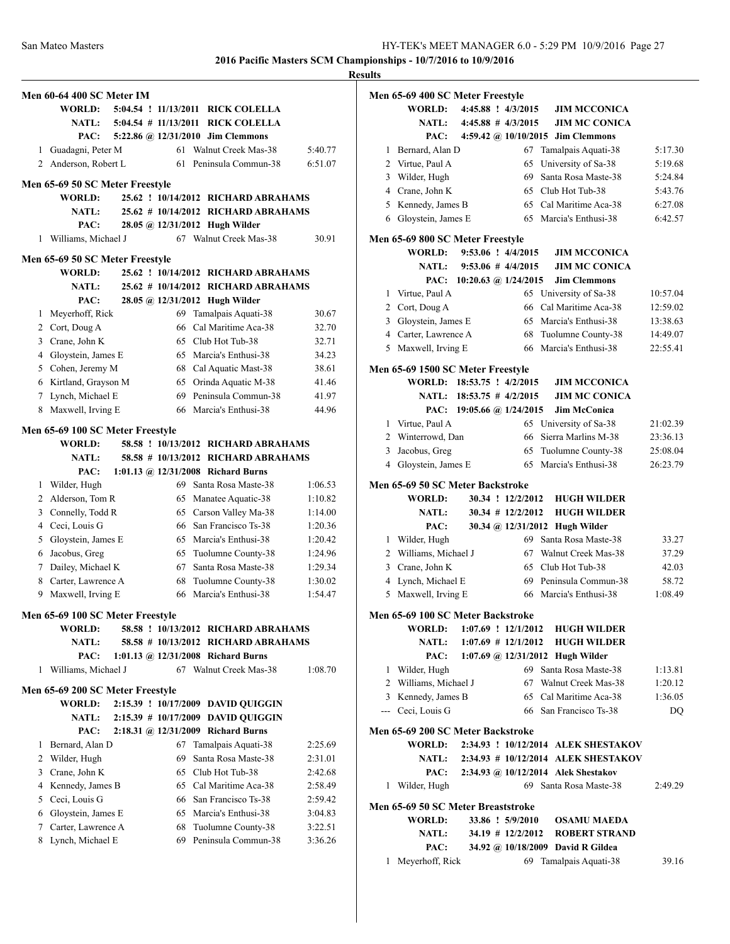|   |                                  |    |                                      |         | <b>Results</b> |
|---|----------------------------------|----|--------------------------------------|---------|----------------|
|   | Men 60-64 400 SC Meter IM        |    |                                      |         | Me             |
|   | <b>WORLD:</b>                    |    | 5:04.54 ! 11/13/2011 RICK COLELLA    |         |                |
|   | <b>NATL:</b>                     |    | 5:04.54 # 11/13/2011 RICK COLELLA    |         |                |
|   | PAC:                             |    | 5:22.86 @ 12/31/2010 Jim Clemmons    |         |                |
| 1 | Guadagni, Peter M                |    | 61 Walnut Creek Mas-38               | 5:40.77 |                |
|   | 2 Anderson, Robert L             |    | 61 Peninsula Commun-38               | 6:51.07 |                |
|   |                                  |    |                                      |         |                |
|   | Men 65-69 50 SC Meter Freestyle  |    |                                      |         |                |
|   | <b>WORLD:</b>                    |    | 25.62 ! 10/14/2012 RICHARD ABRAHAMS  |         |                |
|   | <b>NATL:</b>                     |    | 25.62 # 10/14/2012 RICHARD ABRAHAMS  |         |                |
|   | PAC:                             |    | 28.05 @ 12/31/2012 Hugh Wilder       |         |                |
|   | 1 Williams, Michael J            |    | 67 Walnut Creek Mas-38               | 30.91   | Me             |
|   | Men 65-69 50 SC Meter Freestyle  |    |                                      |         |                |
|   | <b>WORLD:</b>                    |    | 25.62 ! 10/14/2012 RICHARD ABRAHAMS  |         |                |
|   | <b>NATL:</b>                     |    | 25.62 # 10/14/2012 RICHARD ABRAHAMS  |         |                |
|   | PAC:                             |    | 28.05 @ 12/31/2012 Hugh Wilder       |         |                |
| 1 | Meyerhoff, Rick                  |    | 69 Tamalpais Aquati-38               | 30.67   |                |
|   | 2 Cort, Doug A                   |    | 66 Cal Maritime Aca-38               | 32.70   |                |
|   | 3 Crane, John K                  |    | 65 Club Hot Tub-38                   | 32.71   |                |
|   |                                  |    | 65 Marcia's Enthusi-38               | 34.23   |                |
|   | 4 Gloystein, James E             |    |                                      |         |                |
|   | 5 Cohen, Jeremy M                |    | 68 Cal Aquatic Mast-38               | 38.61   | Me             |
|   | 6 Kirtland, Grayson M            |    | 65 Orinda Aquatic M-38               | 41.46   |                |
|   | 7 Lynch, Michael E               |    | 69 Peninsula Commun-38               | 41.97   |                |
|   | 8 Maxwell, Irving E              |    | 66 Marcia's Enthusi-38               | 44.96   |                |
|   | Men 65-69 100 SC Meter Freestyle |    |                                      |         |                |
|   | WORLD:                           |    | 58.58 ! 10/13/2012 RICHARD ABRAHAMS  |         |                |
|   | NATL:                            |    | 58.58 # 10/13/2012 RICHARD ABRAHAMS  |         |                |
|   | PAC:                             |    | 1:01.13 @ $12/31/2008$ Richard Burns |         |                |
|   | 1 Wilder, Hugh                   |    | 69 Santa Rosa Maste-38               | 1:06.53 | Me             |
|   | 2 Alderson, Tom R                |    | 65 Manatee Aquatic-38                | 1:10.82 |                |
|   | 3 Connelly, Todd R               |    | 65 Carson Valley Ma-38               | 1:14.00 |                |
|   | 4 Ceci, Louis G                  |    | 66 San Francisco Ts-38               | 1:20.36 |                |
|   | 5 Gloystein, James E             |    | 65 Marcia's Enthusi-38               | 1:20.42 |                |
|   | 6 Jacobus, Greg                  |    | 65 Tuolumne County-38                | 1:24.96 |                |
|   | 7 Dailey, Michael K              |    | 67 Santa Rosa Maste-38               | 1:29.34 |                |
|   | 8 Carter, Lawrence A             |    | 68 Tuolumne County-38                | 1:30.02 |                |
| 9 | Maxwell, Irving E                |    | 66 Marcia's Enthusi-38               | 1:54.47 |                |
|   |                                  |    |                                      |         |                |
|   | Men 65-69 100 SC Meter Freestyle |    |                                      |         | Me             |
|   | WORLD:                           |    | 58.58 ! 10/13/2012 RICHARD ABRAHAMS  |         |                |
|   | <b>NATL:</b>                     |    | 58.58 # 10/13/2012 RICHARD ABRAHAMS  |         |                |
|   | PAC:                             |    | 1:01.13 @ 12/31/2008 Richard Burns   |         |                |
| 1 | Williams, Michael J              |    | 67 Walnut Creek Mas-38               | 1:08.70 |                |
|   | Men 65-69 200 SC Meter Freestyle |    |                                      |         |                |
|   | <b>WORLD:</b>                    |    | 2:15.39 ! 10/17/2009 DAVID QUIGGIN   |         |                |
|   | <b>NATL:</b>                     |    | 2:15.39 # 10/17/2009 DAVID QUIGGIN   |         |                |
|   | PAC:                             |    | 2:18.31 @ 12/31/2009 Richard Burns   |         | Me             |
| 1 | Bernard, Alan D                  |    | 67 Tamalpais Aquati-38               | 2:25.69 |                |
|   | 2 Wilder, Hugh                   | 69 | Santa Rosa Maste-38                  | 2:31.01 |                |
| 3 | Crane, John K                    |    | 65 Club Hot Tub-38                   | 2:42.68 |                |
|   | 4 Kennedy, James B               |    | 65 Cal Maritime Aca-38               | 2:58.49 |                |
|   | 5 Ceci, Louis G                  |    | 66 San Francisco Ts-38               | 2:59.42 |                |
|   | 6 Gloystein, James E             |    | 65 Marcia's Enthusi-38               | 3:04.83 | Me             |
| 7 | Carter, Lawrence A               |    | 68 Tuolumne County-38                | 3:22.51 |                |
|   | 8 Lynch, Michael E               |    | 69 Peninsula Commun-38               | 3:36.26 |                |
|   |                                  |    |                                      |         |                |

|                | Men 65-69 400 SC Meter Freestyle           |                              |                         |                                           |                  |
|----------------|--------------------------------------------|------------------------------|-------------------------|-------------------------------------------|------------------|
|                | WORLD:                                     |                              | 4:45.88 ! 4/3/2015      | <b>JIM MCCONICA</b>                       |                  |
|                | <b>NATL:</b>                               |                              | $4:45.88$ # $4/3/2015$  | <b>JIM MC CONICA</b>                      |                  |
|                |                                            |                              |                         | PAC: 4:59.42 @ 10/10/2015 Jim Clemmons    |                  |
|                | 1 Bernard, Alan D                          |                              | 67                      | Tamalpais Aquati-38                       | 5:17.30          |
|                | 2 Virtue, Paul A                           |                              |                         | 65 University of Sa-38                    | 5:19.68          |
|                | 3 Wilder, Hugh                             |                              |                         | 69 Santa Rosa Maste-38                    | 5:24.84          |
|                | 4 Crane, John K                            |                              |                         | 65 Club Hot Tub-38                        | 5:43.76          |
|                | 5 Kennedy, James B                         |                              |                         | 65 Cal Maritime Aca-38                    | 6:27.08          |
|                | 6 Gloystein, James E                       |                              |                         | 65 Marcia's Enthusi-38                    | 6:42.57          |
|                |                                            |                              |                         |                                           |                  |
|                | Men 65-69 800 SC Meter Freestyle           |                              |                         |                                           |                  |
|                | WORLD:                                     |                              | 9:53.06 ! 4/4/2015      | <b>JIM MCCONICA</b>                       |                  |
|                | <b>NATL:</b>                               |                              | $9:53.06 \# 4/4/2015$   | <b>JIM MC CONICA</b>                      |                  |
|                |                                            | PAC: 10:20.63 @ 1/24/2015    |                         | <b>Jim Clemmons</b>                       |                  |
| 1              | Virtue, Paul A                             |                              |                         | 65 University of Sa-38                    | 10:57.04         |
|                | 2 Cort, Doug A                             |                              |                         | 66 Cal Maritime Aca-38                    | 12:59.02         |
|                | 3 Gloystein, James E                       |                              |                         | 65 Marcia's Enthusi-38                    | 13:38.63         |
|                | 4 Carter, Lawrence A                       |                              |                         | 68 Tuolumne County-38                     | 14:49.07         |
|                | 5 Maxwell, Irving E                        |                              |                         | 66 Marcia's Enthusi-38                    | 22:55.41         |
|                | Men 65-69 1500 SC Meter Freestyle          |                              |                         |                                           |                  |
|                | WORLD: 18:53.75 ! 4/2/2015                 |                              |                         | <b>JIM MCCONICA</b>                       |                  |
|                |                                            | NATL: $18:53.75 \# 4/2/2015$ |                         | <b>JIM MC CONICA</b>                      |                  |
|                |                                            | PAC: 19:05.66 @ 1/24/2015    |                         | Jim McConica                              |                  |
|                | 1 Virtue, Paul A                           |                              |                         | 65 University of Sa-38                    | 21:02.39         |
|                | 2 Winterrowd, Dan                          |                              |                         | 66 Sierra Marlins M-38                    | 23:36.13         |
| 3              | Jacobus, Greg                              |                              | 65                      | Tuolumne County-38                        | 25:08.04         |
| $\overline{4}$ | Gloystein, James E                         |                              | 65                      | Marcia's Enthusi-38                       | 26:23.79         |
|                |                                            |                              |                         |                                           |                  |
|                | Men 65-69 50 SC Meter Backstroke<br>WORLD: |                              | 30.34 ! 12/2/2012       | <b>HUGH WILDER</b>                        |                  |
|                | <b>NATL:</b>                               |                              | $30.34$ # $12/2/2012$   | <b>HUGH WILDER</b>                        |                  |
|                | PAC:                                       |                              |                         | 30.34 @ 12/31/2012 Hugh Wilder            |                  |
| 1              | Wilder, Hugh                               |                              |                         | 69 Santa Rosa Maste-38                    | 33.27            |
|                | 2 Williams, Michael J                      |                              |                         | 67 Walnut Creek Mas-38                    | 37.29            |
|                | 3 Crane, John K                            |                              |                         | 65 Club Hot Tub-38                        | 42.03            |
|                |                                            |                              |                         | 69 Peninsula Commun-38                    |                  |
|                | 4 Lynch, Michael E                         |                              |                         | 66 Marcia's Enthusi-38                    | 58.72<br>1:08.49 |
| 5              | Maxwell, Irving E                          |                              |                         |                                           |                  |
|                | Men 65-69 100 SC Meter Backstroke          |                              |                         |                                           |                  |
|                | <b>WORLD:</b>                              |                              | $1:07.69$ : $12/1/2012$ | <b>HUGH WILDER</b>                        |                  |
|                | <b>NATL:</b>                               |                              | $1:07.69$ # $12/1/2012$ | <b>HUGH WILDER</b>                        |                  |
|                | PAC:                                       |                              |                         | 1:07.69 @ 12/31/2012 Hugh Wilder          |                  |
|                | 1 Wilder, Hugh                             |                              |                         | 69 Santa Rosa Maste-38                    | 1:13.81          |
|                | 2 Williams, Michael J                      |                              |                         | 67 Walnut Creek Mas-38                    | 1:20.12          |
|                | 3 Kennedy, James B                         |                              |                         | 65 Cal Maritime Aca-38                    | 1:36.05          |
|                | --- Ceci, Louis G                          |                              |                         | 66 San Francisco Ts-38                    | DQ               |
|                | Men 65-69 200 SC Meter Backstroke          |                              |                         |                                           |                  |
|                | WORLD:                                     |                              |                         | 2:34.93 ! 10/12/2014 ALEK SHESTAKOV       |                  |
|                |                                            |                              |                         | NATL: 2:34.93 # 10/12/2014 ALEK SHESTAKOV |                  |
|                |                                            |                              |                         | PAC: 2:34.93 @ 10/12/2014 Alek Shestakov  |                  |
|                |                                            |                              |                         |                                           |                  |
|                | 1 Wilder, Hugh                             |                              |                         | 69 Santa Rosa Maste-38                    | 2:49.29          |
|                | Men 65-69 50 SC Meter Breaststroke         |                              |                         |                                           |                  |
|                | WORLD:                                     |                              | 33.86 ! 5/9/2010        | <b>OSAMU MAEDA</b>                        |                  |
|                | <b>NATL:</b>                               |                              | $34.19$ # $12/2/2012$   | <b>ROBERT STRAND</b>                      |                  |
|                | PAC:                                       |                              |                         | 34.92 @ 10/18/2009 David R Gildea         |                  |
|                | 1 Meyerhoff, Rick                          |                              |                         | 69 Tamalpais Aquati-38                    | 39.16            |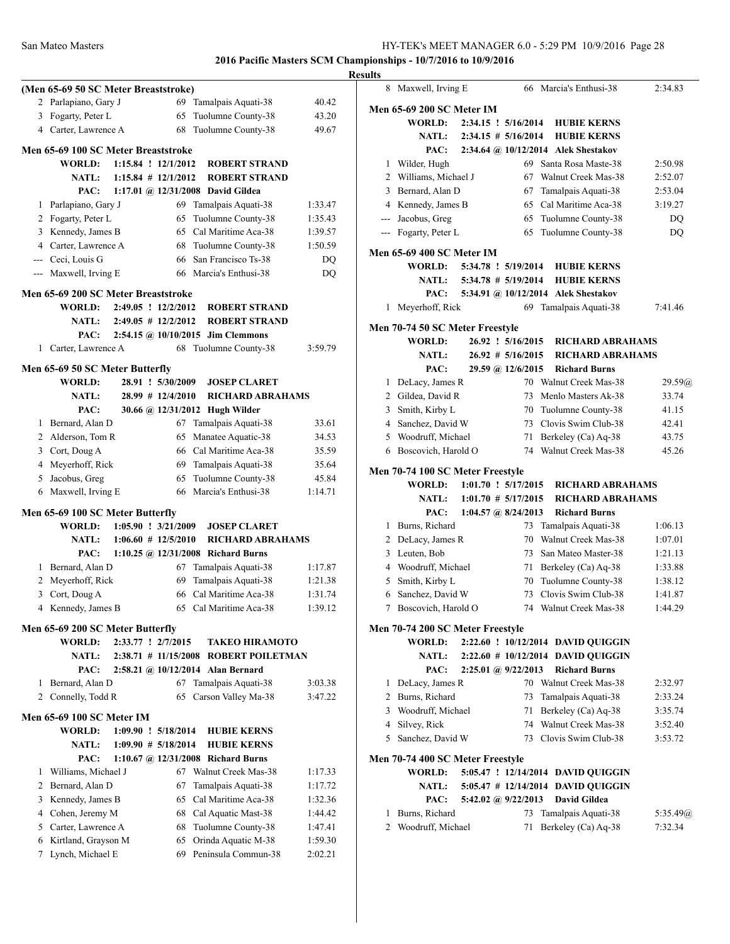|                |                                      |                         |                       |                                       |         | <b>Results</b> |
|----------------|--------------------------------------|-------------------------|-----------------------|---------------------------------------|---------|----------------|
|                | (Men 65-69 50 SC Meter Breaststroke) |                         |                       |                                       |         |                |
|                | 2 Parlapiano, Gary J                 |                         |                       | 69 Tamalpais Aquati-38                | 40.42   | Me             |
| 3              | Fogarty, Peter L                     |                         | 65                    | Tuolumne County-38                    | 43.20   |                |
|                | 4 Carter, Lawrence A                 |                         | 68                    | Tuolumne County-38                    | 49.67   |                |
|                | Men 65-69 100 SC Meter Breaststroke  |                         |                       |                                       |         |                |
|                | <b>WORLD:</b>                        | $1:15.84$ ! $12/1/2012$ |                       | <b>ROBERT STRAND</b>                  |         |                |
|                | <b>NATL:</b>                         | $1:15.84$ # $12/1/2012$ |                       | <b>ROBERT STRAND</b>                  |         |                |
|                | PAC:                                 |                         |                       | 1:17.01 @ 12/31/2008 David Gildea     |         |                |
| 1              | Parlapiano, Gary J                   |                         |                       | 69 Tamalpais Aquati-38                | 1:33.47 |                |
|                | 2 Fogarty, Peter L                   |                         | 65                    | Tuolumne County-38                    | 1:35.43 |                |
|                | 3 Kennedy, James B                   |                         |                       | 65 Cal Maritime Aca-38                | 1:39.57 |                |
|                | 4 Carter, Lawrence A                 |                         |                       | 68 Tuolumne County-38                 | 1:50.59 |                |
|                | --- Ceci, Louis G                    |                         |                       | 66 San Francisco Ts-38                | DO.     | Me             |
|                | --- Maxwell, Irving E                |                         |                       | 66 Marcia's Enthusi-38                | DQ      |                |
|                | Men 65-69 200 SC Meter Breaststroke  |                         |                       |                                       |         |                |
|                | WORLD:                               | 2:49.05 ! 12/2/2012     |                       | <b>ROBERT STRAND</b>                  |         |                |
|                | <b>NATL:</b>                         | $2:49.05$ # $12/2/2012$ |                       | <b>ROBERT STRAND</b>                  |         |                |
|                | PAC:                                 |                         |                       | 2:54.15 @ 10/10/2015 Jim Clemmons     |         | Me             |
|                | 1 Carter, Lawrence A                 |                         |                       | 68 Tuolumne County-38                 | 3:59.79 |                |
|                |                                      |                         |                       |                                       |         |                |
|                | Men 65-69 50 SC Meter Butterfly      |                         |                       |                                       |         |                |
|                | <b>WORLD:</b>                        |                         | 28.91 ! 5/30/2009     | <b>JOSEP CLARET</b>                   |         |                |
|                | <b>NATL:</b>                         |                         | $28.99$ # $12/4/2010$ | <b>RICHARD ABRAHAMS</b>               |         |                |
|                | PAC:                                 |                         |                       | 30.66 @ 12/31/2012 Hugh Wilder        |         |                |
|                | 1 Bernard, Alan D                    |                         |                       | 67 Tamalpais Aquati-38                | 33.61   |                |
|                | 2 Alderson, Tom R                    |                         | 65                    | Manatee Aquatic-38                    | 34.53   |                |
|                | 3 Cort, Doug A                       |                         |                       | 66 Cal Maritime Aca-38                | 35.59   |                |
|                | 4 Meyerhoff, Rick                    |                         |                       | 69 Tamalpais Aquati-38                | 35.64   | Me             |
| 5              | Jacobus, Greg                        |                         | 65                    | Tuolumne County-38                    | 45.84   |                |
|                | 6 Maxwell, Irving E                  |                         |                       | 66 Marcia's Enthusi-38                | 1:14.71 |                |
|                | Men 65-69 100 SC Meter Butterfly     |                         |                       |                                       |         |                |
|                | <b>WORLD:</b>                        | $1:05.90$ ! $3/21/2009$ |                       | <b>JOSEP CLARET</b>                   |         |                |
|                | <b>NATL:</b>                         | $1:06.60 \# 12/5/2010$  |                       | <b>RICHARD ABRAHAMS</b>               |         |                |
|                | PAC:                                 |                         |                       | 1:10.25 @ $12/31/2008$ Richard Burns  |         |                |
|                | 1 Bernard, Alan D                    |                         |                       | 67 Tamalpais Aquati-38                | 1:17.87 |                |
| $\overline{2}$ | Meyerhoff, Rick                      |                         | 69                    | Tamalpais Aquati-38                   | 1:21.38 |                |
| 3              | Cort, Doug A                         |                         |                       | 66 Cal Maritime Aca-38                | 1:31.74 |                |
| 4              | Kennedy, James B                     |                         |                       | 65 Cal Maritime Aca-38                | 1:39.12 |                |
|                | Men 65-69 200 SC Meter Butterfly     |                         |                       |                                       |         | Me             |
|                | <b>WORLD:</b>                        | 2:33.77 ! 2/7/2015      |                       | TAKEO HIRAMOTO                        |         |                |
|                | <b>NATL:</b>                         |                         |                       | 2:38.71 # 11/15/2008 ROBERT POILETMAN |         |                |
|                | PAC:                                 |                         |                       | $2:58.21$ @ $10/12/2014$ Alan Bernard |         |                |
| 1              | Bernard, Alan D                      |                         | 67                    | Tamalpais Aquati-38                   | 3:03.38 |                |
|                | 2 Connelly, Todd R                   |                         | 65                    | Carson Valley Ma-38                   | 3:47.22 |                |
|                | Men 65-69 100 SC Meter IM            |                         |                       |                                       |         |                |
|                | <b>WORLD:</b>                        | 1:09.90 ! 5/18/2014     |                       | <b>HUBIE KERNS</b>                    |         |                |
|                | <b>NATL:</b>                         | $1:09.90 \# 5/18/2014$  |                       | <b>HUBIE KERNS</b>                    |         |                |
|                | PAC:                                 | 1:10.67 @ 12/31/2008    |                       | <b>Richard Burns</b>                  |         | Me             |
| 1              | Williams, Michael J                  |                         |                       | 67 Walnut Creek Mas-38                | 1:17.33 |                |
| $\overline{2}$ | Bernard, Alan D                      |                         | 67                    | Tamalpais Aquati-38                   | 1:17.72 |                |
| 3              | Kennedy, James B                     |                         | 65                    | Cal Maritime Aca-38                   | 1:32.36 |                |
| 4              | Cohen, Jeremy M                      |                         |                       | 68 Cal Aquatic Mast-38                | 1:44.42 |                |
| 5.             | Carter, Lawrence A                   |                         | 68                    | Tuolumne County-38                    | 1:47.41 |                |
| 6              | Kirtland, Grayson M                  |                         | 65                    | Orinda Aquatic M-38                   | 1:59.30 |                |
| 7              | Lynch, Michael E                     |                         |                       | 69 Peninsula Commun-38                | 2:02.21 |                |
|                |                                      |                         |                       |                                       |         |                |

|   | Maxwell, Irving E                                 |  |                           | 66 Marcia's Enthusi-38                     | 2:34.83             |
|---|---------------------------------------------------|--|---------------------------|--------------------------------------------|---------------------|
|   | <b>Men 65-69 200 SC Meter IM</b>                  |  |                           |                                            |                     |
|   | WORLD:                                            |  | 2:34.15 ! 5/16/2014       | <b>HUBIE KERNS</b>                         |                     |
|   | <b>NATL:</b>                                      |  | $2:34.15 \# 5/16/2014$    | <b>HUBIE KERNS</b>                         |                     |
|   | PAC:                                              |  |                           | 2:34.64 @ 10/12/2014 Alek Shestakov        |                     |
|   | 1 Wilder, Hugh                                    |  | 69                        | Santa Rosa Maste-38                        | 2:50.98             |
| 2 | Williams, Michael J                               |  | 67                        | Walnut Creek Mas-38                        | 2:52.07             |
| 3 | Bernard, Alan D                                   |  | 67                        | Tamalpais Aquati-38                        | 2:53.04             |
|   | 4 Kennedy, James B                                |  | 65                        | Cal Maritime Aca-38                        | 3:19.27             |
|   | --- Jacobus, Greg                                 |  | 65                        | Tuolumne County-38                         | DQ                  |
|   | --- Fogarty, Peter L                              |  | 65                        | Tuolumne County-38                         | DQ                  |
|   | <b>Men 65-69 400 SC Meter IM</b>                  |  |                           |                                            |                     |
|   | <b>WORLD:</b>                                     |  | 5:34.78 ! 5/19/2014       | <b>HUBIE KERNS</b>                         |                     |
|   | <b>NATL:</b>                                      |  | $5:34.78$ # $5/19/2014$   | <b>HUBIE KERNS</b>                         |                     |
|   | PAC:                                              |  |                           | 5:34.91 @ 10/12/2014 Alek Shestakov        |                     |
|   | 1 Meyerhoff, Rick                                 |  | 69                        | Tamalpais Aquati-38                        | 7:41.46             |
|   |                                                   |  |                           |                                            |                     |
|   | Men 70-74 50 SC Meter Freestyle<br><b>WORLD:</b>  |  | 26.92 ! 5/16/2015         | <b>RICHARD ABRAHAMS</b>                    |                     |
|   |                                                   |  | $26.92 \# 5/16/2015$      |                                            |                     |
|   | <b>NATL:</b>                                      |  |                           | <b>RICHARD ABRAHAMS</b>                    |                     |
|   | PAC:                                              |  | 29.59 @ 12/6/2015         | <b>Richard Burns</b>                       |                     |
| 1 | DeLacy, James R                                   |  |                           | 70 Walnut Creek Mas-38                     | 29.59@              |
|   | 2 Gildea, David R                                 |  | 73                        | Menlo Masters Ak-38                        | 33.74               |
|   | 3 Smith, Kirby L                                  |  | 70                        | Tuolumne County-38                         | 41.15               |
|   | 4 Sanchez, David W                                |  | 73                        | Clovis Swim Club-38                        | 42.41               |
| 5 | Woodruff, Michael                                 |  | 71                        | Berkeley (Ca) Aq-38                        | 43.75               |
|   | 6 Boscovich, Harold O                             |  |                           | 74 Walnut Creek Mas-38                     | 45.26               |
|   |                                                   |  |                           |                                            |                     |
|   | Men 70-74 100 SC Meter Freestyle                  |  |                           |                                            |                     |
|   | WORLD:                                            |  | 1:01.70 ! 5/17/2015       | <b>RICHARD ABRAHAMS</b>                    |                     |
|   | <b>NATL:</b>                                      |  | $1:01.70 \# 5/17/2015$    | <b>RICHARD ABRAHAMS</b>                    |                     |
|   | PAC:                                              |  | $1:04.57$ (a) $8/24/2013$ | <b>Richard Burns</b>                       |                     |
| 1 | Burns, Richard                                    |  | 73                        | Tamalpais Aquati-38                        | 1:06.13             |
|   | 2 DeLacy, James R                                 |  | 70                        | Walnut Creek Mas-38                        | 1:07.01             |
|   | 3 Leuten, Bob                                     |  | 73                        | San Mateo Master-38                        | 1:21.13             |
|   | 4 Woodruff, Michael                               |  | 71                        | Berkeley (Ca) Aq-38                        | 1:33.88             |
| 5 | Smith, Kirby L                                    |  | 70                        | Tuolumne County-38                         | 1:38.12             |
|   | 6 Sanchez, David W                                |  | 73                        | Clovis Swim Club-38                        | 1:41.87             |
| 7 | Boscovich, Harold O                               |  | 74                        | Walnut Creek Mas-38                        | 1:44.29             |
|   |                                                   |  |                           |                                            |                     |
|   | Men 70-74 200 SC Meter Freestyle<br><b>WORLD:</b> |  |                           | 2:22.60 ! 10/12/2014 DAVID QUIGGIN         |                     |
|   | <b>NATL:</b>                                      |  |                           | 2:22.60 # 10/12/2014 DAVID QUIGGIN         |                     |
|   | PAC:                                              |  | 2:25.01 @ 9/22/2013       | <b>Richard Burns</b>                       |                     |
| 1 | DeLacy, James R                                   |  |                           | 70 Walnut Creek Mas-38                     | 2:32.97             |
|   | 2 Burns, Richard                                  |  | 73                        | Tamalpais Aquati-38                        | 2:33.24             |
|   | 3 Woodruff, Michael                               |  | 71                        | Berkeley (Ca) Aq-38                        | 3:35.74             |
|   |                                                   |  | 74                        | Walnut Creek Mas-38                        | 3:52.40             |
|   | 4 Silvey, Rick<br>5 Sanchez, David W              |  | 73                        | Clovis Swim Club-38                        | 3:53.72             |
|   |                                                   |  |                           |                                            |                     |
|   | Men 70-74 400 SC Meter Freestyle<br><b>WORLD:</b> |  |                           |                                            |                     |
|   |                                                   |  |                           | 5:05.47 ! 12/14/2014 DAVID QUIGGIN         |                     |
|   | <b>NATL:</b>                                      |  |                           | 5:05.47 # 12/14/2014 DAVID QUIGGIN         |                     |
|   | PAC:                                              |  | 5:42.02 @ 9/22/2013       | <b>David Gildea</b>                        |                     |
| 1 | Burns, Richard<br>2 Woodruff, Michael             |  | 73<br>71                  | Tamalpais Aquati-38<br>Berkeley (Ca) Aq-38 | 5:35.49@<br>7:32.34 |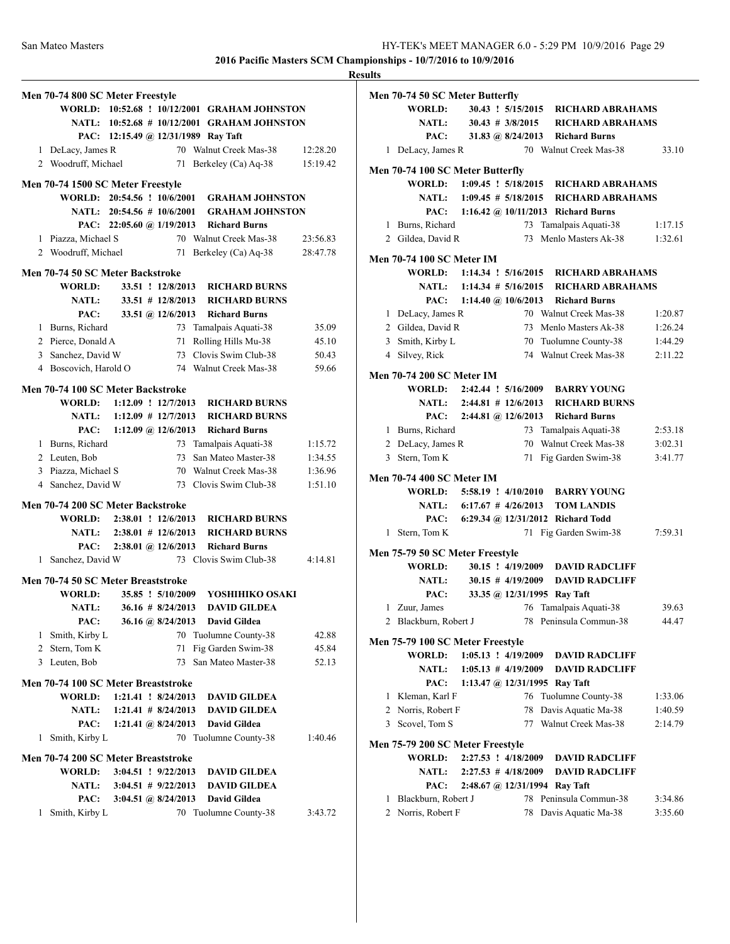|              | Men 70-74 800 SC Meter Freestyle    |                       |                                          |                                              |          |
|--------------|-------------------------------------|-----------------------|------------------------------------------|----------------------------------------------|----------|
|              |                                     |                       |                                          | WORLD: 10:52.68 ! 10/12/2001 GRAHAM JOHNSTON |          |
|              |                                     |                       |                                          | NATL: 10:52.68 # 10/12/2001 GRAHAM JOHNSTON  |          |
|              |                                     |                       |                                          | PAC: 12:15.49 @ 12/31/1989 Ray Taft          |          |
|              | 1 DeLacy, James R                   |                       |                                          | 70 Walnut Creek Mas-38                       | 12:28.20 |
|              | 2 Woodruff, Michael                 |                       | 71                                       | Berkeley (Ca) Aq-38                          | 15:19.42 |
|              |                                     |                       |                                          |                                              |          |
|              | Men 70-74 1500 SC Meter Freestyle   |                       |                                          |                                              |          |
|              | WORLD: 20:54.56 ! 10/6/2001         |                       |                                          | <b>GRAHAM JOHNSTON</b>                       |          |
|              | NATL: 20:54.56 # 10/6/2001          |                       |                                          | <b>GRAHAM JOHNSTON</b>                       |          |
|              |                                     |                       |                                          | PAC: 22:05.60 @ 1/19/2013 Richard Burns      |          |
|              | 1 Piazza, Michael S                 |                       |                                          | 70 Walnut Creek Mas-38                       | 23:56.83 |
|              | 2 Woodruff, Michael                 |                       | 71                                       | Berkeley (Ca) Aq-38                          | 28:47.78 |
|              | Men 70-74 50 SC Meter Backstroke    |                       |                                          |                                              |          |
|              | <b>WORLD:</b>                       |                       | 33.51 ! 12/8/2013                        | <b>RICHARD BURNS</b>                         |          |
|              | <b>NATL:</b>                        |                       | $33.51$ # 12/8/2013                      | <b>RICHARD BURNS</b>                         |          |
|              | PAC:                                |                       | 33.51 @ $12/6/2013$                      | <b>Richard Burns</b>                         |          |
|              | 1 Burns, Richard                    |                       |                                          | 73 Tamalpais Aquati-38                       | 35.09    |
|              | 2 Pierce, Donald A                  |                       | 71                                       | Rolling Hills Mu-38                          | 45.10    |
|              | 3 Sanchez, David W                  |                       |                                          | 73 Clovis Swim Club-38                       | 50.43    |
|              | 4 Boscovich, Harold O               |                       |                                          | 74 Walnut Creek Mas-38                       | 59.66    |
|              |                                     |                       |                                          |                                              |          |
|              | Men 70-74 100 SC Meter Backstroke   |                       |                                          |                                              |          |
|              | WORLD: 1:12.09 ! 12/7/2013          |                       |                                          | <b>RICHARD BURNS</b>                         |          |
|              | <b>NATL:</b>                        | $1:12.09$ # 12/7/2013 |                                          | <b>RICHARD BURNS</b>                         |          |
|              | PAC:                                |                       | $1:12.09 \; \textcircled{a}$ , 12/6/2013 | <b>Richard Burns</b>                         |          |
|              | 1 Burns, Richard                    |                       |                                          | 73 Tamalpais Aquati-38                       | 1:15.72  |
|              | 2 Leuten, Bob                       |                       |                                          | 73 San Mateo Master-38                       | 1:34.55  |
|              | 3 Piazza, Michael S                 |                       |                                          | 70 Walnut Creek Mas-38                       | 1:36.96  |
|              | 4 Sanchez, David W                  |                       |                                          | 73 Clovis Swim Club-38                       | 1:51.10  |
|              |                                     |                       |                                          |                                              |          |
|              | Men 70-74 200 SC Meter Backstroke   |                       |                                          | <b>RICHARD BURNS</b>                         |          |
|              | WORLD: 2:38.01 ! 12/6/2013          |                       |                                          |                                              |          |
|              |                                     |                       |                                          | NATL: 2:38.01 # 12/6/2013 RICHARD BURNS      |          |
|              | PAC:                                |                       |                                          | 2:38.01 @ 12/6/2013 Richard Burns            |          |
| 1            | Sanchez, David W                    |                       |                                          | 73 Clovis Swim Club-38                       | 4:14.81  |
|              | Men 70-74 50 SC Meter Breaststroke  |                       |                                          |                                              |          |
|              | <b>WORLD:</b>                       |                       | 35.85 ! 5/10/2009                        | YOSHIHIKO OSAKI                              |          |
|              | <b>NATL:</b>                        |                       | $36.16 \# 8/24/2013$                     | <b>DAVID GILDEA</b>                          |          |
|              | PAC:                                |                       | 36.16 @ 8/24/2013                        | David Gildea                                 |          |
| 1            | Smith, Kirby L                      |                       |                                          | 70 Tuolumne County-38                        | 42.88    |
| $\mathbf{2}$ | Stern, Tom K                        |                       | 71                                       | Fig Garden Swim-38                           | 45.84    |
|              | 3 Leuten, Bob                       |                       |                                          | 73 San Mateo Master-38                       | 52.13    |
|              |                                     |                       |                                          |                                              |          |
|              | Men 70-74 100 SC Meter Breaststroke |                       |                                          |                                              |          |
|              | <b>WORLD:</b>                       |                       | 1:21.41 ! 8/24/2013                      | <b>DAVID GILDEA</b>                          |          |
|              | <b>NATL:</b>                        |                       | $1:21.41 \# 8/24/2013$                   | <b>DAVID GILDEA</b>                          |          |
|              | PAC:                                |                       | 1:21.41 @ $8/24/2013$                    | <b>David Gildea</b>                          |          |
| 1            | Smith, Kirby L                      |                       |                                          | 70 Tuolumne County-38                        | 1:40.46  |
|              | Men 70-74 200 SC Meter Breaststroke |                       |                                          |                                              |          |
|              | <b>WORLD:</b>                       |                       | 3:04.51 ! 9/22/2013                      | <b>DAVID GILDEA</b>                          |          |
|              | <b>NATL:</b>                        |                       | $3:04.51 \# 9/22/2013$                   | <b>DAVID GILDEA</b>                          |          |
|              | PAC:                                |                       | 3:04.51 @ $8/24/2013$                    | <b>David Gildea</b>                          |          |
| 1            | Smith, Kirby L                      |                       | 70                                       | Tuolumne County-38                           | 3:43.72  |
|              |                                     |                       |                                          |                                              |          |

| <b>Results</b>                            |                                         |    |                                                 |         |
|-------------------------------------------|-----------------------------------------|----|-------------------------------------------------|---------|
| Men 70-74 50 SC Meter Butterfly           |                                         |    |                                                 |         |
| <b>WORLD:</b>                             |                                         |    | 30.43 ! 5/15/2015 RICHARD ABRAHAMS              |         |
|                                           |                                         |    | NATL: 30.43 # 3/8/2015 RICHARD ABRAHAMS         |         |
|                                           | PAC: 31.83 @ 8/24/2013 Richard Burns    |    |                                                 |         |
| 1 DeLacy, James R                         |                                         |    | 70 Walnut Creek Mas-38                          | 33.10   |
| Men 70-74 100 SC Meter Butterfly          |                                         |    |                                                 |         |
|                                           |                                         |    | WORLD: 1:09.45 ! 5/18/2015 RICHARD ABRAHAMS     |         |
|                                           |                                         |    | NATL: 1:09.45 # 5/18/2015 RICHARD ABRAHAMS      |         |
|                                           | PAC: 1:16.42 @ 10/11/2013 Richard Burns |    |                                                 |         |
| 1 Burns, Richard                          |                                         |    | 73 Tamalpais Aquati-38                          | 1:17.15 |
| 2 Gildea, David R                         |                                         |    | 73 Menlo Masters Ak-38                          | 1:32.61 |
|                                           |                                         |    |                                                 |         |
| <b>Men 70-74 100 SC Meter IM</b>          |                                         |    | WORLD: 1:14.34 ! 5/16/2015 RICHARD ABRAHAMS     |         |
|                                           |                                         |    | NATL: 1:14.34 # 5/16/2015 RICHARD ABRAHAMS      |         |
|                                           |                                         |    |                                                 |         |
|                                           | PAC: 1:14.40 @ 10/6/2013 Richard Burns  |    | 70 Walnut Creek Mas-38                          | 1:20.87 |
| 1 DeLacy, James R<br>2 Gildea, David R    |                                         |    |                                                 |         |
|                                           |                                         |    | 73 Menlo Masters Ak-38                          | 1:26.24 |
| 3 Smith, Kirby L                          |                                         |    | 70 Tuolumne County-38<br>74 Walnut Creek Mas-38 | 1:44.29 |
| 4 Silvey, Rick                            |                                         |    |                                                 | 2:11.22 |
| <b>Men 70-74 200 SC Meter IM</b>          |                                         |    |                                                 |         |
|                                           |                                         |    | WORLD: 2:42.44 ! 5/16/2009 BARRY YOUNG          |         |
|                                           |                                         |    | NATL: 2:44.81 # 12/6/2013 RICHARD BURNS         |         |
|                                           | PAC: 2:44.81 @ 12/6/2013 Richard Burns  |    |                                                 |         |
| 1 Burns, Richard                          |                                         |    | 73 Tamalpais Aquati-38                          | 2:53.18 |
| 2 DeLacy, James R                         |                                         |    | 70 Walnut Creek Mas-38                          | 3:02.31 |
| 3 Stern, Tom K                            |                                         |    | 71 Fig Garden Swim-38                           | 3:41.77 |
| <b>Men 70-74 400 SC Meter IM</b>          |                                         |    |                                                 |         |
|                                           |                                         |    | WORLD: 5:58.19 ! 4/10/2010 BARRY YOUNG          |         |
|                                           | NATL: 6:17.67 # 4/26/2013 TOM LANDIS    |    |                                                 |         |
|                                           | PAC: 6:29.34 @ 12/31/2012 Richard Todd  |    |                                                 |         |
| 1 Stern, Tom K                            |                                         |    | 71 Fig Garden Swim-38                           | 7:59.31 |
|                                           |                                         |    |                                                 |         |
| Men 75-79 50 SC Meter Freestyle<br>WORLD: |                                         |    | 30.15 ! 4/19/2009 DAVID RADCLIFF                |         |
|                                           | NATL: $30.15 \# 4/19/2009$              |    | <b>DAVID RADCLIFF</b>                           |         |
| PAC:                                      | 33.35 @ 12/31/1995 Ray Taft             |    |                                                 |         |
| 1 Zuur, James                             |                                         |    | 76 Tamalpais Aquati-38                          | 39.63   |
| 2 Blackburn, Robert J                     |                                         |    | 78 Peninsula Commun-38                          | 44.47   |
|                                           |                                         |    |                                                 |         |
| Men 75-79 100 SC Meter Freestyle          |                                         |    |                                                 |         |
| WORLD:                                    | $1:05.13$ ! $4/19/2009$                 |    | <b>DAVID RADCLIFF</b>                           |         |
| <b>NATL:</b>                              | $1:05.13 \# 4/19/2009$                  |    | <b>DAVID RADCLIFF</b>                           |         |
| PAC:                                      | 1:13.47 @ $12/31/1995$ Ray Taft         |    |                                                 |         |
| 1 Kleman, Karl F                          |                                         |    | 76 Tuolumne County-38                           | 1:33.06 |
| 2 Norris, Robert F                        |                                         | 78 | Davis Aquatic Ma-38                             | 1:40.59 |
| 3 Scovel. Tom S                           |                                         |    | 77 Walnut Creek Mas-38                          | 2:14.79 |
| Men 75-79 200 SC Meter Freestyle          |                                         |    |                                                 |         |
| WORLD:                                    | 2:27.53 ! 4/18/2009                     |    | <b>DAVID RADCLIFF</b>                           |         |
| <b>NATL:</b>                              | $2:27.53 \# 4/18/2009$                  |    | <b>DAVID RADCLIFF</b>                           |         |
| PAC:                                      | $2:48.67$ @ 12/31/1994 Ray Taft         |    |                                                 |         |
| 1 Blackburn, Robert J                     |                                         |    | 78 Peninsula Commun-38                          | 3:34.86 |
| 2 Norris, Robert F                        |                                         | 78 | Davis Aquatic Ma-38                             | 3:35.60 |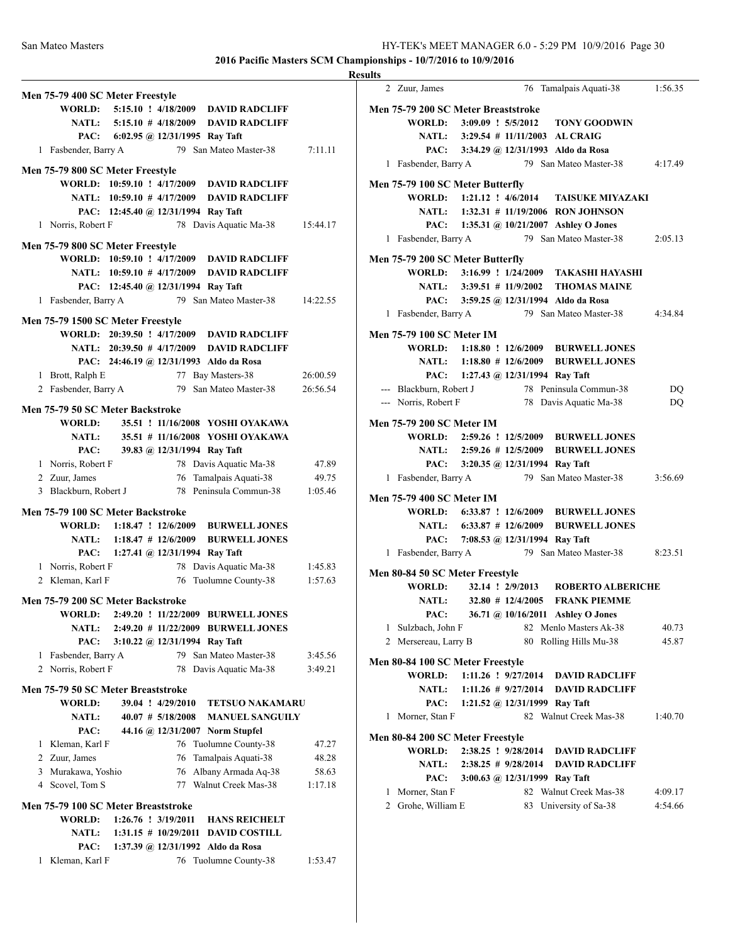|                                                                                                           | <b>Results</b> |
|-----------------------------------------------------------------------------------------------------------|----------------|
| Men 75-79 400 SC Meter Freestyle                                                                          |                |
| WORLD: 5:15.10 ! 4/18/2009 DAVID RADCLIFF                                                                 | Me             |
| NATL: 5:15.10 # 4/18/2009 DAVID RADCLIFF                                                                  |                |
| PAC: 6:02.95 @ 12/31/1995 Ray Taft                                                                        |                |
| 79 San Mateo Master-38<br>1 Fasbender, Barry A                                                            | 7:11.11        |
| Men 75-79 800 SC Meter Freestyle                                                                          |                |
| WORLD: 10:59.10 ! 4/17/2009 DAVID RADCLIFF                                                                | Me             |
| NATL: 10:59.10 # 4/17/2009 DAVID RADCLIFF                                                                 |                |
| PAC: 12:45.40 @ 12/31/1994 Ray Taft                                                                       |                |
| 1 Norris, Robert F<br>78 Davis Aquatic Ma-38                                                              | 15:44.17       |
| Men 75-79 800 SC Meter Freestyle                                                                          |                |
| WORLD: 10:59.10 ! 4/17/2009 DAVID RADCLIFF                                                                | Me             |
| NATL: 10:59.10 # 4/17/2009 DAVID RADCLIFF                                                                 |                |
| PAC: 12:45.40 @ 12/31/1994 Ray Taft                                                                       |                |
| 1 Fasbender, Barry A<br>79 San Mateo Master-38                                                            | 14:22.55       |
| Men 75-79 1500 SC Meter Freestyle                                                                         |                |
| WORLD: 20:39.50 ! 4/17/2009 DAVID RADCLIFF                                                                | Me             |
| NATL: 20:39.50 # 4/17/2009 DAVID RADCLIFF                                                                 |                |
| PAC: 24:46.19 @ 12/31/1993 Aldo da Rosa                                                                   |                |
| 77 Bay Masters-38<br>1 Brott, Ralph E                                                                     | 26:00.59       |
| 2 Fasbender, Barry A<br>79 San Mateo Master-38                                                            | 26:56.54       |
| Men 75-79 50 SC Meter Backstroke                                                                          |                |
| 35.51 ! 11/16/2008 YOSHI OYAKAWA<br>WORLD:                                                                | Me             |
| 35.51 # 11/16/2008 YOSHI OYAKAWA<br><b>NATL:</b>                                                          |                |
| 39.83 @ 12/31/1994 Ray Taft<br>PAC:                                                                       |                |
| 78 Davis Aquatic Ma-38<br>1 Norris, Robert F                                                              | 47.89          |
| 2 Zuur, James<br>76 Tamalpais Aquati-38                                                                   | 49.75          |
| 78 Peninsula Commun-38<br>3 Blackburn, Robert J                                                           | 1:05.46<br>Me  |
| Men 75-79 100 SC Meter Backstroke                                                                         |                |
| WORLD: 1:18.47 ! 12/6/2009 BURWELL JONES                                                                  |                |
| NATL: 1:18.47 # 12/6/2009 BURWELL JONES                                                                   |                |
| PAC: 1:27.41 @ 12/31/1994 Ray Taft                                                                        |                |
| 1 Norris, Robert F<br>78 Davis Aquatic Ma-38<br>76 Tuolumne County-38<br>2 Kleman, Karl F                 | 1:45.83<br>Me  |
|                                                                                                           | 1:57.63        |
| Men 75-79 200 SC Meter Backstroke                                                                         |                |
| WORLD:<br>2:49.20 ! 11/22/2009 BURWELL JONES                                                              |                |
| 2:49.20 # 11/22/2009 BURWELL JONES<br><b>NATL:</b>                                                        |                |
| PAC:<br>3:10.22 @ 12/31/1994 Ray Taft<br>79 San Mateo Master-38<br>1 Fasbender, Barry A                   | 3:45.56        |
| 2 Norris, Robert F<br>78 Davis Aquatic Ma-38                                                              | Me<br>3:49.21  |
|                                                                                                           |                |
| Men 75-79 50 SC Meter Breaststroke                                                                        |                |
| 39.04 ! 4/29/2010<br><b>WORLD:</b><br><b>TETSUO NAKAMARU</b>                                              |                |
| <b>NATL:</b><br>$40.07 \# 5/18/2008$<br><b>MANUEL SANGUILY</b><br>PAC:<br>44.16 @ 12/31/2007 Norm Stupfel |                |
| 1 Kleman, Karl F<br>76 Tuolumne County-38                                                                 | Me<br>47.27    |
| 2 Zuur, James<br>Tamalpais Aquati-38<br>76                                                                | 48.28          |
| 3 Murakawa, Yoshio<br>Albany Armada Aq-38<br>76                                                           | 58.63          |
| 77 Walnut Creek Mas-38<br>4 Scovel, Tom S                                                                 | 1:17.18        |
|                                                                                                           |                |
| Men 75-79 100 SC Meter Breaststroke<br>$1:26.76$ : $3/19/2011$<br><b>WORLD:</b><br><b>HANS REICHELT</b>   |                |
| <b>NATL:</b><br>1:31.15 # 10/29/2011 DAVID COSTILL                                                        |                |
| 1:37.39 @ 12/31/1992 Aldo da Rosa<br>PAC:                                                                 |                |
| 1 Kleman, Karl F<br>76 Tuolumne County-38                                                                 | 1:53.47        |
|                                                                                                           |                |

| 2 Zuur, James                                    |                                    | 76 Tamalpais Aquati-38                                             | 1:56.35 |
|--------------------------------------------------|------------------------------------|--------------------------------------------------------------------|---------|
| Men 75-79 200 SC Meter Breaststroke              |                                    |                                                                    |         |
|                                                  |                                    | WORLD: 3:09.09 ! 5/5/2012 TONY GOODWIN                             |         |
|                                                  |                                    | NATL: 3:29.54 # 11/11/2003 AL CRAIG                                |         |
|                                                  |                                    | PAC: 3:34.29 @ 12/31/1993 Aldo da Rosa                             |         |
| 1 Fasbender, Barry A                             |                                    | 79 San Mateo Master-38                                             | 4:17.49 |
|                                                  |                                    |                                                                    |         |
| Men 75-79 100 SC Meter Butterfly                 |                                    |                                                                    |         |
|                                                  |                                    | WORLD: 1:21.12 ! 4/6/2014 TAISUKE MIYAZAKI                         |         |
|                                                  |                                    | NATL: 1:32.31 # 11/19/2006 RON JOHNSON                             |         |
|                                                  |                                    | PAC: 1:35.31 @ 10/21/2007 Ashley O Jones<br>79 San Mateo Master-38 |         |
| 1 Fasbender, Barry A                             |                                    |                                                                    | 2:05.13 |
| Men 75-79 200 SC Meter Butterfly                 |                                    |                                                                    |         |
|                                                  |                                    | WORLD: 3:16.99 ! 1/24/2009 TAKASHI HAYASHI                         |         |
|                                                  |                                    | NATL: 3:39.51 # 11/9/2002 THOMAS MAINE                             |         |
|                                                  |                                    | PAC: 3:59.25 @ 12/31/1994 Aldo da Rosa                             |         |
| 1 Fasbender, Barry A                             |                                    | 79 San Mateo Master-38                                             | 4:34.84 |
| <b>Men 75-79 100 SC Meter IM</b>                 |                                    |                                                                    |         |
|                                                  |                                    | WORLD: 1:18.80 ! 12/6/2009 BURWELL JONES                           |         |
|                                                  |                                    | NATL: 1:18.80 # 12/6/2009 BURWELL JONES                            |         |
|                                                  | PAC: 1:27.43 @ 12/31/1994 Ray Taft |                                                                    |         |
| --- Blackburn, Robert J                          |                                    | 78 Peninsula Commun-38                                             | DQ      |
| --- Norris, Robert F                             |                                    | 78 Davis Aquatic Ma-38                                             | DQ      |
|                                                  |                                    |                                                                    |         |
| <b>Men 75-79 200 SC Meter IM</b>                 |                                    |                                                                    |         |
|                                                  |                                    | WORLD: 2:59.26 ! 12/5/2009 BURWELL JONES                           |         |
|                                                  |                                    | NATL: 2:59.26 # 12/5/2009 BURWELL JONES                            |         |
|                                                  | PAC: 3:20.35 @ 12/31/1994 Ray Taft |                                                                    |         |
| 1 Fasbender, Barry A                             |                                    | 79 San Mateo Master-38                                             | 3:56.69 |
| <b>Men 75-79 400 SC Meter IM</b>                 |                                    |                                                                    |         |
|                                                  |                                    | WORLD: 6:33.87 ! 12/6/2009 BURWELL JONES                           |         |
|                                                  |                                    | NATL: 6:33.87 # 12/6/2009 BURWELL JONES                            |         |
|                                                  | PAC: 7:08.53 @ 12/31/1994 Ray Taft |                                                                    |         |
| 1 Fasbender, Barry A                             |                                    | 79 San Mateo Master-38                                             | 8:23.51 |
|                                                  |                                    |                                                                    |         |
| Men 80-84 50 SC Meter Freestyle<br><b>WORLD:</b> |                                    | 32.14 ! 2/9/2013 ROBERTO ALBERICHE                                 |         |
| NATL:                                            |                                    | 32.80 # 12/4/2005 FRANK PIEMME                                     |         |
|                                                  |                                    |                                                                    |         |
|                                                  |                                    | PAC: 36.71 @ 10/16/2011 Ashley O Jones                             |         |
| 1 Sulzbach, John F                               |                                    | 82 Menlo Masters Ak-38                                             | 40.73   |
| 2 Mersereau, Larry B                             |                                    | 80 Rolling Hills Mu-38                                             | 45.87   |
| Men 80-84 100 SC Meter Freestyle                 |                                    |                                                                    |         |
| <b>WORLD:</b>                                    |                                    | 1:11.26 ! 9/27/2014 DAVID RADCLIFF                                 |         |
|                                                  |                                    | NATL: 1:11.26 # 9/27/2014 DAVID RADCLIFF                           |         |
|                                                  | PAC: 1:21.52 @ 12/31/1999 Ray Taft |                                                                    |         |
| 1 Morner, Stan F                                 |                                    | 82 Walnut Creek Mas-38                                             | 1:40.70 |
| Men 80-84 200 SC Meter Freestyle                 |                                    |                                                                    |         |
| WORLD:                                           |                                    | 2:38.25 ! 9/28/2014 DAVID RADCLIFF                                 |         |
|                                                  | NATL: $2:38.25 \# 9/28/2014$       | <b>DAVID RADCLIFF</b>                                              |         |
| PAC:                                             |                                    | 3:00.63 @ $12/31/1999$ Ray Taft                                    |         |
| 1 Morner, Stan F                                 |                                    | 82 Walnut Creek Mas-38                                             | 4:09.17 |
| 2 Grohe, William E                               |                                    | 83 University of Sa-38                                             | 4:54.66 |
|                                                  |                                    |                                                                    |         |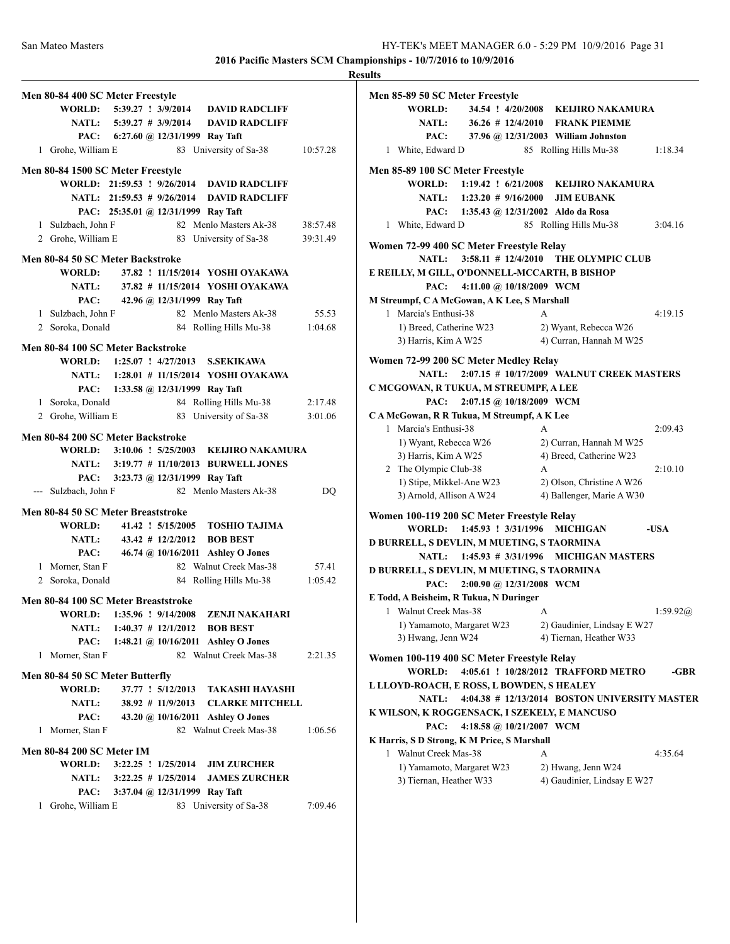|                                     |                                     |                                             |          | <b>Results</b> |
|-------------------------------------|-------------------------------------|---------------------------------------------|----------|----------------|
| Men 80-84 400 SC Meter Freestyle    |                                     |                                             |          | Me             |
|                                     |                                     | WORLD: 5:39.27 ! 3/9/2014 DAVID RADCLIFF    |          |                |
|                                     |                                     | NATL: 5:39.27 # 3/9/2014 DAVID RADCLIFF     |          |                |
|                                     | PAC: 6:27.60 @ 12/31/1999 Ray Taft  |                                             |          |                |
| 1 Grohe, William E                  |                                     | 83 University of Sa-38                      | 10:57.28 |                |
| Men 80-84 1500 SC Meter Freestyle   |                                     |                                             |          | Me             |
|                                     |                                     | WORLD: 21:59.53 ! 9/26/2014 DAVID RADCLIFF  |          |                |
|                                     |                                     | NATL: 21:59.53 # 9/26/2014 DAVID RADCLIFF   |          |                |
|                                     | PAC: 25:35.01 @ 12/31/1999 Ray Taft |                                             |          |                |
| 1 Sulzbach, John F                  |                                     | 82 Menlo Masters Ak-38                      | 38:57.48 |                |
| 2 Grohe, William E                  |                                     | 83 University of Sa-38                      | 39:31.49 |                |
|                                     |                                     |                                             |          | Wo             |
| Men 80-84 50 SC Meter Backstroke    |                                     |                                             |          |                |
| <b>WORLD:</b>                       |                                     | 37.82 ! 11/15/2014 YOSHI OYAKAWA            |          | E R            |
|                                     |                                     | NATL: 37.82 # 11/15/2014 YOSHI OYAKAWA      |          |                |
| PAC:                                | 42.96 @ 12/31/1999 Ray Taft         |                                             |          | M S            |
| 1 Sulzbach, John F                  |                                     | 82 Menlo Masters Ak-38                      | 55.53    |                |
| 2 Soroka, Donald                    |                                     | 84 Rolling Hills Mu-38 1:04.68              |          |                |
| Men 80-84 100 SC Meter Backstroke   |                                     |                                             |          |                |
|                                     |                                     | WORLD: 1:25.07 ! 4/27/2013 S.SEKIKAWA       |          | Wo             |
|                                     |                                     | NATL: 1:28.01 # 11/15/2014 YOSHI OYAKAWA    |          |                |
|                                     | PAC: 1:33.58 @ 12/31/1999 Ray Taft  |                                             |          | $\mathbf C$ N  |
| 1 Soroka, Donald                    |                                     | 84 Rolling Hills Mu-38                      | 2:17.48  |                |
| 2 Grohe, William E                  |                                     | 83 University of Sa-38                      | 3:01.06  | C <sub>A</sub> |
| Men 80-84 200 SC Meter Backstroke   |                                     |                                             |          |                |
|                                     |                                     | WORLD: 3:10.06 ! 5/25/2003 KEIJIRO NAKAMURA |          |                |
|                                     |                                     | NATL: 3:19.77 # 11/10/2013 BURWELL JONES    |          |                |
|                                     | PAC: 3:23.73 @ 12/31/1999 Ray Taft  |                                             |          |                |
| --- Sulzbach, John F                |                                     | 82 Menlo Masters Ak-38                      | DO       |                |
|                                     |                                     |                                             |          |                |
| Men 80-84 50 SC Meter Breaststroke  |                                     |                                             |          | Wo             |
| <b>WORLD:</b>                       |                                     | 41.42 ! 5/15/2005 TOSHIO TAJIMA             |          |                |
| NATL:                               |                                     | $43.42 \# 12/2/2012$ BOB BEST               |          | D <sub>B</sub> |
| PAC:                                |                                     | 46.74 @ 10/16/2011 Ashley O Jones           |          |                |
| 1 Morner, Stan F                    |                                     | 82 Walnut Creek Mas-38                      | 57.41    | D <sub>B</sub> |
| 2 Soroka, Donald                    |                                     | 84 Rolling Hills Mu-38                      | 1:05.42  |                |
| Men 80-84 100 SC Meter Breaststroke |                                     |                                             |          | EТ             |
| WORLD:                              | $1:35.96$ ! $9/14/2008$             | <b>ZENJI NAKAHARI</b>                       |          |                |
| <b>NATL:</b>                        | $1:40.37$ # $12/1/2012$             | <b>BOB BEST</b>                             |          |                |
| PAC:                                |                                     | 1:48.21 @ $10/16/2011$ Ashley O Jones       |          |                |
| 1 Morner, Stan F                    |                                     | 82 Walnut Creek Mas-38                      | 2:21.35  | Wo             |
| Men 80-84 50 SC Meter Butterfly     |                                     |                                             |          |                |
| <b>WORLD:</b>                       | 37.77 ! 5/12/2013                   | <b>TAKASHI HAYASHI</b>                      |          | LL             |
| <b>NATL:</b>                        |                                     | 38.92 # 11/9/2013 CLARKE MITCHELL           |          |                |
| PAC:                                |                                     | 43.20 @ 10/16/2011 Ashley O Jones           |          | K V            |
| 1 Morner, Stan F                    |                                     | 82 Walnut Creek Mas-38                      | 1:06.56  |                |
|                                     |                                     |                                             |          | K F            |
| <b>Men 80-84 200 SC Meter IM</b>    |                                     |                                             |          |                |
| WORLD:                              | 3:22.25 ! 1/25/2014                 | <b>JIM ZURCHER</b>                          |          |                |
|                                     |                                     | NATL: 3:22.25 # 1/25/2014 JAMES ZURCHER     |          |                |
| PAC:                                | 3:37.04 @ 12/31/1999 Ray Taft       |                                             |          |                |
| 1 Grohe, William E                  |                                     | 83 University of Sa-38                      | 7:09.46  |                |

| Men 85-89 50 SC Meter Freestyle               |                                               |
|-----------------------------------------------|-----------------------------------------------|
| <b>WORLD:</b>                                 | 34.54 ! 4/20/2008 KEIJIRO NAKAMURA            |
| <b>NATL:</b>                                  | 36.26 # 12/4/2010 FRANK PIEMME                |
| PAC:                                          | 37.96 @ 12/31/2003 William Johnston           |
| 1 White, Edward D                             | 85 Rolling Hills Mu-38<br>1:18.34             |
| Men 85-89 100 SC Meter Freestyle              |                                               |
| $1:19.42$ : $6/21/2008$<br><b>WORLD:</b>      | <b>KELJIRO NAKAMURA</b>                       |
| NATL: 1:23.20 # 9/16/2000                     | <b>JIM EUBANK</b>                             |
| PAC:<br>1:35.43 @ 12/31/2002 Aldo da Rosa     |                                               |
| 1 White, Edward D                             | 85 Rolling Hills Mu-38<br>3:04.16             |
| Women 72-99 400 SC Meter Freestyle Relay      |                                               |
| <b>NATL:</b>                                  | 3:58.11 # 12/4/2010 THE OLYMPIC CLUB          |
| E REILLY, M GILL, O'DONNELL-MCCARTH, B BISHOP |                                               |
| 4:11.00 @ 10/18/2009 WCM<br>PAC:              |                                               |
| M Streumpf, C A McGowan, A K Lee, S Marshall  |                                               |
| 1 Marcia's Enthusi-38                         | 4:19.15<br>A                                  |
| 1) Breed, Catherine W23                       | 2) Wyant, Rebecca W26                         |
| 3) Harris, Kim A W25                          | 4) Curran, Hannah M W25                       |
| Women 72-99 200 SC Meter Medley Relay         |                                               |
| <b>NATL:</b>                                  | 2:07.15 # 10/17/2009 WALNUT CREEK MASTERS     |
| C MCGOWAN, R TUKUA, M STREUMPF, A LEE         |                                               |
| 2:07.15 @ 10/18/2009 WCM<br>PAC:              |                                               |
| CAMcGowan, R R Tukua, M Streumpf, A K Lee     |                                               |
| 1 Marcia's Enthusi-38                         | A<br>2:09.43                                  |
| 1) Wyant, Rebecca W26                         | 2) Curran, Hannah M W25                       |
| 3) Harris, Kim A W25                          | 4) Breed, Catherine W23                       |
| 2 The Olympic Club-38                         | 2:10.10<br>А                                  |
| 1) Stipe, Mikkel-Ane W23                      | 2) Olson, Christine A W26                     |
| 3) Arnold, Allison A W24                      | 4) Ballenger, Marie A W30                     |
| Women 100-119 200 SC Meter Freestyle Relay    |                                               |
| WORLD:<br>1:45.93 ! 3/31/1996                 | $-IISA$<br><b>MICHIGAN</b>                    |
| D BURRELL, S DEVLIN, M MUETING, S TAORMINA    |                                               |
| $1:45.93 \# 3/31/1996$<br><b>NATL:</b>        | MICHIGAN MASTERS                              |
| D BURRELL, S DEVLIN, M MUETING, S TAORMINA    |                                               |
| PAC:<br>2:00.90 @ 12/31/2008 WCM              |                                               |
| E Todd, A Beisheim, R Tukua, N Duringer       |                                               |
| 1 Walnut Creek Mas-38                         | 1:59.92@<br>А                                 |
| 1) Yamamoto, Margaret W23                     | 2) Gaudinier, Lindsay E W27                   |
| 3) Hwang, Jenn W24                            | 4) Tiernan, Heather W33                       |
| Women 100-119 400 SC Meter Freestyle Relay    |                                               |
| <b>WORLD:</b>                                 | 4:05.61 ! 10/28/2012 TRAFFORD METRO<br>-GBR   |
| L LLOYD-ROACH, E ROSS, L BOWDEN, S HEALEY     |                                               |
| <b>NATL:</b>                                  | 4:04.38 # 12/13/2014 BOSTON UNIVERSITY MASTER |
| K WILSON, K ROGGENSACK, I SZEKELY, E MANCUSO  |                                               |
| 4:18.58 @ 10/21/2007 WCM<br>PAC:              |                                               |
| K Harris, S D Strong, K M Price, S Marshall   |                                               |
| 1 Walnut Creek Mas-38                         | 4:35.64<br>А                                  |
| 1) Yamamoto, Margaret W23                     | 2) Hwang, Jenn W24                            |
| 3) Tiernan, Heather W33                       | 4) Gaudinier, Lindsay E W27                   |
|                                               |                                               |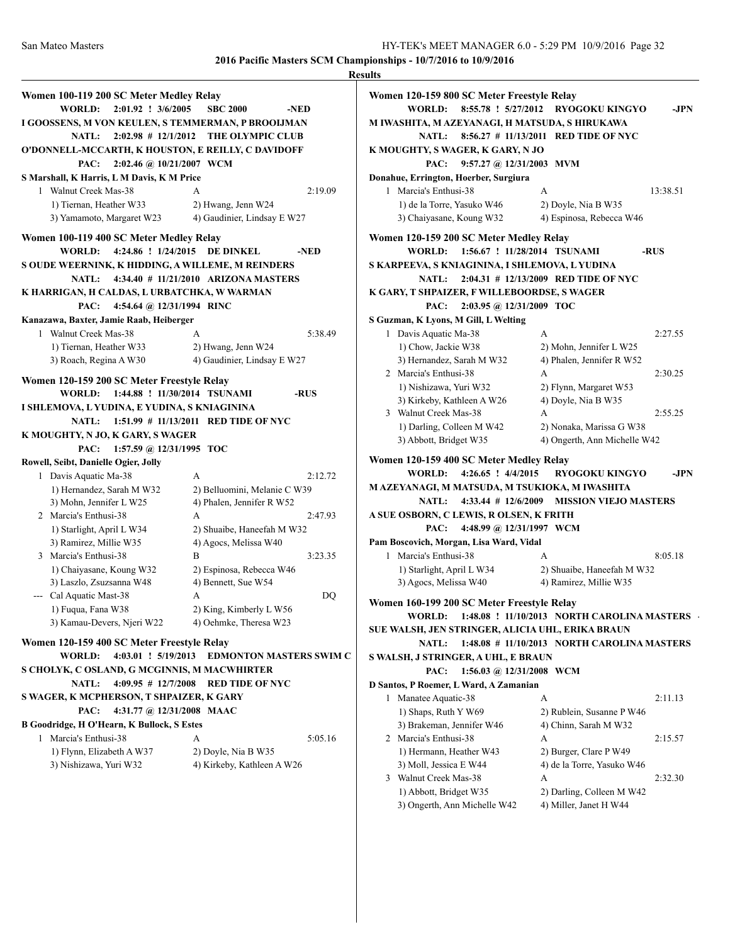|                                                    |                                             | <b>Results</b> |
|----------------------------------------------------|---------------------------------------------|----------------|
| Women 100-119 200 SC Meter Medley Relay            |                                             | Wor            |
| <b>WORLD:</b><br>$2:01.92$ : $3/6/2005$            | <b>SBC 2000</b><br>-NED                     |                |
| I GOOSSENS, M VON KEULEN, S TEMMERMAN, P BROOIJMAN |                                             | M IV           |
|                                                    | NATL: 2:02.98 # 12/1/2012 THE OLYMPIC CLUB  |                |
| O'DONNELL-MCCARTH, K HOUSTON, E REILLY, C DAVIDOFF |                                             | K <sub>M</sub> |
| 2:02.46 @ 10/21/2007 WCM<br>PAC:                   |                                             |                |
| S Marshall, K Harris, L M Davis, K M Price         |                                             | Dona           |
| 1 Walnut Creek Mas-38                              | 2:19.09<br>A                                |                |
| 1) Tiernan, Heather W33                            | 2) Hwang, Jenn W24                          |                |
| 3) Yamamoto, Margaret W23                          | 4) Gaudinier, Lindsay E W27                 |                |
|                                                    |                                             |                |
| Women 100-119 400 SC Meter Medley Relay            |                                             | Wor            |
| <b>WORLD:</b>                                      | 4:24.86 ! 1/24/2015 DE DINKEL<br>-NED       |                |
| S OUDE WEERNINK, K HIDDING, A WILLEME, M REINDERS  |                                             | SKA            |
| <b>NATL:</b>                                       | 4:34.40 # 11/21/2010 ARIZONA MASTERS        |                |
| K HARRIGAN, H CALDAS, L URBATCHKA, W WARMAN        |                                             | K G.           |
| PAC:<br>4:54.64 @ 12/31/1994 RINC                  |                                             |                |
| Kanazawa, Baxter, Jamie Raab, Heiberger            |                                             | S Gu           |
| 1 Walnut Creek Mas-38                              | 5:38.49<br>$\mathsf{A}$                     |                |
| 1) Tiernan, Heather W33                            | 2) Hwang, Jenn W24                          |                |
| 3) Roach, Regina A W30                             | 4) Gaudinier, Lindsay E W27                 |                |
| Women 120-159 200 SC Meter Freestyle Relay         |                                             |                |
| WORLD: 1:44.88 ! 11/30/2014 TSUNAMI                | -RUS                                        |                |
| I SHLEMOVA, LYUDINA, E YUDINA, S KNIAGININA        |                                             |                |
|                                                    | NATL: 1:51.99 # 11/13/2011 RED TIDE OF NYC  |                |
| K MOUGHTY, N JO, K GARY, S WAGER                   |                                             |                |
| PAC: 1:57.59 @ 12/31/1995 TOC                      |                                             |                |
| Rowell, Seibt, Danielle Ogier, Jolly               |                                             | Wor            |
| 1 Davis Aquatic Ma-38                              | 2:12.72<br>A                                |                |
| 1) Hernandez, Sarah M W32                          | 2) Belluomini, Melanie C W39                | MA.            |
| 3) Mohn, Jennifer L W25                            | 4) Phalen, Jennifer R W52                   |                |
| 2 Marcia's Enthusi-38                              | 2:47.93<br>A                                | A SU           |
| 1) Starlight, April L W34                          | 2) Shuaibe, Haneefah M W32                  |                |
| 3) Ramirez, Millie W35                             | 4) Agocs, Melissa W40                       | Pam            |
| 3 Marcia's Enthusi-38                              | B<br>3:23.35                                |                |
| 1) Chaiyasane, Koung W32                           | 2) Espinosa, Rebecca W46                    |                |
| 3) Laszlo, Zsuzsanna W48                           | 4) Bennett, Sue W54                         |                |
| --- Cal Aquatic Mast-38                            | DQ<br>А                                     | Wor            |
| 1) Fuqua, Fana W38                                 | 2) King, Kimberly L W56                     |                |
| 3) Kamau-Devers, Njeri W22                         | 4) Oehmke, Theresa W23                      | SUE            |
| Women 120-159 400 SC Meter Freestyle Relay         |                                             |                |
| WORLD:                                             | 4:03.01 ! 5/19/2013 EDMONTON MASTERS SWIM C | SW/            |
| S CHOLYK, C OSLAND, G MCGINNIS, M MACWHIRTER       |                                             |                |
| $4:09.95 \# 12/7/2008$<br><b>NATL:</b>             | <b>RED TIDE OF NYC</b>                      | D Sa           |
| S WAGER, K MCPHERSON, T SHPAIZER, K GARY           |                                             |                |
| 4:31.77 @ 12/31/2008 MAAC<br>PAC:                  |                                             |                |
| B Goodridge, H O'Hearn, K Bullock, S Estes         |                                             |                |
| 1 Marcia's Enthusi-38                              | 5:05.16<br>A                                |                |
| 1) Flynn, Elizabeth A W37                          | 2) Doyle, Nia B W35                         |                |
| 3) Nishizawa, Yuri W32                             | 4) Kirkeby, Kathleen A W26                  |                |
|                                                    |                                             |                |
|                                                    |                                             |                |
|                                                    |                                             |                |

| <b>Results</b>                                   |                                             |          |
|--------------------------------------------------|---------------------------------------------|----------|
| Women 120-159 800 SC Meter Freestyle Relay       |                                             |          |
| 8:55.78 ! 5/27/2012<br>WORLD:                    | <b>RYOGOKU KINGYO</b>                       | -JPN     |
| M IWASHITA, M AZEYANAGI, H MATSUDA, S HIRUKAWA   |                                             |          |
| <b>NATL:</b>                                     | $8:56.27$ # 11/13/2011 RED TIDE OF NYC      |          |
| K MOUGHTY, S WAGER, K GARY, N JO                 |                                             |          |
| 9:57.27 @ 12/31/2003 MVM<br>PAC:                 |                                             |          |
| Donahue, Errington, Hoerber, Surgiura            |                                             |          |
| 1 Marcia's Enthusi-38                            | A                                           | 13:38.51 |
| 1) de la Torre, Yasuko W46                       | 2) Doyle, Nia B W35                         |          |
| 3) Chaiyasane, Koung W32                         | 4) Espinosa, Rebecca W46                    |          |
| Women 120-159 200 SC Meter Medley Relay          |                                             |          |
| WORLD:                                           | 1:56.67 ! 11/28/2014 TSUNAMI                | -RUS     |
| S KARPEEVA, S KNIAGININA, I SHLEMOVA, L YUDINA   |                                             |          |
|                                                  | NATL: 2:04.31 # 12/13/2009 RED TIDE OF NYC  |          |
| K GARY, T SHPAIZER, F WILLEBOORDSE, S WAGER      |                                             |          |
| 2:03.95 @ 12/31/2009 TOC<br>PAC:                 |                                             |          |
| S Guzman, K Lyons, M Gill, L Welting             |                                             |          |
| 1 Davis Aquatic Ma-38                            | A                                           | 2:27.55  |
| 1) Chow, Jackie W38                              | 2) Mohn, Jennifer L W25                     |          |
| 3) Hernandez, Sarah M W32                        | 4) Phalen, Jennifer R W52                   |          |
| 2 Marcia's Enthusi-38                            | A                                           | 2:30.25  |
| 1) Nishizawa, Yuri W32                           | 2) Flynn, Margaret W53                      |          |
| 3) Kirkeby, Kathleen A W26                       | 4) Doyle, Nia B W35                         |          |
| 3 Walnut Creek Mas-38                            | А                                           | 2:55.25  |
| 1) Darling, Colleen M W42                        | 2) Nonaka, Marissa G W38                    |          |
| 3) Abbott, Bridget W35                           | 4) Ongerth, Ann Michelle W42                |          |
| Women 120-159 400 SC Meter Medley Relay          |                                             |          |
| WORLD:<br>4:26.65 ! 4/4/2015                     | <b>RYOGOKU KINGYO</b>                       | -JPN     |
| M AZEYANAGI, M MATSUDA, M TSUKIOKA, M IWASHITA   |                                             |          |
| <b>NATL:</b><br>$4:33.44$ # 12/6/2009            | <b>MISSION VIEJO MASTERS</b>                |          |
| A SUE OSBORN, C LEWIS, R OLSEN, K FRITH          |                                             |          |
| 4:48.99 @ 12/31/1997 WCM<br>PAC:                 |                                             |          |
| Pam Boscovich, Morgan, Lisa Ward, Vidal          |                                             |          |
| 1 Marcia's Enthusi-38                            | А                                           | 8:05.18  |
| 1) Starlight, April L W34                        | 2) Shuaibe, Haneefah M W32                  |          |
| 3) Agocs, Melissa W40                            | 4) Ramirez, Millie W35                      |          |
| Women 160-199 200 SC Meter Freestyle Relay       |                                             |          |
| WORLD:                                           | 1:48.08 ! 11/10/2013 NORTH CAROLINA MASTERS |          |
| SUE WALSH, JEN STRINGER, ALICIA UHL, ERIKA BRAUN |                                             |          |
| <b>NATL:</b>                                     | 1:48.08 # 11/10/2013 NORTH CAROLINA MASTERS |          |
| S WALSH, J STRINGER, A UHL, E BRAUN              |                                             |          |
| 1:56.03 @ 12/31/2008 WCM<br>PAC:                 |                                             |          |
| D Santos, P Roemer, L Ward, A Zamanian           |                                             |          |
| 1 Manatee Aquatic-38                             | A                                           | 2:11.13  |
| 1) Shaps, Ruth Y W69                             | 2) Rublein, Susanne P W46                   |          |
| 3) Brakeman, Jennifer W46                        | 4) Chinn, Sarah M W32                       |          |
| 2 Marcia's Enthusi-38                            | А                                           | 2:15.57  |
| 1) Hermann, Heather W43                          | 2) Burger, Clare P W49                      |          |
| 3) Moll, Jessica E W44                           | 4) de la Torre, Yasuko W46                  |          |
| 3 Walnut Creek Mas-38                            | А                                           | 2:32.30  |
| 1) Abbott, Bridget W35                           | 2) Darling, Colleen M W42                   |          |
| 3) Ongerth, Ann Michelle W42                     | 4) Miller, Janet H W44                      |          |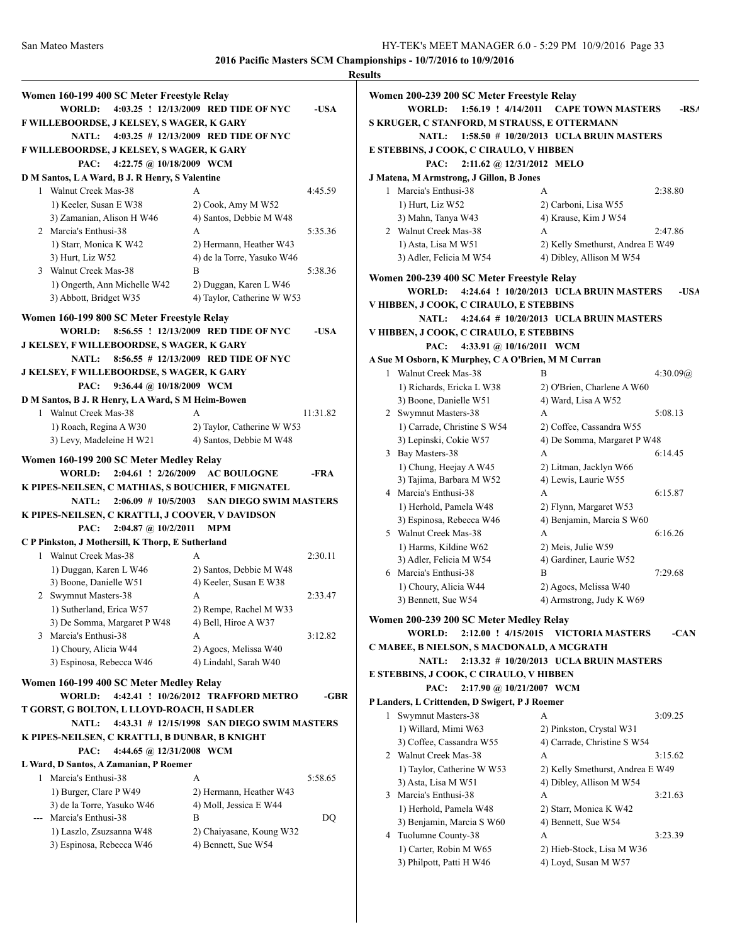|                                                    |                                             |          | <b>Results</b> |
|----------------------------------------------------|---------------------------------------------|----------|----------------|
| Women 160-199 400 SC Meter Freestyle Relay         |                                             |          | Womer          |
| <b>WORLD:</b>                                      | 4:03.25 ! 12/13/2009 RED TIDE OF NYC        | -USA     |                |
| F WILLEBOORDSE, J KELSEY, S WAGER, K GARY          |                                             |          | S KRU          |
| NATL: 4:03.25 # 12/13/2009 RED TIDE OF NYC         |                                             |          |                |
| F WILLEBOORDSE, J KELSEY, S WAGER, K GARY          |                                             |          | <b>E STEF</b>  |
| 4:22.75 @ 10/18/2009 WCM<br>PAC:                   |                                             |          |                |
| D M Santos, LA Ward, B J. R Henry, S Valentine     |                                             |          | <b>J</b> Mater |
| 1 Walnut Creek Mas-38                              | A                                           | 4:45.59  | 1 <sub>1</sub> |
| 1) Keeler, Susan E W38                             | 2) Cook, Amy M W52                          |          |                |
| 3) Zamanian, Alison H W46                          | 4) Santos, Debbie M W48                     |          |                |
| 2 Marcia's Enthusi-38                              | A                                           | 5:35.36  | $2^{\circ}$    |
| 1) Starr, Monica K W42                             | 2) Hermann, Heather W43                     |          |                |
| 3) Hurt, Liz W52                                   | 4) de la Torre, Yasuko W46                  |          |                |
| 3 Walnut Creek Mas-38                              | B                                           | 5:38.36  | Womer          |
| 1) Ongerth, Ann Michelle W42                       | 2) Duggan, Karen L W46                      |          |                |
| 3) Abbott, Bridget W35                             | 4) Taylor, Catherine W W53                  |          | V HIBE         |
| Women 160-199 800 SC Meter Freestyle Relay         |                                             |          |                |
| WORLD:                                             | 8:56.55 ! 12/13/2009 RED TIDE OF NYC        | -USA     | V HIBF         |
| <b>J KELSEY, F WILLEBOORDSE, S WAGER, K GARY</b>   |                                             |          |                |
| NATL:                                              | 8:56.55 # 12/13/2009 RED TIDE OF NYC        |          | A Sue N        |
| J KELSEY, F WILLEBOORDSE, S WAGER, K GARY          |                                             |          | 1              |
| 9:36.44 @ 10/18/2009 WCM<br>PAC:                   |                                             |          |                |
| D M Santos, B J. R Henry, LA Ward, S M Heim-Bowen  |                                             |          |                |
| 1 Walnut Creek Mas-38                              | A                                           | 11:31.82 | 2:             |
| 1) Roach, Regina A W30                             | 2) Taylor, Catherine W W53                  |          |                |
| 3) Levy, Madeleine H W21                           | 4) Santos, Debbie M W48                     |          |                |
| Women 160-199 200 SC Meter Medley Relay            |                                             |          | 3 <sup>1</sup> |
| WORLD:                                             | 2:04.61 ! 2/26/2009 AC BOULOGNE             | -FRA     |                |
| K PIPES-NEILSEN, C MATHIAS, S BOUCHIER, F MIGNATEL |                                             |          | 41             |
| <b>NATL:</b>                                       | 2:06.09 # 10/5/2003 SAN DIEGO SWIM MASTERS  |          |                |
| K PIPES-NEILSEN, C KRATTLI, J COOVER, V DAVIDSON   |                                             |          |                |
| $2:04.87$ @ $10/2/2011$<br>PAC:                    | <b>MPM</b>                                  |          | $5^{\circ}$    |
| C P Pinkston, J Mothersill, K Thorp, E Sutherland  |                                             |          |                |
| 1 Walnut Creek Mas-38                              | A                                           | 2:30.11  |                |
| 1) Duggan, Karen L W46                             | 2) Santos, Debbie M W48                     |          | 6 1            |
| 3) Boone, Danielle W51                             | 4) Keeler, Susan E W38                      |          |                |
| 2 Swymnut Masters-38                               | A                                           | 2:33.47  |                |
| 1) Sutherland, Erica W57                           | 2) Rempe, Rachel M W33                      |          |                |
| 3) De Somma, Margaret P W48                        | 4) Bell, Hiroe A W37                        |          | Womeı          |
| 3 Marcia's Enthusi-38                              | А                                           | 3:12.82  |                |
| 1) Choury, Alicia W44                              | 2) Agocs, Melissa W40                       |          | C MAB          |
| 3) Espinosa, Rebecca W46                           | 4) Lindahl, Sarah W40                       |          | <b>E STEF</b>  |
| Women 160-199 400 SC Meter Medley Relay            |                                             |          |                |
| WORLD:                                             | 4:42.41 ! 10/26/2012 TRAFFORD METRO         | -GBR     | P Land         |
| T GORST, G BOLTON, L LLOYD-ROACH, H SADLER         |                                             |          | 1 :            |
| <b>NATL:</b>                                       | 4:43.31 # 12/15/1998 SAN DIEGO SWIM MASTERS |          |                |
| K PIPES-NEILSEN, C KRATTLI, B DUNBAR, B KNIGHT     |                                             |          |                |
| 4:44.65 @ 12/31/2008 WCM<br>PAC:                   |                                             |          | 2              |
| L Ward, D Santos, A Zamanian, P Roemer             |                                             |          |                |
| 1 Marcia's Enthusi-38                              | А                                           | 5:58.65  |                |
| 1) Burger, Clare P W49                             | 2) Hermann, Heather W43                     |          | 3 <sub>1</sub> |
| 3) de la Torre, Yasuko W46                         | 4) Moll, Jessica E W44                      |          |                |
| --- Marcia's Enthusi-38                            | B                                           | DQ       |                |
| 1) Laszlo, Zsuzsanna W48                           | 2) Chaiyasane, Koung W32                    |          | 4              |
| 3) Espinosa, Rebecca W46                           | 4) Bennett, Sue W54                         |          |                |
|                                                    |                                             |          |                |

|   | Women 200-239 200 SC Meter Freestyle Relay                                           |                                                         |          |
|---|--------------------------------------------------------------------------------------|---------------------------------------------------------|----------|
|   | 1:56.19 ! 4/14/2011<br><b>WORLD:</b><br>S KRUGER, C STANFORD, M STRAUSS, E OTTERMANN | <b>CAPE TOWN MASTERS</b>                                | -RSA     |
|   | <b>NATL:</b>                                                                         | 1:58.50 # 10/20/2013 UCLA BRUIN MASTERS                 |          |
|   | E STEBBINS, J COOK, C CIRAULO, V HIBBEN                                              |                                                         |          |
|   | 2:11.62 @ 12/31/2012 MELO<br>PAC:                                                    |                                                         |          |
|   | J Matena, M Armstrong, J Gillon, B Jones                                             |                                                         |          |
|   | 1 Marcia's Enthusi-38                                                                | А                                                       | 2:38.80  |
|   | 1) Hurt, Liz W52                                                                     | 2) Carboni, Lisa W55                                    |          |
|   | 3) Mahn, Tanya W43                                                                   | 4) Krause, Kim J W54                                    |          |
|   | 2 Walnut Creek Mas-38                                                                | A                                                       | 2:47.86  |
|   | 1) Asta, Lisa M W51                                                                  | 2) Kelly Smethurst, Andrea E W49                        |          |
|   | 3) Adler, Felicia M W54                                                              | 4) Dibley, Allison M W54                                |          |
|   | Women 200-239 400 SC Meter Freestyle Relay                                           |                                                         |          |
|   | <b>WORLD:</b>                                                                        | 4:24.64 ! 10/20/2013 UCLA BRUIN MASTERS                 | -USA     |
|   | V HIBBEN, J COOK, C CIRAULO, E STEBBINS                                              |                                                         |          |
|   | <b>NATL:</b>                                                                         | 4:24.64 # 10/20/2013 UCLA BRUIN MASTERS                 |          |
|   | V HIBBEN, J COOK, C CIRAULO, E STEBBINS                                              |                                                         |          |
|   | 4:33.91 @ 10/16/2011 WCM<br>PAC:                                                     |                                                         |          |
|   | A Sue M Osborn, K Murphey, C A O'Brien, M M Curran                                   |                                                         |          |
|   | 1 Walnut Creek Mas-38                                                                | B                                                       | 4:30.09@ |
|   | 1) Richards, Ericka L W38                                                            | 2) O'Brien, Charlene A W60                              |          |
|   | 3) Boone, Danielle W51                                                               | 4) Ward, Lisa A W52                                     |          |
|   | 2 Swymnut Masters-38<br>1) Carrade, Christine S W54                                  | А                                                       | 5:08.13  |
|   | 3) Lepinski, Cokie W57                                                               | 2) Coffee, Cassandra W55<br>4) De Somma, Margaret P W48 |          |
|   | 3 Bay Masters-38                                                                     | A                                                       | 6:14.45  |
|   | 1) Chung, Heejay A W45                                                               | 2) Litman, Jacklyn W66                                  |          |
|   | 3) Tajima, Barbara M W52                                                             | 4) Lewis, Laurie W55                                    |          |
|   | 4 Marcia's Enthusi-38                                                                | А                                                       | 6:15.87  |
|   | 1) Herhold, Pamela W48                                                               | 2) Flynn, Margaret W53                                  |          |
|   | 3) Espinosa, Rebecca W46                                                             | 4) Benjamin, Marcia S W60                               |          |
|   | 5 Walnut Creek Mas-38                                                                | A                                                       | 6:16.26  |
|   | 1) Harms, Kildine W62                                                                | 2) Meis, Julie W59                                      |          |
|   | 3) Adler, Felicia M W54                                                              | 4) Gardiner, Laurie W52                                 |          |
|   | 6 Marcia's Enthusi-38                                                                | B                                                       | 7:29.68  |
|   | 1) Choury, Alicia W44                                                                | 2) Agocs, Melissa W40                                   |          |
|   | 3) Bennett, Sue W54                                                                  | 4) Armstrong, Judy K W69                                |          |
|   | Women 200-239 200 SC Meter Medley Relay                                              |                                                         |          |
|   | 2:12.00 ! 4/15/2015<br><b>WORLD:</b>                                                 | <b>VICTORIA MASTERS</b>                                 | -CAN     |
|   | C MABEE, B NIELSON, S MACDONALD, A MCGRATH                                           |                                                         |          |
|   | <b>NATL:</b>                                                                         | 2:13.32 # 10/20/2013 UCLA BRUIN MASTERS                 |          |
|   | E STEBBINS, J COOK, C CIRAULO, V HIBBEN                                              |                                                         |          |
|   | 2:17.90 @ 10/21/2007 WCM<br>PAC:                                                     |                                                         |          |
|   | P Landers, L Crittenden, D Swigert, P J Roemer                                       |                                                         |          |
| 1 | Swymnut Masters-38                                                                   | А                                                       | 3:09.25  |
|   | 1) Willard, Mimi W63                                                                 | 2) Pinkston, Crystal W31                                |          |
|   | 3) Coffee, Cassandra W55                                                             | 4) Carrade, Christine S W54                             |          |
|   | 2 Walnut Creek Mas-38                                                                | А                                                       | 3:15.62  |
|   | 1) Taylor, Catherine W W53                                                           | 2) Kelly Smethurst, Andrea E W49                        |          |
|   | 3) Asta, Lisa M W51                                                                  | 4) Dibley, Allison M W54                                |          |
|   | 3 Marcia's Enthusi-38                                                                | А                                                       | 3:21.63  |
|   | 1) Herhold, Pamela W48                                                               | 2) Starr, Monica K W42                                  |          |
|   | 3) Benjamin, Marcia S W60                                                            | 4) Bennett, Sue W54                                     |          |
|   | 4 Tuolumne County-38                                                                 | А                                                       | 3:23.39  |
|   | 1) Carter, Robin M W65                                                               | 2) Hieb-Stock, Lisa M W36                               |          |
|   | 3) Philpott, Patti H W46                                                             | 4) Loyd, Susan M W57                                    |          |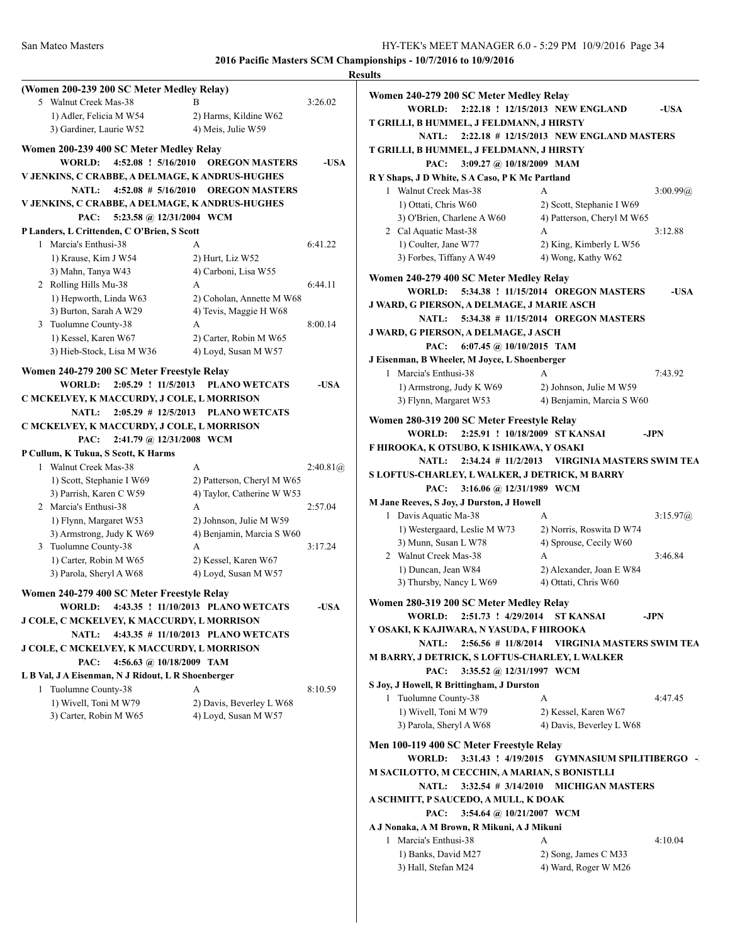|                                                                                |                                                          | <b>Results</b> |
|--------------------------------------------------------------------------------|----------------------------------------------------------|----------------|
| (Women 200-239 200 SC Meter Medley Relay)                                      |                                                          |                |
| 5 Walnut Creek Mas-38                                                          |                                                          | 3:26.02        |
| 1) Adler, Felicia M W54                                                        | 2) Harms, Kildine W62                                    |                |
| 3) Gardiner, Laurie W52                                                        | 4) Meis, Julie W59                                       |                |
| Women 200-239 400 SC Meter Medley Relay                                        |                                                          |                |
| 4:52.08 ! 5/16/2010<br><b>WORLD:</b>                                           | <b>OREGON MASTERS</b>                                    | -USA           |
| V JENKINS, C CRABBE, A DELMAGE, K ANDRUS-HUGHES                                |                                                          |                |
| <b>NATL:</b>                                                                   | 4:52.08 # 5/16/2010 OREGON MASTERS                       |                |
| V JENKINS, C CRABBE, A DELMAGE, K ANDRUS-HUGHES                                |                                                          |                |
| 5:23.58 @ 12/31/2004 WCM<br>PAC:                                               |                                                          |                |
| P Landers, L Crittenden, C O'Brien, S Scott                                    |                                                          |                |
| 1 Marcia's Enthusi-38                                                          | A                                                        | 6:41.22        |
| 1) Krause, Kim J W54                                                           | 2) Hurt, Liz W52                                         |                |
| 3) Mahn, Tanya W43                                                             | 4) Carboni, Lisa W55                                     |                |
| 2 Rolling Hills Mu-38                                                          | A                                                        | 6:44.11        |
| 1) Hepworth, Linda W63                                                         | 2) Coholan, Annette M W68                                |                |
| 3) Burton, Sarah A W29                                                         | 4) Tevis, Maggie H W68                                   |                |
| 3 Tuolumne County-38                                                           | A                                                        | 8:00.14        |
| 1) Kessel, Karen W67                                                           | 2) Carter, Robin M W65                                   |                |
| 3) Hieb-Stock, Lisa M W36                                                      | 4) Loyd, Susan M W57                                     |                |
| Women 240-279 200 SC Meter Freestyle Relay                                     |                                                          |                |
| <b>WORLD:</b><br>2:05.29 ! 11/5/2013                                           | <b>PLANO WETCATS</b>                                     | -USA           |
| C MCKELVEY, K MACCURDY, J COLE, L MORRISON                                     |                                                          |                |
| <b>NATL:</b><br>$2:05.29$ # 12/5/2013                                          | <b>PLANO WETCATS</b>                                     |                |
| C MCKELVEY, K MACCURDY, J COLE, L MORRISON                                     |                                                          |                |
| PAC:<br>2:41.79 @ 12/31/2008 WCM                                               |                                                          |                |
|                                                                                |                                                          |                |
| P Cullum, K Tukua, S Scott, K Harms<br>1 Walnut Creek Mas-38                   | A                                                        | 2:40.81@       |
|                                                                                |                                                          |                |
| 1) Scott, Stephanie I W69<br>3) Parrish, Karen C W59                           | 2) Patterson, Cheryl M W65<br>4) Taylor, Catherine W W53 |                |
| 2 Marcia's Enthusi-38                                                          | A                                                        | 2:57.04        |
| 1) Flynn, Margaret W53                                                         | 2) Johnson, Julie M W59                                  |                |
| 3) Armstrong, Judy K W69                                                       | 4) Benjamin, Marcia S W60                                |                |
| 3 Tuolumne County-38                                                           | A                                                        | 3:17.24        |
| 1) Carter, Robin M W65                                                         | 2) Kessel, Karen W67                                     |                |
| 3) Parola, Sheryl A W68                                                        | 4) Loyd, Susan M W57                                     |                |
|                                                                                |                                                          |                |
| Women 240-279 400 SC Meter Freestyle Relay                                     |                                                          |                |
| WORLD:                                                                         | 4:43.35 ! 11/10/2013 PLANO WETCATS                       | -USA           |
| J COLE, C MCKELVEY, K MACCURDY, L MORRISON                                     |                                                          |                |
| <b>NATL:</b>                                                                   | 4:43.35 # 11/10/2013 PLANO WETCATS                       |                |
| J COLE, C MCKELVEY, K MACCURDY, L MORRISON<br>PAC:                             |                                                          |                |
| 4:56.63 @ 10/18/2009 TAM<br>L B Val, J A Eisenman, N J Ridout, L R Shoenberger |                                                          |                |
| 1 Tuolumne County-38                                                           | A                                                        | 8:10.59        |
| 1) Wivell, Toni M W79                                                          | 2) Davis, Beverley L W68                                 |                |
| 3) Carter, Robin M W65                                                         | 4) Loyd, Susan M W57                                     |                |
|                                                                                |                                                          |                |
|                                                                                |                                                          |                |
|                                                                                |                                                          |                |
|                                                                                |                                                          |                |
|                                                                                |                                                          |                |
|                                                                                |                                                          |                |
|                                                                                |                                                          |                |
|                                                                                |                                                          |                |
|                                                                                |                                                          |                |
|                                                                                |                                                          |                |
|                                                                                |                                                          |                |
|                                                                                |                                                          |                |

| Women 240-279 200 SC Meter Medley Relay                                                |                                                      |
|----------------------------------------------------------------------------------------|------------------------------------------------------|
| WORLD:                                                                                 | 2:22.18 ! 12/15/2013 NEW ENGLAND<br>-USA             |
| T GRILLI, B HUMMEL, J FELDMANN, J HIRSTY<br><b>NATL:</b>                               | 2:22.18 # 12/15/2013 NEW ENGLAND MASTERS             |
| T GRILLI, B HUMMEL, J FELDMANN, J HIRSTY                                               |                                                      |
| PAC:<br>3:09.27 @ 10/18/2009 MAM                                                       |                                                      |
| R Y Shaps, J D White, S A Caso, P K Mc Partland                                        |                                                      |
| 1 Walnut Creek Mas-38                                                                  | 3:00.99@<br>А                                        |
| 1) Ottati, Chris W60                                                                   | 2) Scott, Stephanie I W69                            |
| 3) O'Brien, Charlene A W60                                                             | 4) Patterson, Cheryl M W65                           |
| 2 Cal Aquatic Mast-38<br>1) Coulter, Jane W77                                          | A<br>3:12.88                                         |
| 3) Forbes, Tiffany A W49                                                               | 2) King, Kimberly L W56<br>4) Wong, Kathy W62        |
|                                                                                        |                                                      |
| Women 240-279 400 SC Meter Medley Relay<br>WORLD:                                      | 5:34.38 ! 11/15/2014 OREGON MASTERS<br>-USA          |
| J WARD, G PIERSON, A DELMAGE, J MARIE ASCH                                             |                                                      |
| <b>NATL:</b>                                                                           | 5:34.38 # 11/15/2014 OREGON MASTERS                  |
| J WARD, G PIERSON, A DELMAGE, J ASCH                                                   |                                                      |
| 6:07.45 @ 10/10/2015 TAM<br>PAC:                                                       |                                                      |
| J Eisenman, B Wheeler, M Joyce, L Shoenberger                                          |                                                      |
| 1 Marcia's Enthusi-38                                                                  | A<br>7:43.92                                         |
| 1) Armstrong, Judy K W69<br>3) Flynn, Margaret W53                                     | 2) Johnson, Julie M W59<br>4) Benjamin, Marcia S W60 |
|                                                                                        |                                                      |
| Women 280-319 200 SC Meter Freestyle Relay<br>2:25.91 ! 10/18/2009 ST KANSAI<br>WORLD: | -JPN                                                 |
| F HIROOKA, K OTSUBO, K ISHIKAWA, Y OSAKI                                               |                                                      |
| <b>NATL:</b>                                                                           | 2:34.24 # 11/2/2013 VIRGINIA MASTERS SWIM TEA        |
| S LOFTUS-CHARLEY, L WALKER, J DETRICK, M BARRY                                         |                                                      |
| 3:16.06 @ 12/31/1989 WCM<br>PAC:                                                       |                                                      |
| M Jane Reeves, S Joy, J Durston, J Howell                                              |                                                      |
| 1 Davis Aquatic Ma-38                                                                  | A<br>3:15.97@                                        |
| 1) Westergaard, Leslie M W73<br>3) Munn, Susan L W78                                   | 2) Norris, Roswita D W74<br>4) Sprouse, Cecily W60   |
| 2 Walnut Creek Mas-38                                                                  | 3:46.84<br>А                                         |
| 1) Duncan, Jean W84                                                                    | 2) Alexander, Joan E W84                             |
| 3) Thursby, Nancy L W69                                                                | 4) Ottati, Chris W60                                 |
| Women 280-319 200 SC Meter Medley Relay                                                |                                                      |
| WORLD: 2:51.73 ! 4/29/2014 ST KANSAI                                                   | -JPN                                                 |
| Y OSAKI, K KAJIWARA, N YASUDA, F HIROOKA                                               |                                                      |
| <b>NATL:</b><br>$2:56.56 \# 11/8/2014$                                                 | <b>VIRGINIA MASTERS SWIM TEA</b>                     |
| M BARRY, J DETRICK, S LOFTUS-CHARLEY, L WALKER                                         |                                                      |
| PAC:<br>3:35.52 @ 12/31/1997 WCM<br>S Joy, J Howell, R Brittingham, J Durston          |                                                      |
| 1 Tuolumne County-38                                                                   | 4:47.45<br>А                                         |
| 1) Wivell, Toni M W79                                                                  | 2) Kessel, Karen W67                                 |
| 3) Parola, Sheryl A W68                                                                | 4) Davis, Beverley L W68                             |
| Men 100-119 400 SC Meter Freestyle Relay                                               |                                                      |
| WORLD:                                                                                 | 3:31.43 ! 4/19/2015 GYMNASIUM SPILITIBERGO -         |
| M SACILOTTO, M CECCHIN, A MARIAN, S BONISTLLI                                          |                                                      |
| <b>NATL:</b>                                                                           | 3:32.54 # 3/14/2010 MICHIGAN MASTERS                 |
| A SCHMITT, P SAUCEDO, A MULL, K DOAK                                                   |                                                      |
| PAC: 3:54.64 @ 10/21/2007 WCM                                                          |                                                      |
| A J Nonaka, A M Brown, R Mikuni, A J Mikuni<br>1 Marcia's Enthusi-38                   | 4:10.04<br>A                                         |
| 1) Banks, David M27                                                                    | 2) Song, James C M33                                 |
| 3) Hall, Stefan M24                                                                    | 4) Ward, Roger W M26                                 |
|                                                                                        |                                                      |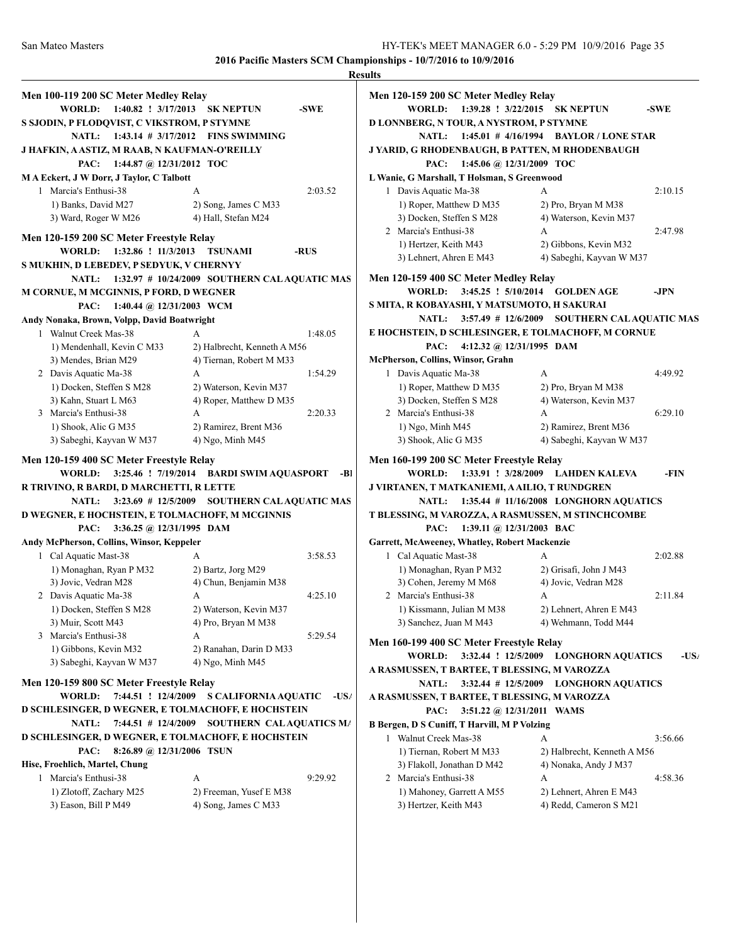|                                                                    |                                                           | <b>Results</b>                                     |                                                        |
|--------------------------------------------------------------------|-----------------------------------------------------------|----------------------------------------------------|--------------------------------------------------------|
| Men 100-119 200 SC Meter Medley Relay                              |                                                           | Men 120-159 200 SC Meter Medley Relay              |                                                        |
| WORLD: 1:40.82 ! 3/17/2013 SK NEPTUN                               | -SWE                                                      | WORLD: 1:39.28 ! 3/22/2015 SK NEPTUN               | -SWE                                                   |
| S SJODIN, P FLODQVIST, C VIKSTROM, P STYMNE                        |                                                           | D LONNBERG, N TOUR, A NYSTROM, P STYMNE            |                                                        |
|                                                                    | NATL: 1:43.14 # 3/17/2012 FINS SWIMMING                   |                                                    | NATL: 1:45.01 # 4/16/1994 BAYLOR / LONE STAR           |
| J HAFKIN, A ASTIZ, M RAAB, N KAUFMAN-O'REILLY                      |                                                           | J YARID, G RHODENBAUGH, B PATTEN, M RHODENBAUGH    |                                                        |
| PAC: 1:44.87 @ 12/31/2012 TOC                                      |                                                           | PAC: 1:45.06 @ 12/31/2009 TOC                      |                                                        |
| <b>MA Eckert, J W Dorr, J Taylor, C Talbott</b>                    |                                                           | L Wanie, G Marshall, T Holsman, S Greenwood        |                                                        |
| 1 Marcia's Enthusi-38                                              | 2:03.52<br>A                                              | 1 Davis Aquatic Ma-38                              | 2:10.15<br>А                                           |
| 1) Banks, David M27                                                | 2) Song, James C M33                                      | 1) Roper, Matthew D M35                            | 2) Pro, Bryan M M38                                    |
| 3) Ward, Roger W M26                                               | 4) Hall, Stefan M24                                       | 3) Docken, Steffen S M28                           | 4) Waterson, Kevin M37                                 |
|                                                                    |                                                           | 2 Marcia's Enthusi-38                              | А<br>2:47.98                                           |
| Men 120-159 200 SC Meter Freestyle Relay                           |                                                           | 1) Hertzer, Keith M43                              | 2) Gibbons, Kevin M32                                  |
| WORLD: 1:32.86 ! 11/3/2013 TSUNAMI                                 | -RUS                                                      | 3) Lehnert, Ahren E M43                            | 4) Sabeghi, Kayvan W M37                               |
| S MUKHIN, D LEBEDEV, P SEDYUK, V CHERNYY                           |                                                           |                                                    |                                                        |
|                                                                    | NATL: 1:32.97 # 10/24/2009 SOUTHERN CALAQUATIC MAS        | Men 120-159 400 SC Meter Medley Relay              |                                                        |
| M CORNUE, M MCGINNIS, P FORD, D WEGNER                             |                                                           | WORLD: 3:45.25 ! 5/10/2014 GOLDEN AGE              | -JPN                                                   |
| PAC: 1:40.44 @ 12/31/2003 WCM                                      |                                                           | S MITA, R KOBAYASHI, Y MATSUMOTO, H SAKURAI        |                                                        |
| Andy Nonaka, Brown, Volpp, David Boatwright                        |                                                           |                                                    | NATL: 3:57.49 # 12/6/2009 SOUTHERN CALAQUATIC MAS      |
| 1 Walnut Creek Mas-38                                              | 1:48.05<br>A                                              | E HOCHSTEIN, D SCHLESINGER, E TOLMACHOFF, M CORNUE |                                                        |
| 1) Mendenhall, Kevin C M33                                         | 2) Halbrecht, Kenneth A M56                               | PAC:<br>4:12.32 @ $12/31/1995$ DAM                 |                                                        |
| 3) Mendes, Brian M29                                               | 4) Tiernan, Robert M M33                                  | McPherson, Collins, Winsor, Grahn                  |                                                        |
| 2 Davis Aquatic Ma-38                                              | 1:54.29<br>А                                              | 1 Davis Aquatic Ma-38                              | A<br>4:49.92                                           |
| 1) Docken, Steffen S M28                                           | 2) Waterson, Kevin M37                                    | 1) Roper, Matthew D M35                            | 2) Pro, Bryan M M38                                    |
| 3) Kahn, Stuart L M63                                              | 4) Roper, Matthew D M35                                   | 3) Docken, Steffen S M28                           | 4) Waterson, Kevin M37                                 |
| 3 Marcia's Enthusi-38                                              | 2:20.33<br>A                                              | 2 Marcia's Enthusi-38                              | 6:29.10<br>А                                           |
| 1) Shook, Alic G M35                                               | 2) Ramirez, Brent M36                                     | 1) Ngo, Minh M45                                   | 2) Ramirez, Brent M36                                  |
| 3) Sabeghi, Kayvan W M37                                           | 4) Ngo, Minh M45                                          | 3) Shook, Alic G M35                               | 4) Sabeghi, Kayvan W M37                               |
| Men 120-159 400 SC Meter Freestyle Relay                           |                                                           | Men 160-199 200 SC Meter Freestyle Relay           |                                                        |
|                                                                    | WORLD: 3:25.46 ! 7/19/2014 BARDI SWIM AQUASPORT -BI       |                                                    | WORLD: 1:33.91 ! 3/28/2009 LAHDEN KALEVA<br>-FIN       |
|                                                                    |                                                           |                                                    |                                                        |
| R TRIVINO, R BARDI, D MARCHETTI, R LETTE                           |                                                           | J VIRTANEN, T MATKANIEMI, A AILIO, T RUNDGREN      |                                                        |
| <b>NATL:</b>                                                       | 3:23.69 # 12/5/2009 SOUTHERN CAL AQUATIC MAS              | <b>NATL:</b>                                       | $1:35.44$ # 11/16/2008 LONGHORN AQUATICS               |
| D WEGNER, E HOCHSTEIN, E TOLMACHOFF, M MCGINNIS                    |                                                           | T BLESSING, M VAROZZA, A RASMUSSEN, M STINCHCOMBE  |                                                        |
| PAC:<br>3:36.25 @ 12/31/1995 DAM                                   |                                                           | PAC:<br>1:39.11 @ $12/31/2003$ BAC                 |                                                        |
| Andy McPherson, Collins, Winsor, Keppeler                          |                                                           | Garrett, McAweeney, Whatley, Robert Mackenzie      |                                                        |
| 1 Cal Aquatic Mast-38                                              | 3:58.53<br>А                                              | 1 Cal Aquatic Mast-38                              | А<br>2:02.88                                           |
| 1) Monaghan, Ryan P M32                                            | 2) Bartz, Jorg M29                                        | 1) Monaghan, Ryan P M32                            | 2) Grisafi, John J M43                                 |
| 3) Jovic, Vedran M28                                               | 4) Chun, Benjamin M38                                     | 3) Cohen, Jeremy M M68                             | 4) Jovic, Vedran M28                                   |
| 2 Davis Aquatic Ma-38                                              | 4:25.10<br>A                                              | 2 Marcia's Enthusi-38                              | 2:11.84<br>A                                           |
| 1) Docken, Steffen S M28                                           | 2) Waterson, Kevin M37                                    | 1) Kissmann, Julian M M38                          | 2) Lehnert, Ahren E M43                                |
| 3) Muir, Scott M43                                                 | 4) Pro, Bryan M M38                                       | 3) Sanchez, Juan M M43                             | 4) Wehmann, Todd M44                                   |
| 3 Marcia's Enthusi-38                                              | 5:29.54<br>А                                              |                                                    |                                                        |
| 1) Gibbons, Kevin M32                                              | 2) Ranahan, Darin D M33                                   | Men 160-199 400 SC Meter Freestyle Relay           |                                                        |
| 3) Sabeghi, Kayvan W M37                                           | $(4)$ Ngo, Minh M45                                       |                                                    | WORLD: 3:32.44 ! 12/5/2009 LONGHORN AQUATICS<br>$-USt$ |
|                                                                    |                                                           | A RASMUSSEN, T BARTEE, T BLESSING, M VAROZZA       |                                                        |
| Men 120-159 800 SC Meter Freestyle Relay                           |                                                           | <b>NATL:</b>                                       | 3:32.44 # 12/5/2009 LONGHORN AQUATICS                  |
|                                                                    | WORLD: 7:44.51 ! 12/4/2009 S CALIFORNIA AQUATIC<br>$-US/$ | A RASMUSSEN, T BARTEE, T BLESSING, M VAROZZA       |                                                        |
|                                                                    |                                                           | PAC:                                               | 3:51.22 @ 12/31/2011 WAMS                              |
| D SCHLESINGER, D WEGNER, E TOLMACHOFF, E HOCHSTEIN<br><b>NATL:</b> | 7:44.51 # 12/4/2009 SOUTHERN CALAQUATICS M/               | B Bergen, D S Cuniff, T Harvill, M P Volzing       |                                                        |
| D SCHLESINGER, D WEGNER, E TOLMACHOFF, E HOCHSTEIN                 |                                                           | 1 Walnut Creek Mas-38                              | 3:56.66<br>A                                           |
| 8:26.89 @ 12/31/2006 TSUN<br>PAC:                                  |                                                           | 1) Tiernan, Robert M M33                           | 2) Halbrecht, Kenneth A M56                            |
| Hise, Froehlich, Martel, Chung                                     |                                                           | 3) Flakoll, Jonathan D M42                         | 4) Nonaka, Andy J M37                                  |
| 1 Marcia's Enthusi-38                                              | 9:29.92<br>A                                              | 2 Marcia's Enthusi-38                              | 4:58.36<br>А                                           |
| 1) Zlotoff, Zachary M25<br>3) Eason, Bill P M49                    | 2) Freeman, Yusef E M38<br>4) Song, James C M33           | 1) Mahoney, Garrett A M55<br>3) Hertzer, Keith M43 | 2) Lehnert, Ahren E M43<br>4) Redd, Cameron S M21      |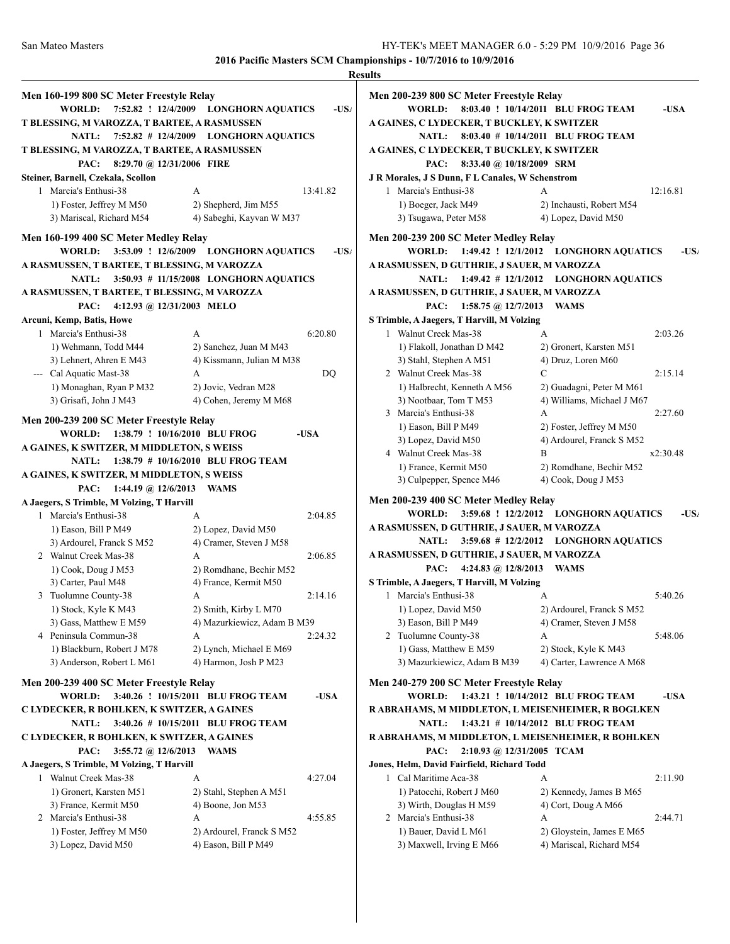|                                              |                                                         | <b>Results</b>  |
|----------------------------------------------|---------------------------------------------------------|-----------------|
| Men 160-199 800 SC Meter Freestyle Relay     |                                                         | Me              |
|                                              | WORLD: 7:52.82 ! 12/4/2009 LONGHORN AQUATICS<br>$-US_4$ |                 |
| T BLESSING, M VAROZZA, T BARTEE, A RASMUSSEN |                                                         | АG              |
| <b>NATL:</b>                                 | 7:52.82 # 12/4/2009 LONGHORN AQUATICS                   |                 |
| T BLESSING, M VAROZZA, T BARTEE, A RASMUSSEN |                                                         | АG              |
| PAC:<br>8:29.70 @ 12/31/2006 FIRE            |                                                         |                 |
| Steiner, Barnell, Czekala, Scollon           |                                                         | J R             |
| 1 Marcia's Enthusi-38                        | 13:41.82<br>А                                           |                 |
| 1) Foster, Jeffrey M M50                     | 2) Shepherd, Jim M55                                    |                 |
| 3) Mariscal, Richard M54                     | 4) Sabeghi, Kayvan W M37                                |                 |
|                                              |                                                         |                 |
| Men 160-199 400 SC Meter Medley Relay        |                                                         | Me              |
| <b>WORLD:</b>                                | 3:53.09 ! 12/6/2009 LONGHORN AQUATICS<br>$-US_4$        |                 |
| A RASMUSSEN, T BARTEE, T BLESSING, M VAROZZA |                                                         | ΑR              |
| <b>NATL:</b>                                 | 3:50.93 # 11/15/2008 LONGHORN AQUATICS                  |                 |
| A RASMUSSEN, T BARTEE, T BLESSING, M VAROZZA |                                                         | ΑR              |
| PAC:<br>4:12.93 @ 12/31/2003 MELO            |                                                         |                 |
| Arcuni, Kemp, Batis, Howe                    |                                                         | S Ti            |
| 1 Marcia's Enthusi-38                        | A<br>6:20.80                                            |                 |
| 1) Wehmann, Todd M44                         | 2) Sanchez, Juan M M43                                  |                 |
| 3) Lehnert, Ahren E M43                      | 4) Kissmann, Julian M M38                               |                 |
| --- Cal Aquatic Mast-38                      | A<br>DQ                                                 |                 |
| 1) Monaghan, Ryan P M32                      | 2) Jovic, Vedran M28                                    |                 |
| 3) Grisafi, John J M43                       | 4) Cohen, Jeremy M M68                                  |                 |
| Men 200-239 200 SC Meter Freestyle Relay     |                                                         |                 |
| <b>WORLD:</b>                                | 1:38.79 ! 10/16/2010 BLU FROG<br>-USA                   |                 |
| A GAINES, K SWITZER, M MIDDLETON, S WEISS    |                                                         |                 |
|                                              | NATL: 1:38.79 # 10/16/2010 BLU FROG TEAM                |                 |
| A GAINES, K SWITZER, M MIDDLETON, S WEISS    |                                                         |                 |
| 1:44.19 @ $12/6/2013$<br>PAC:                | WAMS                                                    |                 |
| A Jaegers, S Trimble, M Volzing, T Harvill   |                                                         | Me              |
| 1 Marcia's Enthusi-38                        | 2:04.85<br>A                                            |                 |
| 1) Eason, Bill P M49                         | 2) Lopez, David M50                                     | ΑR              |
| 3) Ardourel, Franck S M52                    | 4) Cramer, Steven J M58                                 |                 |
| 2 Walnut Creek Mas-38                        | 2:06.85<br>A                                            | ΑR              |
| 1) Cook, Doug J M53                          | 2) Romdhane, Bechir M52                                 |                 |
| 3) Carter, Paul M48                          | 4) France, Kermit M50                                   | ST <sub>1</sub> |
| 3 Tuolumne County-38                         | 2:14.16<br>А                                            |                 |
| 1) Stock, Kyle K M43                         | 2) Smith, Kirby L M70                                   |                 |
| 3) Gass, Matthew E M59                       | 4) Mazurkiewicz, Adam B M39                             |                 |
| 4 Peninsula Commun-38                        | 2:24.32<br>А                                            |                 |
| 1) Blackburn, Robert J M78                   | 2) Lynch, Michael E M69                                 |                 |
| 3) Anderson, Robert L M61                    | 4) Harmon, Josh P M23                                   |                 |
| Men 200-239 400 SC Meter Freestyle Relay     |                                                         | Me              |
| WORLD:                                       | 3:40.26 ! 10/15/2011 BLU FROG TEAM<br>-USA              |                 |
| C LYDECKER, R BOHLKEN, K SWITZER, A GAINES   |                                                         | R A             |
| <b>NATL:</b>                                 | 3:40.26 # 10/15/2011 BLU FROG TEAM                      |                 |
| C LYDECKER, R BOHLKEN, K SWITZER, A GAINES   |                                                         | R A             |
| PAC:<br>3:55.72 @ 12/6/2013                  | <b>WAMS</b>                                             |                 |
| A Jaegers, S Trimble, M Volzing, T Harvill   |                                                         | Jon             |
| 1 Walnut Creek Mas-38                        | 4:27.04<br>A                                            |                 |
| 1) Gronert, Karsten M51                      | 2) Stahl, Stephen A M51                                 |                 |
| 3) France, Kermit M50                        | 4) Boone, Jon M53                                       |                 |
| 2 Marcia's Enthusi-38                        | А<br>4:55.85                                            |                 |
| 1) Foster, Jeffrey M M50                     | 2) Ardourel, Franck S M52                               |                 |
| 3) Lopez, David M50                          | 4) Eason, Bill P M49                                    |                 |
|                                              |                                                         |                 |

| Men 200-239 800 SC Meter Freestyle Relay<br>WORLD:                                         | 8:03.40 ! 10/14/2011 BLU FROG TEAM                     | -USA     |
|--------------------------------------------------------------------------------------------|--------------------------------------------------------|----------|
| A GAINES, C LYDECKER, T BUCKLEY, K SWITZER                                                 |                                                        |          |
| <b>NATL:</b>                                                                               | 8:03.40 # 10/14/2011 BLU FROG TEAM                     |          |
| A GAINES, C LYDECKER, T BUCKLEY, K SWITZER<br>PAC:<br>8:33.40 @ 10/18/2009 SRM             |                                                        |          |
| <b>J R Morales, J S Dunn, F L Canales, W Schenstrom</b>                                    |                                                        |          |
| 1 Marcia's Enthusi-38                                                                      | A                                                      | 12:16.81 |
| 1) Boeger, Jack M49                                                                        | 2) Inchausti, Robert M54                               |          |
| 3) Tsugawa, Peter M58                                                                      | 4) Lopez, David M50                                    |          |
|                                                                                            |                                                        |          |
| Men 200-239 200 SC Meter Medley Relay                                                      |                                                        |          |
| WORLD: 1:49.42 ! 12/1/2012 LONGHORN AQUATICS<br>A RASMUSSEN, D GUTHRIE, J SAUER, M VAROZZA |                                                        | $-USt$   |
| $1:49.42 \# 12/1/2012$<br><b>NATL:</b>                                                     | <b>LONGHORN AQUATICS</b>                               |          |
| A RASMUSSEN, D GUTHRIE, J SAUER, M VAROZZA                                                 |                                                        |          |
| PAC:<br>1:58.75 @ $12/7/2013$                                                              | <b>WAMS</b>                                            |          |
| S Trimble, A Jaegers, T Harvill, M Volzing                                                 |                                                        |          |
| 1 Walnut Creek Mas-38                                                                      | A                                                      | 2:03.26  |
| 1) Flakoll, Jonathan D M42                                                                 | 2) Gronert, Karsten M51                                |          |
| 3) Stahl, Stephen A M51                                                                    | 4) Druz, Loren M60                                     |          |
| 2 Walnut Creek Mas-38<br>1) Halbrecht, Kenneth A M56                                       | C                                                      | 2:15.14  |
| 3) Nootbaar, Tom T M53                                                                     | 2) Guadagni, Peter M M61<br>4) Williams, Michael J M67 |          |
| 3 Marcia's Enthusi-38                                                                      | A                                                      | 2:27.60  |
| 1) Eason, Bill P M49                                                                       | 2) Foster, Jeffrey M M50                               |          |
| 3) Lopez, David M50                                                                        | 4) Ardourel, Franck S M52                              |          |
| 4 Walnut Creek Mas-38                                                                      | B                                                      | x2:30.48 |
| 1) France, Kermit M50                                                                      | 2) Romdhane, Bechir M52                                |          |
| 3) Culpepper, Spence M46                                                                   | 4) Cook, Doug J M53                                    |          |
|                                                                                            |                                                        |          |
| Men 200-239 400 SC Meter Medley Relay<br>3:59.68 ! 12/2/2012<br><b>WORLD:</b>              | <b>LONGHORN AQUATICS</b>                               | $-US$    |
| A RASMUSSEN, D GUTHRIE, J SAUER, M VAROZZA                                                 |                                                        |          |
| $3:59.68$ # 12/2/2012<br><b>NATL:</b>                                                      | <b>LONGHORN AQUATICS</b>                               |          |
| A RASMUSSEN, D GUTHRIE, J SAUER, M VAROZZA                                                 |                                                        |          |
| 4:24.83 @ $12/8/2013$<br>PAC:                                                              | <b>WAMS</b>                                            |          |
| S Trimble, A Jaegers, T Harvill, M Volzing                                                 |                                                        |          |
| Marcia's Enthusi-38<br>1                                                                   | A                                                      | 5:40.26  |
| 1) Lopez, David M50                                                                        | 2) Ardourel, Franck S M52                              |          |
| 3) Eason, Bill P M49                                                                       | 4) Cramer, Steven J M58                                |          |
| 2 Tuolumne County-38                                                                       | А                                                      | 5:48.06  |
| 1) Gass, Matthew E M59                                                                     | 2) Stock, Kyle K M43                                   |          |
| 3) Mazurkiewicz, Adam B M39                                                                | 4) Carter, Lawrence A M68                              |          |
| Men 240-279 200 SC Meter Freestyle Relay                                                   |                                                        |          |
| <b>WORLD:</b>                                                                              | 1:43.21 ! 10/14/2012 BLU FROG TEAM                     | -USA     |
| R ABRAHAMS, M MIDDLETON, L MEISENHEIMER, R BOGLKEN                                         |                                                        |          |
| <b>NATL:</b>                                                                               | 1:43.21 # 10/14/2012 BLU FROG TEAM                     |          |
| R ABRAHAMS, M MIDDLETON, L MEISENHEIMER, R BOHLKEN                                         |                                                        |          |
|                                                                                            |                                                        |          |
| 2:10.93 @ 12/31/2005 TCAM<br>PAC:                                                          |                                                        |          |
| Jones, Helm, David Fairfield, Richard Todd                                                 |                                                        |          |
| 1 Cal Maritime Aca-38                                                                      | A                                                      | 2:11.90  |
| 1) Patocchi, Robert J M60                                                                  | 2) Kennedy, James B M65                                |          |
| 3) Wirth, Douglas H M59                                                                    | 4) Cort, Doug A M66                                    |          |
| 2 Marcia's Enthusi-38                                                                      | А                                                      | 2:44.71  |
| 1) Bauer, David L M61                                                                      | 2) Gloystein, James E M65                              |          |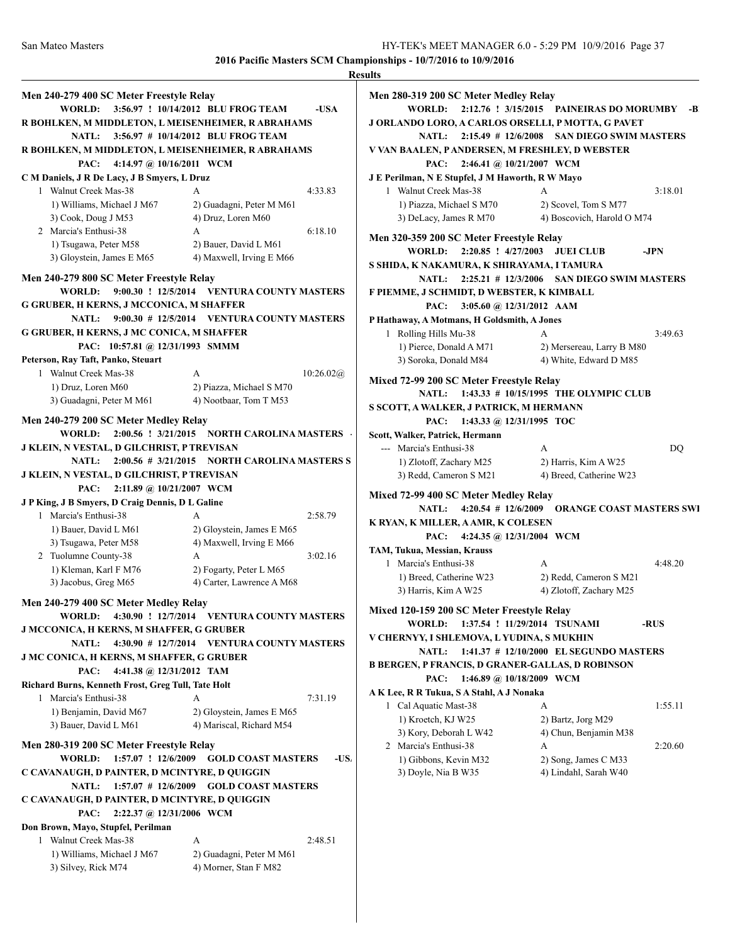|                                                    |                                                        | <b>Results</b>  |
|----------------------------------------------------|--------------------------------------------------------|-----------------|
| Men 240-279 400 SC Meter Freestyle Relay           |                                                        | Men             |
| <b>WORLD:</b>                                      | 3:56.97 ! 10/14/2012 BLU FROG TEAM<br>-USA             |                 |
| R BOHLKEN, M MIDDLETON, L MEISENHEIMER, R ABRAHAMS |                                                        | <b>J ORI</b>    |
|                                                    | NATL: 3:56.97 # 10/14/2012 BLU FROG TEAM               |                 |
| R BOHLKEN, M MIDDLETON, L MEISENHEIMER, R ABRAHAMS |                                                        | V VAI           |
| 4:14.97 @ 10/16/2011 WCM<br>PAC:                   |                                                        |                 |
| C M Daniels, J R De Lacy, J B Smyers, L Druz       |                                                        | J E Po          |
| 1 Walnut Creek Mas-38                              | 4:33.83<br>A                                           | 1               |
| 1) Williams, Michael J M67                         | 2) Guadagni, Peter M M61                               |                 |
| 3) Cook, Doug J M53                                | 4) Druz, Loren M60                                     |                 |
| 2 Marcia's Enthusi-38                              | 6:18.10<br>A                                           | Men             |
| 1) Tsugawa, Peter M58                              | 2) Bauer, David L M61                                  |                 |
| 3) Gloystein, James E M65                          | 4) Maxwell, Irving E M66                               | S SHI           |
| Men 240-279 800 SC Meter Freestyle Relay           |                                                        |                 |
| <b>WORLD:</b>                                      | 9:00.30 ! 12/5/2014 VENTURA COUNTY MASTERS             | F PIE           |
| <b>G GRUBER, H KERNS, J MCCONICA, M SHAFFER</b>    |                                                        |                 |
| <b>NATL:</b>                                       | 9:00.30 # 12/5/2014 VENTURA COUNTY MASTERS             | P Hat           |
| G GRUBER, H KERNS, J MC CONICA, M SHAFFER          |                                                        | $\mathbf{1}$    |
| PAC: 10:57.81 @ 12/31/1993 SMMM                    |                                                        |                 |
| Peterson, Ray Taft, Panko, Steuart                 |                                                        |                 |
| 1 Walnut Creek Mas-38                              | A<br>10:26.02(a)                                       | Mixe            |
| 1) Druz, Loren M60                                 | 2) Piazza, Michael S M70                               |                 |
| 3) Guadagni, Peter M M61                           | 4) Nootbaar, Tom T M53                                 | s sco           |
| Men 240-279 200 SC Meter Medley Relay              |                                                        |                 |
|                                                    | WORLD: 2:00.56 ! 3/21/2015 NORTH CAROLINA MASTERS      | Scott,          |
| J KLEIN, N VESTAL, D GILCHRIST, P TREVISAN         |                                                        | ---             |
|                                                    | NATL: 2:00.56 # 3/21/2015 NORTH CAROLINA MASTERS S     |                 |
| J KLEIN, N VESTAL, D GILCHRIST, P TREVISAN         |                                                        |                 |
| 2:11.89 @ 10/21/2007 WCM<br>PAC:                   |                                                        |                 |
| J P King, J B Smyers, D Craig Dennis, D L Galine   |                                                        | Mixe            |
| 1 Marcia's Enthusi-38                              | 2:58.79<br>A                                           |                 |
| 1) Bauer, David L M61                              | 2) Gloystein, James E M65                              | <b>K RY</b>     |
| 3) Tsugawa, Peter M58                              | 4) Maxwell, Irving E M66                               |                 |
| 2 Tuolumne County-38                               | 3:02.16<br>А                                           | TAM,            |
| 1) Kleman, Karl F M76                              | 2) Fogarty, Peter L M65                                | 1               |
| 3) Jacobus, Greg M65                               | 4) Carter, Lawrence A M68                              |                 |
| Men 240-279 400 SC Meter Medley Relay              |                                                        |                 |
|                                                    | WORLD: 4:30.90 ! 12/7/2014 VENTURA COUNTY MASTERS      | Mixe            |
| <b>J MCCONICA, H KERNS, M SHAFFER, G GRUBER</b>    |                                                        |                 |
|                                                    | NATL: 4:30.90 # 12/7/2014 VENTURA COUNTY MASTERS       | V CH            |
| J MC CONICA, H KERNS, M SHAFFER, G GRUBER          |                                                        |                 |
| PAC:<br>4:41.38 @ 12/31/2012 TAM                   |                                                        | <b>B</b> BEI    |
| Richard Burns, Kenneth Frost, Greg Tull, Tate Holt |                                                        |                 |
| 1 Marcia's Enthusi-38                              | A<br>7:31.19                                           | AK <sub>L</sub> |
| 1) Benjamin, David M67                             | 2) Gloystein, James E M65                              | 1               |
| 3) Bauer, David L M61                              | 4) Mariscal, Richard M54                               |                 |
|                                                    |                                                        |                 |
| Men 280-319 200 SC Meter Freestyle Relay           |                                                        | 2               |
|                                                    | WORLD: 1:57.07 ! 12/6/2009 GOLD COAST MASTERS<br>$-US$ |                 |
| C CAVANAUGH, D PAINTER, D MCINTYRE, D QUIGGIN      |                                                        |                 |
|                                                    | NATL: 1:57.07 # 12/6/2009 GOLD COAST MASTERS           |                 |
| C CAVANAUGH, D PAINTER, D MCINTYRE, D QUIGGIN      |                                                        |                 |
| PAC: 2:22.37 @ 12/31/2006 WCM                      |                                                        |                 |
| Don Brown, Mayo, Stupfel, Perilman                 |                                                        |                 |
| 1 Walnut Creek Mas-38                              | А<br>2:48.51                                           |                 |
| 1) Williams, Michael J M67                         | 2) Guadagni, Peter M M61                               |                 |
| 3) Silvey, Rick M74                                | 4) Morner, Stan F M82                                  |                 |

| Men 280-319 200 SC Meter Medley Relay                   |                                                    |         |
|---------------------------------------------------------|----------------------------------------------------|---------|
| <b>WORLD:</b>                                           | 2:12.76 ! 3/15/2015 PAINEIRAS DO MORUMBY -B        |         |
| J ORLANDO LORO, A CARLOS ORSELLI, P MOTTA, G PAVET      |                                                    |         |
|                                                         | NATL: 2:15.49 # 12/6/2008 SAN DIEGO SWIM MASTERS   |         |
| V VAN BAALEN, PANDERSEN, M FRESHLEY, D WEBSTER          |                                                    |         |
| PAC: 2:46.41 @ 10/21/2007 WCM                           |                                                    |         |
| J E Perilman, N E Stupfel, J M Haworth, R W Mayo        |                                                    |         |
| 1 Walnut Creek Mas-38                                   | A<br>3:18.01                                       |         |
| 1) Piazza, Michael S M70                                | 2) Scovel, Tom S M77                               |         |
| 3) DeLacy, James R M70                                  | 4) Boscovich, Harold O M74                         |         |
| Men 320-359 200 SC Meter Freestyle Relay                |                                                    |         |
| WORLD: 2:20.85 ! 4/27/2003 JUEI CLUB                    | $-JPN$                                             |         |
| S SHIDA, K NAKAMURA, K SHIRAYAMA, I TAMURA              |                                                    |         |
|                                                         | NATL: 2:25.21 # 12/3/2006 SAN DIEGO SWIM MASTERS   |         |
| F PIEMME, J SCHMIDT, D WEBSTER, K KIMBALL               |                                                    |         |
| 3:05.60 @ 12/31/2012 AAM<br>PAC:                        |                                                    |         |
| P Hathaway, A Motmans, H Goldsmith, A Jones             |                                                    |         |
| 1 Rolling Hills Mu-38                                   | A<br>3:49.63                                       |         |
| 1) Pierce, Donald A M71                                 | 2) Mersereau, Larry B M80                          |         |
| 3) Soroka, Donald M84                                   | 4) White, Edward D M85                             |         |
| Mixed 72-99 200 SC Meter Freestyle Relay                |                                                    |         |
| NATL: 1:43.33 # 10/15/1995 THE OLYMPIC CLUB             |                                                    |         |
| S SCOTT, A WALKER, J PATRICK, M HERMANN                 |                                                    |         |
| PAC: 1:43.33 @ 12/31/1995 TOC                           |                                                    |         |
| Scott, Walker, Patrick, Hermann                         |                                                    |         |
|                                                         |                                                    |         |
|                                                         |                                                    |         |
| --- Marcia's Enthusi-38                                 | A                                                  | DQ      |
| 1) Zlotoff, Zachary M25                                 | 2) Harris, Kim A W25                               |         |
| 3) Redd, Cameron S M21                                  | 4) Breed, Catherine W23                            |         |
| Mixed 72-99 400 SC Meter Medley Relay                   |                                                    |         |
|                                                         | NATL: 4:20.54 # 12/6/2009 ORANGE COAST MASTERS SWI |         |
| K RYAN, K MILLER, A AMR, K COLESEN                      |                                                    |         |
| 4:24.35 @ 12/31/2004 WCM<br>PAC:                        |                                                    |         |
| TAM, Tukua, Messian, Krauss                             |                                                    |         |
| 1 Marcia's Enthusi-38                                   | 4:48.20<br>A                                       |         |
| 1) Breed, Catherine W23                                 | 2) Redd, Cameron S M21                             |         |
| 3) Harris, Kim A W25                                    | 4) Zlotoff, Zachary M25                            |         |
| Mixed 120-159 200 SC Meter Freestyle Relay              |                                                    |         |
| 1:37.54 ! 11/29/2014 TSUNAMI<br>WORLD:                  | -RUS                                               |         |
| V CHERNYY, I SHLEMOVA, L YUDINA, S MUKHIN               |                                                    |         |
| NATL:                                                   | 1:41.37 # 12/10/2000 EL SEGUNDO MASTERS            |         |
| <b>B BERGEN, P FRANCIS, D GRANER-GALLAS, D ROBINSON</b> |                                                    |         |
| PAC:<br>1:46.89 @ 10/18/2009 WCM                        |                                                    |         |
| AK Lee, R R Tukua, S A Stahl, A J Nonaka                |                                                    |         |
| 1 Cal Aquatic Mast-38                                   | A                                                  | 1:55.11 |
| 1) Kroetch, KJ W25                                      | 2) Bartz, Jorg M29                                 |         |
| 3) Kory, Deborah L W42                                  | 4) Chun, Benjamin M38                              |         |
| 2 Marcia's Enthusi-38                                   | А                                                  | 2:20.60 |
| 1) Gibbons, Kevin M32<br>3) Doyle, Nia B W35            | 2) Song, James C M33<br>4) Lindahl, Sarah W40      |         |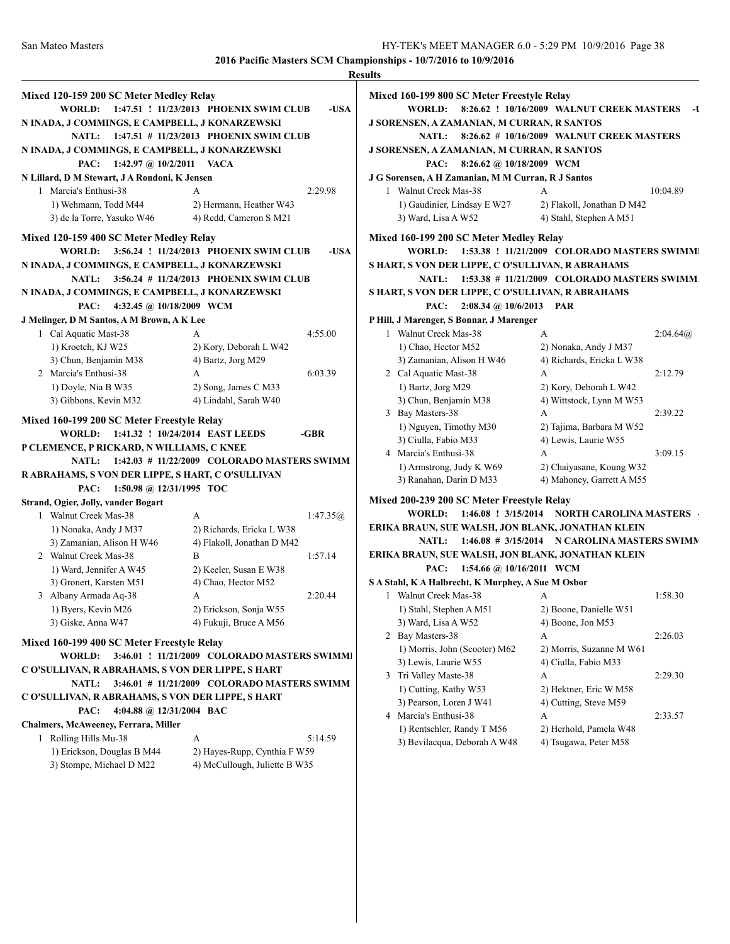|                                                   |                                             |            | <b>Results</b> |
|---------------------------------------------------|---------------------------------------------|------------|----------------|
| Mixed 120-159 200 SC Meter Medley Relay           |                                             |            | Mixe           |
| <b>WORLD:</b>                                     | 1:47.51 ! 11/23/2013 PHOENIX SWIM CLUB      | -USA       |                |
| N INADA, J COMMINGS, E CAMPBELL, J KONARZEWSKI    |                                             |            | J SO!          |
| <b>NATL:</b>                                      | 1:47.51 # 11/23/2013 PHOENIX SWIM CLUB      |            |                |
| N INADA, J COMMINGS, E CAMPBELL, J KONARZEWSKI    |                                             |            | J SOI          |
| 1:42.97 @ $10/2/2011$<br>PAC:                     | <b>VACA</b>                                 |            |                |
| N Lillard, D M Stewart, J A Rondoni, K Jensen     |                                             |            | J G S          |
| 1 Marcia's Enthusi-38                             | A                                           | 2:29.98    | 1              |
| 1) Wehmann, Todd M44                              | 2) Hermann, Heather W43                     |            |                |
| 3) de la Torre, Yasuko W46                        | 4) Redd, Cameron S M21                      |            |                |
|                                                   |                                             |            |                |
| Mixed 120-159 400 SC Meter Medley Relay           |                                             |            | Mixe           |
| <b>WORLD:</b>                                     | 3:56.24 ! 11/24/2013 PHOENIX SWIM CLUB      | -USA       |                |
| N INADA, J COMMINGS, E CAMPBELL, J KONARZEWSKI    |                                             |            | S HA           |
| <b>NATL:</b>                                      | 3:56.24 # 11/24/2013 PHOENIX SWIM CLUB      |            |                |
| N INADA, J COMMINGS, E CAMPBELL, J KONARZEWSKI    |                                             |            | S HA           |
| PAC:<br>4:32.45 @ 10/18/2009 WCM                  |                                             |            |                |
| J Melinger, D M Santos, A M Brown, A K Lee        |                                             |            | P Hil          |
| 1 Cal Aquatic Mast-38                             | A                                           | 4:55.00    | 1              |
| 1) Kroetch, KJ W25                                | 2) Kory, Deborah L W42                      |            |                |
| 3) Chun, Benjamin M38                             | 4) Bartz, Jorg M29                          |            |                |
| 2 Marcia's Enthusi-38                             | A                                           | 6:03.39    | $\overline{c}$ |
| 1) Doyle, Nia B W35                               | 2) Song, James C M33                        |            |                |
| 3) Gibbons, Kevin M32                             | 4) Lindahl, Sarah W40                       |            |                |
| Mixed 160-199 200 SC Meter Freestyle Relay        |                                             |            | 3              |
| <b>WORLD:</b>                                     | 1:41.32 ! 10/24/2014 EAST LEEDS             | $-GBR$     |                |
| P CLEMENCE, P RICKARD, N WILLIAMS, C KNEE         |                                             |            |                |
| <b>NATL:</b>                                      | 1:42.03 # 11/22/2009 COLORADO MASTERS SWIMM |            | 4              |
| R ABRAHAMS, S VON DER LIPPE, S HART, C O'SULLIVAN |                                             |            |                |
| 1:50.98 @ 12/31/1995 TOC<br>PAC:                  |                                             |            |                |
| Strand, Ogier, Jolly, vander Bogart               |                                             |            | Mixe           |
| 1 Walnut Creek Mas-38                             | A                                           | 1:47.35(a) |                |
| 1) Nonaka, Andy J M37                             | 2) Richards, Ericka L W38                   |            | <b>ERII</b>    |
| 3) Zamanian, Alison H W46                         | 4) Flakoll, Jonathan D M42                  |            |                |
| 2 Walnut Creek Mas-38                             | B                                           | 1:57.14    | <b>ERII</b>    |
| 1) Ward, Jennifer A W45                           | 2) Keeler, Susan E W38                      |            |                |
| 3) Gronert, Karsten M51                           | 4) Chao, Hector M52                         |            | SAS            |
| 3 Albany Armada Aq-38                             | А                                           | 2:20.44    | 1              |
| 1) Byers, Kevin M26                               | 2) Erickson, Sonja W55                      |            |                |
| 3) Giske, Anna W47                                | 4) Fukuji, Bruce A M56                      |            |                |
|                                                   |                                             |            | 2              |
| Mixed 160-199 400 SC Meter Freestyle Relay        |                                             |            |                |
| WORLD:                                            | 3:46.01 ! 11/21/2009 COLORADO MASTERS SWIMM |            |                |
| C O'SULLIVAN, R ABRAHAMS, S VON DER LIPPE, S HART |                                             |            | 3              |
| <b>NATL:</b>                                      | 3:46.01 # 11/21/2009 COLORADO MASTERS SWIMM |            |                |
| C O'SULLIVAN, R ABRAHAMS, S VON DER LIPPE, S HART |                                             |            |                |
| 4:04.88 @ 12/31/2004 BAC<br>PAC:                  |                                             |            | 4              |
| Chalmers, McAweeney, Ferrara, Miller              |                                             |            |                |
| 1 Rolling Hills Mu-38                             | А                                           | 5:14.59    |                |
| 1) Erickson, Douglas B M44                        | 2) Hayes-Rupp, Cynthia F W59                |            |                |
| 3) Stompe, Michael D M22                          | 4) McCullough, Juliette B W35               |            |                |

| Mixed 160-199 800 SC Meter Freestyle Relay         |                                              |            |
|----------------------------------------------------|----------------------------------------------|------------|
| WORLD:                                             | 8:26.62 ! 10/16/2009 WALNUT CREEK MASTERS    | -U         |
| J SORENSEN, A ZAMANIAN, M CURRAN, R SANTOS         |                                              |            |
| NATL: 8:26.62 # 10/16/2009 WALNUT CREEK MASTERS    |                                              |            |
| J SORENSEN, A ZAMANIAN, M CURRAN, R SANTOS         |                                              |            |
| PAC: 8:26.62 @ 10/18/2009 WCM                      |                                              |            |
| J G Sorensen, A H Zamanian, M M Curran, R J Santos |                                              |            |
| 1 Walnut Creek Mas-38                              | A                                            | 10:04.89   |
| 1) Gaudinier, Lindsay E W27                        | 2) Flakoll, Jonathan D M42                   |            |
| 3) Ward, Lisa A W52                                | 4) Stahl, Stephen A M51                      |            |
| Mixed 160-199 200 SC Meter Medley Relay            |                                              |            |
| WORLD:                                             | 1:53.38 ! 11/21/2009 COLORADO MASTERS SWIMM  |            |
| S HART, S VON DER LIPPE, C O'SULLIVAN, R ABRAHAMS  |                                              |            |
| NATL: 1:53.38 # 11/21/2009 COLORADO MASTERS SWIMM  |                                              |            |
| S HART, S VON DER LIPPE, C O'SULLIVAN, R ABRAHAMS  |                                              |            |
| $2:08.34 \; (\partial) 10/6/2013$<br>PAC:          | <b>PAR</b>                                   |            |
| P Hill, J Marenger, S Bonnar, J Marenger           |                                              |            |
| 1 Walnut Creek Mas-38                              | A                                            | 2:04.64(a) |
| 1) Chao, Hector M52                                | 2) Nonaka, Andy J M37                        |            |
| 3) Zamanian, Alison H W46                          | 4) Richards, Ericka L W38                    |            |
| 2 Cal Aquatic Mast-38                              | А                                            | 2:12.79    |
| 1) Bartz, Jorg M29                                 | 2) Kory, Deborah L W42                       |            |
| 3) Chun, Benjamin M38                              | 4) Wittstock, Lynn M W53                     |            |
| 3 Bay Masters-38                                   | A                                            |            |
|                                                    |                                              | 2:39.22    |
| 1) Nguyen, Timothy M30                             | 2) Tajima, Barbara M W52                     |            |
| 3) Ciulla, Fabio M33                               | 4) Lewis, Laurie W55                         |            |
| 4 Marcia's Enthusi-38                              | A                                            | 3:09.15    |
| 1) Armstrong, Judy K W69                           | 2) Chaiyasane, Koung W32                     |            |
| 3) Ranahan, Darin D M33                            | 4) Mahoney, Garrett A M55                    |            |
| Mixed 200-239 200 SC Meter Freestyle Relay         |                                              |            |
| <b>WORLD:</b>                                      | 1:46.08 ! 3/15/2014 NORTH CAROLINA MASTERS   |            |
| ERIKA BRAUN, SUE WALSH, JON BLANK, JONATHAN KLEIN  |                                              |            |
| <b>NATL:</b>                                       | 1:46.08 # 3/15/2014 N CAROLINA MASTERS SWIMN |            |
| ERIKA BRAUN, SUE WALSH, JON BLANK, JONATHAN KLEIN  |                                              |            |
| 1:54.66 @ 10/16/2011 WCM<br>PAC:                   |                                              |            |
| S A Stahl, K A Halbrecht, K Murphey, A Sue M Osbor |                                              |            |
| 1 Walnut Creek Mas-38                              | А                                            | 1:58.30    |
| 1) Stahl, Stephen A M51                            | 2) Boone, Danielle W51                       |            |
| 3) Ward, Lisa A W52                                | 4) Boone, Jon M53                            |            |
| 2 Bay Masters-38                                   | А                                            | 2:26.03    |
| 1) Morris, John (Scooter) M62                      | 2) Morris, Suzanne M W61                     |            |
| 3) Lewis, Laurie W55                               | 4) Ciulla, Fabio M33                         |            |
| 3 Tri Valley Maste-38                              | А                                            | 2:29.30    |
| 1) Cutting, Kathy W53                              | 2) Hektner, Eric W M58                       |            |
| 3) Pearson, Loren J W41                            | 4) Cutting, Steve M59                        |            |
| 4 Marcia's Enthusi-38                              | A                                            |            |
|                                                    |                                              | 2:33.57    |
| 1) Rentschler, Randy T M56                         | 2) Herhold, Pamela W48                       |            |
| 3) Bevilacqua, Deborah A W48                       | 4) Tsugawa, Peter M58                        |            |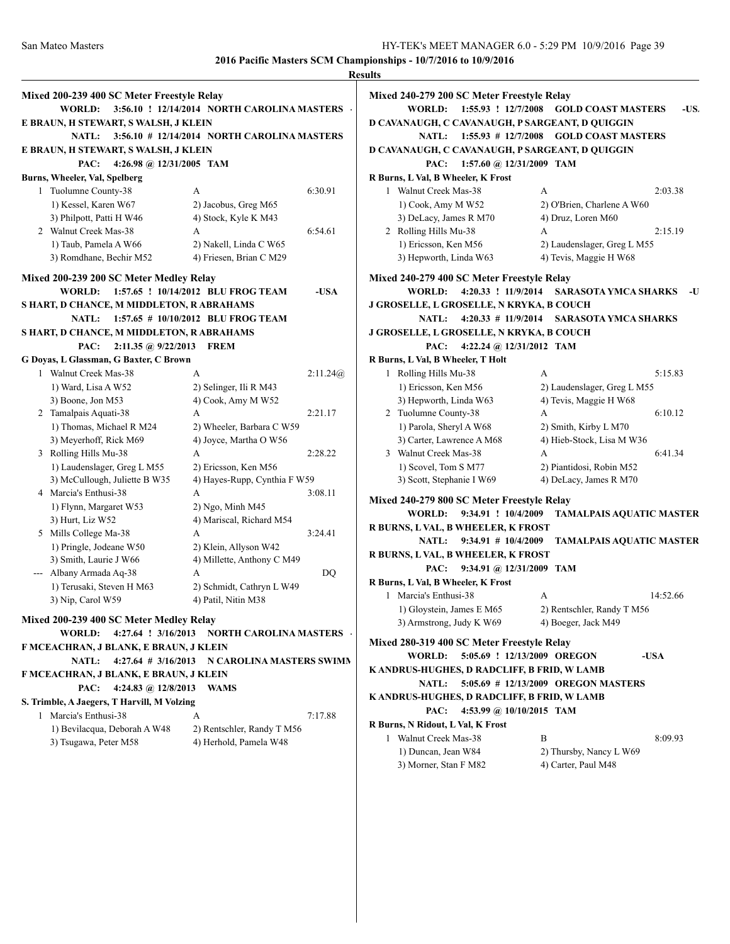|                                                                          |                                             | <b>Results</b>  |
|--------------------------------------------------------------------------|---------------------------------------------|-----------------|
| Mixed 200-239 400 SC Meter Freestyle Relay                               |                                             | Mixe            |
| <b>WORLD:</b>                                                            | 3:56.10 ! 12/14/2014 NORTH CAROLINA MASTERS |                 |
| E BRAUN, H STEWART, S WALSH, J KLEIN                                     |                                             | D CA            |
| NATL:                                                                    | 3:56.10 # 12/14/2014 NORTH CAROLINA MASTERS |                 |
| E BRAUN, H STEWART, S WALSH, J KLEIN                                     |                                             | D CA            |
| PAC:<br>4:26.98 @ 12/31/2005 TAM                                         |                                             |                 |
| Burns, Wheeler, Val, Spelberg                                            |                                             | R Bu            |
| 1 Tuolumne County-38                                                     | А                                           | 6:30.91         |
| 1) Kessel, Karen W67                                                     | 2) Jacobus, Greg M65                        |                 |
| 3) Philpott, Patti H W46                                                 | 4) Stock, Kyle K M43                        |                 |
| 2 Walnut Creek Mas-38                                                    | A                                           | 6:54.61         |
| 1) Taub, Pamela A W66                                                    | 2) Nakell, Linda C W65                      |                 |
|                                                                          |                                             |                 |
| 3) Romdhane, Bechir M52                                                  | 4) Friesen, Brian C M29                     |                 |
| Mixed 200-239 200 SC Meter Medley Relay                                  |                                             | Mixe            |
| <b>WORLD:</b>                                                            | 1:57.65 ! 10/14/2012 BLU FROG TEAM          | -USA            |
| S HART, D CHANCE, M MIDDLETON, R ABRAHAMS                                |                                             | J GR            |
| <b>NATL:</b>                                                             | 1:57.65 # 10/10/2012 BLU FROG TEAM          |                 |
| S HART, D CHANCE, M MIDDLETON, R ABRAHAMS                                |                                             | J GR            |
| 2:11.35 @ 9/22/2013<br>PAC:                                              | <b>FREM</b>                                 |                 |
| G Doyas, L Glassman, G Baxter, C Brown                                   |                                             | R Bu            |
| 1 Walnut Creek Mas-38                                                    | A                                           | 2:11.24@        |
| 1) Ward, Lisa A W52                                                      | 2) Selinger, Ili R M43                      |                 |
|                                                                          |                                             |                 |
| 3) Boone, Jon M53                                                        | 4) Cook, Amy M W52                          |                 |
| 2 Tamalpais Aquati-38                                                    | A                                           | 2:21.17         |
| 1) Thomas, Michael R M24                                                 | 2) Wheeler, Barbara C W59                   |                 |
| 3) Meyerhoff, Rick M69                                                   | 4) Joyce, Martha O W56                      |                 |
| 3 Rolling Hills Mu-38                                                    | A                                           | 2:28.22         |
| 1) Laudenslager, Greg L M55                                              | 2) Ericsson, Ken M56                        |                 |
| 3) McCullough, Juliette B W35                                            | 4) Hayes-Rupp, Cynthia F W59                |                 |
| 4 Marcia's Enthusi-38                                                    | A                                           | 3:08.11<br>Mixe |
| 1) Flynn, Margaret W53                                                   | 2) Ngo, Minh M45                            |                 |
| 3) Hurt, Liz W52                                                         | 4) Mariscal, Richard M54                    | R <sub>BU</sub> |
| 5 Mills College Ma-38                                                    | А                                           | 3:24.41         |
| 1) Pringle, Jodeane W50                                                  | 2) Klein, Allyson W42                       | <b>RBU</b>      |
| 3) Smith, Laurie J W66                                                   | 4) Millette, Anthony C M49                  |                 |
| Albany Armada Aq-38                                                      | A                                           | DQ              |
| 1) Terusaki, Steven H M63                                                | 2) Schmidt, Cathryn L W49                   | R Bu            |
| 3) Nip, Carol W59                                                        | 4) Patil, Nitin M38                         |                 |
|                                                                          |                                             |                 |
| Mixed 200-239 400 SC Meter Medley Relay<br>4:27.64 ! 3/16/2013<br>WORLD: | NORTH CAROLINA MASTERS                      |                 |
|                                                                          |                                             | Mixe            |
| F MCEACHRAN, J BLANK, E BRAUN, J KLEIN                                   |                                             |                 |
| $4:27.64$ # $3/16/2013$<br><b>NATL:</b>                                  | N CAROLINA MASTERS SWIMM                    | K AN            |
| F MCEACHRAN, J BLANK, E BRAUN, J KLEIN                                   |                                             |                 |
| PAC:<br>4:24.83 @ $12/8/2013$                                            | <b>WAMS</b>                                 | K AN            |
| S. Trimble, A Jaegers, T Harvill, M Volzing                              |                                             |                 |
| 1 Marcia's Enthusi-38                                                    | A                                           | 7:17.88         |
| 1) Bevilacqua, Deborah A W48                                             | 2) Rentschler, Randy T M56                  | R Bu            |
| 3) Tsugawa, Peter M58                                                    | 4) Herhold, Pamela W48                      |                 |
|                                                                          |                                             |                 |
|                                                                          |                                             |                 |

| Mixed 240-279 200 SC Meter Freestyle Relay          |                                   |  |  |  |
|-----------------------------------------------------|-----------------------------------|--|--|--|
| 1:55.93 ! 12/7/2008<br><b>WORLD:</b>                | <b>GOLD COAST MASTERS</b><br>-US. |  |  |  |
| D CAVANAUGH, C CAVANAUGH, P SARGEANT, D QUIGGIN     |                                   |  |  |  |
| <b>NATL:</b><br>$1:55.93 \# 12/7/2008$              | <b>GOLD COAST MASTERS</b>         |  |  |  |
| D CAVANAUGH, C CAVANAUGH, P SARGEANT, D QUIGGIN     |                                   |  |  |  |
| 1:57.60 @ 12/31/2009 TAM<br>PAC:                    |                                   |  |  |  |
| R Burns, L Val, B Wheeler, K Frost                  |                                   |  |  |  |
| 1 Walnut Creek Mas-38                               | А<br>2:03.38                      |  |  |  |
| 1) Cook, Amy M W52                                  | 2) O'Brien, Charlene A W60        |  |  |  |
| 3) DeLacy, James R M70                              | 4) Druz, Loren M60                |  |  |  |
| 2 Rolling Hills Mu-38                               | A<br>2:15.19                      |  |  |  |
| 1) Ericsson, Ken M56                                | 2) Laudenslager, Greg L M55       |  |  |  |
| 3) Hepworth, Linda W63                              | 4) Tevis, Maggie H W68            |  |  |  |
|                                                     |                                   |  |  |  |
| Mixed 240-279 400 SC Meter Freestyle Relay          |                                   |  |  |  |
| 4:20.33 ! 11/9/2014<br><b>WORLD:</b>                | <b>SARASOTA YMCA SHARKS</b><br>-U |  |  |  |
| J GROSELLE, L GROSELLE, N KRYKA, B COUCH            |                                   |  |  |  |
| <b>NATL:</b><br>$4:20.33 \# 11/9/2014$              | <b>SARASOTA YMCA SHARKS</b>       |  |  |  |
| J GROSELLE, L GROSELLE, N KRYKA, B COUCH            |                                   |  |  |  |
| PAC:<br>4:22.24 @ 12/31/2012 TAM                    |                                   |  |  |  |
| R Burns, L Val, B Wheeler, T Holt                   |                                   |  |  |  |
| 1 Rolling Hills Mu-38                               | A<br>5:15.83                      |  |  |  |
| 1) Ericsson, Ken M56                                | 2) Laudenslager, Greg L M55       |  |  |  |
| 3) Hepworth, Linda W63                              | 4) Tevis, Maggie H W68            |  |  |  |
| 2 Tuolumne County-38                                | А<br>6:10.12                      |  |  |  |
| 1) Parola, Sheryl A W68                             | 2) Smith, Kirby L M70             |  |  |  |
| 3) Carter, Lawrence A M68                           | 4) Hieb-Stock, Lisa M W36         |  |  |  |
| 3 Walnut Creek Mas-38                               | A<br>6:41.34                      |  |  |  |
| 1) Scovel, Tom S M77                                | 2) Piantidosi, Robin M52          |  |  |  |
| 3) Scott, Stephanie I W69                           | 4) DeLacy, James R M70            |  |  |  |
| Mixed 240-279 800 SC Meter Freestyle Relay          |                                   |  |  |  |
| WORLD:<br>9:34.91 ! 10/4/2009                       | <b>TAMALPAIS AQUATIC MASTER</b>   |  |  |  |
| R BURNS, L VAL, B WHEELER, K FROST                  |                                   |  |  |  |
| NATL: $9:34.91 \# 10/4/2009$                        | <b>TAMALPAIS AQUATIC MASTER</b>   |  |  |  |
| R BURNS, L VAL, B WHEELER, K FROST                  |                                   |  |  |  |
| 9:34.91 @ 12/31/2009 TAM<br>PAC:                    |                                   |  |  |  |
| R Burns, L Val, B Wheeler, K Frost                  |                                   |  |  |  |
| 1 Marcia's Enthusi-38                               | 14:52.66<br>А                     |  |  |  |
| 1) Gloystein, James E M65                           | 2) Rentschler, Randy T M56        |  |  |  |
| 3) Armstrong, Judy K W69                            | 4) Boeger, Jack M49               |  |  |  |
|                                                     |                                   |  |  |  |
| Mixed 280-319 400 SC Meter Freestyle Relay          |                                   |  |  |  |
| 5:05.69 ! 12/13/2009 OREGON<br><b>WORLD:</b>        | -USA                              |  |  |  |
| K ANDRUS-HUGHES, D RADCLIFF, B FRID, W LAMB         |                                   |  |  |  |
| 5:05.69 # 12/13/2009 OREGON MASTERS<br><b>NATL:</b> |                                   |  |  |  |
| K ANDRUS-HUGHES, D RADCLIFF, B FRID, W LAMB         |                                   |  |  |  |
| 4:53.99 @ 10/10/2015 TAM<br>PAC:                    |                                   |  |  |  |
| R Burns, N Ridout, L Val, K Frost                   |                                   |  |  |  |
| 1 Walnut Creek Mas-38                               | B<br>8:09.93                      |  |  |  |
| 1) Duncan, Jean W84                                 | 2) Thursby, Nancy L W69           |  |  |  |
| 3) Morner, Stan F M82                               | 4) Carter, Paul M48               |  |  |  |
|                                                     |                                   |  |  |  |